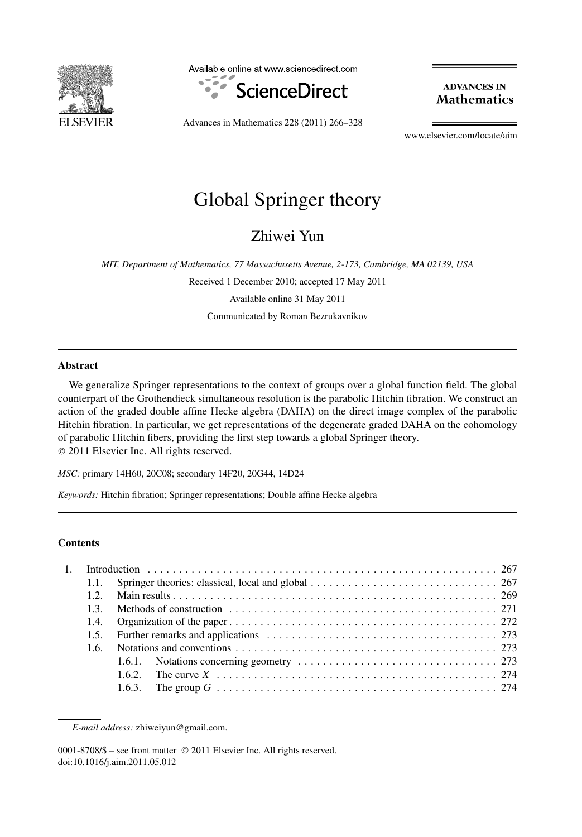

Available online at www.sciencedirect.com



**ADVANCES IN Mathematics** 

Advances in Mathematics 228 (2011) 266–328

www.elsevier.com/locate/aim

# Global Springer theory

Zhiwei Yun

*MIT, Department of Mathematics, 77 Massachusetts Avenue, 2-173, Cambridge, MA 02139, USA*

Received 1 December 2010; accepted 17 May 2011 Available online 31 May 2011 Communicated by Roman Bezrukavnikov

# **Abstract**

We generalize Springer representations to the context of groups over a global function field. The global counterpart of the Grothendieck simultaneous resolution is the parabolic Hitchin fibration. We construct an action of the graded double affine Hecke algebra (DAHA) on the direct image complex of the parabolic Hitchin fibration. In particular, we get representations of the degenerate graded DAHA on the cohomology of parabolic Hitchin fibers, providing the first step towards a global Springer theory. © 2011 Elsevier Inc. All rights reserved.

*MSC:* primary 14H60, 20C08; secondary 14F20, 20G44, 14D24

*Keywords:* Hitchin fibration; Springer representations; Double affine Hecke algebra

# **Contents**

|  | 1.1.         |                                                                                                                                                                                                                                |
|--|--------------|--------------------------------------------------------------------------------------------------------------------------------------------------------------------------------------------------------------------------------|
|  | $12^{\circ}$ |                                                                                                                                                                                                                                |
|  | 13           |                                                                                                                                                                                                                                |
|  |              |                                                                                                                                                                                                                                |
|  | 1.5.         | Further remarks and applications entertainment contains the contract of the property of the contract of the contract of the contract of the contract of the contract of the contract of the contract of the contract of the co |
|  | 1.6.         |                                                                                                                                                                                                                                |
|  |              |                                                                                                                                                                                                                                |
|  |              | 1.6.2. The curve $X_1, \ldots, X_n, \ldots, X_n, \ldots, X_n, \ldots, X_n, \ldots, X_n, \ldots, X_n$                                                                                                                           |
|  |              |                                                                                                                                                                                                                                |
|  |              |                                                                                                                                                                                                                                |

*E-mail address:* zhiweiyun@gmail.com.

0001-8708/\$ – see front matter © 2011 Elsevier Inc. All rights reserved. doi:10.1016/j.aim.2011.05.012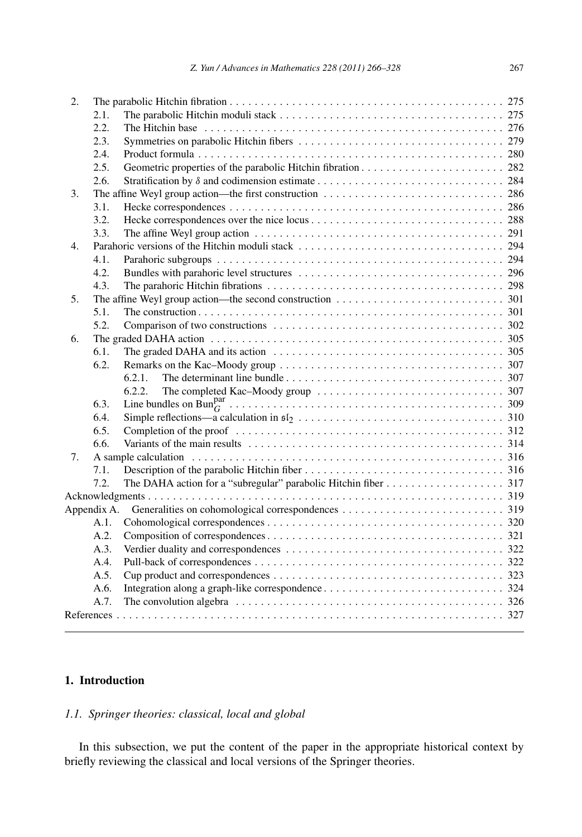| 2. |             |                                                                                                                        |  |
|----|-------------|------------------------------------------------------------------------------------------------------------------------|--|
|    | 2.1.        |                                                                                                                        |  |
|    | 2.2.        |                                                                                                                        |  |
|    | 2.3.        |                                                                                                                        |  |
|    | 2.4.        |                                                                                                                        |  |
|    | 2.5.        |                                                                                                                        |  |
|    | 2.6.        |                                                                                                                        |  |
| 3. |             |                                                                                                                        |  |
|    | 3.1.        |                                                                                                                        |  |
|    | 3.2.        |                                                                                                                        |  |
|    | 3.3.        |                                                                                                                        |  |
| 4. |             |                                                                                                                        |  |
|    | 4.1.        |                                                                                                                        |  |
|    | 4.2.        |                                                                                                                        |  |
|    | 4.3.        |                                                                                                                        |  |
| 5. |             | The affine Weyl group action—the second construction $\dots \dots \dots \dots \dots \dots \dots \dots \dots \dots$ 301 |  |
|    | 5.1.        |                                                                                                                        |  |
|    | 5.2.        |                                                                                                                        |  |
| 6. |             |                                                                                                                        |  |
|    | 6.1.        |                                                                                                                        |  |
|    | 6.2.        |                                                                                                                        |  |
|    |             | 6.2.1.                                                                                                                 |  |
|    |             | 6.2.2.                                                                                                                 |  |
|    | 6.3.        |                                                                                                                        |  |
|    | 6.4.        |                                                                                                                        |  |
|    | 6.5.        |                                                                                                                        |  |
|    | 6.6.        |                                                                                                                        |  |
| 7. |             |                                                                                                                        |  |
|    | 7.1.        |                                                                                                                        |  |
|    | 7.2.        |                                                                                                                        |  |
|    |             |                                                                                                                        |  |
|    | Appendix A. |                                                                                                                        |  |
|    | A.1.        |                                                                                                                        |  |
|    | A.2.        |                                                                                                                        |  |
|    | A.3.        |                                                                                                                        |  |
|    | A.4.        |                                                                                                                        |  |
|    | A.5.        |                                                                                                                        |  |
|    | A.6.        |                                                                                                                        |  |
|    | A.7.        |                                                                                                                        |  |
|    |             |                                                                                                                        |  |
|    |             |                                                                                                                        |  |

# **1. Introduction**

# *1.1. Springer theories: classical, local and global*

In this subsection, we put the content of the paper in the appropriate historical context by briefly reviewing the classical and local versions of the Springer theories.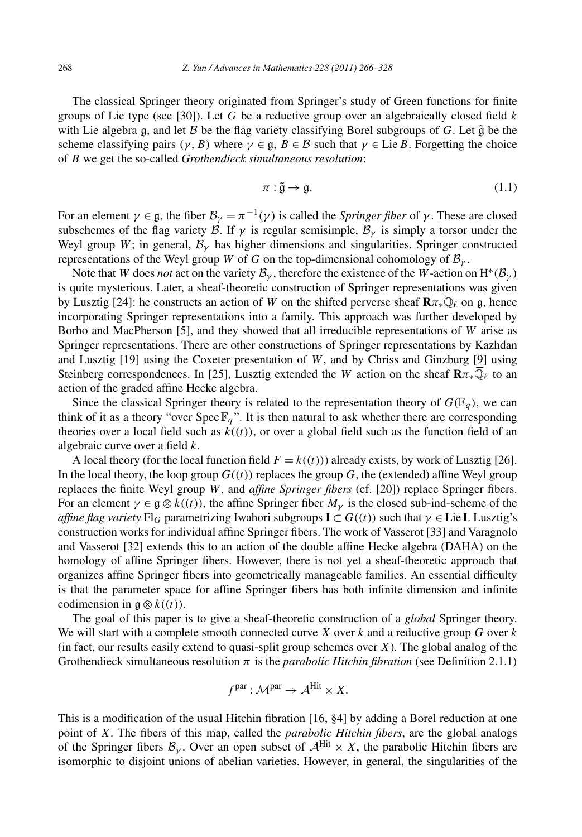The classical Springer theory originated from Springer's study of Green functions for finite groups of Lie type (see [30]). Let *G* be a reductive group over an algebraically closed field *k* with Lie algebra g, and let  $\beta$  be the flag variety classifying Borel subgroups of  $G$ . Let  $\tilde{g}$  be the scheme classifying pairs  $(\gamma, B)$  where  $\gamma \in \mathfrak{g}, B \in \mathcal{B}$  such that  $\gamma \in \text{Lie } B$ . Forgetting the choice of *B* we get the so-called *Grothendieck simultaneous resolution*:

$$
\pi: \tilde{\mathfrak{g}} \to \mathfrak{g}.\tag{1.1}
$$

For an element  $\gamma \in \mathfrak{g}$ , the fiber  $\mathcal{B}_{\gamma} = \pi^{-1}(\gamma)$  is called the *Springer fiber* of  $\gamma$ . These are closed subschemes of the flag variety B. If  $\gamma$  is regular semisimple,  $\mathcal{B}_{\gamma}$  is simply a torsor under the Weyl group *W*; in general,  $B<sub>\nu</sub>$  has higher dimensions and singularities. Springer constructed representations of the Weyl group *W* of *G* on the top-dimensional cohomology of  $B_{\nu}$ .

Note that *W* does *not* act on the variety  $B_{\gamma}$ , therefore the existence of the *W*-action on  $H^*(B_{\gamma})$ is quite mysterious. Later, a sheaf-theoretic construction of Springer representations was given by Lusztig [24]: he constructs an action of *W* on the shifted perverse sheaf  $\mathbf{R}\pi_*\overline{\mathbb{Q}}_\ell$  on g, hence incorporating Springer representations into a family. This approach was further developed by Borho and MacPherson [5], and they showed that all irreducible representations of *W* arise as Springer representations. There are other constructions of Springer representations by Kazhdan and Lusztig [19] using the Coxeter presentation of *W*, and by Chriss and Ginzburg [9] using Steinberg correspondences. In [25], Lusztig extended the *W* action on the sheaf  $\mathbf{R}\pi_*\mathbb{Q}_\ell$  to an action of the graded affine Hecke algebra.

Since the classical Springer theory is related to the representation theory of  $G(\mathbb{F}_q)$ , we can think of it as a theory "over Spec  $\mathbb{F}_q$ ". It is then natural to ask whether there are corresponding theories over a local field such as  $k((t))$ , or over a global field such as the function field of an algebraic curve over a field *k*.

A local theory (for the local function field  $F = k((t))$ ) already exists, by work of Lusztig [26]. In the local theory, the loop group  $G((t))$  replaces the group G, the (extended) affine Weyl group replaces the finite Weyl group *W*, and *affine Springer fibers* (cf. [20]) replace Springer fibers. For an element  $\gamma \in \mathfrak{g} \otimes k((t))$ , the affine Springer fiber  $M_{\gamma}$  is the closed sub-ind-scheme of the *affine flag variety*  $Fl$ *G* parametrizing Iwahori subgroups  $I \subset G((t))$  such that  $\gamma \in$  Lie I. Lusztig's construction works for individual affine Springer fibers. The work of Vasserot [33] and Varagnolo and Vasserot [32] extends this to an action of the double affine Hecke algebra (DAHA) on the homology of affine Springer fibers. However, there is not yet a sheaf-theoretic approach that organizes affine Springer fibers into geometrically manageable families. An essential difficulty is that the parameter space for affine Springer fibers has both infinite dimension and infinite codimension in  $\mathfrak{g} \otimes k((t))$ .

The goal of this paper is to give a sheaf-theoretic construction of a *global* Springer theory. We will start with a complete smooth connected curve *X* over *k* and a reductive group *G* over *k* (in fact, our results easily extend to quasi-split group schemes over *X*). The global analog of the Grothendieck simultaneous resolution *π* is the *parabolic Hitchin fibration* (see Definition 2.1.1)

$$
f^{\text{par}} : \mathcal{M}^{\text{par}} \to \mathcal{A}^{\text{Hit}} \times X.
$$

This is a modification of the usual Hitchin fibration [16, §4] by adding a Borel reduction at one point of *X*. The fibers of this map, called the *parabolic Hitchin fibers*, are the global analogs of the Springer fibers  $\mathcal{B}_{\gamma}$ . Over an open subset of  $\mathcal{A}^{\text{Hit}} \times X$ , the parabolic Hitchin fibers are isomorphic to disjoint unions of abelian varieties. However, in general, the singularities of the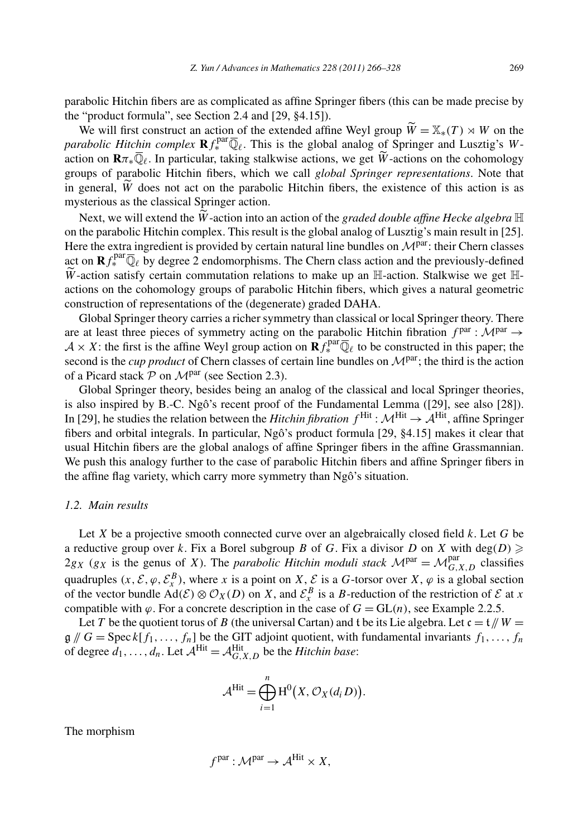parabolic Hitchin fibers are as complicated as affine Springer fibers (this can be made precise by the "product formula", see Section 2.4 and [29, §4.15]). % abolic Hitchin fibers are as complicated as affine Springer fibers (this can be made precise by "product formula", see Section 2.4 and [29, §4.15]).<br>We will first construct an action of the extended affine Weyl group

*parabolic Hitchin complex*  $\mathbf{R} f_*^{\text{par}} \overline{\mathbb{Q}}_\ell$ . This is the global analog of Springer and Lusztig's Wthe "product formula", see Section 2.4 and [29, §4.15]).<br>We will first construct an action of the extended affine Weyl gro<br>parabolic Hitchin complex  $\mathbf{R} f_{*}^{\text{par}} \overline{\mathbb{Q}}_{\ell}$ . This is the global analog of<br>action on action on  $\mathbf{R}\pi_*\overline{\mathbb{Q}}_\ell$ . In particular, taking stalkwise actions, we get  $\widetilde{W}$ -actions on the cohomology groups of parabolic Hitchin fibers, which we call *global Springer representations*. Note that parabolic Hita<br>action on **R** $\pi$ <sub>\*</sub><br>groups of par<br>in general,  $\widetilde{W}$ in general,  $\tilde{W}$  does not act on the parabolic Hitchin fibers, the existence of this action is as mysterious as the classical Springer action. Next, we parabolic Hitchin 1<br>general,  $\widetilde{W}$  does not act of<br>sterious as the classical Spi<br>Next, we will extend the  $\widetilde{W}$ 

Next, we will extend the  $\widetilde{W}$ -action into an action of the *graded double affine Hecke algebra*  $\mathbb H$ on the parabolic Hitchin complex. This result is the global analog of Lusztig's main result in [25]. Here the extra ingredient is provided by certain natural line bundles on  $\mathcal{M}^{\text{par}}$ : their Chern classes act on  $\mathbf{R} f_*^{\text{par}} \overline{\mathbb{Q}}_\ell$  by degree 2 endomorphisms. The Chern class action and the previously-defined on<br>He<br> $\widetilde{w}$  $\widetilde{W}$ -action satisfy certain commutation relations to make up an H-action. Stalkwise we get Hactions on the cohomology groups of parabolic Hitchin fibers, which gives a natural geometric construction of representations of the (degenerate) graded DAHA.

Global Springer theory carries a richer symmetry than classical or local Springer theory. There are at least three pieces of symmetry acting on the parabolic Hitchin fibration *<sup>f</sup>* par : <sup>M</sup>par <sup>→</sup>  $A \times X$ : the first is the affine Weyl group action on  $\mathbf{R} f_{*}^{\text{par}} \overline{\mathbb{Q}}_{\ell}$  to be constructed in this paper; the second is the *cup product* of Chern classes of certain line bundles on  $\mathcal{M}^{par}$ ; the third is the action of a Picard stack  $P$  on  $\mathcal{M}^{par}$  (see Section 2.3).

Global Springer theory, besides being an analog of the classical and local Springer theories, is also inspired by B.-C. Ngô's recent proof of the Fundamental Lemma ([29], see also [28]). In [29], he studies the relation between the *Hitchin fibration*  $f^{\text{Hit}}$ :  $\mathcal{M}^{\text{Hit}}$ , affine Springer fibers and orbital integrals. In particular, Ngô's product formula [29, §4.15] makes it clear that usual Hitchin fibers are the global analogs of affine Springer fibers in the affine Grassmannian. We push this analogy further to the case of parabolic Hitchin fibers and affine Springer fibers in the affine flag variety, which carry more symmetry than Ngô's situation.

#### *1.2. Main results*

Let *X* be a projective smooth connected curve over an algebraically closed field *k*. Let *G* be a reductive group over *k*. Fix a Borel subgroup *B* of *G*. Fix a divisor *D* on *X* with deg $(D) \ge$  $2g_X$  ( $g_X$  is the genus of *X*). The *parabolic Hitchin moduli stack*  $\mathcal{M}^{\text{par}} = \mathcal{M}_{G,X,D}^{\text{par}}$  classifies quadruples  $(x, \mathcal{E}, \varphi, \mathcal{E}_{x}^{B})$ , where *x* is a point on *X*,  $\mathcal{E}$  is a *G*-torsor over *X*,  $\varphi$  is a global section of the vector bundle  $Ad(\mathcal{E}) \otimes \mathcal{O}_X(D)$  on *X*, and  $\mathcal{E}^B_X$  is a *B*-reduction of the restriction of  $\mathcal E$  at *x* compatible with  $\varphi$ . For a concrete description in the case of  $G = GL(n)$ , see Example 2.2.5.

Let *T* be the quotient torus of *B* (the universal Cartan) and t be its Lie algebra. Let  $c = t / W =$  $\mathfrak{g} \mathfrak{g} \mathfrak{g} \mathfrak{g} \mathfrak{g} = \mathrm{Spec} k[f_1, \ldots, f_n]$  be the GIT adjoint quotient, with fundamental invariants  $f_1, \ldots, f_n$ of degree  $d_1, \ldots, d_n$ . Let  $\mathcal{A}^{\text{Hit}} = \mathcal{A}_{G,X,D}^{\text{Hit}}$  be the *Hitchin base*:

The GIT adjoint quotient, with f  
\n
$$
\mathcal{A}_{G,X,D}^{\text{Hit}} \text{ be the Hitchin base:
$$
\n
$$
\mathcal{A}^{\text{Hit}} = \bigoplus_{i=1}^{n} \text{H}^{0}(X, \mathcal{O}_{X}(d_{i}D)).
$$

The morphism

$$
fpar : \mathcal{M}^{par} \to \mathcal{A}^{Hit} \times X,
$$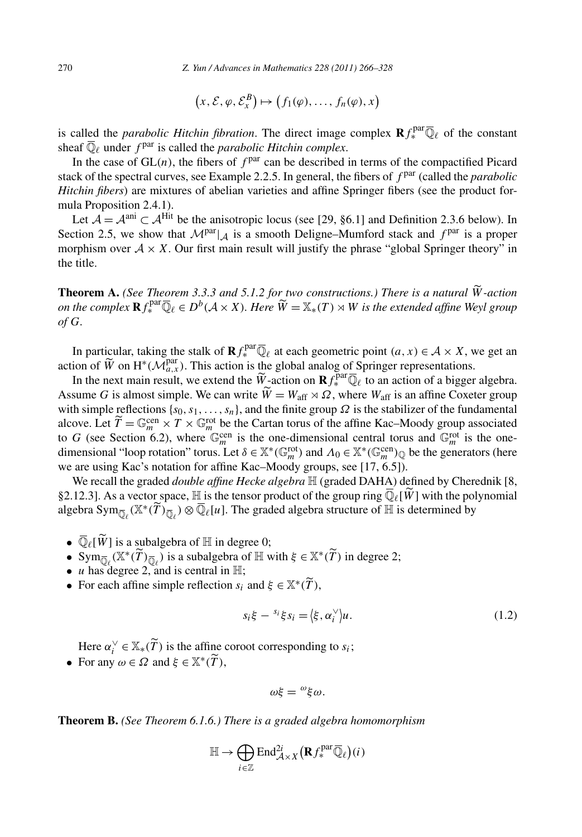$$
\text{Yun}/Advances in Mathematics 228 (2011) 266-3
$$
\n
$$
\left(x, \mathcal{E}, \varphi, \mathcal{E}_x^B\right) \mapsto \left(f_1(\varphi), \dots, f_n(\varphi), x\right)
$$

is called the *parabolic Hitchin fibration*. The direct image complex  $\mathbf{R} f_{*}^{\text{par}}\overline{\mathbb{Q}}_{\ell}$  of the constant sheaf  $\overline{\mathbb{O}}_{\ell}$  under  $f^{par}$  is called the *parabolic Hitchin complex*.

In the case of  $GL(n)$ , the fibers of  $f<sup>par</sup>$  can be described in terms of the compactified Picard stack of the spectral curves, see Example 2.2.5. In general, the fibers of  $f<sup>par</sup>$  (called the *parabolic Hitchin fibers*) are mixtures of abelian varieties and affine Springer fibers (see the product formula Proposition 2.4.1).

Let  $\mathcal{A} = \mathcal{A}^{ani} \subset \mathcal{A}^{Hit}$  be the anisotropic locus (see [29, §6.1] and Definition 2.3.6 below). In Section 2.5, we show that  $\mathcal{M}^{par}|_A$  is a smooth Deligne–Mumford stack and  $f^{par}$  is a proper morphism over  $A \times X$ . Our first main result will justify the phrase "global Springer theory" in the title. morphism over  $A \times X$ . Our first main result will justify the phrase "global Springer theory" in the title.<br>**Theorem A.** *(See Theorem 3.3.3 and 5.1.2 for two constructions.) There is a natural*  $\widetilde{W}$ -action

*on the complex R<sub><i>f*</sub> parameter *R.* (*See Theorem 3.3.3 and 5.1.2 for two constructions.) There is a natural*  $\widetilde{W}$ *-action on the complex*  $\mathbf{R} f^{\text{par}}_* \overline{\mathbb{Q}}_\ell \in D^b(\mathcal{A} \times X)$ *. Here*  $\widetilde{W} = \mathbb{X}_*(T) \rt$ *of G.*

In particular, taking the stalk of  $\mathbf{R} f_*^{\text{par}} \overline{\mathbb{Q}}_\ell$  at each geometric point  $(a, x) \in \mathcal{A} \times X$ , we get an of *G*.<br>In partici<br>action of  $\widetilde{W}$  $\widetilde{W}$  on  $H^*(\widetilde{\mathcal{M}}_{a,x}^{par})$ . This action is the global analog of Springer representations. In particular, taking the stalk of  $\mathbf{R} f_*^{\text{par}} \overline{\mathbb{Q}}$ <br>ion of  $\widetilde{W}$  on  $H^*(\mathcal{M}_{a,x}^{\text{par}})$ . This action is the<br>In the next main result, we extend the  $\widetilde{W}$ In particular, taking the stalk of  $\mathbf{R} f_*^{\text{par}} \overline{\mathbb{Q}}_\ell$ <br>action of  $\widetilde{W}$  on  $H^*(\mathcal{M}_{a,x}^{\text{par}})$ . This action is the<br>In the next main result, we extend the  $\widetilde{W}$ -<br>Assume *G* is almost simple. We can write

xt main result, we extend the  $\widetilde{W}$ -action on  $\mathbf{R} f^{\text{par}}_{*} \overline{\mathbb{Q}}_{\ell}$  to an action of a bigger algebra.  $W = W_{\text{aff}} \rtimes \Omega$ , where  $W_{\text{aff}}$  is an affine Coxeter group with simple reflections  $\{s_0, s_1, \ldots, s_n\}$ , and the finite group  $\Omega$  is the stabilizer of the fundamental alcove. Let  $\widetilde{T} = \mathbb{G}_m^{\text{cen}} \times T \times \mathbb{G}_m^{\text{rot}}$  be the Cartan torus of the affine Kac–Moody group associated to *G* (see Section 6.2), where  $\mathbb{G}_m^{\text{cen}}$  is the one-dimensional central torus and  $\mathbb{G}_m^{\text{rot}}$  is the onedimensional "loop rotation" torus. Let  $\delta \in \mathbb{X}^*(\mathbb{G}_m^{\text{rot}})$  and  $\Lambda_0 \in \mathbb{X}^*(\mathbb{G}_m^{\text{cen}})_{\mathbb{Q}}$  be the generators (here we are using Kac's notation for affine Kac–Moody groups, see [17, 6.5]).<br>We recall the we are using Kac's notation for affine Kac–Moody groups, see [17, 6.5]).

We recall the graded *double affine Hecke algebra*  $\mathbb H$  (graded DAHA) defined by Cherednik [8, §2.12.3]. As a vector space, H is the tensor product of the group ring  $\overline{\mathbb{Q}}_{\ell}[\hat{W}]$  with the polynomial we are using Kac's notation for affine Kac–Moody groups, see [17, 6.5]).<br>We recall the graded *double affine Hecke algebra*  $\mathbb{H}$  (graded DAHA) defined by Cher §2.12.3]. As a vector space,  $\mathbb{H}$  is the tensor produc 2.12.3]. *A*<br>gebra Sy<br>●  $\overline{\mathbb{Q}}_{\ell}$ [*W* 

- $\bullet \ \overline{\mathbb{Q}}_{\ell}[\widetilde{W}]$  is a subalgebra of  $\mathbb H$  in degree 0;
- gebra Sym<sub> $\overline{Q}_{\ell}$ ( $\mathbb{X}^*(T)_{\overline{Q}_{\ell}}$ ) ⊗  $\mathbb{Q}_{\ell}[u]$ . The graded algebra structure of  $\mathbb{H}$  is <br>
  $\overline{\mathbb{Q}}_{\ell}[\widetilde{W}]$  is a subalgebra of  $\mathbb{H}$  in degree 0;<br>
  $\text{Sym}_{\overline{\mathbb{Q}}_{\ell}}(\mathbb{X}^*(\widetilde{T})_{\overline{\mathbb{Q$ •  $\overline{\mathbb{Q}}_{\ell}[\widetilde{W}]$  is a subalgebra of  $\mathbb{H}$  in degree 0;<br>
• Sym<sub> $\overline{\mathbb{Q}}_{\ell}(\mathbb{X}^*(\widetilde{T})_{\overline{\mathbb{Q}}_{\ell}})$  is a subalgebra of  $\mathbb{H}$  with  $\xi \in \mathbb{X}$ <br>
• *u* has degree 2, and is central in  $\mathbb{H}$ ;<br>
• For</sub>  $\overline{ }$
- *u* has degree 2, and is central in  $\mathbb{H}$ ;
- $T),$

$$
s_i \xi - s_i \xi s_i = \langle \xi, \alpha_i^{\vee} \rangle u.
$$
\n
$$
s_i \xi - s_i \xi s_i = \langle \xi, \alpha_i^{\vee} \rangle u.
$$
\n(1.2)

 $s_i \xi - {s_i \xi s_i} = \langle \xi, \alpha_i^{\vee} \rangle u.$ <br>Here  $\alpha_i^{\vee} \in X_*(\widetilde{T})$  is the affine coroot corresponding to  $s_i$ ;

Here  $\alpha_i^{\vee} \in \mathbb{X}_*(\widetilde{T})$  is the affine **•** For any  $\omega \in \Omega$  and  $\xi \in \mathbb{X}^*(\widetilde{T})$ ,

$$
\omega\xi = \omega \xi \omega.
$$

**Theorem B.** *(See Theorem 6.1.6.) There is a graded algebra homomorphism*

$$
\omega \xi = \xi \omega.
$$
  
5.) There is a graded algebra hor  

$$
\mathbb{H} \to \bigoplus_{i \in \mathbb{Z}} \text{End}_{\mathcal{A} \times X}^{2i} (\mathbf{R} f_*^{\text{par}} \overline{\mathbb{Q}}_{\ell})(i)
$$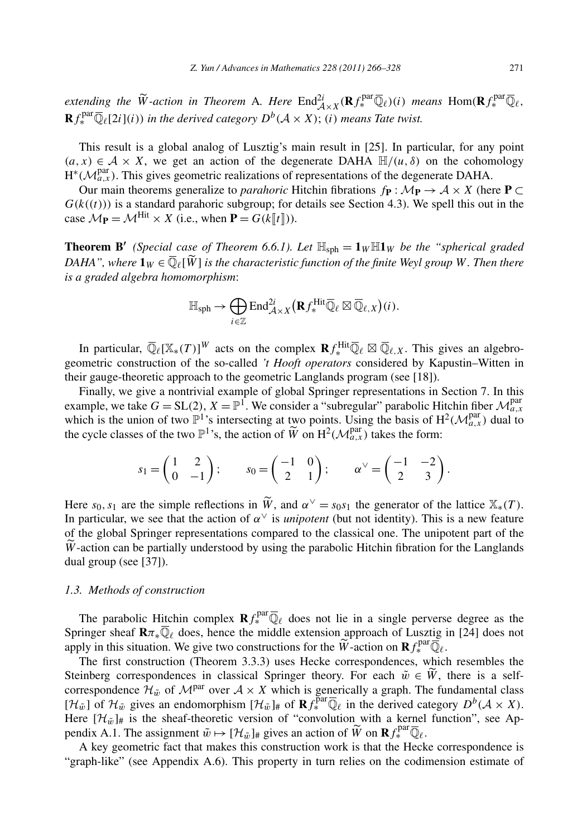*extending the*  $\widetilde{W}$ -action in Theorem A*. Here*  $\text{End}_{\mathcal{A}\times X}^{2i}(\mathbf{R} f_{*}^{\text{par}}\overline{\mathbb{Q}}_{\ell})(i)$  *means*  $\text{Hom}(\mathbf{R} f_{*}^{\text{par}}\overline{\mathbb{Q}}_{\ell},$ <br> $\Gamma_{*}^{\text{par}}\overline{\mathbb{Q}}_{\ell}$  $\mathbf{R} f_*^{\text{par}} \overline{\mathbb{Q}}_{\ell}[2i](i)$ ) *in the derived category*  $D^b(\mathcal{A} \times X)$ ; *(i) means Tate twist.* 

This result is a global analog of Lusztig's main result in [25]. In particular, for any point  $(a, x) \in \mathcal{A} \times X$ , we get an action of the degenerate DAHA  $\mathbb{H}/(u, \delta)$  on the cohomology  $H^*(\mathcal{M}_{a,x}^{\text{par}})$ . This gives geometric realizations of representations of the degenerate DAHA.

Our main theorems generalize to *parahoric* Hitchin fibrations  $f$ **P** :  $\mathcal{M}$ **P**  $\rightarrow$  A  $\times$  *X* (here **P**  $\subset$  $G(k((t)))$  is a standard parahoric subgroup; for details see Section 4.3). We spell this out in the case  $\mathcal{M}_{\mathbf{P}} = \mathcal{M}^{\text{Hit}} \times X$  (i.e., when  $\mathbf{P} = G(k \llbracket t \rrbracket)$ ).

**Theorem B'** (Special case of Theorem 6.6.1). Let  $\mathbb{H}_{\text{sph}} = \mathbf{1}_W \mathbb{H} \mathbf{1}_W$  be the "spherical graded *Case*  $M_P = M^{\text{Hit}} \times X$  (i.e.,<br>**Theorem B'** (*Special case*<br>*DAHA", where*  $\mathbf{1}_W \in \overline{\mathbb{Q}}_{\ell}[\widetilde{W}]$ ] *is the characteristic function of the finite Weyl group W. Then there is a graded algebra homomorphism*:  $\widetilde{W}$ ] is the characteristic function of the fin<br> $\widetilde{W}$ ] is the characteristic function of the fin<br>morphism:<br> $\mathbb{H}_{\mathrm{sph}} \to \bigoplus \mathrm{End}_{\mathcal{A}\times X}^{2i}(\mathbf{R} f_{*}^{\mathrm{Hit}} \overline{\mathbb{Q}}_{\ell} \boxtimes \overline{\mathbb{Q}}_{\ell,X})$ 

$$
\mathbb{H}_{\mathrm{sph}} \to \bigoplus_{i \in \mathbb{Z}} \mathrm{End}^{2i}_{\mathcal{A} \times X} \big( \mathbf{R} f^{\mathrm{Hit}}_* \overline{\mathbb{Q}}_\ell \boxtimes \overline{\mathbb{Q}}_{\ell,X} \big)(i).
$$

In particular,  $\overline{\mathbb{Q}}_{\ell}[\mathbb{X}_{*}(T)]^W$  acts on the complex  $\mathbf{R} f_{*}^{\text{Hit}} \overline{\mathbb{Q}}_{\ell} \boxtimes \overline{\mathbb{Q}}_{\ell,X}$ . This gives an algebrogeometric construction of the so-called *'t Hooft operators* considered by Kapustin–Witten in their gauge-theoretic approach to the geometric Langlands program (see [18]).

Finally, we give a nontrivial example of global Springer representations in Section 7. In this example, we take  $G = SL(2)$ ,  $X = \mathbb{P}^1$ . We consider a "subregular" parabolic Hitchin fiber  $\mathcal{M}_{a,x}^{par}$ which is the union of two  $\mathbb{P}^1$ 's intersecting at two points. Using the basis of  $H^2(\mathcal{M}_{a,x}^{\text{par}})$  dual to Finally, we give a nontrivial example of global Springer representations in example, we take  $G = SL(2)$ ,  $X = \mathbb{P}^1$ . We consider a "subregular" parabolic Hi which is the union of two  $\mathbb{P}^1$ 's intersecting at two point isider a "subregular" parabolic Hi<br>
two points. Using the basis of H<br>  $\widetilde{W}$  on H<sup>2</sup>( $\mathcal{M}_{a,x}^{\text{par}}$ ) takes the form:<br>  $\begin{pmatrix} -1 & 0 \\ 2 & 1 \end{pmatrix}$ ;  $\alpha^{\vee} = \begin{pmatrix} -1 & -2 \\ 2 & 3 \end{pmatrix}$ 

$$
s_1 = \begin{pmatrix} 1 & 2 \\ 0 & -1 \end{pmatrix}; \qquad s_0 = \begin{pmatrix} -1 & 0 \\ 2 & 1 \end{pmatrix}; \qquad \alpha^{\vee} = \begin{pmatrix} -1 & -2 \\ 2 & 3 \end{pmatrix}.
$$
  
Here  $s_0, s_1$  are the simple reflections in  $\widetilde{W}$ , and  $\alpha^{\vee} = s_0 s_1$  the generator of the lattice  $\mathbb{X}_*(T)$ .

In particular, we see that the action of  $\alpha^{\vee}$  is *unipotent* (but not identity). This is a new feature of the global Springer representations compared to the classical one. The unipotent part of the He<br>In<br>of<br>*W*  $W$ -action can be partially understood by using the parabolic Hitchin fibration for the Langlands dual group (see [37]).

#### *1.3. Methods of construction*

The parabolic Hitchin complex  $\mathbf{R} f_{*}^{\text{par}} \overline{\mathbb{Q}}_{\ell}$  does not lie in a single perverse degree as the Springer sheaf  $\mathbf{R}\pi_*\overline{\mathbb{Q}}_\ell$  does, hence the middle extension approach of Lusztig in [24] does not The parabolic Hitchin complex  $\mathbf{R} f_*^{\text{par}} \overline{\mathbb{Q}}_\ell$  does not lie<br>Springer sheaf  $\mathbf{R} \pi_* \overline{\mathbb{Q}}_\ell$  does, hence the middle extension a<br>apply in this situation. We give two constructions for the  $\widetilde{W}$  $\overline{\text{L}}$ -action on  $\mathbf{R} f_*^{\text{par}} \overline{\overline{\mathbb{Q}}}_\ell$ . Springer sheaf  $\mathbf{R}\pi_*\overline{\mathbb{Q}}_\ell$  does, hence the middle extension approach of Luszti<br>apply in this situation. We give two constructions for the  $\widetilde{W}$ -action on  $\mathbf{R}f_*^{\text{par}}\overline{\mathbb{Q}}$ <br>The first construction (The

The first construction (Theorem 3.3.3) uses Hecke correspondences, which resembles the Steinberg correspondences in classical Springer theory. For each  $\tilde{w} \in \tilde{W}$ , there is a selfcorrespondence  $\mathcal{H}_{\tilde{w}}$  of  $\mathcal{M}^{par}$  over  $\mathcal{A} \times X$  which is generically a graph. The fundamental class  $[H_{\tilde{w}}]$  of  $\mathcal{H}_{\tilde{w}}$  gives an endomorphism  $[\mathcal{H}_{\tilde{w}}]_{\#}$  of  $\mathbf{R} f^{\text{par}}_{*} \overline{\mathbb{Q}}_{\ell}$  in the derived category  $D^b(\mathcal{A} \times X)$ . Here  $[\mathcal{H}_{\tilde{w}}]_{\#}$  is the sheaf-theoretic version of "convolution with a kernel function", see Apcorrespondence  $\mathcal{H}_{\tilde{w}}$  of  $\mathcal{M}^{par}$  over  $\mathcal{A} \times X$  which is genericall  $[\mathcal{H}_{\tilde{w}}]$  of  $\mathcal{H}_{\tilde{w}}$  gives an endomorphism  $[\mathcal{H}_{\tilde{w}}]_{\#}$  of  $\mathbf{R} f_{*}^{par} \overline{\mathbb{Q}}_{\ell}$  in there  $[\mathcal{H}_{\tilde{w}}]_{\#}$  is  $\widetilde{W}$  on  $\mathbf{R} f_*^{\text{par}} \overline{\mathbb{Q}}_{\ell}$ .

A key geometric fact that makes this construction work is that the Hecke correspondence is "graph-like" (see Appendix A.6). This property in turn relies on the codimension estimate of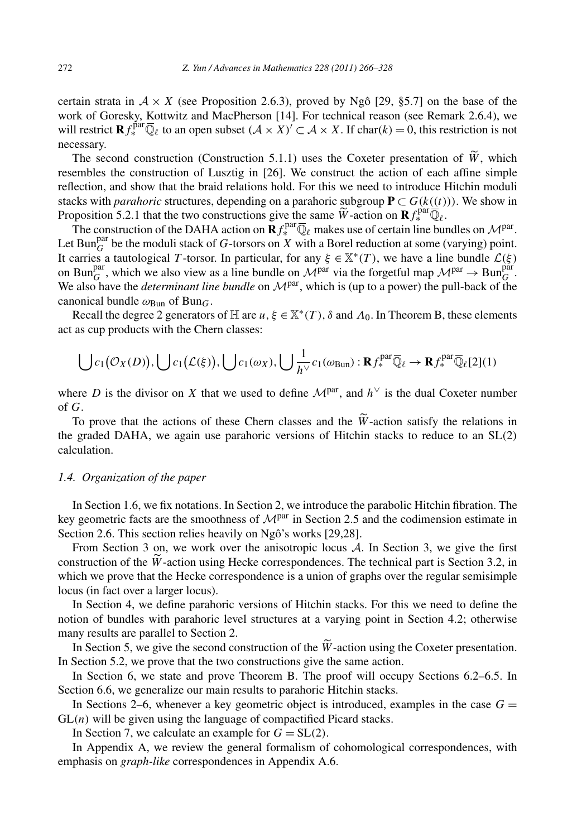certain strata in  $A \times X$  (see Proposition 2.6.3), proved by Ngô [29, §5.7] on the base of the work of Goresky, Kottwitz and MacPherson [14]. For technical reason (see Remark 2.6.4), we will restrict  $\mathbf{R} f_*^{\text{par}} \overline{\mathbb{Q}}_\ell$  to an open subset  $(A \times X)' \subset A \times X$ . If char $(k) = 0$ , this restriction is not necessary.<br>The will restrict  $\mathbf{R} f_*^{\text{par}} \overline{\mathbb{Q}}_\ell$  to an open subset  $(A \times X)' \subset A \times X$ . If char $(k) = 0$ , this restriction is not necessary.

The second construction (Construction 5.1.1) uses the Coxeter presentation of  $\widetilde{W}$ , which resembles the construction of Lusztig in [26]. We construct the action of each affine simple reflection, and show that the braid relations hold. For this we need to introduce Hitchin moduli stacks with *parahoric* structures, depending on a parahoric subgroup  $P \subset G(k((t)))$ . We show in resembles the construction of Lusztig in [26]. We construct the action of each<br>reflection, and show that the braid relations hold. For this we need to introduce l<br>stacks with *parahoric* structures, depending on a parahor

The construction of the DAHA action on  $\mathbf{R} f_{*}^{\text{par}} \overline{\mathbb{Q}}_{\ell}$  makes use of certain line bundles on  $\mathcal{M}^{\text{par}}$ . Let Bun<sub>G</sub><sup>par</sup> be the moduli stack of G-torsors on *X* with a Borel reduction at some (varying) point. It carries a tautological *T* -torsor. In particular, for any  $\xi \in \mathbb{X}^*(T)$ , we have a line bundle  $\mathcal{L}(\xi)$ on Bun<sup>par</sup>, which we also view as a line bundle on  $\mathcal{M}^{par}$  via the forgetful map  $\mathcal{M}^{par} \to \text{Bun}_{G}^{\text{par}}$ . We also have the *determinant line bundle* on  $\mathcal{M}^{par}$ , which is (up to a power) the pull-back of the canonical bundle  $\omega_{\text{Bun}}$  of Bun<sub>G</sub>.

Recall the degree 2 generators of H are *u*,  $\xi \in X^*(T)$ ,  $\delta$  and  $\Lambda_0$ . In Theorem B, these elements<br>as cup products with the Chern classes:<br> $\bigcup c_1(\mathcal{O}_X(D)), \bigcup c_1(\mathcal{L}(\xi)), \bigcup c_1(\omega_X), \bigcup \frac{1}{h^{\vee}} c_1(\omega_{\text{Bun}}) : \mathbf{R} f_*$ act as cup products with the Chern classes:

$$
\bigcup c_1(\mathcal{O}_X(D)), \bigcup c_1(\mathcal{L}(\xi)), \bigcup c_1(\omega_X), \bigcup \frac{1}{h^{\vee}}c_1(\omega_{\text{Bun}}): \mathbf{R} f_*^{\text{par}} \overline{\mathbb{Q}}_\ell \to \mathbf{R} f_*^{\text{par}} \overline{\mathbb{Q}}_\ell[2](1)
$$

where *D* is the divisor on *X* that we used to define  $\mathcal{M}^{\text{par}}$ , and  $h^{\vee}$  is the dual Coxeter number of *G*. To prove that the actions of these Chern classes and the  $\widetilde{W}$ -action satisfy the relations in<br>To prove that the actions of these Chern classes and the  $\widetilde{W}$ -action satisfy the relations in

the graded DAHA, we again use parahoric versions of Hitchin stacks to reduce to an SL*(*2*)* calculation.

#### *1.4. Organization of the paper*

In Section 1.6, we fix notations. In Section 2, we introduce the parabolic Hitchin fibration. The key geometric facts are the smoothness of  $\mathcal{M}^{\text{par}}$  in Section 2.5 and the codimension estimate in Section 2.6. This section relies heavily on Ngô's works [29,28]. key geometric facts are the smoothness of  $M^{\text{par}}$  in Section 2.5 and the codimension estimate in Section 2.6. This section relies heavily on Ngô's works [29,28].<br>From Section 3 on, we work over the anisotropic locus *A* 

From Section 3 on, we work over the anisotropic locus  $A$ . In Section 3, we give the first which we prove that the Hecke correspondence is a union of graphs over the regular semisimple locus (in fact over a larger locus).

In Section 4, we define parahoric versions of Hitchin stacks. For this we need to define the notion of bundles with parahoric level structures at a varying point in Section 4.2; otherwise many results are parallel to Section 2. In Section 4, we define parahoric versions of Hitchin stacks. For this we need to define the<br>ion of bundles with parahoric level structures at a varying point in Section 4.2; otherwise<br>ny results are parallel to Section 2

In Section 5.2, we prove that the two constructions give the same action.

In Section 6, we state and prove Theorem B. The proof will occupy Sections 6.2–6.5. In Section 6.6, we generalize our main results to parahoric Hitchin stacks.

In Sections 2–6, whenever a key geometric object is introduced, examples in the case  $G =$  $GL(n)$  will be given using the language of compactified Picard stacks.

In Section 7, we calculate an example for  $G = SL(2)$ .

In Appendix A, we review the general formalism of cohomological correspondences, with emphasis on *graph-like* correspondences in Appendix A.6.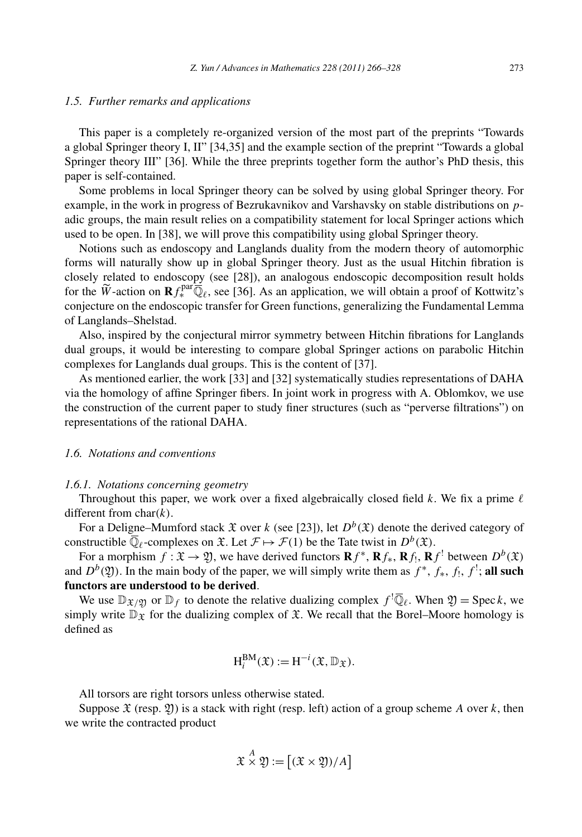#### *1.5. Further remarks and applications*

This paper is a completely re-organized version of the most part of the preprints "Towards a global Springer theory I, II" [34,35] and the example section of the preprint "Towards a global Springer theory III" [36]. While the three preprints together form the author's PhD thesis, this paper is self-contained.

Some problems in local Springer theory can be solved by using global Springer theory. For example, in the work in progress of Bezrukavnikov and Varshavsky on stable distributions on *p*adic groups, the main result relies on a compatibility statement for local Springer actions which used to be open. In [38], we will prove this compatibility using global Springer theory.

Notions such as endoscopy and Langlands duality from the modern theory of automorphic forms will naturally show up in global Springer theory. Just as the usual Hitchin fibration is closely related to endoscopy (see [28]), an analogous endoscopic decomposition result holds Notions such as endoscopy and Langlands duality from the modern theory of automorphic<br>forms will naturally show up in global Springer theory. Just as the usual Hitchin fibration is<br>closely related to endoscopy (see [28]), conjecture on the endoscopic transfer for Green functions, generalizing the Fundamental Lemma of Langlands–Shelstad.

Also, inspired by the conjectural mirror symmetry between Hitchin fibrations for Langlands dual groups, it would be interesting to compare global Springer actions on parabolic Hitchin complexes for Langlands dual groups. This is the content of [37].

As mentioned earlier, the work [33] and [32] systematically studies representations of DAHA via the homology of affine Springer fibers. In joint work in progress with A. Oblomkov, we use the construction of the current paper to study finer structures (such as "perverse filtrations") on representations of the rational DAHA.

## *1.6. Notations and conventions*

### *1.6.1. Notations concerning geometry*

Throughout this paper, we work over a fixed algebraically closed field  $k$ . We fix a prime  $\ell$ different from char*(k)*.

For a Deligne–Mumford stack  $\mathfrak X$  over *k* (see [23]), let  $D^b(\mathfrak X)$  denote the derived category of constructible  $\overline{\mathbb{Q}}_{\ell}$ -complexes on  $\mathfrak{X}$ . Let  $\mathcal{F} \mapsto \mathcal{F}(1)$  be the Tate twist in  $D^b(\mathfrak{X})$ .

For a morphism  $f: \mathfrak{X} \to \mathfrak{Y}$ , we have derived functors  $\mathbf{R} f^*$ ,  $\mathbf{R} f_*$ ,  $\mathbf{R} f_1$ ,  $\mathbf{R} f_1$  between  $D^b(\mathfrak{X})$ and  $D^b(\mathfrak{Y})$ . In the main body of the paper, we will simply write them as  $f^*$ ,  $f_*, f_!, f_!$ , **all such functors are understood to be derived**.

We use  $\mathbb{D}_{\mathfrak{X}/\mathfrak{Y}}$  or  $\mathbb{D}_f$  to denote the relative dualizing complex  $f^! \overline{\mathbb{Q}}_\ell$ . When  $\mathfrak{Y} = \text{Spec } k$ , we simply write  $\mathbb{D}_{\mathfrak{X}}$  for the dualizing complex of  $\mathfrak{X}$ . We recall that the Borel–Moore homology is defined as

$$
H_i^{BM}(\mathfrak{X}) := H^{-i}(\mathfrak{X}, \mathbb{D}_{\mathfrak{X}}).
$$

All torsors are right torsors unless otherwise stated.

Suppose  $\mathfrak{X}$  (resp.  $\mathfrak{Y}$ ) is a stack with right (resp. left) action of a group scheme *A* over *k*, then write the contracted product<br>  $\mathfrak{X} \times \mathfrak{Y} := [(\mathfrak{X} \times \mathfrak{Y})/A]$ we write the contracted product

$$
\mathfrak{X} \stackrel{A}{\times} \mathfrak{Y} := \big[ (\mathfrak{X} \times \mathfrak{Y}) / A \big]
$$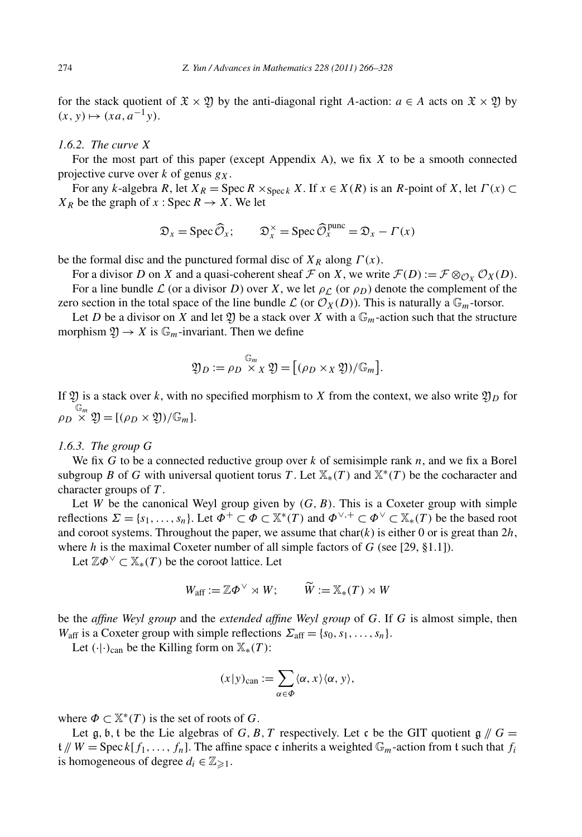for the stack quotient of  $\mathfrak{X} \times \mathfrak{Y}$  by the anti-diagonal right *A*-action:  $a \in A$  acts on  $\mathfrak{X} \times \mathfrak{Y}$  by  $(x, y) \mapsto (xa, a^{-1}y).$ 

# *1.6.2. The curve X*

For the most part of this paper (except Appendix A), we fix *X* to be a smooth connected projective curve over *k* of genus *gX*.

For any *k*-algebra *R*, let  $X_R = \text{Spec } R \times_{\text{Spec } k} X$ . If  $x \in X(R)$  is an *R*-point of *X*, let  $\Gamma(x) \subset$ <br>  $\phi$  be the graph of  $x : \text{Spec } R \to X$ . We let<br>  $\mathfrak{D}_x = \text{Spec } \widehat{\mathcal{O}}_x; \qquad \mathfrak{D}_x^{\times} = \text{Spec } \widehat{\mathcal{O}}_x^{\text{pure}} = \mathfrak{D}_x$  $X_R$  be the graph of  $x : \text{Spec } R \to X$ . We let

$$
\mathfrak{D}_x = \operatorname{Spec} \widehat{\mathcal{O}}_x; \qquad \mathfrak{D}_x^{\times} = \operatorname{Spec} \widehat{\mathcal{O}}_x^{\text{punc}} = \mathfrak{D}_x - \Gamma(x)
$$

be the formal disc and the punctured formal disc of  $X_R$  along  $\Gamma(x)$ .

For a divisor *D* on *X* and a quasi-coherent sheaf *F* on *X*, we write  $\mathcal{F}(D) := \mathcal{F} \otimes_{\mathcal{O}_X} \mathcal{O}_X(D)$ .

For a line bundle  $\mathcal L$  (or a divisor *D*) over *X*, we let  $\rho_{\mathcal L}$  (or  $\rho_D$ ) denote the complement of the zero section in the total space of the line bundle  $\mathcal L$  (or  $\mathcal O_X(D)$ ). This is naturally a  $\mathbb G_m$ -torsor.

Let *D* be a divisor on *X* and let *Y* be a stack over *X* with a  $\mathbb{G}_m$ -action such that the structure<br>rphism  $\mathfrak{Y} \to X$  is  $\mathbb{G}_m$ -invariant. Then we define<br> $\mathfrak{Y}_D := \rho_D \times_X \mathfrak{Y} = [(\rho_D \times_X \mathfrak{Y})/\mathbb{G}_m].$ morphism  $\mathfrak{Y} \to X$  is  $\mathbb{G}_m$ -invariant. Then we define

$$
\mathfrak{Y}_D := \rho_D \overset{\mathbb{G}_m}{\times}_X \mathfrak{Y} = [(\rho_D \times_X \mathfrak{Y})/\mathbb{G}_m].
$$

If  $\mathfrak{Y}$  is a stack over *k*, with no specified morphism to *X* from the context, we also write  $\mathfrak{Y}_D$  for  $\rho_D \overset{\mathbb{G}_m}{\times} \mathfrak{Y} = \left[ (\rho_D \times \mathfrak{Y}) / \mathbb{G}_m \right].$ 

### *1.6.3. The group G*

We fix *G* to be a connected reductive group over *k* of semisimple rank *n*, and we fix a Borel subgroup *B* of *G* with universal quotient torus *T*. Let  $\mathbb{X}_*(T)$  and  $\mathbb{X}^*(T)$  be the cocharacter and character groups of *T* .

Let *W* be the canonical Weyl group given by  $(G, B)$ . This is a Coxeter group with simple reflections  $\Sigma = \{s_1, \ldots, s_n\}$ . Let  $\Phi^+ \subset \Phi \subset \mathbb{X}^*(T)$  and  $\Phi^{\vee,+} \subset \Phi^{\vee} \subset \mathbb{X}_*(T)$  be the based root and coroot systems. Throughout the paper, we assume that  $char(k)$  is either 0 or is great than  $2h$ , where *h* is the maximal Coxeter number of all simple factors of *G* (see [29, §1.1]).<br>
Let  $\mathbb{Z}\Phi^{\vee} \subset \mathbb{X}_*(T)$  be the coroot lattice. Let<br>  $W_{\text{aff}} := \mathbb{Z}\Phi^{\vee} \rtimes W; \qquad \widetilde{W} := \mathbb{X}_*(T) \rtimes W$ 

Let  $\mathbb{Z}\Phi^{\vee} \subset \mathbb{X}_{*}(T)$  be the coroot lattice. Let

$$
W_{\text{aff}} := \mathbb{Z} \Phi^{\vee} \rtimes W; \qquad \widetilde{W} := \mathbb{X}_*(T) \rtimes W
$$

be the *affine Weyl group* and the *extended affine Weyl group* of *G*. If *G* is almost simple, then *W*<sub>aff</sub> is a Coxeter group with simple reflections  $\Sigma_{\text{aff}} = \{s_0, s_1, \ldots, s_n\}.$ *extended affine*<br>*le* reflections  $\Sigma$ <br>on  $\mathbb{X}_*(T)$ :<br> $(x|y)_{\text{can}} := \sum$ 

Let  $(\cdot | \cdot)_{\text{can}}$  be the Killing form on  $\mathbb{X}_*(T)$ :

$$
(x|y)_{\text{can}} := \sum_{\alpha \in \Phi} \langle \alpha, x \rangle \langle \alpha, y \rangle,
$$

where  $\Phi \subset \mathbb{X}^*(T)$  is the set of roots of *G*.

Let  $\mathfrak{g}, \mathfrak{b}, \mathfrak{t}$  be the Lie algebras of *G, B, T* respectively. Let  $\mathfrak{c}$  be the GIT quotient  $\mathfrak{g} \mathfrak{f}$  *G* =  $t \, \mathcal{N} \equiv \text{Spec } k[f_1, \ldots, f_n].$  The affine space c inherits a weighted  $\mathbb{G}_m$ -action from t such that  $f_i$ is homogeneous of degree  $d_i \in \mathbb{Z}_{\geqslant 1}$ .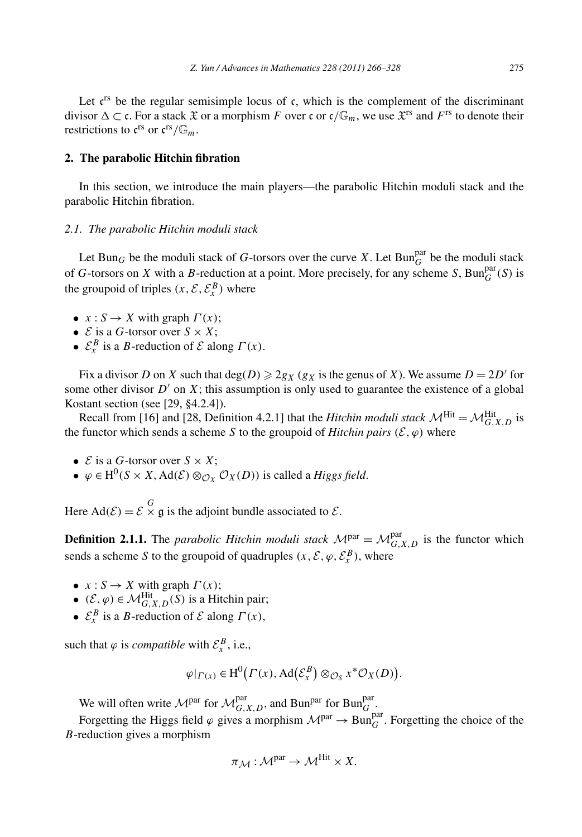Let  $c^{rs}$  be the regular semisimple locus of c, which is the complement of the discriminant divisor  $\Delta \subset \mathfrak{c}$ . For a stack  $\mathfrak{X}$  or a morphism *F* over  $\mathfrak{c}$  or  $\mathfrak{c}/\mathbb{G}_m$ , we use  $\mathfrak{X}^{rs}$  and  $F^{rs}$  to denote their restrictions to  $\mathfrak{c}^{\text{rs}}$  or  $\mathfrak{c}^{\text{rs}}/\mathbb{G}_m$ .

# **2. The parabolic Hitchin fibration**

In this section, we introduce the main players—the parabolic Hitchin moduli stack and the parabolic Hitchin fibration.

#### *2.1. The parabolic Hitchin moduli stack*

Let Bun<sub>G</sub> be the moduli stack of G-torsors over the curve *X*. Let Bun<sub>G</sub><sup>par</sup> be the moduli stack of *G*-torsors on *X* with a *B*-reduction at a point. More precisely, for any scheme *S*,  $\text{Bun}_{G}^{\text{par}}(S)$  is the groupoid of triples  $(x, \mathcal{E}, \mathcal{E}_x^B)$  where

- $x: S \to X$  with graph  $\Gamma(x)$ ;
- $\mathcal{E}$  is a *G*-torsor over  $S \times X$ ;
- $\mathcal{E}_x^B$  is a *B*-reduction of *E* along  $\Gamma(x)$ .

Fix a divisor *D* on *X* such that deg(*D*)  $\geq$  2*g<sub>X</sub>* (*g<sub>X</sub>* is the genus of *X*). We assume *D* = 2*D*<sup>*'*</sup> for some other divisor  $D'$  on  $X$ ; this assumption is only used to guarantee the existence of a global Kostant section (see [29, §4.2.4]).

Recall from [16] and [28, Definition 4.2.1] that the *Hitchin moduli stack*  $\mathcal{M}^{\text{Hit}} = \mathcal{M}_{G,X,D}^{\text{Hit}}$  is the functor which sends a scheme *S* to the groupoid of *Hitchin pairs*  $(\mathcal{E}, \varphi)$  where

- $\mathcal{E}$  is a *G*-torsor over  $S \times X$ ;
- $\varphi \in H^0(S \times X, \text{Ad}(\mathcal{E}) \otimes_{\mathcal{O}_X} \mathcal{O}_X(D))$  is called a *Higgs field*.

Here  $\text{Ad}(\mathcal{E}) = \mathcal{E} \times \mathfrak{g}$  is the adjoint bundle associated to  $\mathcal{E}$ .

**Definition 2.1.1.** The *parabolic Hitchin moduli stack*  $M<sup>par</sup> = M<sup>par</sup>_{G,X,D}$  is the functor which sends a scheme *S* to the groupoid of quadruples  $(x, \mathcal{E}, \varphi, \mathcal{E}_{x}^{B})$ , where

- $x: S \to X$  with graph  $\Gamma(x)$ ;
- $(\mathcal{E}, \varphi) \in \mathcal{M}_{G,X,D}^{\text{Hit}}(S)$  is a Hitchin pair;
- $\mathcal{E}_x^B$  is a *B*-reduction of *E* along  $\Gamma(x)$ ,

such that  $\varphi$  is *compatible* with  $\mathcal{E}_x^B$ , i.e.,

$$
\text{with } \mathcal{E}_x^B, \text{ i.e.,}
$$
\n
$$
\varphi|_{\Gamma(x)} \in \text{H}^0(\Gamma(x), \text{Ad}(\mathcal{E}_x^B) \otimes_{\mathcal{O}_S} x^* \mathcal{O}_X(D)).
$$

We will often write  $\mathcal{M}^{par}_{G,X,D}$ , and Bun<sup>par</sup> for Bun<sup>par</sup>.

Forgetting the Higgs field  $\varphi$  gives a morphism  $\mathcal{M}^{par} \to \text{Bun}_{G}^{par}$ . Forgetting the choice of the *B*-reduction gives a morphism

$$
\pi_{\mathcal{M}} : \mathcal{M}^{\text{par}} \to \mathcal{M}^{\text{Hit}} \times X.
$$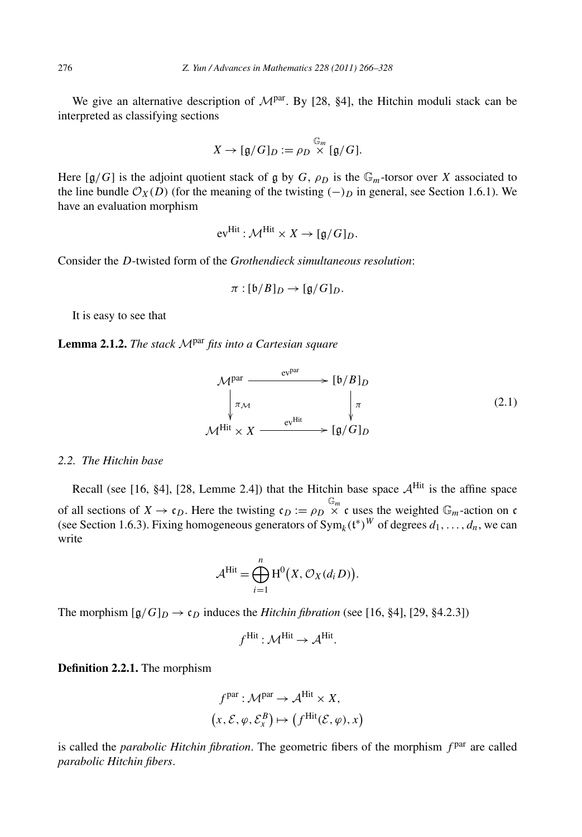We give an alternative description of  $M<sup>par</sup>$ . By [28, §4], the Hitchin moduli stack can be interpreted as classifying sections

$$
X \to [\mathfrak{g}/G]_D := \rho_D \overset{\mathbb{G}_m}{\times} [\mathfrak{g}/G].
$$

Here  $[g/G]$  is the adjoint quotient stack of g by *G*,  $\rho_D$  is the  $\mathbb{G}_m$ -torsor over *X* associated to the line bundle  $\mathcal{O}_X(D)$  (for the meaning of the twisting  $(-)$ *p* in general, see Section 1.6.1). We have an evaluation morphism

$$
\text{ev}^{\text{Hit}} : \mathcal{M}^{\text{Hit}} \times X \to [\mathfrak{g}/G]_D.
$$

Consider the *D*-twisted form of the *Grothendieck simultaneous resolution*:

$$
\pi : [\mathfrak{b}/B]_D \to [\mathfrak{g}/G]_D.
$$

It is easy to see that

**Lemma 2.1.2.** *The stack* <sup>M</sup>par *fits into a Cartesian square*

$$
\mathcal{M}^{\text{par}} \longrightarrow [\mathfrak{b}/B]_D
$$
\n
$$
\downarrow_{\pi_{\mathcal{M}}} \qquad \qquad \downarrow_{\pi}
$$
\n
$$
\mathcal{M}^{\text{Hit}} \times X \longrightarrow \mathfrak{e}^{\text{Hit}} \qquad \qquad [\mathfrak{g}/G]_D
$$
\n
$$
(2.1)
$$

#### *2.2. The Hitchin base*

Recall (see [16, §4], [28, Lemme 2.4]) that the Hitchin base space  $A^{\text{Hit}}$  is the affine space of all sections of  $X \to \mathfrak{c}_D$ . Here the twisting  $\mathfrak{c}_D := \rho_D \times \mathfrak{c}$  uses the weighted  $\mathbb{G}_m$ -action on c (see Section 1.6.3). Fixing homogeneous generators of  $Sym_k(t^*)^W$  of degrees  $d_1, ..., d_n$ , we can write<br>write  $A^{Hit} = \bigoplus^n H^0(X, \mathcal{O}_X(d_iD)).$ write

$$
\mathcal{A}^{\mathrm{Hit}} = \bigoplus_{i=1}^n \mathrm{H}^0(X, \mathcal{O}_X(d_i D)).
$$

The morphism  $[g/G]_D \rightarrow c_D$  induces the *Hitchin fibration* (see [16, §4], [29, §4.2.3])

$$
f^{\text{Hit}}: \mathcal{M}^{\text{Hit}} \to \mathcal{A}^{\text{Hit}}.
$$

**Definition 2.2.1.** The morphism

$$
fpar : \mathcal{M}^{par} \to \mathcal{A}^{Hit} \times X,
$$
  

$$
(x, \mathcal{E}, \varphi, \mathcal{E}_x^B) \mapsto (fHit(\mathcal{E}, \varphi), x)
$$

is called the *parabolic Hitchin fibration*. The geometric fibers of the morphism  $f<sup>par</sup>$  are called *parabolic Hitchin fibers*.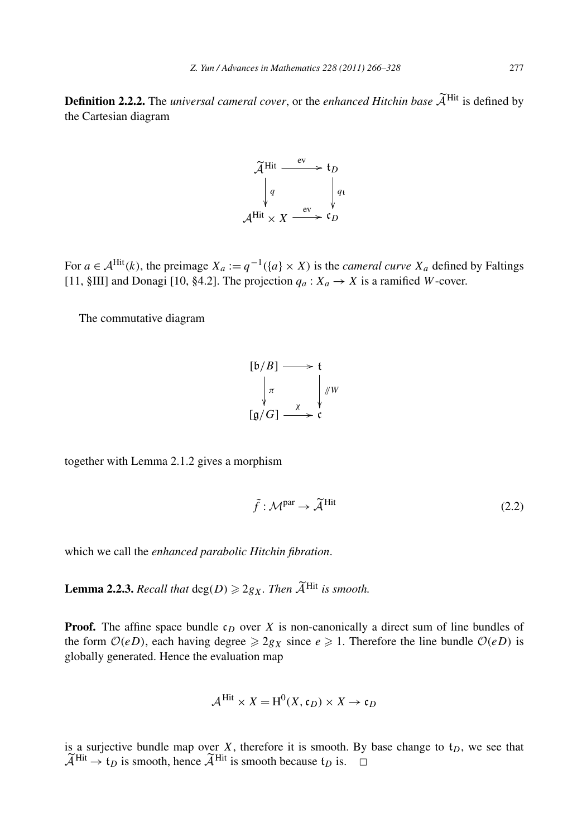**Definition 2.2.2.** The *universal cameral cover*, or the *enhanced Hitchin base* <sup>A</sup>-Hit is defined by the Cartesian diagram



For  $a \in A^{\text{Hit}}(k)$ , the preimage  $X_a := q^{-1}(\{a\} \times X)$  is the *cameral curve*  $X_a$  defined by Faltings [11,  $\SIII$ ] and Donagi [10,  $\S4.2$ ]. The projection  $q_a: X_a \rightarrow X$  is a ramified *W*-cover.

The commutative diagram

$$
\begin{array}{ccc}\n [b/B] & \longrightarrow & t \\
 \downarrow & & \downarrow / W \\
 [g/G] & \longrightarrow & c\n\end{array}
$$

together with Lemma 2.1.2 gives a morphism

phism  

$$
\tilde{f}: \mathcal{M}^{\text{par}} \to \tilde{\mathcal{A}}^{\text{Hit}} \tag{2.2}
$$

which we call the *enhanced parabolic Hitchin fibration*.

which we call the *enhanced parabolic Hitchin fibration*.<br>**Lemma 2.2.3.** *Recall that* deg(*D*)  $\geq$  2*gx. Then*  $\widetilde{A}^{\text{Hit}}$  *is smooth.* 

**Proof.** The affine space bundle  $c_D$  over *X* is non-canonically a direct sum of line bundles of the form  $O(eD)$ , each having degree  $\ge 2g_X$  since  $e \ge 1$ . Therefore the line bundle  $O(eD)$  is globally generated. Hence the evaluation map

$$
\mathcal{A}^{\text{Hit}} \times X = \text{H}^0(X, \mathfrak{c}_D) \times X \to \mathfrak{c}_D
$$

is a surjective bundle map over  $X$ , therefore it is smooth. By base change to  $t_D$ , we see that is<br> $\widetilde{\widetilde{\mathcal{A}}}$ a surjective bundle map ove<br>  $H<sup>it</sup> \rightarrow t_D$  is smooth, hence  $\widetilde{A}$  $\widetilde{\mathcal{A}}^{\text{Hit}} \to t_D$  is smooth, hence  $\widetilde{\mathcal{A}}^{\text{Hit}}$  is smooth because  $t_D$  is.  $\Box$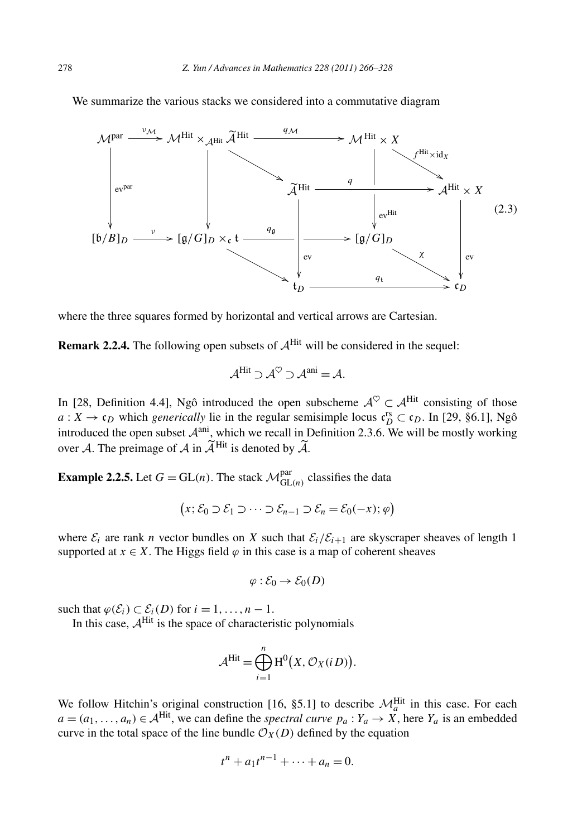

where the three squares formed by horizontal and vertical arrows are Cartesian.

**Remark 2.2.4.** The following open subsets of  $A^{\text{Hit}}$  will be considered in the sequel:

$$
\mathcal{A}^{\text{Hit}} \supset \mathcal{A}^{\heartsuit} \supset \mathcal{A}^{\text{ani}} = \mathcal{A}.
$$

In [28, Definition 4.4], Ngô introduced the open subscheme  $A^{\heartsuit} \subset A^{\text{Hit}}$  consisting of those  $a: X \to \mathfrak{c}_D$  which *generically* lie in the regular semisimple locus  $\mathfrak{c}_D^{\text{rs}} \subset \mathfrak{c}_D$ . In [29, §6.1], Ngô introduced the open subset  $\mathcal{A}^{ani}$ , which we recall in Definition 2.3.6. We will be mostly working In [28, Definition 4.4], Ngô introduced the open s<br>  $a: X \to c_D$  which *generically* lie in the regular sen<br>
introduced the open subset  $A^{\text{ani}}$ , which we recall in 1<br>
over A. The preimage of A in  $\widetilde{A}^{\text{Hit}}$  is denoted A in  $A^{\text{H1}}$  is denoted by A.

**Example 2.2.5.** Let  $G = GL(n)$ . The stack  $\mathcal{M}_{GL(n)}^{par}$  classifies the data

$$
(x; \mathcal{E}_0 \supset \mathcal{E}_1 \supset \cdots \supset \mathcal{E}_{n-1} \supset \mathcal{E}_n = \mathcal{E}_0(-x); \varphi)
$$

where  $\mathcal{E}_i$  are rank *n* vector bundles on *X* such that  $\mathcal{E}_i/\mathcal{E}_{i+1}$  are skyscraper sheaves of length 1 supported at  $x \in X$ . The Higgs field  $\varphi$  in this case is a map of coherent sheaves

$$
\varphi : \mathcal{E}_0 \to \mathcal{E}_0(D)
$$

such that  $\varphi(\mathcal{E}_i) \subset \mathcal{E}_i(D)$  for  $i = 1, \ldots, n - 1$ .

In this case,  $A^{\text{Hit}}$  is the space of characteristic polynomials

,..., 
$$
n-1
$$
.  
of characteristic polynomials  

$$
\mathcal{A}^{\text{Hit}} = \bigoplus_{i=1}^{n} H^{0}(X, \mathcal{O}_{X}(iD)).
$$

We follow Hitchin's original construction [16, §5.1] to describe  $\mathcal{M}_a^{\text{Hit}}$  in this case. For each  $a = (a_1, \ldots, a_n) \in A^{\text{Hit}}$ , we can define the *spectral curve*  $p_a : Y_a \to X$ , here  $Y_a$  is an embedded curve in the total space of the line bundle  $\mathcal{O}_X(D)$  defined by the equation

$$
t^{n} + a_{1}t^{n-1} + \cdots + a_{n} = 0.
$$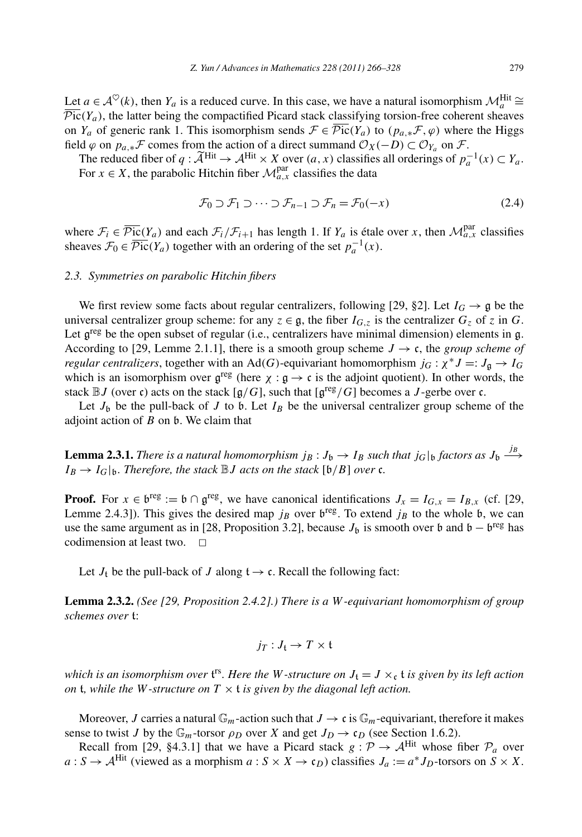Let *a* ∈  $\mathcal{A}^{\heartsuit}(k)$ , then  $Y_a$  is a reduced curve. In this case, we have a natural isomorphism  $\mathcal{M}_a^{\text{Hit}} \cong \overline{\mathcal{M}}_a^{\text{ext}}$  $\overline{\text{Pic}}(Y_a)$ , the latter being the compactified Picard stack classifying torsion-free coherent sheaves on *Y<sub>a</sub>* of generic rank 1. This isomorphism sends  $\mathcal{F} \in \overline{\mathcal{P}ic}(Y_a)$  to  $(p_a, * \mathcal{F}, \varphi)$  where the Higgs field  $\varphi$  on  $p_{a,*}$   $\mathcal F$  comes from the action of a direct summand  $\mathcal O_X(-D) \subset \mathcal O_{Y_a}$  on  $\mathcal F$ .  $T_c(Y_a)$ , the latter being the compactified Picard stack classifying torsion-free coherent sheaves  $Y_a$  of generic rank 1. This isomorphism sends  $\mathcal{F} \in \overline{\mathcal{P}ic}(Y_a)$  to  $(p_{a,*}\mathcal{F}, \varphi)$  where the Higgs d  $\varphi$  on  $p_{a$ 

For  $x \in X$ , the parabolic Hitchin fiber  $\mathcal{M}_{a,x}^{par}$  classifies the data

$$
\mathcal{F}_0 \supset \mathcal{F}_1 \supset \cdots \supset \mathcal{F}_{n-1} \supset \mathcal{F}_n = \mathcal{F}_0(-x)
$$
\n
$$
(2.4)
$$

where  $\mathcal{F}_i \in \overline{\mathcal{P}_{i\mathbf{C}}(Y_a)}$  and each  $\mathcal{F}_i/\mathcal{F}_{i+1}$  has length 1. If  $Y_a$  is étale over *x*, then  $\mathcal{M}_{a,x}^{\text{par}}$  classifies sheaves  $\mathcal{F}_0 \in \overline{\mathcal{P}ic}(Y_a)$  together with an ordering of the set  $p_a^{-1}(x)$ .

#### *2.3. Symmetries on parabolic Hitchin fibers*

We first review some facts about regular centralizers, following [29, §2]. Let  $I_G \rightarrow \mathfrak{g}$  be the universal centralizer group scheme: for any  $z \in \mathfrak{g}$ , the fiber  $I_{G,z}$  is the centralizer  $G_z$  of *z* in *G*. Let  $g^{reg}$  be the open subset of regular (i.e., centralizers have minimal dimension) elements in g. According to [29, Lemme 2.1.1], there is a smooth group scheme  $J \rightarrow c$ , the *group scheme of regular centralizers*, together with an Ad(G)-equivariant homomorphism  $j_G : \chi^* J =: J_g \to I_G$ which is an isomorphism over  $g^{reg}$  (here  $\chi : g \to c$  is the adjoint quotient). In other words, the stack  $\mathbb{B}J$  (over c) acts on the stack  $[g/G]$ , such that  $[g^{\text{reg}}/G]$  becomes a *J*-gerbe over c.

Let  $J_b$  be the pull-back of *J* to b. Let  $I_B$  be the universal centralizer group scheme of the adjoint action of *B* on b. We claim that

**Lemma 2.3.1.** *There is a natural homomorphism*  $j_B: J_b \to I_B$  such that  $j_G|_b$  factors as  $J_b \xrightarrow{j_B}$  $I_B \rightarrow I_G|_b$ *. Therefore, the stack*  $\mathbb{B}J$  *acts on the stack*  $[b/B]$  *over* c*.* 

**Proof.** For  $x \in b^{\text{reg}} := b \cap g^{\text{reg}}$ , we have canonical identifications  $J_x = I_{G,x} = I_{B,x}$  (cf. [29, Lemme 2.4.3]). This gives the desired map  $j_B$  over  $b^{reg}$ . To extend  $j_B$  to the whole b, we can use the same argument as in [28, Proposition 3.2], because  $J_b$  is smooth over b and b – b<sup>reg</sup> has codimension at least two.  $\Box$ 

Let  $J_t$  be the pull-back of  $J$  along  $t \rightarrow c$ . Recall the following fact:

**Lemma 2.3.2.** *(See [29, Proposition 2.4.2].) There is a W-equivariant homomorphism of group schemes over* t:

$$
j_T:J_{\mathfrak{t}}\to T\times \mathfrak{t}
$$

which is an isomorphism over  $t^{rs}$ . Here the W-structure on  $J_t = J \times_c t$  is given by its left action *on* **t**, while the W-structure on  $T \times t$  is given by the diagonal left action.

Moreover, *J* carries a natural  $\mathbb{G}_m$ -action such that  $J \to c$  is  $\mathbb{G}_m$ -equivariant, therefore it makes sense to twist *J* by the  $\mathbb{G}_m$ -torsor  $\rho_D$  over *X* and get  $J_D \to c_D$  (see Section 1.6.2).

Recall from [29, §4.3.1] that we have a Picard stack  $g : \mathcal{P} \to \mathcal{A}^{\text{Hit}}$  whose fiber  $\mathcal{P}_a$  over  $a: S \to A^{\text{Hit}}$  (viewed as a morphism  $a: S \times X \to c_D$ ) classifies  $J_a := a^* J_D$ -torsors on  $S \times X$ .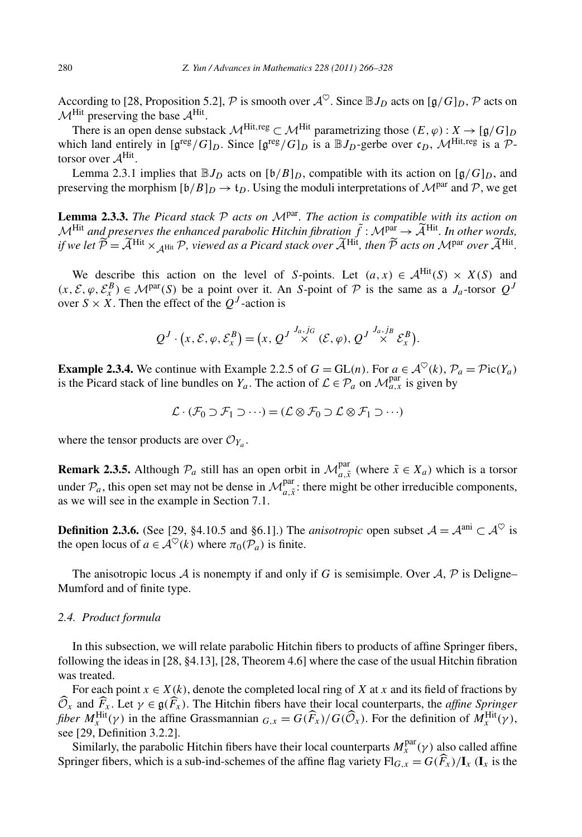According to [28, Proposition 5.2], P is smooth over  $A^{\heartsuit}$ . Since  $\mathbb{B}J_D$  acts on [g/G]<sub>D</sub>, P acts on  $M^{\text{Hit}}$  preserving the base  $A^{\text{Hit}}$ .

There is an open dense substack  $\mathcal{M}^{\text{Hit},\text{reg}} \subset \mathcal{M}^{\text{Hit}}$  parametrizing those  $(E,\varphi): X \to [\mathfrak{g}/G]_D$ which land entirely in  $[g^{\text{reg}}/G]_D$ . Since  $[g^{\text{reg}}/G]_D$  is a  $\mathbb{B}J_D$ -gerbe over  $\mathfrak{c}_D$ ,  $\mathcal{M}^{\text{Hit},\text{reg}}$  is a  $\mathcal{P}$ torsor over  $A^{\text{Hit}}$ .

Lemma 2.3.1 implies that  $\mathbb{B}J_D$  acts on  $[\mathfrak{b}/B]_D$ , compatible with its action on  $[\mathfrak{g}/G]_D$ , and preserving the morphism  $[b/B]_D \rightarrow t_D$ . Using the moduli interpretations of  $\mathcal{M}^{\text{par}}$  and  $\mathcal{P}$ , we get

**Lemma 2.3.3.** *The Picard stack*  $P$  *acts on*  $M<sup>par</sup>$ *. The action is compatible with its action on* preserving the morphism  $[\mathfrak{b}/B]_D \to \mathfrak{t}_D$ . Using the moduli interpretations of  $\mathcal{M}^{\text{par}}$  and  $\mathcal{P}$ , we get<br> **Lemma 2.3.3.** The Picard stack  $\mathcal{P}$  acts on  $\mathcal{M}^{\text{par}}$ . The action is compatible with its **ighthareon 2.3.3.** The Picard stack  $P$  acts on  $M^{\text{par}}$ . The action is compatible with its action on  $M^{\text{Hit}}$  and preserves the enhanced parabolic Hitchin fibration  $\tilde{f}: M^{\text{par}} \to \tilde{A}^{\text{Hit}}$ . In other words, if we

We describe this action on the level of *S*-points. Let  $(a, x) \in A^{\text{Hit}}(S) \times X(S)$  and  $(x, \mathcal{E}, \varphi, \mathcal{E}_x^B) \in \mathcal{M}^{par}(S)$  be a point over it. An *S*-point of  $\mathcal{P}$  is the same as a *J<sub>a</sub>*-torsor  $Q^J$ <br>
over  $S \times X$ . Then the effect of the  $Q^J$ -action is<br>  $Q^J \cdot (x, \mathcal{E}, \varphi, \mathcal{E}_x^B) = (x, Q^J \stackrel{J_a, j_G}{\$ over  $S \times \hat{X}$ . Then the effect of the  $Q<sup>J</sup>$ -action is

$$
Q^J\cdot(x,\mathcal{E},\varphi,\mathcal{E}_x^B)=(x,\,Q^J\stackrel{J_a,j_G}{\times}(\mathcal{E},\varphi),\,Q^J\stackrel{J_a,j_B}{\times}\mathcal{E}_x^B).
$$

**Example 2.3.4.** We continue with Example 2.2.5 of *G* = GL(*n*). For  $a \in A^{\heartsuit}(k)$ ,  $\mathcal{P}_a = \mathcal{P}ic(Y_a)$ is the Picard stack of line bundles on  $Y_a$ . The action of  $\mathcal{L} \in \mathcal{P}_a$  on  $\mathcal{M}_{a,x}^{\text{par}}$  is given by

$$
\mathcal{L} \cdot (\mathcal{F}_0 \supset \mathcal{F}_1 \supset \cdots) = (\mathcal{L} \otimes \mathcal{F}_0 \supset \mathcal{L} \otimes \mathcal{F}_1 \supset \cdots)
$$

where the tensor products are over  $\mathcal{O}_{Y_a}$ .

**Remark 2.3.5.** Although  $\mathcal{P}_a$  still has an open orbit in  $\mathcal{M}_{a,\tilde{x}}^{par}$  (where  $\tilde{x} \in X_a$ ) which is a torsor under  $P_a$ , this open set may not be dense in  $\mathcal{M}_{a,\tilde{x}}^{par}$ : there might be other irreducible components, as we will see in the example in Section 7.1.

**Definition 2.3.6.** (See [29, §4.10.5 and §6.1].) The *anisotropic* open subset  $A = A^{ani} \subset A^{\heartsuit}$  is the open locus of  $a \in \mathcal{A}^{\heartsuit}(k)$  where  $\pi_0(\mathcal{P}_a)$  is finite.

The anisotropic locus A is nonempty if and only if G is semisimple. Over  $A$ ,  $P$  is Deligne– Mumford and of finite type.

#### *2.4. Product formula*

In this subsection, we will relate parabolic Hitchin fibers to products of affine Springer fibers, following the ideas in [28, §4.13], [28, Theorem 4.6] where the case of the usual Hitchin fibration was treated.

For each point  $x \in X(k)$ , denote the completed local ring of *X* at *x* and its field of fractions by following the ideas in [28, §4.13], [28, Theorem 4.6] where the case of the usual Hitchin fibration was treated.<br>For each point  $x \in X(k)$ , denote the completed local ring of X at x and its field of fractions by  $\hat{O}_x$  an *for each point*  $x \in X(k)$ *, denote the completed local ring of <i>X* at *x* and its field of fractions by  $\widehat{O}_x$  and  $\widehat{F}_x$ . Let  $\gamma \in \mathfrak{g}(\widehat{F}_x)$ . The Hitchin fibers have their local counterparts, the *affine Sprin* see [29, Definition 3.2.2].

Similarly, the parabolic Hitchin fibers have their local counterparts  $M_x^{\text{par}}(\gamma)$  also called affine Springer fibers, which is a sub-ind-schemes of the affine flag variety  $Fl_{G,x} = G(\widehat{F}_x)/I_x$  ( $I_x$  is the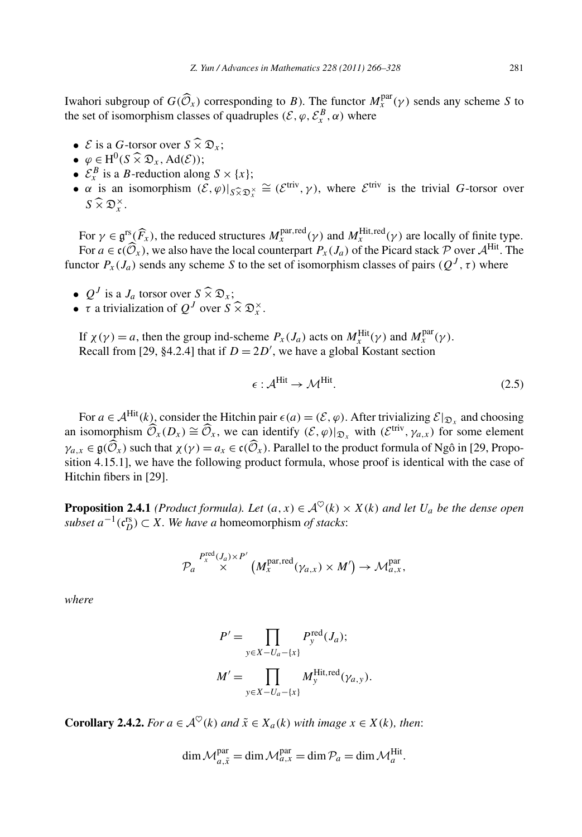*Z. Yun/Advances in Mathematics 228 (2011) 266–328* 281<br>
Iwahori subgroup of *G(Ô<sub>x</sub>)* corresponding to *B*). The functor  $M_x^{\text{par}}(\gamma)$  sends any scheme *S* to the set of isomorphism classes of quadruples  $(\mathcal{E}, \varphi, \mathcal{E}_{x}^{B}, \alpha)$  where vahori subgroup of  $G(\widehat{\mathcal{O}}_x)$  corrections and the set of isomorphism classes of<br>
•  $\mathcal{E}$  is a  $G$ -torsor over  $S \widehat{\times} \mathcal{D}_x$ ;

- *ξ* is a *G*-torsor over  $S \widehat{\times} \mathfrak{D}_x$ ;<br>
  $\varphi \in H^0(S \widehat{\times} \mathfrak{D}_x, \text{Ad}(\mathcal{E}))$ ;
- 
- $\mathcal{E}_x^B$  is a *B*-reduction along  $S \times \{x\}$ ;
- $\varphi \in H^0(S \times \mathfrak{D}_x, \text{Ad}(\mathcal{E}))$ ;<br>
  $\mathcal{E}_x^B$  is a *B*-reduction along  $S \times \{x\}$ ;<br>
  $\alpha$  is an isomorphism  $(\mathcal{E}, \varphi)|_{S \widehat{\times} \mathfrak{D}_x^{\times}} \cong (\mathcal{E}^{\text{triv}}, \gamma)$ , where  $\mathcal{E}^{\text{triv}}$  is the trivial *G*-torsor ove  $\varphi \in H^0(\mathcal{E}_x^B$  is a<br>  $\alpha$  is an<br>  $S \widehat{\times} \mathfrak{D}_x^{\times}$  $S \widehat{\times} \mathfrak{D}_{r}^{\times}$ .  $\alpha$

For  $\gamma \in \mathfrak{g}^{\text{rs}}(\widehat{F}_x)$ , the reduced structures  $M_x^{\text{par,red}}(\gamma)$  and  $M_x^{\text{Hit,red}}(\gamma)$  are locally of finite type. For  $\gamma \in \mathfrak{g}^{rs}(\widehat{F}_x)$ , the reduced structures  $M_x^{\text{par,red}}(\gamma)$  and  $M_x^{\text{Hit,red}}(\gamma)$  are locally of finite type.<br>For  $a \in \mathfrak{c}(\widehat{\mathcal{O}}_x)$ , we also have the local counterpart  $P_x(J_a)$  of the Picard stack  $\mathcal P$  over functor  $P_x(J_a)$  sends any scheme *S* to the set of isomorphism classes of pairs  $(Q^J, \tau)$  where For  $a \in \mathfrak{c}(\widehat{\mathcal{O}}_x)$ , we also have the l<br>nnctor  $P_x(J_a)$  sends any scheme *S*<br>•  $Q^J$  is a  $J_a$  torsor over  $S \widehat{\times} \mathfrak{D}_x$ ;

- 
- inctor *P<sub>x</sub>*(*J<sub>a</sub>*) sends any scheme *S* to the<br>
 *Q<sup>J</sup>* is a *J<sub>a</sub>* torsor over *S*  $\widehat{\times}$   $\mathfrak{D}_x$ ;<br>
 *τ* a trivialization of *Q<sup>J</sup>* over *S*  $\widehat{\times}$   $\mathfrak{D}_x^{\times}$ .

If  $\chi(\gamma) = a$ , then the group ind-scheme  $P_x(J_a)$  acts on  $M_x^{\text{Hit}}(\gamma)$  and  $M_x^{\text{par}}(\gamma)$ . Recall from [29, §4.2.4] that if  $D = 2D'$ , we have a global Kostant section

$$
\epsilon : \mathcal{A}^{\text{Hit}} \to \mathcal{M}^{\text{Hit}}.\tag{2.5}
$$

For  $a \in A^{\text{Hit}}(k)$ , consider the Hitchin pair  $\epsilon(a) = (\mathcal{E}, \varphi)$ . After trivializing  $\mathcal{E}|_{\mathfrak{D}_x}$  and choosing  $\epsilon : \mathcal{A}^{\text{Int}} \to \mathcal{M}^{\text{Int}}.$  (2.5)<br> *For*  $a \in \mathcal{A}^{\text{Hit}}(k)$ , consider the Hitchin pair  $\epsilon(a) = (\mathcal{E}, \varphi)$ . After trivializing  $\mathcal{E}|_{\mathfrak{D}_x}$  and choosing<br>
an isomorphism  $\widehat{\mathcal{O}}_x(D_x) \cong \widehat{\mathcal{O}}_x$ , we can id *For*  $a \in A^{\text{Hit}}(k)$ , consider the Hitchin pair  $\epsilon(a) = (\mathcal{E}, \varphi)$ . After trivializing  $\mathcal{E}|_{\mathfrak{D}_x}$  and choosing an isomorphism  $\widehat{\mathcal{O}}_x(D_x) \cong \widehat{\mathcal{O}}_x$ , we can identify  $(\mathcal{E}, \varphi)|_{\mathfrak{D}_x}$  with  $(\mathcal{E}^{\text{$ sition 4.15.1], we have the following product formula, whose proof is identical with the case of Hitchin fibers in [29].

**Proposition 2.4.1** *(Product formula). Let*  $(a, x) \in A^{\heartsuit}(k) \times X(k)$  *and let*  $U_a$  *be the dense open subset*  $a^{-1}(c_D^{rs}) \subset X$ *. We have a* homeomorphism *of stacks:*<br> *P<sub>a</sub>*<sup>*P*<sup>red</sup>(*J<sub>a</sub>*)×*P'*</sup><br> *P<sub>a</sub>* × *H*<sup>*P*<sub>*X*</sub><sup>*P*</sup></sup> (*M<sub><i>X*</sub><sup>2*x*</sup> (*M<sub>X</sub><sub><i>X*</sub><sup>2</sup> + *M*<sub>*X*</sub><sup>2</sup> (*M<sub>X</sub>x*) × *M* 

$$
\mathcal{P}_a \overset{P_x^{\text{red}}(J_a) \times P'}{\times} \left( M_x^{\text{par}, \text{red}}(\gamma_{a,x}) \times M' \right) \to \mathcal{M}_{a,x}^{\text{par}},
$$

*where*

$$
P' = \prod_{y \in X - U_a - \{x\}} P_y^{\text{red}}(J_a);
$$
  

$$
M' = \prod_{y \in X - U_a - \{x\}} M_y^{\text{Hit}, \text{red}}(\gamma_{a,y}).
$$

**Corollary 2.4.2.** *For*  $a \in A^{\heartsuit}(k)$  *and*  $\tilde{x} \in X_a(k)$  *with image*  $x \in X(k)$ *, then:* 

$$
\dim \mathcal{M}_{a,\tilde{x}}^{\mathrm{par}} = \dim \mathcal{M}_{a,x}^{\mathrm{par}} = \dim \mathcal{P}_a = \dim \mathcal{M}_a^{\mathrm{Hit}}.
$$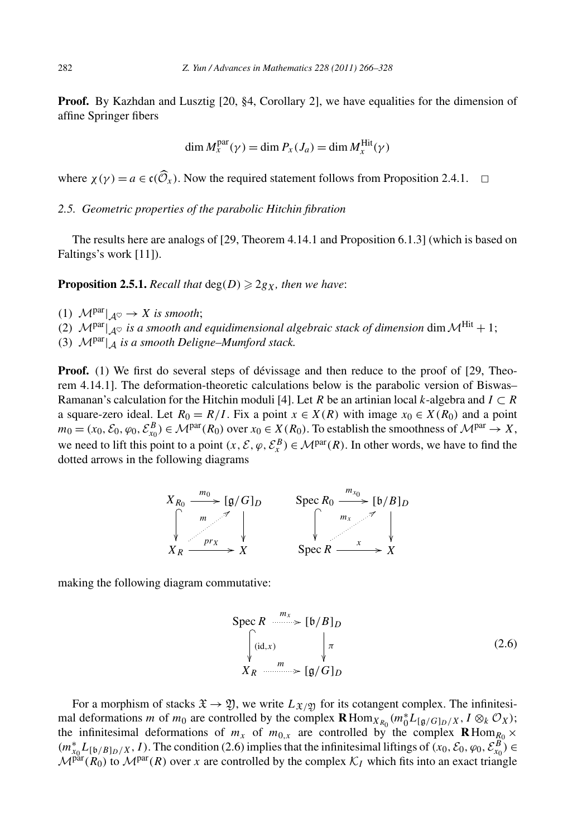**Proof.** By Kazhdan and Lusztig [20, §4, Corollary 2], we have equalities for the dimension of affine Springer fibers

$$
\dim M_x^{\text{par}}(\gamma) = \dim P_x(J_a) = \dim M_x^{\text{Hit}}(\gamma)
$$

where  $\chi(\gamma) = a \in \mathfrak{c}(\widehat{\mathcal{O}}_x)$ . Now the required statement follows from Proposition 2.4.1.  $\Box$ 

*2.5. Geometric properties of the parabolic Hitchin fibration*

The results here are analogs of [29, Theorem 4.14.1 and Proposition 6.1.3] (which is based on Faltings's work [11]).

**Proposition 2.5.1.** Recall that  $deg(D) \geq 2g_X$ , then we have:

- (1)  $\mathcal{M}^{\text{par}}|_{\mathcal{A}^{\heartsuit}} \to X$  *is smooth*;
- (2)  $\mathcal{M}^{\text{par}}|_{A^{\heartsuit}}$  *is a smooth and equidimensional algebraic stack of dimension* dim  $\mathcal{M}^{\text{Hit}}$  + 1;
- (3)  $\mathcal{M}^{\text{par}}|_{\mathcal{A}}$  *is a smooth Deligne–Mumford stack.*

**Proof.** (1) We first do several steps of dévissage and then reduce to the proof of [29, Theorem 4.14.1]. The deformation-theoretic calculations below is the parabolic version of Biswas– Ramanan's calculation for the Hitchin moduli [4]. Let *R* be an artinian local *k*-algebra and  $I \subset R$ a square-zero ideal. Let  $R_0 = R/I$ . Fix a point  $x \in X(R)$  with image  $x_0 \in X(R_0)$  and a point  $m_0 = (x_0, \mathcal{E}_0, \varphi_0, \mathcal{E}_{x_0}^B) \in \mathcal{M}^{\text{par}}(R_0)$  over  $x_0 \in X(R_0)$ . To establish the smoothness of  $\mathcal{M}^{\text{par}} \to X$ , we need to lift this point to a point  $(x, \mathcal{E}, \varphi, \mathcal{E}_x^B) \in \mathcal{M}^{\text{par}}(R)$ . In other words, we have to find the dotted arrows in the following diagrams



making the following diagram commutative:

$$
\text{Spec } R \xrightarrow{m_x} [\mathfrak{b}/B]_D
$$
\n
$$
\begin{cases}\n\text{(id,}x) & \downarrow \pi \\
X_R & \downarrow \text{if } \mathfrak{g}/G]_D\n\end{cases}
$$
\n
$$
(2.6)
$$

For a morphism of stacks  $\mathfrak{X} \to \mathfrak{Y}$ , we write  $L_{\mathfrak{X}/\mathfrak{Y}}$  for its cotangent complex. The infinitesimal deformations *m* of *m*<sub>0</sub> are controlled by the complex  $\mathbf{R}$ Hom<sub>*XR*0</sub></sub> ( $m_0^* L_{[\mathfrak{g}/G]_D/X}$ ,  $I \otimes_k O_X$ ); the infinitesimal deformations of  $m_x$  of  $m_{0,x}$  are controlled by the complex  $\mathbf{R}$ Hom<sub> $R_0$ </sub> ×  $(m_{x_0}^* L_{[b/B]_D/X}, I)$ . The condition (2.6) implies that the infinitesimal liftings of  $(x_0, \mathcal{E}_0, \varphi_0, \mathcal{E}_{x_0}^B) \in$  $\mathcal{M}^{\text{par}}(R_0)$  to  $\mathcal{M}^{\text{par}}(R)$  over *x* are controlled by the complex  $\mathcal{K}_I$  which fits into an exact triangle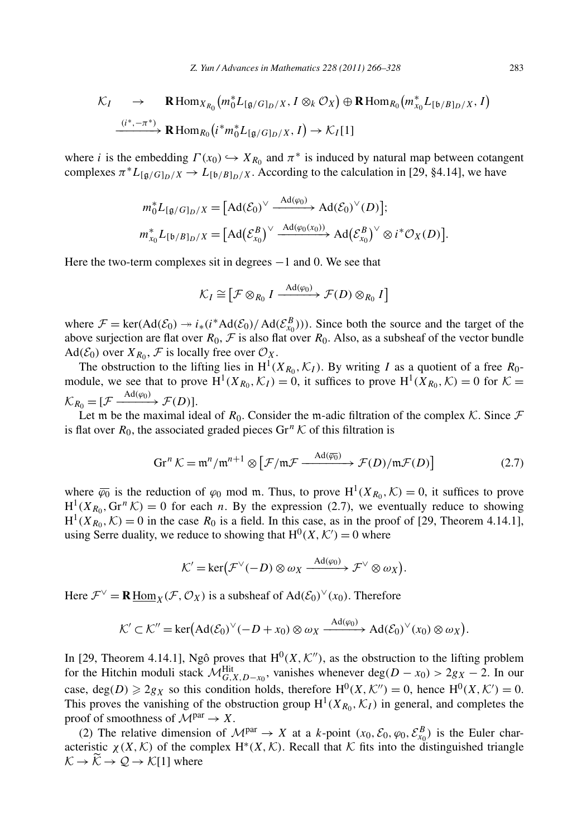Z. Yun/Advances in Mathematics 228 (2011) 266–328  
\n
$$
\mathcal{K}_I \rightarrow \mathbf{R} \operatorname{Hom}_{X_{R_0}}(m_0^* L_{[g/G]_D/X}, I \otimes_k \mathcal{O}_X) \oplus \mathbf{R} \operatorname{Hom}_{R_0}(m_{x_0}^* L_{[b/B]_D/X}, I)
$$
\n
$$
\xrightarrow{(i^*, -\pi^*)} \mathbf{R} \operatorname{Hom}_{R_0}(i^* m_0^* L_{[g/G]_D/X}, I) \rightarrow \mathcal{K}_I[1]
$$

where *i* is the embedding  $\Gamma(x_0) \hookrightarrow X_{R_0}$  and  $\pi^*$  is induced by natural map between cotangent complexes  $\pi^*L_{\left[\mathfrak{g}/G\right]_D/X} \to L_{\left[\mathfrak{b}/B\right]_D/X}$ . According to the calculation in [29, §4.14], we have oedding  $\Gamma(x_0)$  →  $X_{R_0}$  and  $\pi^*$  is induced by na<br>  $G|_D/X$  →  $L_{[b/B]_D/X}$ . According to the calculation<br>  ${}^*_{0}L_{[g/G]_D/X} = [\text{Ad}(\mathcal{E}_0)^{\vee} \xrightarrow{\text{Ad}(\varphi_0)} \text{Ad}(\mathcal{E}_0)^{\vee}(D)]$  $\epsilon$ 

$$
m_0^* L_{[\mathfrak{g}/G]_D/X} = [\mathrm{Ad}(\mathcal{E}_0)^\vee \xrightarrow{\mathrm{Ad}(\varphi_0)} \mathrm{Ad}(\mathcal{E}_0)^\vee(D)];
$$
  

$$
m_{x_0}^* L_{[\mathfrak{b}/B]_D/X} = [\mathrm{Ad}(\mathcal{E}_{x_0}^B)^\vee \xrightarrow{\mathrm{Ad}(\varphi_0(x_0))} \mathrm{Ad}(\mathcal{E}_{x_0}^B)^\vee \otimes i^* \mathcal{O}_X(D)].
$$

Here the two-term complexes sit in degrees −1 and 0. We see that

$$
X = [A \mathbf{u}(\mathbf{x}_0)] \quad \text{and} \quad \mathbf{u}(\mathbf{x}_n) \in \mathbb{R}
$$
\n
$$
\text{as } \sin \mathbf{h} \text{ degrees } -1 \text{ and } 0. \text{ We see that}
$$
\n
$$
\mathcal{K}_I \cong \left[ \mathcal{F} \otimes_{R_0} I \xrightarrow{\text{Ad}(\varphi_0)} \mathcal{F}(D) \otimes_{R_0} I \right]
$$

where  $\mathcal{F} = \ker(\text{Ad}(\mathcal{E}_0) \to i_*(i^*\text{Ad}(\mathcal{E}_0)/\text{Ad}(\mathcal{E}_{x_0}^B)))$ . Since both the source and the target of the above surjection are flat over  $R_0$ ,  $\mathcal F$  is also flat over  $R_0$ . Also, as a subsheaf of the vector bundle  $Ad(\mathcal{E}_0)$  over  $X_{R_0}, \mathcal{F}$  is locally free over  $\mathcal{O}_X$ .

The obstruction to the lifting lies in  $H^1(X_{R_0}, \mathcal{K}_I)$ . By writing *I* as a quotient of a free  $R_0$ module, we see that to prove  $H^1(X_{R_0}, \mathcal{K}_I) = 0$ , it suffices to prove  $H^1(X_{R_0}, \mathcal{K}) = 0$  for  $\mathcal{K} =$  $\mathcal{K}_{R_0} = [\mathcal{F} \xrightarrow{\text{Ad}(\varphi_0)} \mathcal{F}(D)].$ 

Let m be the maximal ideal of *R*<sub>0</sub>. Consider the m-adic filtration of the complex *K*. Since *F*<br>lat over *R*<sub>0</sub>, the associated graded pieces Gr<sup>*n*</sup> *K* of this filtration is<br> $\operatorname{Gr}^n K = \mathfrak{m}^n / \mathfrak{m}^{n+1} \otimes \left[ \mathcal$ is flat over  $R_0$ , the associated graded pieces  $\text{Gr}^n \mathcal{K}$  of this filtration is

$$
\operatorname{Gr}^n \mathcal{K} = \mathfrak{m}^n / \mathfrak{m}^{n+1} \otimes \left[ \mathcal{F} / \mathfrak{m} \mathcal{F} \xrightarrow{\operatorname{Ad}(\overline{\varphi_0})} \mathcal{F}(D) / \mathfrak{m} \mathcal{F}(D) \right] \tag{2.7}
$$

where  $\overline{\varphi_0}$  is the reduction of  $\varphi_0$  mod m. Thus, to prove  $H^1(X_{R_0}, \mathcal{K}) = 0$ , it suffices to prove  $H^1(X_{R_0}, \text{Gr}^n \mathcal{K}) = 0$  for each *n*. By the expression (2.7), we eventually reduce to showing  $H^1(X_{R_0}, K) = 0$  in the case  $R_0$  is a field. In this case, as in the proof of [29, Theorem 4.14.1],<br>
H<sup>1</sup>( $X_{R_0}, K$ ) = 0 in the case  $R_0$  is a field. In this case, as in the proof of [29, Theorem 4.14.1],<br>  $K' = \text{ker}(\mathcal$ using Serre duality, we reduce to showing that  $H^0(X, \mathcal{K}') = 0$  where

$$
\mathcal{K}' = \ker(\mathcal{F}^{\vee}(-D) \otimes \omega_X \xrightarrow{\mathrm{Ad}(\varphi_0)} \mathcal{F}^{\vee} \otimes \omega_X).
$$

Here  $\mathcal{F}^{\vee} = \mathbf{R} \underline{\text{Hom}}_X(\mathcal{F}, \mathcal{O}_X)$  is a subsheaf of  $\text{Ad}(\mathcal{E}_0)^{\vee}(x_0)$ . Therefore

$$
\mathcal{R} \underline{\text{Hom}}_X(\mathcal{F}, \mathcal{O}_X) \text{ is a subsheaf of } \text{Ad}(\mathcal{E}_0)^\vee(x_0). \text{ Therefore}
$$
  

$$
\mathcal{K}' \subset \mathcal{K}'' = \text{ker}(\text{Ad}(\mathcal{E}_0)^\vee(-D + x_0) \otimes \omega_X \xrightarrow{\text{Ad}(\varphi_0)} \text{Ad}(\mathcal{E}_0)^\vee(x_0) \otimes \omega_X).
$$

In [29, Theorem 4.14.1], Ngô proves that  $H^0(X, \mathcal{K}'')$ , as the obstruction to the lifting problem for the Hitchin moduli stack  $\mathcal{M}_{G,X,D-x_0}^{\text{Hit}}$ , vanishes whenever deg $(D-x_0) > 2g_X - 2$ . In our case, deg $(D) \ge 2g_X$  so this condition holds, therefore  $H^0(X, \mathcal{K}'') = 0$ , hence  $H^0(X, \mathcal{K}') = 0$ . This proves the vanishing of the obstruction group  $H^1(X_{R_0}, \mathcal{K}_I)$  in general, and completes the proof of smoothness of  $\mathcal{M}^{par} \rightarrow X$ .

(2) The relative dimension of  $\mathcal{M}^{par} \to X$  at a *k*-point  $(x_0, \mathcal{E}_0, \varphi_0, \mathcal{E}_{x_0}^B)$  is the Euler characteristic  $\chi(X, \mathcal{K})$  of the complex H<sup>\*</sup>(X,  $\mathcal{K}$ ). Recall that  $\mathcal{K}$  fits into the distinguished triangle proof of<br>
(2) 1<br>
acteristi<br>  $K \rightarrow \widetilde{K}$  $K \to \widetilde{\mathcal{K}} \to \mathcal{Q} \to \mathcal{K}[1]$  where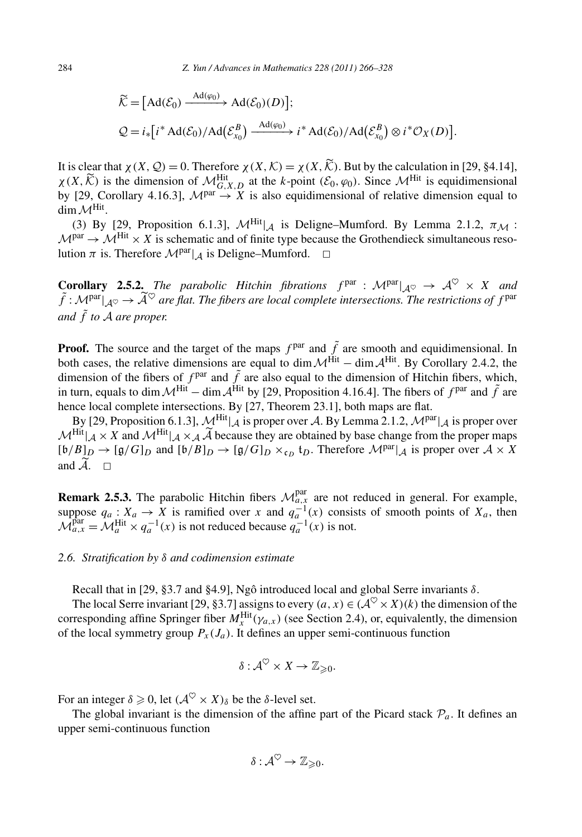284 *Z Yun* / *Advances in Mathematics* 228 (2011) 266–328  
\n
$$
\widetilde{\mathcal{K}} = [\text{Ad}(\mathcal{E}_0) \xrightarrow{\text{Ad}(\varphi_0)} \text{Ad}(\mathcal{E}_0)(D)];
$$
\n
$$
\mathcal{Q} = i_* [i^* \text{Ad}(\mathcal{E}_0) / \text{Ad}(\mathcal{E}_{x_0}^B) \xrightarrow{\text{Ad}(\varphi_0)} i^* \text{Ad}(\mathcal{E}_0) / \text{Ad}(\mathcal{E}_{x_0}^B) \otimes i^* \mathcal{O}_X(D)].
$$
\nIt is clear that  $\chi(X, \mathcal{Q}) = 0$ . Therefore  $\chi(X, \mathcal{K}) = \chi(X, \widetilde{\mathcal{K}})$ . But by the calculation in [29, §4.14],

 $\mathcal{Q} = i_*[i^* \text{Ad}(\mathcal{E}_0)/\text{Ad}(\mathcal{E}_{x_0}) \longrightarrow i^* \text{Ad}(\mathcal{E}_0)/\text{Ad}(\mathcal{E}_{x_0}) \otimes i^* \mathcal{O}_X(D)]$ .<br>It is clear that  $\chi(X, \mathcal{Q}) = 0$ . Therefore  $\chi(X, \mathcal{K}) = \chi(X, \mathcal{K})$ . But by the calculation in [29, §4.14],  $\chi(X, \mathcal{K})$  is the by [29, Corollary 4.16.3],  $\mathcal{M}^{par} \rightarrow \overline{X}$  is also equidimensional of relative dimension equal to  $\dim \mathcal{M}^{\text{Hit}}$ .

(3) By [29, Proposition 6.1.3],  $\mathcal{M}^{\text{Hit}}|_{\mathcal{A}}$  is Deligne–Mumford. By Lemma 2.1.2,  $\pi_{\mathcal{M}}$ :  $M<sup>par</sup> \rightarrow M<sup>Hit</sup> \times X$  is schematic and of finite type because the Grothendieck simultaneous resolution  $\pi$  is. Therefore  $\mathcal{M}^{par}|_A$  is Deligne–Mumford.  $\Box$ 

**Corollary 2.5.2.** *The parabolic Hitchin fibrations*  $f<sup>par</sup> : M<sup>par</sup>|<sub>A</sub> \rightarrow \mathcal{A}^{\heartsuit} \times X$  *and f* is Therefore  $M^{\text{par}}|_{\mathcal{A}}$  is Deligne–Mumford.  $\Box$ <br> **Corollary 2.5.2.** *The parabolic Hitchin fibrations*  $f^{\text{par}} : M^{\text{par}}|_{\mathcal{A}^{\heartsuit}} \to \mathcal{A}^{\heartsuit} \times X$  *and*  $\tilde{f} : M^{\text{par}}|_{\mathcal{A}^{\heartsuit}} \to \tilde{\mathcal{A}}^{\heartsuit}$  *ar and <sup>f</sup>*˜ *to* <sup>A</sup> *are proper.*

**Proof.** The source and the target of the maps  $f<sup>par</sup>$  and  $\tilde{f}$  are smooth and equidimensional. In both cases, the relative dimensions are equal to dim  $\mathcal{M}^{\text{Hit}}$  – dim  $\mathcal{A}^{\text{Hit}}$ . By Corollary 2.4.2, the dimension of the fibers of  $f<sup>par</sup>$  and  $\tilde{f}$  are also equal to the dimension of Hitchin fibers, which, in turn, equals to dim  $\mathcal{M}^{\text{Hit}}$  – dim  $\mathcal{A}^{\text{Hit}}$  by [29, Proposition 4.16.4]. The fibers of  $f<sup>par</sup>$  and  $\tilde{f}$  are hence local complete intersections. By [27, Theorem 23.1], both maps are flat.

By [29, Proposition 6.1.3],  $\mathcal{M}^{\text{Hit}}|_A$  is proper over A. By Lemma 2.1.2,  $\mathcal{M}^{\text{par}}|_A$  is proper over in turn, equals to dim  $\mathcal{M}^{\text{Hit}}$  – dim  $\mathcal{A}^{\text{Hit}}$  by [29, Proposition 4.16.4]. The fibers of  $f^{\text{par}}$  and  $\tilde{f}$  are hence local complete intersections. By [27, Theorem 23.1], both maps are flat.<br>By [29, Propo  $[\mathfrak{b}/B]_D \to [\mathfrak{g}/G]_D$  and  $[\mathfrak{b}/B]_D \to [\mathfrak{g}/G]_D \times_{\mathfrak{c}_D} \mathfrak{t}_D$ . Therefore  $\mathcal{M}^{\text{par}}|_{\mathcal{A}}$  is proper over  $\mathcal{A} \times X$ By  $\vert$ <br>  $\mathcal{M}^{\text{Hit}} \vert$ <br>  $\lbrack \mathfrak{b}/B \rbrack$ <br>
and  $\widetilde{\mathcal{A}}$ . and  $\widetilde{A}$ .  $\square$ 

**Remark 2.5.3.** The parabolic Hitchin fibers  $\mathcal{M}_{a,x}^{par}$  are not reduced in general. For example, suppose  $q_a: X_a \to X$  is ramified over *x* and  $q_a^{-1}(x)$  consists of smooth points of  $X_a$ , then  $\mathcal{M}_{a,x}^{\text{par}} = \mathcal{M}_a^{\text{Hit}} \times q_a^{-1}(x)$  is not reduced because  $q_a^{-1}(x)$  is not.

# *2.6. Stratification by δ and codimension estimate*

Recall that in [29, §3.7 and §4.9], Ngô introduced local and global Serre invariants *δ*.

The local Serre invariant [29, §3.7] assigns to every  $(a, x) \in (\mathcal{A}^{\heartsuit} \times X)(k)$  the dimension of the corresponding affine Springer fiber  $M_X^{\text{Hit}}(\gamma_{a,x})$  (see Section 2.4), or, equivalently, the dimension of the local symmetry group  $P_x(J_a)$ . It defines an upper semi-continuous function

$$
\delta: \mathcal{A}^{\heartsuit} \times X \to \mathbb{Z}_{\geqslant 0}.
$$

For an integer  $\delta \geq 0$ , let  $(\mathcal{A}^{\heartsuit} \times X)_{\delta}$  be the  $\delta$ -level set.

The global invariant is the dimension of the affine part of the Picard stack  $P_a$ . It defines an upper semi-continuous function

$$
\delta: \mathcal{A}^{\heartsuit} \to \mathbb{Z}_{\geqslant 0}.
$$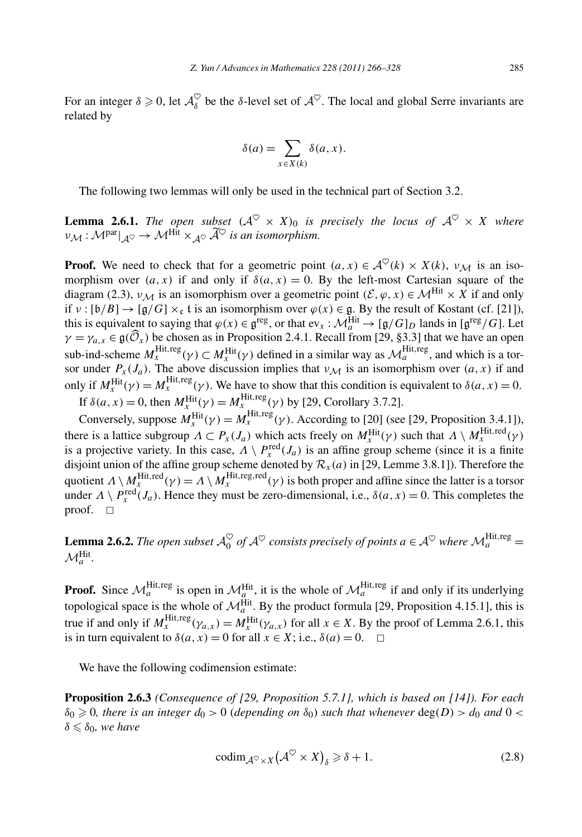For an integer  $\delta \ge 0$ , let  $\mathcal{A}_{\delta}^{\heartsuit}$  be the  $\delta$ -level set of  $\mathcal{A}^{\heartsuit}$ . The local and global Serre invariants are related by<br> $\delta(a) = \sum_{\alpha} \delta(a, x)$ . related by

$$
\delta(a) = \sum_{x \in X(k)} \delta(a, x).
$$

The following two lemmas will only be used in the technical part of Section 3.2.

**Lemma 2.6.1.** *The open subset*  $(A^{\heartsuit} \times X)_0$  *is precisely the locus of*  $A^{\heartsuit} \times X$  *where* **The following two lemmas wi<br>
<b>Lemma 2.6.1.** *The open subs*<br>  $\nu_{\mathcal{M}} : \mathcal{M}^{par}|_{\mathcal{A}^{\heartsuit}} \to \mathcal{M}^{Hit} \times_{\mathcal{A}^{\heartsuit}} \widetilde{\mathcal{A}}^{\heartsuit}$  $\nu_{\mathcal{M}} : \mathcal{M}^{\text{par}}|_{\mathcal{A}^{\heartsuit}} \to \mathcal{M}^{\text{Hilt}} \times_{\mathcal{A}^{\heartsuit}} \widetilde{\mathcal{A}}^{\heartsuit}$  is an isomorphism.

**Proof.** We need to check that for a geometric point  $(a, x) \in A^{\heartsuit}(k) \times X(k)$ ,  $v_M$  is an isomorphism over  $(a, x)$  if and only if  $\delta(a, x) = 0$ . By the left-most Cartesian square of the diagram (2.3),  $v_M$  is an isomorphism over a geometric point  $(\mathcal{E}, \varphi, x) \in \mathcal{M}^{\text{Hit}} \times X$  if and only if  $v : [b/B] \to [g/G] \times_c t$  is an isomorphism over  $\varphi(x) \in \mathfrak{g}$ . By the result of Kostant (cf. [21]), this is equivalent to saying that  $\varphi(x) \in \mathfrak{g}^{\text{reg}}$ , or that  $ev_x : \mathcal{M}_a^{\text{Hit}} \to [ \mathfrak{g}/G]_D$  lands in  $[\mathfrak{g}^{\text{reg}}/G]$ . Let *γ* = *γ*<sub>*γ*</sub> *γ<sub><i>γ*</sub> *γ*<sub>*γ*</sub> *γ*<sub>*γ*</sub> *γ*<sub>*γ*</sub> *γ*<sup>*γ*</sup> = *γ*<sup>*γ*</sup> *γ*<sup>*γ*</sup> = *γ*<sup>*γ*</sup> = *γ*<sup>*γ*</sup> = *γ*<sup>*γ*</sup> = *γ*<sup>*γ*</sup> = *γ*<sup>*γ*</sup> = *γ*<sup>*γ*</sup> = *γ*<sup>*γ*</sup> = *γ*<sup>*γ*</sup> = *γ*<sup>*γ*</sup> = *γ*<sup>*γ*</sup> = *γ*<sup>*γ*</sup> = *γ*<sup>*γ*</sup> = *γ*<sup>*γ*</sup> sub-ind-scheme  $M_x^{\text{Hit},\text{reg}}(\gamma) \subset M_x^{\text{Hit}}(\gamma)$  defined in a similar way as  $\mathcal{M}_a^{\text{Hit},\text{reg}}$ , and which is a torsor under  $P_x(J_a)$ . The above discussion implies that  $v_M$  is an isomorphism over  $(a, x)$  if and only if  $M_X^{\text{Hit}}(\gamma) = M_X^{\text{Hit},\text{reg}}(\gamma)$ . We have to show that this condition is equivalent to  $\delta(a, x) = 0$ .

If  $\delta(a, x) = 0$ , then  $M_x^{\text{Hit}}(\gamma) = M_x^{\text{Hit}, \text{reg}}(\gamma)$  by [29, Corollary 3.7.2].

Conversely, suppose  $M_x^{\text{Hit}}(\gamma) = M_x^{\text{Hit},\text{reg}}(\gamma)$ . According to [20] (see [29, Proposition 3.4.1]), there is a lattice subgroup  $\Lambda \subset P_x(J_a)$  which acts freely on  $M_x^{\text{Hit}}(\gamma)$  such that  $\Lambda \setminus M_x^{\text{Hit,red}}(\gamma)$ is a projective variety. In this case,  $\Lambda \setminus P_x^{\text{red}}(J_a)$  is an affine group scheme (since it is a finite disjoint union of the affine group scheme denoted by  $\mathcal{R}_x(a)$  in [29, Lemme 3.8.1]). Therefore the quotient  $\Lambda \setminus M_x^{\text{Hit},\text{red}}(\gamma) = \Lambda \setminus M_x^{\text{Hit},\text{reg},\text{red}}(\gamma)$  is both proper and affine since the latter is a torsor under  $\Lambda \setminus P_x^{\text{red}}(J_a)$ . Hence they must be zero-dimensional, i.e.,  $\delta(a, x) = 0$ . This completes the proof.  $\square$ 

**Lemma 2.6.2.** *The open subset*  $\mathcal{A}_0^{\heartsuit}$  *of*  $\mathcal{A}^{\heartsuit}$  *consists precisely of points*  $a \in \mathcal{A}^{\heartsuit}$  *where*  $\mathcal{M}_a^{\text{Hit},\text{reg}}$  $\mathcal{M}_a^{\text{Hit}}$ .

**Proof.** Since  $\mathcal{M}_a^{\text{Hit},\text{reg}}$  is open in  $\mathcal{M}_a^{\text{Hit}}$ , it is the whole of  $\mathcal{M}_a^{\text{Hit},\text{reg}}$  if and only if its underlying topological space is the whole of  $\mathcal{M}_a^{\text{Hit}}$ . By the product formula [29, Proposition 4.15.1], this is true if and only if  $M_x^{\text{Hit},\text{reg}}(\gamma_{a,x}) = M_x^{\text{Hit}}(\gamma_{a,x})$  for all  $x \in X$ . By the proof of Lemma 2.6.1, this is in turn equivalent to  $\delta(a, x) = 0$  for all  $x \in X$ ; i.e.,  $\delta(a) = 0$ .  $\Box$ 

We have the following codimension estimate:

**Proposition 2.6.3** *(Consequence of [29, Proposition 5.7.1], which is based on [14]). For each*  $\delta_0 \geqslant 0$ , there is an integer  $d_0 > 0$  (depending on  $\delta_0$ ) such that whenever  $\deg(D) > d_0$  and  $0 <$  $\delta \leq \delta_0$ *, we have* 

$$
\operatorname{codim}_{\mathcal{A}^{\heartsuit} \times X} (\mathcal{A}^{\heartsuit} \times X)_{\delta} \geq \delta + 1. \tag{2.8}
$$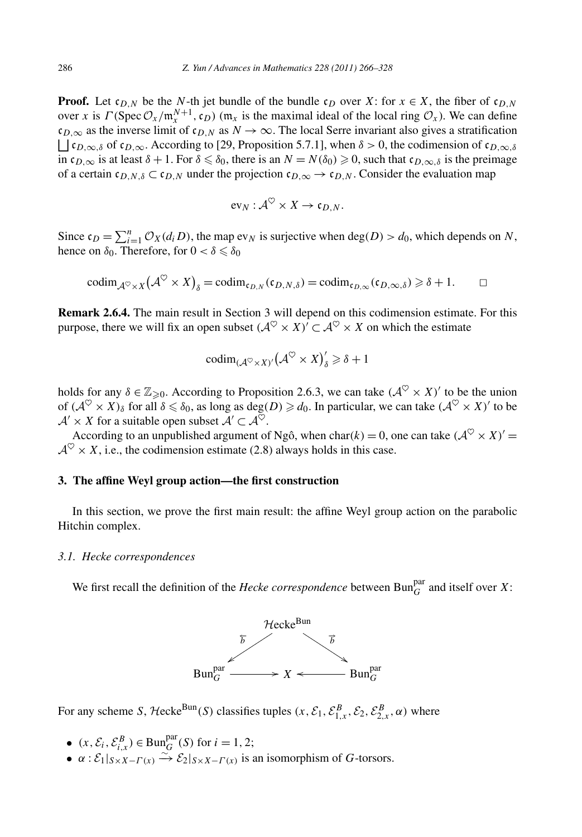**Proof.** Let  $c_{D,N}$  be the *N*-th jet bundle of the bundle  $c_D$  over *X*: for  $x \in X$ , the fiber of  $c_{D,N}$ over *x* is  $\Gamma(\text{Spec } \mathcal{O}_x/\mathfrak{m}_x^{N+1}, \mathfrak{c}_D)$  ( $\mathfrak{m}_x$  is the maximal ideal of the local ring  $\mathcal{O}_x$ ). We can define  $c_{D,\infty}$  as the inverse limit of  $c_{D,N}$  as  $N \to \infty$ . The local Serre invariant also gives a stratification  $\Box$   $\mathfrak{c}_{D,\infty,\delta}$  of  $\mathfrak{c}_{D,\infty}$ . According to [29, Proposition 5.7.1], when  $\delta > 0$ , the codimension of  $\mathfrak{c}_{D,\infty,\delta}$ in  $c_{D,\infty}$  is at least  $\delta + 1$ . For  $\delta \leq \delta_0$ , there is an  $N = N(\delta_0) \geq 0$ , such that  $c_{D,\infty,\delta}$  is the preimage of a certain  $\mathfrak{c}_{D,N,\delta} \subset \mathfrak{c}_{D,N}$  under the projection  $\mathfrak{c}_{D,\infty} \to \mathfrak{c}_{D,N}$ . Consider the evaluation map

$$
\text{ev}_N: \mathcal{A}^\heartsuit \times X \to \mathfrak{c}_{D,N}.
$$

 $ev_N: \mathcal{A}^{\heartsuit} \times X \to c_{D,N}.$ <br>Since  $c_D = \sum_{i=1}^n \mathcal{O}_X(d_i D)$ , the map  $ev_N$  is surjective when deg $(D) > d_0$ , which depends on *N*, hence on  $\delta_0$ . Therefore, for  $0 < \delta \leq \delta_0$ 

$$
\mathrm{codim}_{\mathcal{A}^{\heartsuit}\times X}(\mathcal{A}^{\heartsuit}\times X)_{\delta}=\mathrm{codim}_{\mathfrak{c}_{D,N}}(\mathfrak{c}_{D,N,\delta})=\mathrm{codim}_{\mathfrak{c}_{D,\infty}}(\mathfrak{c}_{D,\infty,\delta})\geqslant \delta+1.\qquad\Box
$$

**Remark 2.6.4.** The main result in Section 3 will depend on this codimension estimate. For this purpose, there we will fix an open subset  $({\cal A}^{\heartsuit} \times X)^{\prime} \subset {\cal A}^{\heartsuit} \times X$  on which the estimate

$$
\mathrm{codim}_{(\mathcal{A}^{\heartsuit}\times X)'}(\mathcal{A}^{\heartsuit}\times X)'_{\delta}\geqslant \delta+1
$$

holds for any  $\delta \in \mathbb{Z}_{\geq 0}$ . According to Proposition 2.6.3, we can take  $(\mathcal{A}^{\heartsuit} \times X)'$  to be the union of  $(A^{\heartsuit} \times X)_{\delta}$  for all  $\delta \leq \delta_0$ , as long as deg $(D) \geq d_0$ . In particular, we can take  $(A^{\heartsuit} \times X)'$  to be  $A' \times X$  for a suitable open subset  $A' \subset A^{\heartsuit}$ .

According to an unpublished argument of Ngô, when char(k) = 0, one can take  $(A^{\heartsuit} \times X)'$  =  $A^{\heartsuit} \times X$ , i.e., the codimension estimate (2.8) always holds in this case.

# **3. The affine Weyl group action—the first construction**

In this section, we prove the first main result: the affine Weyl group action on the parabolic Hitchin complex.

#### *3.1. Hecke correspondences*

We first recall the definition of the *Hecke correspondence* between  $Bun_G^{par}$  and itself over *X*:



For any scheme *S*, Hecke<sup>Bun</sup>(*S*) classifies tuples  $(x, \mathcal{E}_1, \mathcal{E}_{1,x}^B, \mathcal{E}_2, \mathcal{E}_{2,x}^B, \alpha)$  where

- $(x, \mathcal{E}_i, \mathcal{E}_{i,x}^B) \in \text{Bun}_{G}^{\text{par}}(S) \text{ for } i = 1, 2;$
- $\bullet \ \alpha : \mathcal{E}_1|_{S \times X \Gamma(x)} \xrightarrow{\sim} \mathcal{E}_2|_{S \times X \Gamma(x)}$  is an isomorphism of *G*-torsors.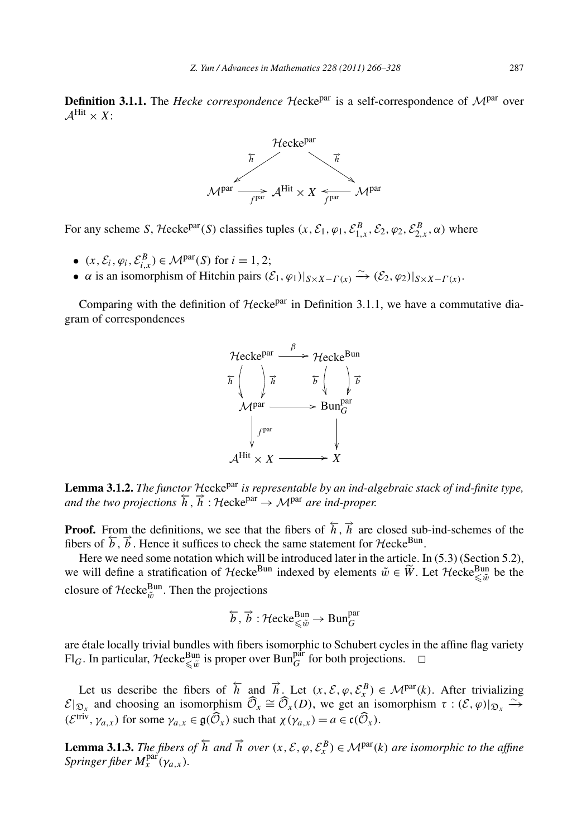**Definition 3.1.1.** The *Hecke correspondence* Hecke<sup>par</sup> is a self-correspondence of M<sup>par</sup> over  $\mathcal{A}^{\text{Hit}} \times X$ :



For any scheme *S*, Hecke<sup>par</sup>(*S*) classifies tuples  $(x, \mathcal{E}_1, \varphi_1, \mathcal{E}_{1,x}^B, \mathcal{E}_2, \varphi_2, \mathcal{E}_{2,x}^B, \alpha)$  where

- $(x, \mathcal{E}_i, \varphi_i, \mathcal{E}_{i,x}^B) \in \mathcal{M}^{\text{par}}(S)$  for  $i = 1, 2;$
- *α* is an isomorphism of Hitchin pairs  $(\mathcal{E}_1, \varphi_1)|_{S \times X \Gamma(x)} \xrightarrow{\sim} (\mathcal{E}_2, \varphi_2)|_{S \times X \Gamma(x)}$ .

Comparing with the definition of  $H$ ecke<sup>par</sup> in Definition 3.1.1, we have a commutative diagram of correspondences



**Lemma 3.1.2.** *The functor* <sup>H</sup>eckepar *is representable by an ind-algebraic stack of ind-finite type, and the two projections*  $\overline{h}$ ,  $\overline{h}$  : Hecke<sup>par</sup>  $\rightarrow$  M<sup>par</sup> *are ind-proper.* 

**Proof.** From the definitions, we see that the fibers of  $\overrightarrow{h}$ ,  $\overrightarrow{h}$  are closed sub-ind-schemes of the fibers of  $\overline{b}$ ,  $\overline{b}$ . Hence it suffices to check the same statement for Hecke<sup>Bun</sup>.

Here we need some notation which will be introduced later in the article. In (5.3) (Section 5.2), **Proof.** From the definitions, we see that the fibers of  $\overline{h}$ ,  $\overrightarrow{n}$  are closed sub-ind-schemes of the fibers of  $\overline{b}$ ,  $\overline{b}$ . Hence it suffices to check the same statement for  $\mathcal{H}ecke^{Bun}$ .<br>Here we need som closure of  $\mathcal{H}$ ecke $_{\tilde{w}}^{\text{Bun}}$ . Then the projections

$$
\overleftarrow{b}, \overrightarrow{b} : \mathcal{H}\mathrm{ecke}^{\mathrm{Bun}}_{\leqslant \tilde{w}} \to \mathrm{Bun}^{\mathrm{par}}_G
$$

are étale locally trivial bundles with fibers isomorphic to Schubert cycles in the affine flag variety  $\text{Fl}_G$ . In particular, Hecke<sup>Bun</sup> is proper over Bun<sup>par</sup> for both projections.  $\Box$ 

Let us describe the fibers of  $\overline{h}$  and  $\overline{h}$ . Let  $(x, \mathcal{E}, \varphi, \mathcal{E}_{x}^{B}) \in \mathcal{M}^{par}(k)$ . After trivializing *Fl*<sub>*G*</sub>. In particular, Hecke<sup>Bun</sup><sub>*S*</sub> is proper over Bun<sup>par</sup> for both projections.  $□$ <br>
Let us describe the fibers of  $\overline{h}$  and  $\overline{h}$ . Let  $(x, \mathcal{E}, \varphi, \mathcal{E}_x^B) \in \mathcal{M}^{\text{par}}(k)$ . After triviali<br>  $\mathcal{E}|_{\math$  $\xrightarrow{\sim}$ Let us describe the fibers of  $\overline{h}$  and  $\overrightarrow{n}$ . Let  $(x, \mathcal{E}, \varphi, \mathcal{E}_x^B) \in \mathcal{E}|_{\mathfrak{D}_x}$  and choosing an isomorphism  $\widehat{\mathcal{O}}_x \cong \widehat{\mathcal{O}}_x(D)$ , we get an is  $(\mathcal{E}^{\text{triv}}, \gamma_{a,x})$  for some  $\gamma_{a,x} \in \mathfrak{g}(\widehat$ 

**Lemma 3.1.3.** *The fibers of*  $\overleftarrow{h}$  *and*  $\overrightarrow{h}$  *over*  $(x, \mathcal{E}, \varphi, \mathcal{E}_x^B) \in \mathcal{M}^{\text{par}}(k)$  *are isomorphic to the affine*  $Springer fiber M_x^{\text{par}}(\gamma_{a,x}).$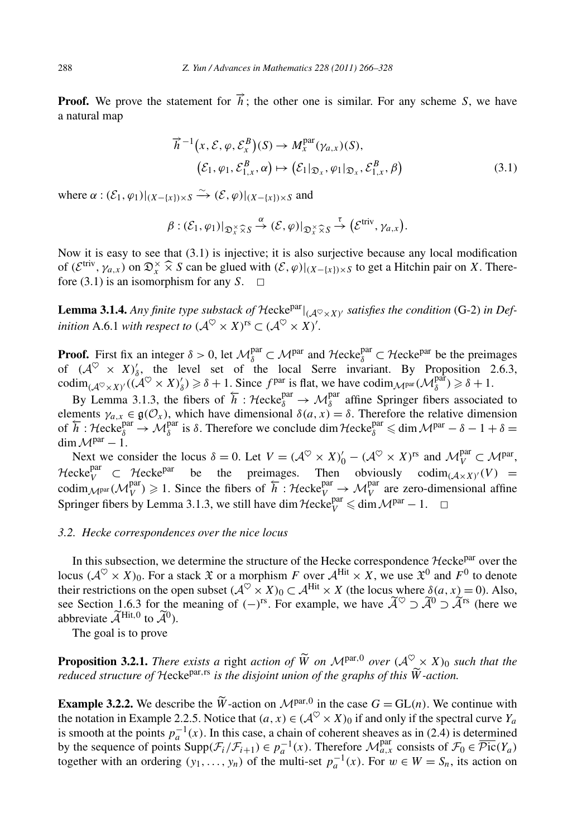**Proof.** We prove the statement for  $\vec{h}$ ; the other one is similar. For any scheme *S*, we have a natural map atement for  $\vec{h}$ ; t<br> $\vec{h}^{-1}(x, \mathcal{E}, \varphi, \mathcal{E}_x^B)$ 

$$
\overrightarrow{h}^{-1}(x, \mathcal{E}, \varphi, \mathcal{E}_x^B)(S) \to M_x^{\text{par}}(\gamma_{a,x})(S),(\mathcal{E}_1, \varphi_1, \mathcal{E}_{1,x}^B, \alpha) \mapsto (\mathcal{E}_1|_{\mathfrak{D}_x}, \varphi_1|_{\mathfrak{D}_x}, \mathcal{E}_{1,x}^B, \beta)
$$
(3.1)

where  $\alpha : (\mathcal{E}_1, \varphi_1)|_{(X - \{x\}) \times S} \xrightarrow{\sim} (\mathcal{E}, \varphi)|_{(X - \{x\}) \times S}$  and<br>  $\beta : (\mathcal{E}_1, \varphi_1)|_{\mathfrak{D}_x^{\times} \widehat{\times} S} \xrightarrow{\alpha} (\mathcal{E}, \varphi)|_{\mathfrak{D}}$ 

$$
(\varepsilon_1, \varphi_1, \varepsilon_{1,x}, \alpha) \mapsto (\varepsilon_1 | \mathfrak{D}_x, \varphi_1 | \mathfrak{D}_x, \varepsilon_{1,x}, \rho)
$$
  

$$
\{\xi\}_{x\in \mathcal{S}} \xrightarrow{\sim} (\mathcal{E}, \varphi)|_{(X - \{x\}) \times S} \text{ and}
$$
  

$$
\beta : (\mathcal{E}_1, \varphi_1)|_{\mathfrak{D}_x^{\times} \widehat{\times} S} \xrightarrow{\alpha} (\mathcal{E}, \varphi)|_{\mathfrak{D}_x^{\times} \widehat{\times} S} \xrightarrow{\tau} (\mathcal{E}^{\text{triv}}, \gamma_{a,x}).
$$

Now it is easy to see that (3.1) is injective; it is also surjective because any local modification  $\beta : (\mathcal{E}_1, \varphi_1)|_{\mathfrak{D}_x^{\times} \widehat{\times} S} \stackrel{\alpha}{\rightarrow} (\mathcal{E}, \varphi)|_{\mathfrak{D}_x^{\times} \widehat{\times} S} \stackrel{\tau}{\rightarrow} (\mathcal{E}^{\text{triv}}, \gamma_{a,x})$ .<br>Now it is easy to see that (3.1) is injective; it is also surjective because any local modification<br>of  $(\mathcal{E}^$ fore (3.1) is an isomorphism for any  $S$ .  $\Box$ 

**Lemma 3.1.4.** Any finite type substack of  $\mathcal{H}$ ecke<sup>par</sup> $|_{(\mathcal{A}^{\heartsuit}\times X)'}$  satisfies the condition (G-2) in Def*inition* A.6.1 *with respect to*  $({\cal A}^{\heartsuit}\times X)^{rs}\subset ({\cal A}^{\heartsuit}\times X)'$ .

**Proof.** First fix an integer  $\delta > 0$ , let  $\mathcal{M}_{\delta}^{\text{par}} \subset \mathcal{M}^{\text{par}}$  and  $\mathcal{H}$ ecke $_{\delta}^{\text{par}} \subset \mathcal{H}$ ecke<sup>par</sup> be the preimages of  $({\mathcal{A}}^{\heartsuit} \times X)'_{\delta}$ , the level set of the local Serre invariant. By Proposition 2.6.3, codim<sub>( $\mathcal{A}^{\heartsuit} \times X$ )' $((\mathcal{A}^{\heartsuit} \times X)_{\delta}') \geq \delta + 1$ . Since  $f^{\text{par}}$  is flat, we have codim $\mathcal{M}_{\delta}^{\text{par}}(\mathcal{M}_{\delta}^{\text{par}}) \geq \delta + 1$ .</sub>

By Lemma 3.1.3, the fibers of  $\overline{h}$  : Hecke<sup>par</sup>  $\rightarrow$   $\mathcal{M}_{\delta}^{par}$  affine Springer fibers associated to elements  $\gamma_{a,x} \in \mathfrak{g}(\mathcal{O}_x)$ , which have dimensional  $\delta(a,x) = \delta$ . Therefore the relative dimension<br>of  $\overline{h}$ : Hecke $\delta^{\text{par}}$   $\rightarrow \mathcal{M}_{\delta}^{\text{par}}$  is  $\delta$ . Therefore we conclude dim Hecke $\delta^{\text{par}} \leq \dim \mathcal{M}^{\text{par}} - \$  $\dim \mathcal{M}^{par} - 1$ .

Next we consider the locus  $\delta = 0$ . Let  $V = (\mathcal{A}^{\heartsuit} \times X)'_0 - (\mathcal{A}^{\heartsuit} \times X)^{rs}$  and  $\mathcal{M}_V^{\text{par}} \subset \mathcal{M}^{\text{par}}$ ,  $\mathcal{H}$ ecke<sup>par</sup>  $\subset \mathcal{H}$ ecke<sup>par</sup> be the preimages. Then obviously codim<sub>( $A \times X$ )</sub> $\cdot$ (V) = codim  $\mathcal{M}_{V}^{\text{par}}(\mathcal{M}_{V}^{\text{par}}) \geq 1$ . Since the fibers of  $\overleftarrow{h}$ : Hecke<sub>V</sub><sup>par</sup>  $\rightarrow \mathcal{M}_{V}^{\text{par}}$  are zero-dimensional affine Springer fibers by Lemma 3.1.3, we still have dim  $\mathcal{H}ecke_V^{\text{par}} \leq \dim \mathcal{M}^{\text{par}} - 1. \quad \Box$ 

# *3.2. Hecke correspondences over the nice locus*

In this subsection, we determine the structure of the Hecke correspondence  $\mathcal{H}$ ecke $P<sup>par</sup>$  over the locus  $(A^{\heartsuit} \times X)_0$ . For a stack  $\mathfrak X$  or a morphism *F* over  $A^{\text{Hit}} \times X$ , we use  $\mathfrak X^0$  and  $F^0$  to denote their restrictions on the open subset  $(A^{\heartsuit} \times X)_0 \subset A^{\text{Hit}} \times X$  (the locus where  $\delta(a, x) = 0$ ). Also, In this subsection, we determine the structure of the Hecke correspondence Hecke<br>locus  $(\mathcal{A}^{\heartsuit} \times X)_0$ . For a stack  $\mathfrak{X}$  or a morphism F over  $\mathcal{A}^{\text{Hit}} \times X$ , we use  $\mathfrak{X}^0$  and F<br>their restrictions on the see Section 1.6.3 for the meaning of  $(-)^{rs}$ . For example, we have  $\widetilde{\mathcal{A}}^{\heartsuit} \supset \widetilde{\mathcal{A}}^{rs}$  (here we locus  $(\mathcal{A}^{\heartsuit} \times X)_0$ . For<br>their restrictions on the<br>see Section 1.6.3 for the<br>abbreviate  $\widetilde{\mathcal{A}}^{\text{Hit},0}$  to  $\widetilde{\mathcal{A}}^0$ abbreviate  $\widetilde{\mathcal{A}}^{\text{Hit},0}$  to  $\widetilde{\mathcal{A}}^0$ ).

The goal is to prove

**Proposition 3.2.1.** *There exists a* right *action of*  $\widetilde{W}$  *on*  $M^{par,0}$  *over*  $(A^{\infty} \times X)_0$  *such that the* **Proposition 3.2.1.** *There exists a right action of*  $\widetilde{W}$  *on*  $M^{par,0}$  *over*  $(A^{\heartsuit})$  *reduced structure of Hecke<sup>par, rs</sup> <i>is the disjoint union of the graphs of this*  $\widetilde{W}$ *-action.* **Proposition 3.2.1.** *There exists a 1 reduced structure of Hecke<sup>par, rs</sup> is a*<br>**Example 3.2.2.** We describe the  $\widetilde{W}$ 

**Example 3.2.2.** We describe the  $\widetilde{W}$ -action on  $\mathcal{M}^{par,0}$  in the case  $G = GL(n)$ . We continue with the notation in Example 2.2.5. Notice that  $(a, x) \in (\mathcal{A}^{\heartsuit} \times X)_0$  if and only if the spectral curve  $Y_a$ is smooth at the points  $p_a^{-1}(x)$ . In this case, a chain of coherent sheaves as in (2.4) is determined by the sequence of points  $\text{Supp}(\mathcal{F}_i/\mathcal{F}_{i+1}) \in p_a^{-1}(x)$ . Therefore  $\mathcal{M}_{a,x}^{\text{par}}$  consists of  $\mathcal{F}_0 \in \overline{\mathcal{P}\text{ic}}(Y_a)$ together with an ordering  $(y_1, \ldots, y_n)$  of the multi-set  $p_a^{-1}(x)$ . For  $w \in W = S_n$ , its action on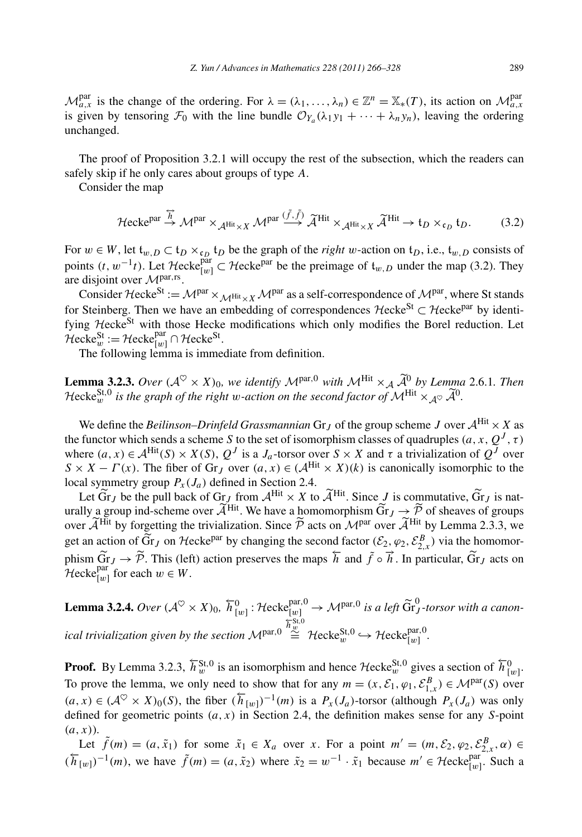$\mathcal{M}_{a,x}^{\text{par}}$  is the change of the ordering. For  $\lambda = (\lambda_1, \ldots, \lambda_n) \in \mathbb{Z}^n = \mathbb{X}_*(T)$ , its action on  $\mathcal{M}_{a,x}^{\text{par}}$ is given by tensoring  $\mathcal{F}_0$  with the line bundle  $\mathcal{O}_{Y_a}(\lambda_1 y_1 + \cdots + \lambda_n y_n)$ , leaving the ordering unchanged.

The proof of Proposition 3.2.1 will occupy the rest of the subsection, which the readers can safely skip if he only cares about groups of type *A*.

Consider the map

in the only cares about groups of type A.  
For the map  

$$
\mathcal{H} \text{ecke}^{\text{par}} \xrightarrow{\overrightarrow{h}} \mathcal{M}^{\text{par}} \times_{\mathcal{A}^{\text{Hit}} \times X} \mathcal{M}^{\text{par}} \xrightarrow{\tilde{f}, \tilde{f}} \tilde{\mathcal{A}}^{\text{Hit}} \times_{\mathcal{A}^{\text{Hit}} \times X} \tilde{\mathcal{A}}^{\text{Hit}} \to t_D \times_{\mathfrak{c}_D} t_D.
$$
 (3.2)

For  $w \in W$ , let  $\mathfrak{t}_{w,D} \subset \mathfrak{t}_D \times_{\mathfrak{c}_D} \mathfrak{t}_D$  be the graph of the *right w*-action on  $\mathfrak{t}_D$ , i.e.,  $\mathfrak{t}_{w,D}$  consists of points  $(t, w^{-1}t)$ . Let Hecke<sup>par</sup>  $\subset$  Hecke<sup>par</sup> be the preimage of  $\mathfrak{t}_{w,D}$  under the map (3.2). They are disjoint over <sup>M</sup>par*,*rs.

Consider Hecke<sup>St</sup> :=  $\mathcal{M}^{par} \times_{\mathcal{M}^{Hit} \times X} \mathcal{M}^{par}$  as a self-correspondence of  $\mathcal{M}^{par}$ , where St stands for Steinberg. Then we have an embedding of correspondences  $\mathcal{H}$ ecke<sup>St</sup> ⊂  $\mathcal{H}$ ecke<sup>par</sup> by identifying Hecke<sup>St</sup> with those Hecke modifications which only modifies the Borel reduction. Let  $\mathcal{H}$ ecke $_{w}^{\text{St}} := \mathcal{H}$ ecke $_{[w]}^{\text{par}} \cap \mathcal{H}$ ecke $^{\text{St}}$ .

The following lemma is immediate from definition.

Hecke<sup>St</sup> := Hecke<sup>par</sup>  $\cap$  Hecke<sup>St</sup>.<br>The following lemma is immediate from definition.<br>**Lemma 3.2.3.** *Over*  $(A^{\heartsuit} \times X)_0$ , we identify  $M^{\text{par,0}}$  with  $M^{\text{Hit}} \times_A \tilde{A}^0$  by Lemma 2.6.1. Then The following lemma is immediate from definition.<br> **Lemma 3.2.3.** *Over*  $(A^{\heartsuit} \times X)_0$ , we identify  $M^{\text{par},0}$  with  $M^{\text{Hit}} \times_A \widetilde{A}^0$  by Lemm<br> *Hecke*<sup>St,0</sup> is the graph of the right w-action on the second factor of Hecke<sup>St,0</sup> is the graph of the right w-action on the second factor of  $\mathcal{M}^{\text{Hit}} \times_{\Lambda^{\heartsuit}} \widetilde{\mathcal{A}}^0$ .

We define the *Beilinson–Drinfeld Grassmannian* Gr<sub>*J*</sub> of the group scheme *J* over  $A^{\text{Hit}} \times X$  as the functor which sends a scheme *S* to the set of isomorphism classes of quadruples  $(a, x, Q<sup>J</sup>, \tau)$ where  $(a, x) \in A^{\text{Hit}}(S) \times X(S)$ ,  $Q^J$  is a *J<sub>a</sub>*-torsor over  $S \times X$  and  $\tau$  a trivialization of  $Q^J$  over  $S \times X - \Gamma(x)$ . The fiber of Gr<sub>*J*</sub> over  $(a, x) \in (A^{\text{Hit}} \times X)(k)$  is canonically isomorphic to the local symmetry group  $P_x(J_a)$  defined in Section 2.4. ere  $(a, x) \in A^{\text{Hit}}(S) \times X(S)$ ,  $Q^J$  is a  $J_a$ -torsor over  $S \times X$  and  $\tau$  a trivialization of  $Q^J$  over  $\langle X - \Gamma(x) \rangle$ . The fiber of Gr<sub>J</sub> over  $(a, x) \in (A^{\text{Hit}} \times X)(k)$  is canonically isomorphic to the al symmetry group  $P_x(J_a$ 

 $S \times X - \Gamma(x)$ . The fiber of Gr<sub>J</sub> over  $(a, x) \in (A^{\text{Hit}} \times X)(k)$  is called symmetry group  $P_X(J_a)$  defined in Section 2.4.<br>Let Gr<sub>J</sub> be the pull back of Gr<sub>J</sub> from  $A^{\text{Hit}} \times X$  to  $\widetilde{A}^{\text{Hit}}$ . Since J urally a group ind-sch  $\overline{G}r_J \rightarrow \overline{P}$  of sheaves of groups local sy<br>Let  $\alpha$ <br>urally a<br>over  $\widetilde{\mathcal{A}}$ <sup>Hit</sup> by forgetting the trivialization. Since  $\tilde{P}$  acts on  $M<sup>par</sup>$  over  $\tilde{A}^{Hit}$  by Lemma 2.3.3, we 2.4.<br>
X to  $\widetilde{A}^{\text{Hit}}$ . Since J is c<br>
homomorphism  $\widetilde{G}r_J \rightarrow \widetilde{P}$  acts on  $\mathcal{M}^{\text{par}}$  over  $\widetilde{A}$ Let  $\tilde{G}r_J$  be the pull back of  $Gr_J$  from  $\mathcal{A}^{\text{Hit}} \times X$  to  $\tilde{\mathcal{A}}^{\text{Hit}}$ . Since  $J$  is commutative,  $\tilde{G}r_J$  is naturally a group ind-scheme over  $\tilde{\mathcal{A}}^{\text{Hit}}$ . We have a homomorphism  $\tilde{G}r_J \to \tilde{\mathcal{P}}$ urally a group ind-scheme over  $A^{\text{HL}}$ . We have a homomorphism  $Gr_J \to \mathcal{P}$  of sheaves over  $\widetilde{A}^{\text{Hit}}$  by forgetting the trivialization. Since  $\widetilde{\mathcal{P}}$  acts on  $\mathcal{M}^{\text{par}}$  over  $\widetilde{A}^{\text{Hit}}$  by Lemma get a  $\widetilde{G}r_J \to \widetilde{\mathcal{P}}$ . This (left) action preserves the maps  $\overleftarrow{h}$  and  $\overrightarrow{f} \circ \overrightarrow{h}$ . In particular,  $\widetilde{G}r_J$  acts on  $\overline{\mathbf{m}}$  $\mathcal{H}$ ecke<sup>par</sup> for each  $w \in W$ . **Lemma 3.2.4.** *Over*  $(A^{\heartsuit} \times X)_0$ ,  $\overline{h}_{[w]}^0$ : Hecke $_{[w]}^{par,0}$  →  $M^{par,0}$  *is a left*  $\widetilde{G}^0$ <sub>*J*</sub>-torsor with a canon-</sub>

*ical trivialization given by the section* <sup>M</sup>par*,*<sup>0</sup>  $\widetilde{h}^{\text{St,0}}_{w} \cong \mathcal{H}\text{ecke}^{\text{St,0}}_{w} \hookrightarrow \mathcal{H}\text{ecke}^{\text{par,0}}_{[w]} .$ 

**Proof.** By Lemma 3.2.3,  $\overleftarrow{h}_w^{\text{St,0}}$  is an isomorphism and hence  $\mathcal{H}$ ecke $_w^{\text{St,0}}$  gives a section of  $\overleftarrow{h}_{[w]}^0$ . To prove the lemma, we only need to show that for any  $m = (x, \mathcal{E}_1, \varphi_1, \mathcal{E}_{1,x}^B) \in \mathcal{M}^{\text{par}}(S)$  over  $(a, x) \in (\mathcal{A}^{\heartsuit} \times X)_0(S)$ , the fiber  $(\overleftarrow{h}_{[w]})^{-1}(m)$  is a  $P_x(J_a)$ -torsor (although  $P_x(J_a)$  was only defined for geometric points *(a,x)* in Section 2.4, the definition makes sense for any *S*-point *(a,x)*).

Let  $\tilde{f}(m) = (a, \tilde{x}_1)$  for some  $\tilde{x}_1 \in X_a$  over *x*. For a point  $m' = (m, \mathcal{E}_2, \varphi_2, \mathcal{E}_{2,x}^B, \alpha) \in$  $(\overline{h}_{[w]})^{-1}(m)$ , we have  $\tilde{f}(m) = (a, \tilde{x}_2)$  where  $\tilde{x}_2 = w^{-1} \cdot \tilde{x}_1$  because  $m' \in \mathcal{H}$ ecke $_{[w]}^{\text{par}}$ . Such a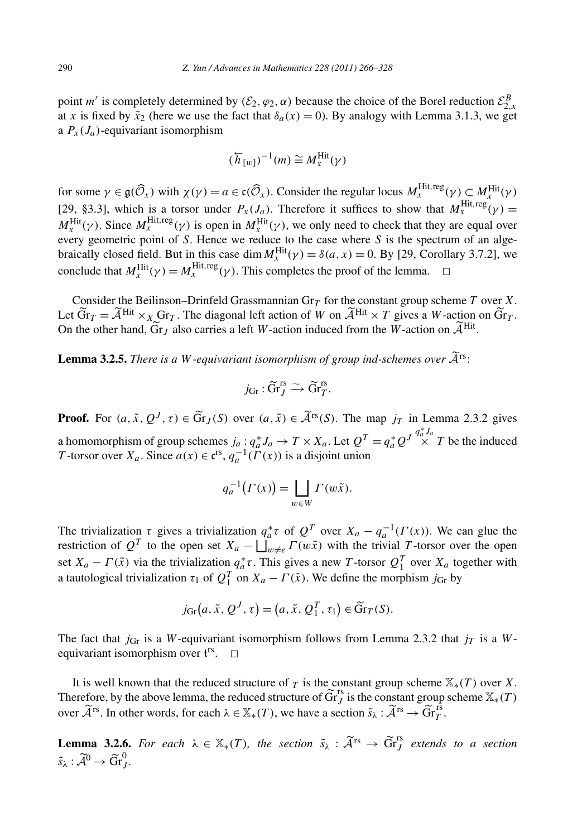point *m'* is completely determined by  $(\mathcal{E}_2, \varphi_2, \alpha)$  because the choice of the Borel reduction  $\mathcal{E}_{2,x}^B$ at *x* is fixed by  $\tilde{x}_2$  (here we use the fact that  $\delta_a(x) = 0$ ). By analogy with Lemma 3.1.3, we get a  $P_x(J_a)$ -equivariant isomorphism

$$
(\overleftarrow{h}_{[w]})^{-1}(m) \cong M_{_X}^{\rm Hit}(\gamma)
$$

 $(\overleftarrow{h}_{[w]})^{-1}(m) \cong M_x^{\text{Hit}}(\gamma)$ <br>for some  $\gamma \in \mathfrak{g}(\widehat{\mathcal{O}}_x)$  with  $\chi(\gamma) = a \in \mathfrak{c}(\widehat{\mathcal{O}}_x)$ . Consider the regular locus  $M_x^{\text{Hit},\text{reg}}(\gamma) \subset M_x^{\text{Hit}}(\gamma)$ [29, §3.3], which is a torsor under  $P_x(J_a)$ . Therefore it suffices to show that  $M_x^{\text{Hit},\text{reg}}(\gamma) =$  $M_x^{\text{Hit}}(\gamma)$ . Since  $M_x^{\text{Hit},\text{reg}}(\gamma)$  is open in  $M_x^{\text{Hit}}(\gamma)$ , we only need to check that they are equal over every geometric point of *S*. Hence we reduce to the case where *S* is the spectrum of an algebraically closed field. But in this case dim  $M_X^{\text{Hit}}(\gamma) = \delta(a, x) = 0$ . By [29, Corollary 3.7.2], we

conclude that  $M_x^{\text{Hit}}(\gamma) = M_x^{\text{Hit},\text{reg}}(\gamma)$ . This completes the proof of the lemma.  $\Box$ <br>Consider the Beilinson–Drinfeld Grassmannian Gr<sub>T</sub> for the constant group sche<br>Let  $\widetilde{\text{Gr}}_T = \widetilde{\mathcal{A}}^{\text{Hit}} \times_X \text{Gr}_T$ . The dia Consider the Beilinson–Drinfeld Grassmannian Gr*<sup>T</sup>* for the constant group scheme *T* over *X*. % of the lemma.  $\Box$ <br>
constant group scheme *T* over *X*.<br>
<sup>Hit</sup>  $\times$  *T* gives a *W*-action on  $\widetilde{G}r$ . Consider the Beilinson–Drinfeld Grassmannian Gr<sub>*T*</sub> for the constant group scheme Let  $\tilde{G}r_T = \tilde{\mathcal{A}}^{\text{Hit}} \times_X \text{Gr}_T$ . The diagonal left action of *W* on  $\tilde{\mathcal{A}}^{\text{Hit}} \times T$  gives a *W*-action the other hand,  $\tilde{G$ On the other hand,  $\widetilde{G}r_I$  also carries a left W-action induced from the W-action on  $\widetilde{\mathcal{A}}^{\text{Hit}}$ . Let  $\widetilde{\text{Gr}}_T = \widetilde{\mathcal{A}}^{\text{Hit}} \times_X \text{Gr}_T$ . The diagonal left action of W on  $\widetilde{\mathcal{A}}^{\text{Hit}} \times T$  gives a W-action<br>On the other hand,  $\widetilde{\text{Gr}}_J$  also carries a left W-action induced from the W-action on  $\widetilde{\mathcal{A}}^{\$ 

nt isomorphism of  

$$
j_{\text{Gr}}: \widetilde{\text{Gr}}_J^{\text{rs}} \xrightarrow{\sim} \widetilde{\text{Gr}}_T^{\text{rs}}.
$$

 $j_{\text{Gr}}: \widetilde{\text{Gr}}_J^{\text{rs}} \xrightarrow{\sim} \widetilde{\text{Gr}}_T^{\text{rs}}.$ <br>**Proof.** For  $(a, \tilde{x}, Q^J, \tau) \in \widetilde{\text{Gr}}_J(S)$  over  $(a, \tilde{x}) \in \widetilde{\mathcal{A}}^{\text{rs}}(S)$ . The map  $j_T$  in Lemma 2.3.2 gives a homomorphism of group schemes  $j_a : q_a^* J_a \to T \times X_a$ . Let  $Q^T = q_a^* Q^{J} \stackrel{q_a^* J_a}{\times} T$  be the induced <br>*T*-torsor over  $X_a$ . Since  $a(x) \in \mathfrak{c}^{rs}$ ,  $q_a^{-1}(\Gamma(x))$  is a disjoint union<br> $q_a^{-1}(\Gamma(x)) = \prod \Gamma(w\tilde{x})$ . *T* -torsor over  $X_a$ . Since  $a(x) \in \mathfrak{c}^{rs}$ ,  $q_a^{-1}(\Gamma(x))$  is a disjoint union

$$
q_a^{-1}\big(\Gamma(x)\big) = \bigsqcup_{w \in W} \Gamma(w\tilde{x}).
$$

The trivialization  $\tau$  gives a trivialization  $q_a^* \tau$  of  $Q^T$  over  $X_a - q_a^{-1}(\Gamma(x))$ . We can glue the The trivialization  $\tau$  gives a trivialization q<br>restriction of  $Q^T$  to the open set  $X_a - \bigsqcup$ restriction of  $Q^T$  to the open set  $X_a - \coprod_{w \neq e}^{\infty} \Gamma(w\tilde{x})$  with the trivial *T*-torsor over the open set  $X_a - \Gamma(\tilde{x})$  via the trivialization  $q_a^* \tau$ . This gives a new *T*-torsor  $Q_1^T$  over  $X_a$  together with<br>a tautological trivialization  $\tau_1$  of  $Q_1^T$  on  $X_a - \Gamma(\tilde{x})$ . We define the morphism  $j_{\text{Gr}}$  by<br> $j_{\text{Gr}}(a$ a tautological trivialization  $\tau_1$  of  $Q_1^T$  on  $X_a - \Gamma(\tilde{x})$ . We define the morphism  $j_{\text{Gr}}$  by T-to<br>fine t<br>∈ Gr

$$
j_{\text{Gr}}(a, \tilde{x}, Q^J, \tau) = (a, \tilde{x}, Q_1^T, \tau_1) \in \widetilde{\text{Gr}}_T(S).
$$

The fact that *j*<sub>Gr</sub> is a *W*-equivariant isomorphism follows from Lemma 2.3.2 that *j<sub>T</sub>* is a *W*equivariant isomorphism over  $\mathfrak{t}^{\text{rs}}$ .  $\Box$ 

It is well known that the reduced structure of  $\tau$  is the constant group scheme  $\mathbb{X}_*(T)$  over *X*. equivariant isomorphism over  $f^s$ .  $□$ <br>It is well known that the reduced structure of  $T$  is the constant group scheme  $\mathbb{X}_*(T)$  over  $X$ .<br>Therefore, by the above lemma, the reduced structure of  $\widetilde{Gr}^s_J$  is the co It is well known that the reduced structure of  $_T$  is the constant group scheme Therefore, by the above lemma, the reduced structure of  $\widetilde{G}^{rs}_{J}$  is the constant group over  $\widetilde{A}^{rs}$ . In other words, for each  $\lambda \$ Therefore, by the above lemma, the reduced structure of  $\operatorname{Gr}_J^{\mathsf{r}_j}$  is the constant group scheme  $\mathbb{X}_*(T)$  over  $\widetilde{\mathcal{A}}^{\mathsf{rs}}$ . In other words, for each  $\lambda \in \mathbb{X}_*(T)$ , we have a section  $\widetilde{s}_\lambda : \widetilde{\mathcal{A$ 

*s*  $\lambda$ <sup>s</sup>. In c<br> **Lemma 3.2.**<br>  $\tilde{s}_{\lambda} : \tilde{\mathcal{A}}^0 \to \tilde{G}r$  $\widetilde{\mathfrak{I}}\mathfrak{r}^0_J.$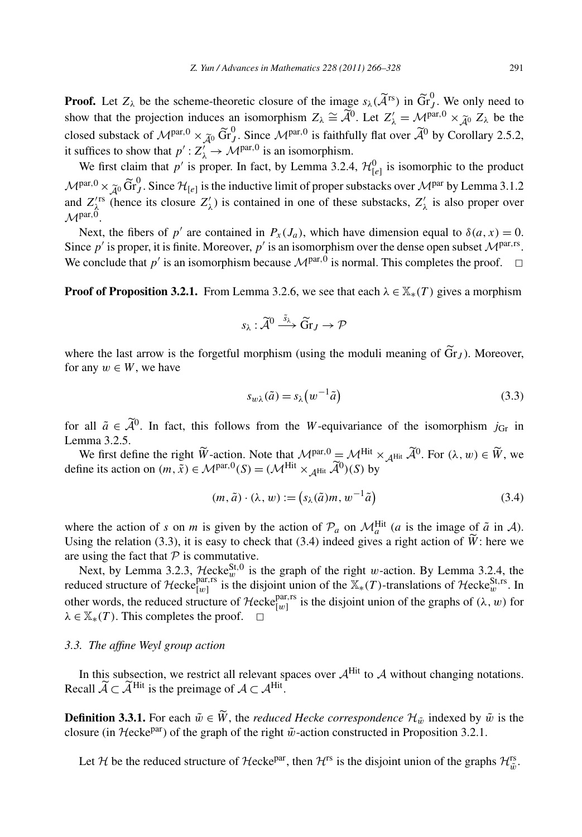*Z. Yun / Advances in Mathematics 228 (2011) 266–328* 291<br> **Proof.** Let  $Z_{\lambda}$  be the scheme-theoretic closure of the image  $s_{\lambda}(\tilde{A}^{rs})$  in  $\tilde{Gr}_{J}^{0}$ . We only need to Froof. Let *Z*<sub>λ</sub> be the scheme-theoretic closure of the image  $s_{\lambda}$  ( $\tilde{A}^{rs}$ ) in  $\tilde{Gr}^0_J$ . We only need to show that the projection induces an isomorphism  $Z_{\lambda} \cong \tilde{A}^0$ . Let  $Z'_{\lambda} = \mathcal{M}^{par,0} \times \tilde{A}^0$ **Proof.** Let  $Z_{\lambda}$  be the scheme-theoretic closure of the image  $s_{\lambda}(\tilde{\mathcal{A}}^{rs})$  in  $\tilde{G}$  show that the projection induces an isomorphism  $Z_{\lambda} \cong \tilde{\mathcal{A}}^0$ . Let  $Z'_{\lambda} = \mathcal{M}$  closed substack of  $\mathcal{M}^{\text{par},$  $\widetilde{\text{Gr}}_J^0$ . Since  $\mathcal{M}^{\text{par},0}$  is faithfully flat over  $\widetilde{\mathcal{A}}^0$  by Corollary 2.5.2, it suffices to show that  $p' : Z'_\lambda \to \mathcal{M}^{\text{par},0}$  is an isomorphism.

We first claim that  $p'$  is proper. In fact, by Lemma 3.2.4,  $\mathcal{H}_{[e]}^0$  is isomorphic to the product it suffices to show that  $p' : Z'_\lambda \to \mathcal{M}^{par,0}$  is an isomorphism.<br>We first claim that  $p' : Z'_\lambda \to \mathcal{M}^{par,0}$  is an isomorphism.<br>We first claim that  $p'$  is proper. In fact, by Lemma 3.2.4,  $\mathcal{H}^0_{[e]}$  is isomorphic to and  $Z^{\prime}_{\lambda}$  (hence its closure  $Z'_{\lambda}$ ) is contained in one of these substacks,  $Z'_{\lambda}$  is also proper over  $M<sup>par,0</sup>$ .

Next, the fibers of *p'* are contained in  $P_x(J_a)$ , which have dimension equal to  $\delta(a, x) = 0$ . Since  $p'$  is proper, it is finite. Moreover,  $p'$  is an isomorphism over the dense open subset  $\mathcal{M}^{\text{par},\text{rs}}$ . We conclude that *p*' is an isomorphism because  $\mathcal{M}^{par,0}$  is normal. This completes the proof.  $\Box$ 

**Proof of Proposition 3.2.1.** From Lemma 3.2.6, we see that each  $\lambda \in \mathbb{X}_*(T)$  gives a morphism

erman 3.2.6, we see the  

$$
s_{\lambda} : \widetilde{A}^0 \xrightarrow{\tilde{s}_{\lambda}} \widetilde{G}r_J \rightarrow \mathcal{P}
$$

 $s_{\lambda}: \widetilde{\mathcal{A}}^0 \xrightarrow{\tilde{s}_{\lambda}} \widetilde{Gr}_J \to \mathcal{P}$ <br>where the last arrow is the forgetful morphism (using the moduli meaning of  $\widetilde{Gr}_J$ ). Moreover, for any  $w \in W$ , we have

$$
s_{w\lambda}(\tilde{a}) = s_{\lambda}\left(w^{-1}\tilde{a}\right) \tag{3.3}
$$

 $s_{w\lambda}(\tilde{a}) = s_{\lambda}(w^{-1}\tilde{a})$  (3.3)<br>for all  $\tilde{a} \in \tilde{\mathcal{A}}^0$ . In fact, this follows from the *W*-equivariance of the isomorphism *j*<sub>Gr</sub> in Lemma 3.2.5. all  $\tilde{a} \in \tilde{\mathcal{A}}^0$ . In fact, this follows from the *W*-equivariance of the isomorphism  $j_{\text{Gr}}$  in mma 3.2.5.<br>We first define the right  $\tilde{W}$ -action. Note that  $\mathcal{M}^{\text{par},0} = \mathcal{M}^{\text{Hit}} \times_{\mathcal{A}^{\text{Hit}}} \tilde{\mathcal{$ 

for all  $\tilde{a} \in \tilde{\mathcal{A}}^0$ . In fact, this follows from the *W*-equivariance<br>Lemma 3.2.5.<br>We first define the right  $\tilde{W}$ -action. Note that  $\mathcal{M}^{par,0} = \mathcal{M}^{Hit}$ ;<br>define its action on  $(m, \tilde{x}) \in \mathcal{M}^{par,0}(S) = (\mathcal{M}$ action. Note that  $\mathcal{M}^{par,0} = \mathcal{M}^{Hit}$ <br>  $\mathcal{M}^{par,0}(S) = (\mathcal{M}^{Hit} \times_{\mathcal{A}^{Hit}} \widetilde{\mathcal{A}}^{0})(S)$  by<br>  $(m, \tilde{a}) \cdot (\lambda, w) := (s_{\lambda}(\tilde{a})m, w^{-1}\tilde{a})$ 

$$
(m, \tilde{a}) \cdot (\lambda, w) := (s_{\lambda}(\tilde{a})m, w^{-1}\tilde{a})
$$
\n(3.4)

where the action of *s* on *m* is given by the action of  $\mathcal{P}_a$  on  $\mathcal{M}_a^{\text{Hit}}$  (*a* is the image of  $\tilde{a}$  in A).  $(m, \tilde{a}) \cdot (\lambda, w) := (s_{\lambda}(\tilde{a})m, w^{-1}\tilde{a})$ <br>where the action of *s* on *m* is given by the action of  $\mathcal{P}_a$  on  $\mathcal{M}_a^{\text{Hit}}$  (*a* is the image of<br>Using the relation (3.3), it is easy to check that (3.4) indeed gives a Using the relation (3.3), it is easy to check that (3.4) indeed gives a right action of  $\widetilde{W}$ : here we are using the fact that  $P$  is commutative.

Next, by Lemma 3.2.3,  $\mathcal{H}$ ecke $\mathcal{S}^{t,0}$  is the graph of the right *w*-action. By Lemma 3.2.4, the reduced structure of Hecke<sup>par,rs</sup> is the disjoint union of the  $\mathbb{X}_*(T)$ -translations of Hecke $\mathbb{S}_w^{\text{Strs}}$ . In other words, the reduced structure of  $\mathcal{H}$ ecke<sub>[*w*]</sub><sup>par,rs</sup> is the disjoint union of the graphs of  $(\lambda, w)$  for  $\lambda \in \mathbb{X}_*(T)$ . This completes the proof.  $\Box$ 

#### *3.3. The affine Weyl group action*

In this subsection, we restrict all relevant spaces over  $A^{\text{Hit}}$  to A without changing notations. 3.3. The affine Weyl group action<br>In this subsection, we restrict all relevant spaceall  $\widetilde{A} \subset \widetilde{A}^{\text{Hit}}$  is the preimage of  $A \subset A^{\text{Hit}}$ . affine<br>subs<br>⊂  $\widetilde{A}$ In this subsection, we restrict a<br>Recall  $\widetilde{\mathcal{A}} \subset \widetilde{\mathcal{A}}^{\text{Hit}}$  is the preimage of<br>**Definition 3.3.1.** For each  $\widetilde{w} \in \widetilde{W}$ 

**Definition 3.3.1.** For each  $\tilde{w} \in \tilde{W}$ , the *reduced Hecke correspondence*  $\mathcal{H}_{\tilde{w}}$  indexed by  $\tilde{w}$  is the closure (in  $\pi$ ecke<sup>par</sup>) of the graph of the right  $\tilde{w}$ -action constructed in Proposition 3.2.1.

Let H be the reduced structure of Hecke<sup>par</sup>, then  $H^{rs}$  is the disjoint union of the graphs  $H^{rs}_{\tilde{w}}$ .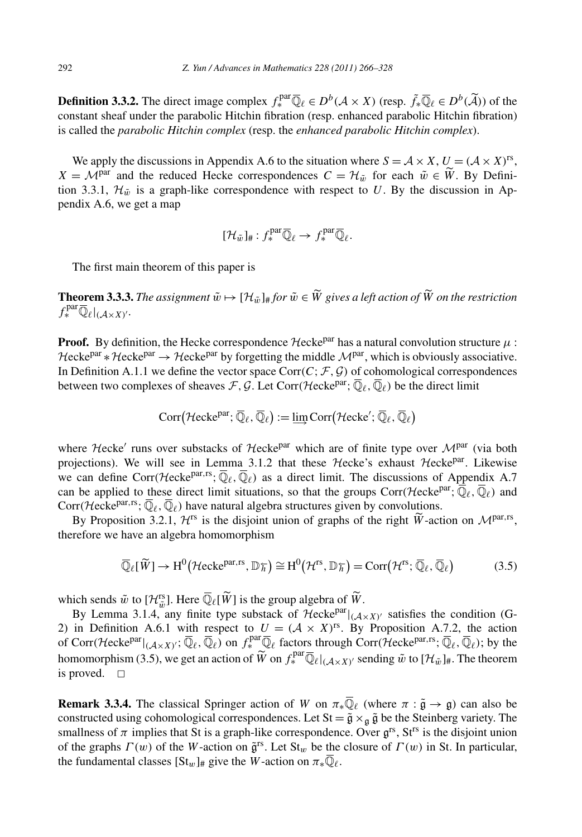**Definition 3.3.2.** The direct image complex  $f_*^{\text{par}} \overline{\mathbb{Q}}_\ell \in D^b(A \times X)$  (resp.  $\tilde{f}_* \overline{\mathbb{Q}}_\ell \in D^b(\tilde{A})$ ) of the constant sheaf under the parabolic Hitchin fibration (resp. enhanced parabolic Hitchin fibration) is called the *parabolic Hitchin complex* (resp. the *enhanced parabolic Hitchin complex*).

We apply the discussions in Appendix A.6 to the situation where  $S = A \times X$ ,  $U = (A \times X)^{rs}$ , *X* =  $\mathcal{M}^{\text{par}}$  and the reduced Hecke correspondences *C* =  $\mathcal{H}_{\tilde{w}}$  for each  $\tilde{w} \in \tilde{W}$ . By Defini-<br>*X* =  $\mathcal{M}^{\text{par}}$  and the reduced Hecke correspondences *C* =  $\mathcal{H}_{\tilde{w}}$  for each  $\tilde{w} \in \tilde{W$ tion 3.3.1,  $\mathcal{H}_{\tilde{w}}$  is a graph-like correspondence with respect to *U*. By the discussion in Appendix A.6, we get a map

$$
[\mathcal{H}_{\tilde{w}}]_{\#}:f^{\mathrm{par}}_{*}\overline{\mathbb{Q}}_{\ell}\to f^{\mathrm{par}}_{*}\overline{\mathbb{Q}}_{\ell}.
$$

The first main theorem of this paper is

**The first main theorem of this paper is**<br> **Theorem 3.3.3.** *The assignment*  $\tilde{w} \mapsto [\mathcal{H}_{\tilde{w}}]_{\#}$  *for*  $\tilde{w} \in \tilde{W}$  gives a left action of  $\tilde{W}$  on the restriction  $f_*^{\text{par}} \overline{\mathbb{Q}}_{\ell}|_{(\mathcal{A} \times X)'}$ .

**Proof.** By definition, the Hecke correspondence  $\mathcal{H}$ ecke<sup>par</sup> has a natural convolution structure  $\mu$ :  $\mathcal{H}ecke^{par} * \mathcal{H}ecke^{par} \rightarrow \mathcal{H}ecke^{par}$  by forgetting the middle  $\mathcal{M}^{par}$ , which is obviously associative. In Definition A.1.1 we define the vector space Corr $(C; F, G)$  of cohomological correspondences between two complexes of sheaves  $F$ ,  $G$ . Let Corr $(\mathcal{H}ecke^{par};\overline{\mathbb{Q}}_{\ell},\overline{\mathbb{Q}}_{\ell})$  be the direct limit  $\vec{c}$  define the vector space Corr(*C*;  $\vec{F}$ ,<br>
e define the vector space Corr(*C*;  $\vec{F}$ ,<br>
es of sheaves  $\vec{F}$ ,  $\vec{G}$ . Let Corr(*Hecke*)<br>
Corr(*Hecke<sup>par</sup>*;  $\overline{\mathbb{Q}}_{\ell}$ ,  $\overline{\mathbb{Q}}_{\ell}$ ) :=  $\underline{\lim}$  Corr(

$$
\mathrm{Corr}\big(\mathcal{H}\mathrm{ecke}^{\mathrm{par}};\overline{\mathbb{Q}}_{\ell},\overline{\mathbb{Q}}_{\ell}\big)\mathrel{\mathop:}= \varinjlim \mathrm{Corr}\big(\mathcal{H}\mathrm{ecke}';\overline{\mathbb{Q}}_{\ell},\overline{\mathbb{Q}}_{\ell}\big)
$$

where Hecke' runs over substacks of Hecke<sup>par</sup> which are of finite type over  $\mathcal{M}^{par}$  (via both projections). We will see in Lemma 3.1.2 that these  $\mathcal{H}$ ecke's exhaust  $\mathcal{H}$ ecke<sup>par</sup>. Likewise we can define Corr $(\mathcal{H}ecke^{par,rs};\overline{\mathbb{Q}}_{\ell},\overline{\mathbb{Q}}_{\ell})$  as a direct limit. The discussions of Appendix A.7 can be applied to these direct limit situations, so that the groups Corr $(\mathcal{H}ecke^{par};\overline{\mathbb{Q}}_{\ell},\overline{\mathbb{Q}}_{\ell})$  and Corr $(\mathcal{H}ecke^{par,rs};\overline{\mathbb{Q}}_{\ell},\overline{\mathbb{Q}}_{\ell})$  have natural algebra structures given by convolutions. can define Corr(*Hecke<sup>par,rs</sup>*;  $\overline{\mathbb{Q}}_{\ell}$ ,  $\overline{\mathbb{Q}}_{\ell}$ ) as a direct limit. The discussion be applied to these direct limit situations, so that the groups Corr(*Herft*) repr(*Hecke<sup>par,rs</sup>*;  $\overline{\mathbb{Q}}_{\ell}$ ,  $\over$ 

 $\mathcal{L}(\mathcal{L}, \mathcal{L})$  have hadrar argeora structures given by convolutions.<br>
3.2.1,  $\mathcal{H}^{rs}$  is the disjoint union of graphs of the right  $\widetilde{W}$ -action on  $\mathcal{M}^{par, rs}$ ,<br>
n algebra homomorphism<br>  $J \to H^0(\mathcal{H}^{\text{c}}(\math$ therefore we have an algebra homomorphism sition<br>have a<br>Qe[*W* 

$$
\overline{\mathbb{Q}}_{\ell}[\widetilde{W}] \to H^0(\mathcal{H}c\kappa e^{par, rs}, \mathbb{D}\overline{\hbar}) \cong H^0(\mathcal{H}^{rs}, \mathbb{D}\overline{\hbar}) = \text{Corr}(\mathcal{H}^{rs}; \overline{\mathbb{Q}}_{\ell}, \overline{\mathbb{Q}}_{\ell})
$$
\n(3.5)

\nwhich sends  $\tilde{w}$  to  $[\mathcal{H}^{rs}_{\tilde{w}}]$ . Here  $\overline{\mathbb{Q}}_{\ell}[\widetilde{W}]$  is the group algebra of  $\widetilde{W}$ .

By Lemma 3.1.4, any finite type substack of  $\mathcal{H}$ ecke<sup>par</sup> $|_{(\mathcal{A} \times X)'}$  satisfies the condition (G-2) in Definition A.6.1 with respect to  $U = (\mathcal{A} \times X)^{rs}$ . By Proposition A.7.2, the action of Corr $(\mathcal{H}ecke^{par}|_{(\mathcal{A}\times X)'};\overline{\mathbb{Q}}_{\ell},\overline{\mathbb{Q}}_{\ell})$  on  $f_*^{par}\overline{\mathbb{Q}}_{\ell}$  factors through Corr $(\mathcal{H}ecke^{par,rs};\overline{\mathbb{Q}}_{\ell},\overline{\mathbb{Q}}_{\ell})$ ; by the By Lemma 3.1.4, any finite type subst<br>2) in Definition A.6.1 with respect to *L* of Corr( $\text{Hecke}^{\text{par}}|_{(\mathcal{A}\times X)'}$ ;  $\overline{\mathbb{Q}}_{\ell}$ ,  $\overline{\mathbb{Q}}_{\ell}$ ) on  $f_*^{\text{par}}$  (homomorphism (3.5), we get an action of  $\widetilde{W}$  $\widetilde{W}$  on  $f^{\mathrm{par}}_*\overline{\mathbb{Q}}_\ell|_{(\mathcal{A}\times X)'}$  sending  $\tilde{w}$  to  $[\mathcal{H}_{\tilde{w}}]_{\#}.$  The theorem is proved.  $\square$ 

**Remark 3.3.4.** The classical Springer action of *W* on  $\pi_*\overline{\mathbb{Q}}_\ell$  (where  $\pi : \tilde{\mathfrak{g}} \to \mathfrak{g}$ ) can also be constructed using cohomological correspondences. Let  $St = \tilde{g} \times_{\mathfrak{g}} \tilde{g}$  be the Steinberg variety. The smallness of  $\pi$  implies that St is a graph-like correspondence. Over  $\mathfrak{g}^{rs}$ , St<sup>rs</sup> is the disjoint union of the graphs *Γ (w)* of the *W*-action on g˜rs. Let St*<sup>w</sup>* be the closure of *Γ (w)* in St. In particular, the fundamental classes  $[St_w]$ # give the *W*-action on  $\pi_*\mathbb{Q}_\ell$ .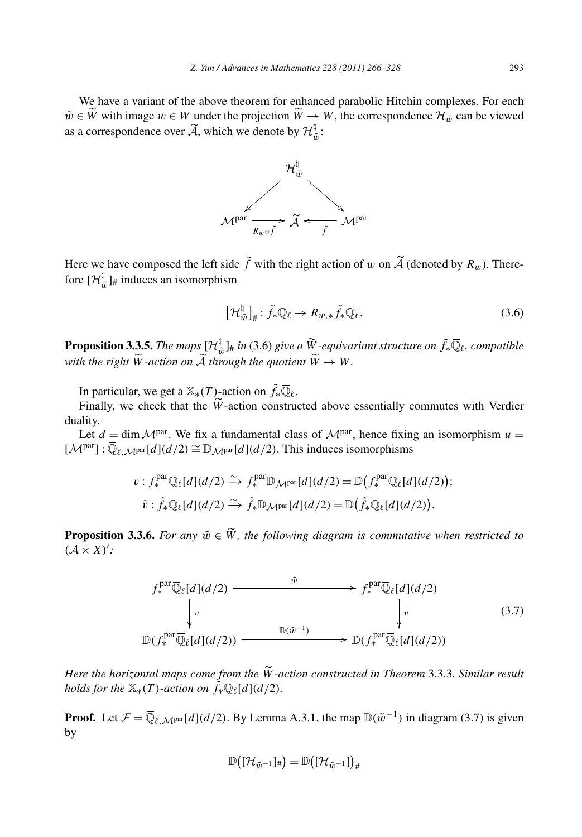We have a variant of the above theorem for enhanced parabolic Hitchin complexes. For each *We have a variant of the above theorem for enhanced parabolic Hitchin complexes. For each*<br>  $\tilde{w} \in \widetilde{W}$  with image  $w \in W$  under the projection  $\widetilde{W} \to W$ , the correspondence  $\mathcal{H}_{\tilde{w}}$  can be viewed We have a variant of the  $\tilde{w} \in \tilde{W}$  with image  $w \in W$  u<br>as a correspondence over  $\tilde{A}$ , , which we denote by  $\mathcal{H}_{\tilde{w}}^{\natural}$ :



 $M<sup>par</sup> \xrightarrow[R_{w} \circ \tilde{f}]{} \mathcal{A} \xleftarrow[\tilde{f}]{} M<sup>par</sup>$ <br>Here we have composed the left side  $\tilde{f}$  with the right action of *w* on  $\tilde{A}$  (denoted by  $R_w$ ). Therefore  $[\mathcal{H}_{\tilde{w}}^{\natural}]_{\#}$  induces an isomorphism

$$
\left[\mathcal{H}_{\tilde{w}}^{\natural}\right]_{\#}:\tilde{f}_{*}\overline{\mathbb{Q}}_{\ell}\to R_{w,*}\tilde{f}_{*}\overline{\mathbb{Q}}_{\ell}.
$$
\n(3.6)

 $\left[\mathcal{H}_{\tilde{w}}^{\natural}\right]_{\#}: \tilde{f}_*\overline{\mathbb{Q}}_{\ell} \to R_{w,*}\tilde{f}_*\overline{\mathbb{Q}}_{\ell}.$ <br>**Proposition 3.3.5.** *The maps*  $\left[\mathcal{H}_{\tilde{w}}^{\natural}\right]_{\#}$  *in* (3.6) give a  $\widetilde{W}_e$ -equivariant structure on  $\tilde{f}_*\overline{\mathbb{Q}}_{\ell}$ , compatible  $\lbrack \mathcal{H}_{\tilde{w}}\rbrack_{\#}\colon f_*\mathbb{Q}_\ell \to \mathcal{R}_\ell$ <br>**Proposition 3.3.5.** The maps  $\lbrack \mathcal{H}_{\tilde{w}}^{\natural}\rbrack_{\#}$  in (3.6) give a  $\widetilde{W}$ <br>with the right  $\widetilde{W}$ -action on  $\widetilde{\mathcal{A}}$  through the quotient  $\widetilde{W}$ with the right  $\widetilde{W}$ -action on  $\widetilde{A}$  through the quotient  $\widetilde{W} \to W$ . *h* the right  $\widetilde{W}$ -action on  $\widetilde{A}$  through the quotient  $\widetilde{W} \to W$ .<br>In particular, we get a  $\mathbb{X}_*(T)$ -action on  $\widetilde{f}_*\overline{\mathbb{Q}}_\ell$ .<br>Finally, we check that the  $\widetilde{W}$ -action constructed above essentially

In particular, we get a  $\mathbb{X}_*(T)$ -action on  $\tilde{f}_*\overline{\mathbb{Q}}_\ell$ .

duality.

Let  $d = \dim M<sup>par</sup>$ . We fix a fundamental class of  $M<sup>par</sup>$ , hence fixing an isomorphism  $u =$  $[\mathcal{M}^{\text{par}}] : \overline{\mathbb{Q}}_{\ell,\mathcal{M}^{\text{par}}}[d](d/2) \cong \mathbb{D}_{\mathcal{M}^{\text{par}}}[d](d/2)$ . This induces isomorphisms

$$
v: f_*^{\text{par}} \overline{\mathbb{Q}}_{\ell}[d](d/2) \xrightarrow{\sim} f_*^{\text{par}} \mathbb{D}_{\mathcal{M}^{\text{par}}}[d](d/2) = \mathbb{D}\big(f_*^{\text{par}} \overline{\mathbb{Q}}_{\ell}[d](d/2)\big);
$$
  

$$
\tilde{v}: \tilde{f}_* \overline{\mathbb{Q}}_{\ell}[d](d/2) \xrightarrow{\sim} \tilde{f}_* \mathbb{D}_{\mathcal{M}^{\text{par}}}[d](d/2) = \mathbb{D}\big(\tilde{f}_* \overline{\mathbb{Q}}_{\ell}[d](d/2)\big).
$$
  
**Proposition 3.3.6.** For any  $\tilde{w} \in \tilde{W}$ , the following diagram is commutative when restricted to

 $(A \times X)$ :

$$
f_*^{\text{par}} \overline{\mathbb{Q}}_{\ell}[d](d/2) \xrightarrow{\tilde{w}} f_*^{\text{par}} \overline{\mathbb{Q}}_{\ell}[d](d/2)
$$
\n
$$
\downarrow \qquad \qquad \downarrow \qquad \qquad \downarrow \qquad \qquad \downarrow \qquad \qquad (3.7)
$$
\n
$$
\mathbb{D}(f_*^{\text{par}} \overline{\mathbb{Q}}_{\ell}[d](d/2)) \xrightarrow{\mathbb{D}(\tilde{w}^{-1})} \mathbb{D}(f_*^{\text{par}} \overline{\mathbb{Q}}_{\ell}[d](d/2))
$$
\nHere the horizontal maps come from the \tilde{W-action constructed in Theorem 3.3.3. Similar result

*holds for the*  $\mathbb{X}_*(T)$ *-action on*  $\tilde{f}_*\overline{\mathbb{Q}}_{\ell}[d](d/2)$ *.* 

**Proof.** Let  $\mathcal{F} = \overline{\mathbb{Q}}_{\ell,\mathcal{M}^{\text{par}}}[d](d/2)$ . By Lemma A.3.1, the map  $\mathbb{D}(\tilde{w}^{-1})$  in diagram (3.7) is given by

$$
\mathbb{D}\big([\mathcal{H}_{\tilde{w}^{-1}}]_{\#}\big) = \mathbb{D}\big([\mathcal{H}_{\tilde{w}^{-1}}]\big)_{\#}
$$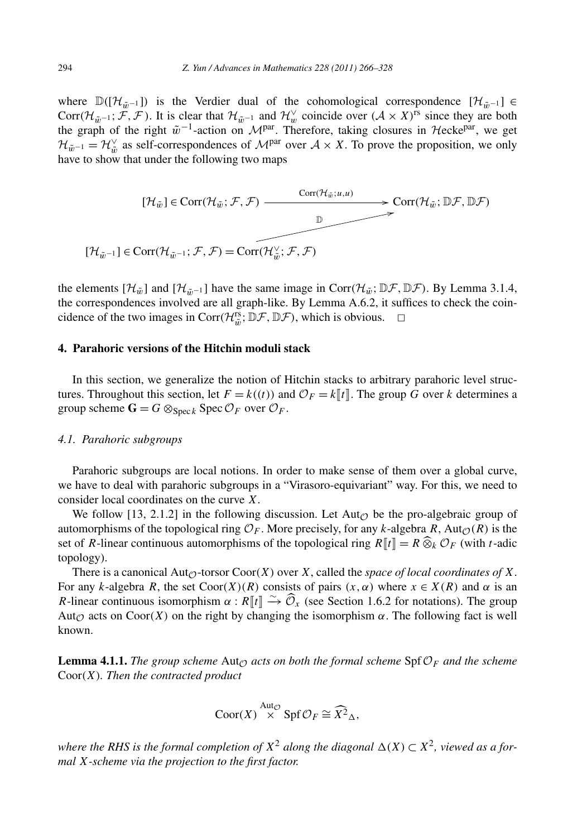where  $\mathbb{D}([\mathcal{H}_{\tilde{w}^{-1}}])$  is the Verdier dual of the cohomological correspondence  $[\mathcal{H}_{\tilde{w}^{-1}}] \in$ Corr $(\mathcal{H}_{\tilde{w}^{-1}}; \mathcal{F}, \mathcal{F})$ . It is clear that  $\mathcal{H}_{\tilde{w}^{-1}}$  and  $\mathcal{H}_{w}^{\vee}$  coincide over  $(\mathcal{A} \times X)^{rs}$  since they are both the graph of the right  $\tilde{w}^{-1}$ -action on  $\mathcal{M}^{par}$ . Therefore, taking closures in Hecke<sup>par</sup>, we get  $\mathcal{H}_{\tilde{w}^{-1}} = \mathcal{H}_{\tilde{w}}^{\vee}$  as self-correspondences of  $\mathcal{M}^{par}$  over  $\mathcal{A} \times X$ . To prove the proposition, we only have to show that under the following two maps

$$
[\mathcal{H}_{\tilde{w}}] \in \text{Corr}(\mathcal{H}_{\tilde{w}}; \mathcal{F}, \mathcal{F}) \xrightarrow{\text{Corr}(\mathcal{H}_{\tilde{w}}; u, u)} \text{Corr}(\mathcal{H}_{\tilde{w}}; \mathbb{D}\mathcal{F}, \mathbb{D}\mathcal{F})
$$
\n
$$
[\mathcal{H}_{\tilde{w}^{-1}}] \in \text{Corr}(\mathcal{H}_{\tilde{w}^{-1}}; \mathcal{F}, \mathcal{F}) = \text{Corr}(\mathcal{H}_{\tilde{w}}'; \mathcal{F}, \mathcal{F})
$$

the elements  $[\mathcal{H}_{\tilde{w}}]$  and  $[\mathcal{H}_{\tilde{w}-1}]$  have the same image in Corr $(\mathcal{H}_{\tilde{w}}; \mathbb{D}\mathcal{F}, \mathbb{D}\mathcal{F})$ . By Lemma 3.1.4, the correspondences involved are all graph-like. By Lemma A.6.2, it suffices to check the coincidence of the two images in Corr $(\mathcal{H}_{\tilde{w}}^{rs}, \mathbb{D}\mathcal{F}, \mathbb{D}\mathcal{F})$ , which is obvious.  $\Box$ 

# **4. Parahoric versions of the Hitchin moduli stack**

In this section, we generalize the notion of Hitchin stacks to arbitrary parahoric level structures. Throughout this section, let  $F = k((t))$  and  $\mathcal{O}_F = k\llbracket t \rrbracket$ . The group *G* over *k* determines a group scheme  $\mathbf{G} = G \otimes_{\text{Spec } k} \text{Spec } \mathcal{O}_F$  over  $\mathcal{O}_F$ .

#### *4.1. Parahoric subgroups*

Parahoric subgroups are local notions. In order to make sense of them over a global curve, we have to deal with parahoric subgroups in a "Virasoro-equivariant" way. For this, we need to consider local coordinates on the curve *X*.

We follow [13, 2.1.2] in the following discussion. Let  $Aut_{\mathcal{O}}$  be the pro-algebraic group of automorphisms of the topological ring  $\mathcal{O}_F$ . More precisely, for any *k*-algebra *R*, Aut<sub> $\mathcal{O}(R)$  is the</sub> consider local coordinates on the curve *X*.<br>We follow [13, 2.1.2] in the following discussion. Let Aut<sub> $\mathcal{O}$ </sub> be the pro-algebraic group of automorphisms of the topological ring  $\mathcal{O}_F$ . More precisely, for any *k*topology).

There is a canonical Aut<sub> $\mathcal{O}$ </sub>-torsor Coor $(X)$  over *X*, called the *space of local coordinates of X*. For any *k*-algebra *R*, the set Coor $(X)(R)$  consists of pairs  $(x, \alpha)$  where  $x \in X(R)$  and  $\alpha$  is an *Reformal Auto-torsor Coor(X)* over *X*, called the *space of local coordinates of X*.<br>For any *k*-algebra *R*, the set Coor(*X*)(*R*) consists of pairs (*x*,  $\alpha$ ) where  $x \in X(R)$  and  $\alpha$  is an *R*-linear continuous isom Aut<sub> $\varphi$ </sub> acts on Coor $(X)$  on the right by changing the isomorphism  $\alpha$ . The following fact is well known.

**Lemma 4.1.1.** *The group scheme*  $\text{Aut}_\mathcal{O}$  *acts on both the formal scheme*  $\text{Spf}\,\mathcal{O}_F$  *and the scheme* Coor*(X). Then the contracted product*

$$
\mathrm{Coor}(X) \stackrel{\mathrm{Aut}_{\mathcal{O}}}{\times} \mathrm{Spf}\,\mathcal{O}_F \cong \widehat{X^2}_{\Delta},
$$

*where the RHS is the formal completion of*  $X^2$  *along the diagonal*  $\Delta(X) \subset X^2$ *, viewed as a formal X-scheme via the projection to the first factor.*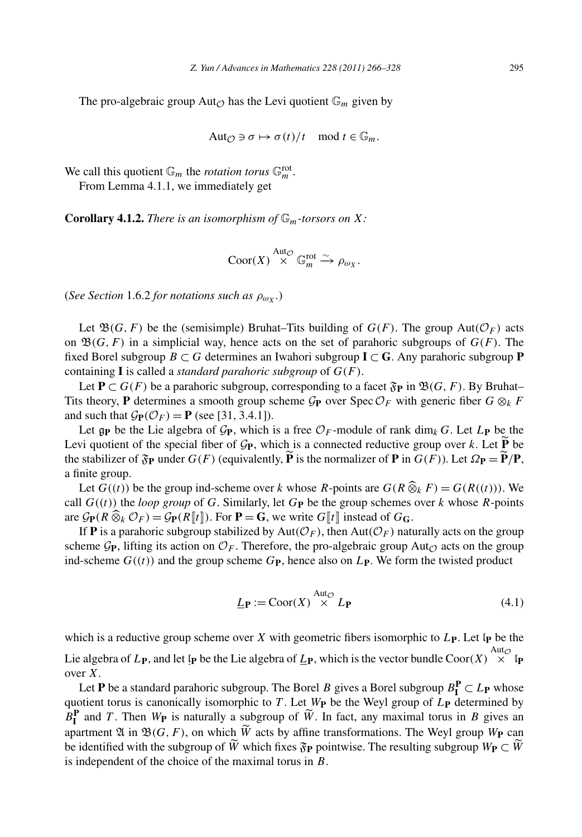The pro-algebraic group Aut<sub> $\odot$ </sub> has the Levi quotient  $\mathbb{G}_m$  given by

$$
\text{Aut}_{\mathcal{O}} \ni \sigma \mapsto \sigma(t)/t \mod t \in \mathbb{G}_m.
$$

We call this quotient  $\mathbb{G}_m$  the *rotation torus*  $\mathbb{G}_m^{\text{rot}}$ .

From Lemma 4.1.1, we immediately get

**Corollary 4.1.2.** *There is an isomorphism of*  $\mathbb{G}_m$ *-torsors on X:* 

$$
\mathrm{Coor}(X) \overset{\mathrm{Aut}_\mathcal{O}}{\times} \mathbb{G}_m^{\mathrm{rot}} \overset{\sim}{\longrightarrow} \rho_{\omega_X}.
$$

(*See Section* 1.6.2 *for notations such as*  $\rho_{\omega X}$ .)

Let  $\mathfrak{B}(G, F)$  be the (semisimple) Bruhat–Tits building of  $G(F)$ . The group Aut $(\mathcal{O}_F)$  acts on  $\mathfrak{B}(G, F)$  in a simplicial way, hence acts on the set of parahoric subgroups of  $G(F)$ . The fixed Borel subgroup *B* ⊂ *G* determines an Iwahori subgroup **I** ⊂ **G**. Any parahoric subgroup **P** containing **I** is called a *standard parahoric subgroup* of *G(F)*.

Let **P**  $\subset$  *G*(*F*) be a parahoric subgroup, corresponding to a facet  $\mathfrak{F}_{\mathbf{P}}$  in  $\mathfrak{B}(G, F)$ . By Bruhat– Tits theory, **P** determines a smooth group scheme  $\mathcal{G}_{\mathbf{P}}$  over Spec  $\mathcal{O}_F$  with generic fiber  $G \otimes_k F$ and such that  $\mathcal{G}_P(\mathcal{O}_F) = P$  (see [31, 3.4.1]).

Let  $g_{\mathbf{P}}$  be the Lie algebra of  $\mathcal{G}_{\mathbf{P}}$ , which is a free  $\mathcal{O}_F$ -module of rank dim<sub>k</sub> *G*. Let  $L_{\mathbf{P}}$  be the Tits theory, **P** determines a smooth group scheme  $G_P$  over Spec  $\mathcal{O}_F$  with generic fiber  $G \otimes_k F$  and such that  $G_P(\mathcal{O}_F) = \mathbf{P}$  (see [31, 3.4.1]).<br>Let  $g_P$  be the Lie algebra of  $G_P$ , which is a free  $\mathcal{O}_F$ -mo and such that  $G_{\mathbf{P}}(\mathcal{O}_F) = \mathbf{P}$  (see [31, 3.4.1]).<br>Let  $g_{\mathbf{P}}$  be the Lie algebra of  $G_{\mathbf{P}}$ , which is a free  $\mathcal{O}_F$ -module of rank dim<sub>k</sub> *G*. Let  $L_{\mathbf{P}}$  be the Levi quotient of the special fiber of a finite group. wi quotient of the special fiber of  $\mathcal{G}_{\mathbf{P}}$ , which is a connected reductive group over *k*. Let  $\widetilde{\mathbf{P}}$  be stabilizer of  $\mathfrak{F}_{\mathbf{P}}$  under  $G(F)$  (equivalently,  $\widetilde{\mathbf{P}}$  is the normalizer of  $\mathbf{P}$  in

call *G((t))* the *loop group* of *G*. Similarly, let *G***<sup>P</sup>** be the group schemes over *k* whose *R*-points a finite group.<br>
Let  $G((t))$  be the group ind-scheme over  $k$  whose  $R$ -points are  $G(R \& \text{call } G((t))$  the *loop group* of  $G$ . Similarly, let  $G_P$  be the group schemes are  $G_P(R \& \mathcal{O}_F) = G_P(R[\![t]\!])$ . For  $P = G$ , we write  $G$ 

If **P** is a parahoric subgroup stabilized by  $Aut(\mathcal{O}_F)$ , then  $Aut(\mathcal{O}_F)$  naturally acts on the group scheme  $\mathcal{G}_P$ , lifting its action on  $\mathcal{O}_F$ . Therefore, the pro-algebraic group Aut<sub> $\mathcal{O}$ </sub> acts on the group ind-scheme  $G((t))$  and the group scheme  $G_{\rm P}$ , hence also on  $L_{\rm P}$ . We form the twisted product

$$
\underline{L}_{\mathbf{P}} := \text{Coor}(X) \stackrel{\text{Aut}_{\mathcal{O}}}{\times} L_{\mathbf{P}} \tag{4.1}
$$

which is a reductive group scheme over  $X$  with geometric fibers isomorphic to  $L_{\text{P}}$ . Let  $\varphi$  be the Lie algebra of  $L_{\bf P}$ , and let  $\varphi$  be the Lie algebra of  $L_{\bf P}$ , which is the vector bundle Coor $(X) \times \varphi$ over *X*.

Let **P** be a standard parahoric subgroup. The Borel *B* gives a Borel subgroup  $B_{\mathbf{I}}^{\mathbf{P}} \subset L_{\mathbf{P}}$  whose quotient torus is canonically isomorphic to *T* . Let *W***<sup>P</sup>** be the Weyl group of *L***<sup>P</sup>** determined by  $B_{\text{I}}^{\text{P}}$  and T. Then  $W_{\text{P}}$  is naturally a subgroup of  $\widetilde{W}$ . In fact, any maximal torus in *B* gives an **I** Let **P** be a standard parahoric subgroup. The Bore is notion to true is canonically isomorphic to *T*. Let  $V$ **P** and *T*. Then  $W$ **P** is naturally a subgroup of  $\widetilde{W}$ Let **P** be a standard parahoric subgradulent torus is canonically isomorph  $B_{\mathbf{I}}^{\mathbf{P}}$  and *T*. Then  $W_{\mathbf{P}}$  is naturally a suppartment 24 in  $\mathfrak{B}(G, F)$ , on which  $\widetilde{W}$ apartment  $\mathfrak{A}$  in  $\mathfrak{B}(G, F)$ , on which  $\widetilde{W}$  acts by affine transformations. The Weyl group  $W_{\mathbf{P}}$  can quotient torus is canonically isomorphic to *T*. Let  $W_P$  be the Weyl group of  $L_P$  determined by  $B_I^P$  and *T*. Then  $W_P$  is naturally a subgroup of  $\widetilde{W}$ . In fact, any maximal torus in *B* gives an apartment 21 in be identified with the subgroup of  $\widetilde{W}$  which fixes  $\widetilde{g}_{\mathbf{P}}$  pointwise. The resulting subgroup  $W_{\mathbf{P}} \subset \widetilde{W}$ is independent of the choice of the maximal torus in *B*.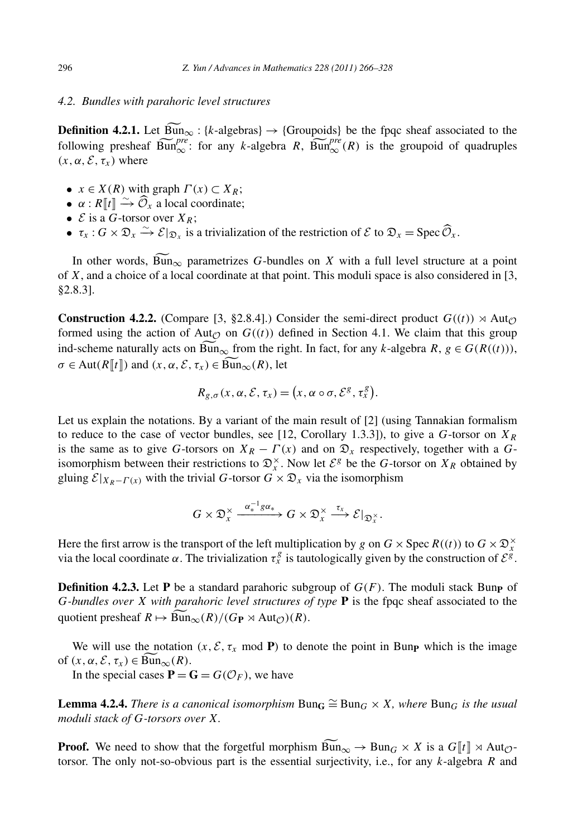#### *4.2. Bundles with parahoric level structures*

**Definition 4.2.1.** Let  $\widehat{Bun}_{\infty}$ : {*k*-algebras}  $\rightarrow$  {Groupoids} be the fpqc sheaf associated to the 4.2. *Bundles with parahoric level structures*<br> **Definition 4.2.1.** Let  $\widetilde{Bun}_{\infty}$ : {*k*-algebras}  $\rightarrow$  {Groupoids} be the fpqc sheaf associated to the following presheaf  $\widetilde{Bun}_{\infty}^{pre}$ : for any *k*-algebra *R*,  $\$  $(x, \alpha, \mathcal{E}, \tau_x)$  where  $(a, \mathcal{E}, \tau_x)$  where<br>  $\bullet \quad x \in X(R)$  with graph  $\Gamma(x) \subset X_R$ ;<br>  $\bullet \quad \alpha : R[\![t]\!] \xrightarrow{\sim} \widehat{\mathcal{O}}_x$  a local coordinate;

- $x \in X(R)$  with graph  $\Gamma(x) \subset X_R$ ;
- 
- $\mathcal{E}$  is a *G*-torsor over  $X_R$ ;
- *x* ∈ *X*(*R*) with graph *Γ*(*x*) ⊂ *X<sub>R</sub>*;<br>
 *α* : *R*[[*t*]]  $\xrightarrow{\sim} \widehat{\mathcal{O}}_x$  a local coordinate;<br>
 *E* is a *G*-torsor over *X<sub>R</sub>*;<br>
 *τ<sub>x</sub>* : *G* ×  $\mathfrak{D}_x \xrightarrow{\sim} \mathcal{E}|_{\mathfrak{D}_x}$  is a trivialization of th

E is a  $\tilde{G}$ -torsor over  $X_R$ ;<br>  $\tau_x : G \times \mathfrak{D}_x \xrightarrow{\sim} \mathcal{E}|_{\mathfrak{D}_x}$  is a trivialization of the restriction of  $\mathcal{E}$  to  $\mathfrak{D}_x = \text{Spec } \widehat{\mathcal{O}}_x$ .<br>
In other words,  $\widetilde{\text{Bun}}_{\infty}$  parametrizes G-bundles on X of *X*, and a choice of a local coordinate at that point. This moduli space is also considered in [3, §2.8.3].

**Construction 4.2.2.** (Compare [3, §2.8.4].) Consider the semi-direct product  $G((t)) \rtimes \text{Aut}_\mathcal{O}$ formed using the action of Aut<sub> $\mathcal{O}$ </sub> on  $G((t))$  defined in Section 4.1. We claim that this group **Construction 4.2.2.** (Compare [3, §2.8.4].) Consider the semi-direct product  $G((t)) \rtimes \text{Aut}_{\mathcal{O}}$  formed using the action of Aut<sub> $\mathcal{O}$ </sub> on  $G((t))$  defined in Section 4.1. We claim that this group ind-scheme naturally a *Construction 4.2.2.* (Compare [3, §2.8.4].) Coformed using the action of Aut<sub>*O*</sub> on  $G((t))$  dend-scheme naturally acts on  $\overline{Bun}_{\infty}$  from the right  $\sigma \in \text{Aut}(R[[t]])$  and  $(x, \alpha, \mathcal{E}, \tau_x) \in \overline{Bun}_{\infty}(R)$ , let ind-scheme naturally acts on  $\widetilde{Bun}_{\infty}$  from the right. In fact, for any *k*-algebra  $R, g \in G(R((t))),$ <br> $\sigma \in \text{Aut}(R[[t]])$  and  $(x, \alpha, \mathcal{E}, \tau_x) \in \widetilde{Bun}_{\infty}(R)$ , let Ī

$$
R_{g,\sigma}(x,\alpha,\mathcal{E},\tau_x)=(x,\alpha\circ\sigma,\mathcal{E}^g,\tau_x^g).
$$

Let us explain the notations. By a variant of the main result of [2] (using Tannakian formalism to reduce to the case of vector bundles, see [12, Corollary 1.3.3]), to give a *G*-torsor on  $X_R$ is the same as to give *G*-torsors on  $X_R - \Gamma(x)$  and on  $\mathfrak{D}_x$  respectively, together with a *G*isomorphism between their restrictions to  $\mathcal{D}_x^{\times}$ . Now let  $\mathcal{E}^g$  be the *G*-torsor on  $X_R$  obtained by gluing  $\mathcal{E}|_{X_R-F(x)}$  with the trivial *G*-torsor  $G \times \mathfrak{D}_x$  via the isomorphism

$$
G\times \mathfrak{D}_x^{\times} \xrightarrow{\alpha_*^{-1}g\alpha_*} G\times \mathfrak{D}_x^{\times} \xrightarrow{\tau_x} \mathcal{E}|_{\mathfrak{D}_x^{\times}}.
$$

Here the first arrow is the transport of the left multiplication by *g* on  $G \times \text{Spec } R((t))$  to  $G \times \mathfrak{D}_x^{\times}$ via the local coordinate  $\alpha$ . The trivialization  $\tau_x^g$  is tautologically given by the construction of  $\mathcal{E}^{\hat{g}}$ .

**Definition 4.2.3.** Let **P** be a standard parahoric subgroup of  $G(F)$ . The moduli stack Bunp of *G-bundles over X with parahoric level structures of type* **P** is the fpqc sheaf associated to the **Definition 4.2.3.** Let **P** be a standard parahoric sub *G*-bundles over *X* with parahoric level structures of quotient presheaf  $R \mapsto \overline{\text{Bun}}_{\infty}(R)/(G_P \rtimes \text{Aut}_{\mathcal{O}})(R)$ .<br>We will use the notation  $(x, \mathcal{E}, \tau_x \mod P)$  to de

We will use the notation  $(x, \mathcal{E}, \tau_x \mod P)$  to denote the point in Bun<sub>P</sub> which is the image of  $(x, \alpha, \mathcal{E}, \tau_x) \in \text{Bun}_{\infty}(R)$ .

In the special cases  $P = G = G(\mathcal{O}_F)$ , we have

**Lemma 4.2.4.** *There is a canonical isomorphism*  $Bun_G ≅ Bun_G × X$ *, where*  $Bun_G$  *is the usual moduli stack of G-torsors over X.* **Proof.** We need to show that the forgetful morphism  $\widehat{Bun}_G \cong \text{Bun}_G \times X$ , where  $\text{Bun}_G$  is the usual moduli stack of G-torsors over X.<br> **Proof.** We need to show that the forgetful morphism  $\widehat{Bun}_\infty \to \text{Bun}_G \times X$  i

torsor. The only not-so-obvious part is the essential surjectivity, i.e., for any *k*-algebra *R* and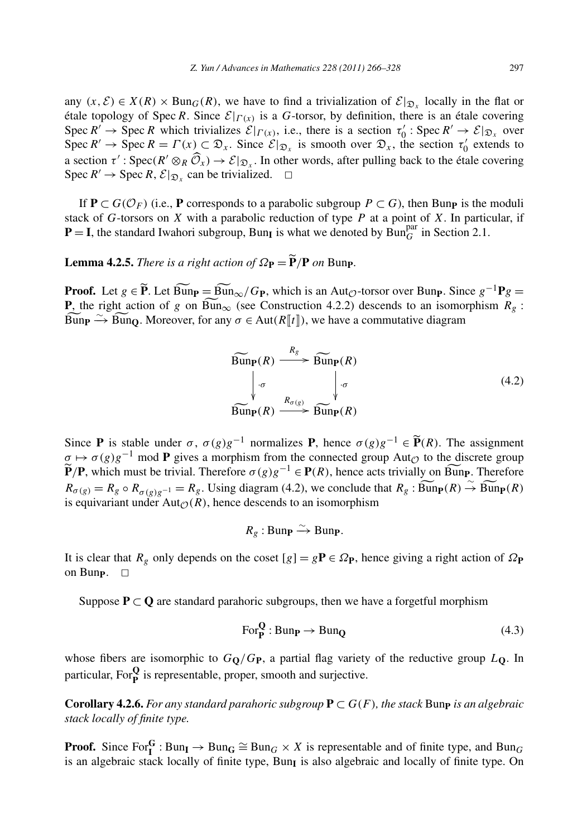any  $(x, \mathcal{E}) \in X(R) \times \text{Bun}_G(R)$ , we have to find a trivialization of  $\mathcal{E}|_{\mathfrak{D}_x}$  locally in the flat or étale topology of Spec *R*. Since  $\mathcal{E}|_{\Gamma(x)}$  is a *G*-torsor, by definition, there is an étale covering Spec  $R' \to \text{Spec } R$  which trivializes  $\mathcal{E}|_{\Gamma(x)}$ , i.e., there is a section  $\tau_0' : \text{Spec } R' \to \mathcal{E}|_{\mathfrak{D}_x}$  over Spec  $R' \to \text{Spec } R = \Gamma(x) \subset \mathfrak{D}_x$ . Since  $\mathcal{E}|_{\mathfrak{D}_x}$  is smooth over  $\mathfrak{D}_x$ , the section  $\tau'_0$  extends to étale topology of Spec *R*. Since  $\mathcal{E}|_{\Gamma(x)}$  is a *G*-torsor, by definition, there is an étale covering Spec *R'* → Spec *R* which trivializes  $\mathcal{E}|_{\Gamma(x)}$ , i.e., there is a section  $\tau'_0$ : Spec *R'* →  $\mathcal{E}|_{\mathfrak{$ Spec  $R' \to$  Spec  $R$ ,  $\mathcal{E}|_{\mathfrak{D}_r}$  can be trivialized.  $\Box$ 

If  $P \subset G(\mathcal{O}_F)$  (i.e., P corresponds to a parabolic subgroup  $P \subset G$ ), then Bunp is the moduli stack of  $G$ -torsors on  $X$  with a parabolic reduction of type  $P$  at a point of  $X$ . In particular, if  $P = I$ , the standard Iwahori subgroup, Bun<sub>I</sub> is what we denoted by Bun<sup>par</sup> in Section 2.1. **Replace A C** *C*-torsors on *X* with a parabolic reduction **P** = **I**, the standard Iwahori subgroup, Bun<sub>I</sub> is with Lemma 4.2.5. *There is a right action of*  $\Omega_{\text{P}} = \widetilde{\text{P}}$ 

**Lemma 4.2.5.** There is a right action of  $\Omega_{\text{P}} = \widetilde{\text{P}}/\text{P}$  on Bun<sub>P</sub>.

**Proof.** Let *g* ∈  $\widetilde{P}$ . Let  $\widetilde{Bun}_{P} = \widetilde{Bun}_{\infty}/G_{P}$ , which is an Aut<sub> $\odot$ </sub>-torsor over Bun<sub>P</sub>. Since  $g^{-1}Pg =$ <br>**Proof.** Let *g* ∈  $\widetilde{P}$ . Let  $\widetilde{Bun}_{P} = \widetilde{Bun}_{\infty}/G_{P}$ , which is an Aut<sub> $\odot$ </sub>-torsor ov **Lemma 4.2.5.** There is a right action of  $\Omega_{\mathbf{P}} = \widetilde{\mathbf{P}}/\mathbf{P}$  on Bunp.<br>**Proof.** Let  $g \in \widetilde{\mathbf{P}}$ . Let  $\widetilde{\text{Bun}}_{\mathbf{P}} = \widetilde{\text{Bun}}_{\infty}/G_{\mathbf{P}}$ , which is an Aut<sub> $\mathcal{O}$ </sub>-torsor over Bunp. Since  $g^{-1}\mathbf{P}g =$ **Proof.** Let  $g \in \tilde{P}$ . Let  $\widehat{Bun}_{\mathcal{P}} = \widehat{Bun}_{\infty}/G_{P}$ , which is an Aut<sub> $\mathcal{O}$ </sub>-torsor over Bunp. Sin **P**, the right action of  $g$  on  $\widehat{Bun}_{\infty}$  (see Construction 4.2.2) descends to an isomo  $\widehat{Bun}_{\mathbf{P}} \to \wide$ 

$$
\overbrace{\text{Bunp}}^{\text{max}} \xrightarrow{\sim} \text{BunQ. Moreover, for any } \sigma \in \text{Aut}(R[[t]]) \text{, we have a commutative diagram}
$$
\n
$$
\overbrace{\text{Bunp}}^{\text{Rg}}(R) \xrightarrow{\qquad R_g} \overbrace{\text{Bunp}}^{\text{Rg}}(R)
$$
\n
$$
\xrightarrow{\qquad R_{\sigma(g)}} \overbrace{\text{Bunp}}^{\text{Rg}}(R)
$$
\n
$$
\xrightarrow{\qquad R_{\sigma(g)}} \overbrace{\text{Bunp}}^{\text{Rg}}(R)
$$
\n
$$
\text{Since } \mathbf{P} \text{ is stable under } \sigma, \ \sigma(g)g^{-1} \text{ normalizes } \mathbf{P}, \text{ hence } \sigma(g)g^{-1} \in \widetilde{\mathbf{P}}(R). \text{ The assignment}
$$

Since **P** is stable under  $\sigma$ ,  $\sigma(g)g^{-1}$  normalizes **P**, hence  $\sigma(g)g^{-1} \in \widetilde{P}(R)$ . The assignment  $\sigma \mapsto \sigma(g)g^{-1}$  mod **P** gives a morphism from the connected group Aut<sub>Q</sub> to the discrete group Since **P** is stable under  $\sigma$ ,  $\sigma(g)g^{-1}$  normalizes **P**, hence  $\sigma(g)g^{-1} \in \widetilde{\mathbf{P}}(R)$ . The assignment  $\sigma \mapsto \sigma(g)g^{-1}$  mod **P** gives a morphism from the connected group Aut<sub>*O*</sub> to the discrete group  $\widetilde{\mathbf{P}}(\mathbf{P})$ Since **P** is stable under  $\sigma$ ,  $\sigma$ (g)g<sup>-1</sup> normalizes **P**, hence  $\sigma$ (g)g<sup>-1</sup>  $\in$  **P**(R). The assignment  $\sigma \mapsto \sigma$ (g)g<sup>-1</sup> mod **P** gives a morphism from the connected group Aut<sub>*O*</sub> to the discrete group  $\widetilde{\mathbf{P}}/\mathbf$ is equivariant under  $Aut_{\mathcal{O}}(R)$ , hence descends to an isomorphism

$$
R_g: \text{Bun}_{\mathbf{P}} \xrightarrow{\sim} \text{Bun}_{\mathbf{P}}.
$$

It is clear that  $R_g$  only depends on the coset  $[g] = gP \in \Omega_P$ , hence giving a right action of  $\Omega_P$ on Bun<sub>P</sub>. □

Suppose  $P \subset Q$  are standard parahoric subgroups, then we have a forgetful morphism

$$
\text{For}_{\mathbf{P}}^{\mathbf{Q}}:\text{Bun}_{\mathbf{P}} \to \text{Bun}_{\mathbf{Q}} \tag{4.3}
$$

whose fibers are isomorphic to  $G_Q/G_P$ , a partial flag variety of the reductive group  $L_Q$ . In particular, For**<sup>Q</sup> <sup>P</sup>** is representable, proper, smooth and surjective.

**Corollary 4.2.6.** *For any standard parahoric subgroup*  $P \subset G(F)$ *, the stack* Bunp *is an algebraic stack locally of finite type.*

**Proof.** Since  $\text{For}_{\mathbf{I}}^{\mathbf{G}}$ : Bun<sub>**I**</sub>  $\rightarrow$  Bun<sub>**G**</sub>  $\cong$  Bun<sub>*G*</sub>  $\times$  *X* is representable and of finite type, and Bun<sub>*G*</sub> is an algebraic stack locally of finite type, Bun<sub>I</sub> is also algebraic and locally of finite type. On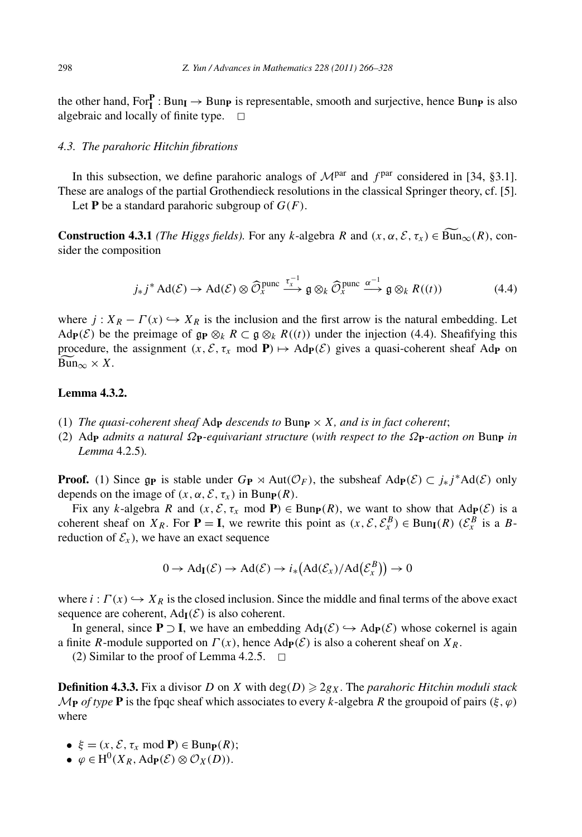the other hand,  $For_{\mathbf{I}}^{\mathbf{P}} : Bun_{\mathbf{I}} \to Bun_{\mathbf{P}}$  is representable, smooth and surjective, hence Bun<sub>P</sub> is also algebraic and locally of finite type.  $\square$ 

#### *4.3. The parahoric Hitchin fibrations*

In this subsection, we define parahoric analogs of  $\mathcal{M}^{par}$  and  $f^{par}$  considered in [34, §3.1]. These are analogs of the partial Grothendieck resolutions in the classical Springer theory, cf. [5].

Let **P** be a standard parahoric subgroup of  $G(F)$ .

**Construction 4.3.1** *(The Higgs fields).* For any *k*-algebra *R* and  $(x, \alpha, \mathcal{E}, \tau_x) \in \widetilde{Bun}_{\infty}(R)$ , consider the composition

$$
j_{*}j^{*} \operatorname{Ad}(\mathcal{E}) \to \operatorname{Ad}(\mathcal{E}) \otimes \widehat{\mathcal{O}}_{X}^{\text{pure}} \xrightarrow{\tau_{x}^{-1}} \mathfrak{g} \otimes_{k} \widehat{\mathcal{O}}_{X}^{\text{pure}} \xrightarrow{\alpha-1} \mathfrak{g} \otimes_{k} R((t))
$$
\n
$$
(4.4)
$$

where *j* :  $X_R - \Gamma(x) \hookrightarrow X_R$  is the inclusion and the first arrow is the natural embedding. Let  $\text{Ad}_{\mathbf{P}}(\mathcal{E})$  be the preimage of  $\mathfrak{g}_{\mathbf{P}} \otimes_k R \subset \mathfrak{g} \otimes_k R((t))$  under the injection (4.4). Sheafifying this proced Ad $\mathbf{p}(\mathcal{E})$  be the preimage of  $\mathbf{gp} \otimes_k R \subset \mathbf{g} \otimes_k R((t))$  under the injection (4.4). Sheafifying this procedure, the assignment  $(x, \mathcal{E}, \tau_x \mod P) \mapsto \text{Ad}_P(\mathcal{E})$  gives a quasi-coherent sheaf Ad<sub>P</sub> on  $\overline{\text{Bun}}_{\infty} \times X$ .

# **Lemma 4.3.2.**

- (1) *The quasi-coherent sheaf*  $\text{Ad}_{\mathbf{P}}$  *descends to*  $\text{Bun}_{\mathbf{P}} \times X$ *, and is in fact coherent*;
- (2) Ad**<sup>P</sup>** *admits a natural Ω***P***-equivariant structure* (*with respect to the Ω***P***-action on* Bun**<sup>P</sup>** *in Lemma* 4.2.5)*.*

**Proof.** (1) Since  $g_{\mathbf{P}}$  is stable under  $G_{\mathbf{P}} \rtimes \text{Aut}(\mathcal{O}_F)$ , the subsheaf  $\text{Ad}_{\mathbf{P}}(\mathcal{E}) \subset j_*j^*\text{Ad}(\mathcal{E})$  only depends on the image of  $(x, \alpha, \mathcal{E}, \tau_x)$  in Bun<sub>P</sub> $(R)$ .

Fix any *k*-algebra *R* and  $(x, \mathcal{E}, \tau_x \mod P) \in \text{Bun}_{P}(R)$ , we want to show that  $\text{Ad}_{P}(\mathcal{E})$  is a coherent sheaf on *XR*. For **P** = **I**, we rewrite this point as  $(x, \mathcal{E}, \mathcal{E}_x^B) \in \text{Bun}_{\mathbf{I}}(R)$  ( $\mathcal{E}_x^B$  is a *B*reduction of  $\mathcal{E}_x$ ), we have an exact sequence
<br>  $0 \to \text{Ad}_{\mathbf{I}}(\mathcal{E}) \to \text{Ad}(\mathcal{E}) \to i_*\big(\text{$ reduction of  $\mathcal{E}_x$ ), we have an exact sequence

$$
0 \to \mathrm{Ad}_{\mathrm{I}}(\mathcal{E}) \to \mathrm{Ad}(\mathcal{E}) \to i_*\big(\mathrm{Ad}(\mathcal{E}_x)/\mathrm{Ad}(\mathcal{E}_x^B)\big) \to 0
$$

where  $i: \Gamma(x) \hookrightarrow X_R$  is the closed inclusion. Since the middle and final terms of the above exact sequence are coherent,  $Ad<sub>I</sub>(\mathcal{E})$  is also coherent.

In general, since **P** ⊃ **I**, we have an embedding  $Ad<sub>I</sub>(\mathcal{E})$  →  $Ad<sub>P</sub>(\mathcal{E})$  whose cokernel is again a finite *R*-module supported on  $\Gamma(x)$ , hence  $\text{Ad}_{\mathbf{P}}(\mathcal{E})$  is also a coherent sheaf on  $X_R$ .

(2) Similar to the proof of Lemma 4.2.5.  $\Box$ 

**Definition 4.3.3.** Fix a divisor *D* on *X* with  $deg(D) \geq 2g_X$ . The *parahoric Hitchin moduli stack*  $\mathcal{M}_{\mathbf{P}}$  *of type* **P** is the fpqc sheaf which associates to every *k*-algebra *R* the groupoid of pairs  $(\xi, \varphi)$ where

- $\xi = (x, \mathcal{E}, \tau_x \mod P) \in \text{Bun}_{\mathbf{P}}(R);$
- $\phi$   $\in$  H<sup>0</sup>(*X<sub>R</sub>*, Ad<sub>P</sub>(*E*) ⊗  $\mathcal{O}_X(D)$ ).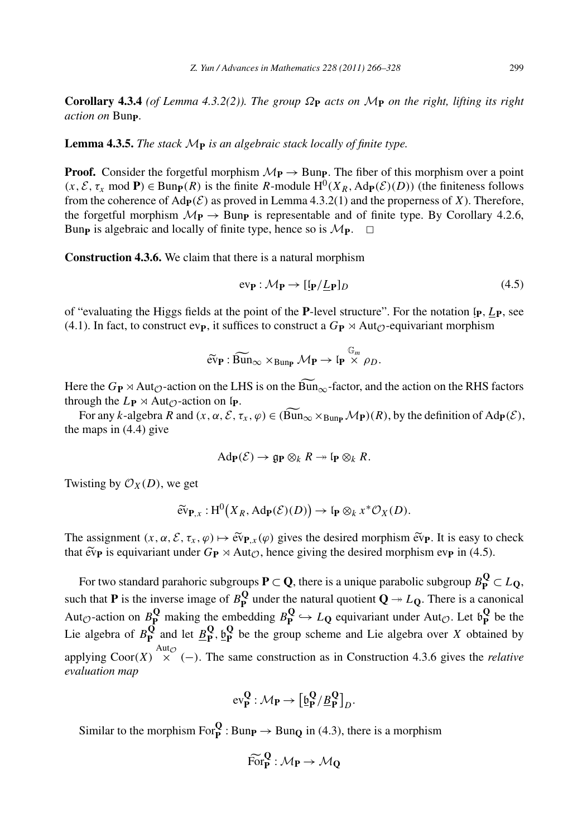**Corollary 4.3.4** *(of Lemma 4.3.2(2)). The group Ω***<sup>P</sup>** *acts on* M**<sup>P</sup>** *on the right, lifting its right action on* Bun**P***.*

**Lemma 4.3.5.** *The stack* M**<sup>P</sup>** *is an algebraic stack locally of finite type.*

**Proof.** Consider the forgetful morphism  $\mathcal{M}_{\mathbf{P}} \to \text{Bun}_{\mathbf{P}}$ . The fiber of this morphism over a point  $(x, \mathcal{E}, \tau_x \text{ mod } \mathbf{P}) \in \text{Bunp}(R)$  is the finite *R*-module  $H^0(X_R, \text{Ad}_{\mathbf{P}}(\mathcal{E})(D))$  (the finiteness follows from the coherence of  $\text{Ad}_{\mathbf{P}}(\mathcal{E})$  as proved in Lemma 4.3.2(1) and the properness of *X*). Therefore, the forgetful morphism  $\mathcal{M}_{\mathbf{P}} \to \text{Bun}_{\mathbf{P}}$  is representable and of finite type. By Corollary 4.2.6, Bun<sub>p</sub> is algebraic and locally of finite type. hence so is  $\mathcal{M}_{\mathbf{P}}$ . Bun<sub>p</sub> is algebraic and locally of finite type, hence so is  $M_{\text{P}}$ .

**Construction 4.3.6.** We claim that there is a natural morphism

$$
ev_{\mathbf{P}} : \mathcal{M}_{\mathbf{P}} \to [\mathbf{I}_{\mathbf{P}} / \underline{L}_{\mathbf{P}}]_D \tag{4.5}
$$

of "evaluating the Higgs fields at the point of the **P**-level structure". For the notation  $\{p, Lp\}$ , see  $(4.1)$ . In fact, to construct ev<sub>P</sub>, it suffices to construct a  $G_P \rtimes \text{Aut}_\mathcal{O}$ -equivariant morphism eventi<br>Fit<br>ev **P** is the point of the **P**-level s<br>**P** :  $\widehat{Bun}_{\infty}$  ×  $Bun_{\mathbf{P}}$  *M***P**  $\rightarrow$   $\widehat{P}$ 

$$
\widetilde{\text{ev}}_{\mathbf{P}} : \widetilde{\text{Bun}}_{\infty} \times_{\text{Bun}_{\mathbf{P}}} \mathcal{M}_{\mathbf{P}} \to \mathfrak{l}_{\mathbf{P}} \overset{\mathbb{G}_m}{\times} \rho_D.
$$

 $\widetilde{\text{ev}}_{\mathbf{P}} : \widetilde{\text{Bun}}_{\infty} \times_{\text{Bun}_{\mathbf{P}}} \mathcal{M}_{\mathbf{P}} \to \mathfrak{l}_{\mathbf{P}} \overset{\mathbb{G}_m}{\times} \rho_D.$ <br>Here the  $G_{\mathbf{P}} \rtimes \text{Aut}_{\mathcal{O}}$ -action on the LHS is on the  $\widetilde{\text{Bun}}_{\infty}$ -factor, and the action on the RHS factors through the  $L_{\mathbf{P}} \rtimes \text{Aut}_{\mathcal{O}}$ -action on  $\mathfrak{l}_{\mathbf{P}}$ .

For any *k*-algebra  $\overline{R}$  and  $(x, \alpha, \overline{\mathcal{E}}, \tau_x, \varphi) \in (\widetilde{\text{Bun}}_{\infty} \times_{\text{Bunp}} \mathcal{M}_{\textbf{P}})(R)$ , by the definition of  $\text{Ad}_{\textbf{P}}(\mathcal{E})$ , the maps in (4.4) give

$$
\mathrm{Ad}_{\mathbf{P}}(\mathcal{E}) \to \mathfrak{g}_{\mathbf{P}} \otimes_k R \twoheadrightarrow \mathfrak{l}_{\mathbf{P}} \otimes_k R.
$$

Twisting by  $\mathcal{O}_X(D)$ , we get

$$
\mathrm{Ad}_{\mathbf{P}}(\mathcal{E}) \to \mathfrak{g}_{\mathbf{P}} \otimes_k R \to \mathrm{I}_{\mathbf{P}} \otimes_k R.
$$
  
e get  

$$
\widetilde{\mathrm{ev}}_{\mathbf{P},x} : \mathrm{H}^0(X_R, \mathrm{Ad}_{\mathbf{P}}(\mathcal{E})(D)) \to \mathrm{I}_{\mathbf{P}} \otimes_k x^* \mathcal{O}_X(D).
$$

 $\widetilde{\text{ev}}_{\mathbf{P},x}: \text{H}^0(X_R, \text{Ad}_{\mathbf{P}}(\mathcal{E})(D)) \to \text{I}_{\mathbf{P}} \otimes_k x^* \mathcal{O}_X(D).$ <br>The assignment  $(x, \alpha, \mathcal{E}, \tau_x, \varphi) \mapsto \widetilde{\text{ev}}_{\mathbf{P},x}(\varphi)$  gives the desired morphism  $\widetilde{\text{ev}}_{\mathbf{P}}$ . It is easy to check The as<br>that  $\tilde{ev}$ **P** is equivariant under  $G_{\mathbf{P}} \rtimes \text{Aut}_{\mathcal{O}}$ , hence giving the desired morphism ev<sub>p</sub> in (4.5).

For two standard parahoric subgroups  $P \subset Q$ , there is a unique parabolic subgroup  $B_P^Q \subset L_Q$ , such that **P** is the inverse image of  $B_{\mathbf{P}}^{\mathbf{Q}}$  under the natural quotient  $\mathbf{Q} \rightarrow L_{\mathbf{Q}}$ . There is a canonical Aut<sub> $\mathcal{O}$ </sub>-action on  $B_{\mathbf{P}}^{\mathbf{Q}}$  making the embedding  $B_{\mathbf{P}}^{\mathbf{Q}} \hookrightarrow L_{\mathbf{Q}}$  equivariant under Aut $\mathcal{O}$ . Let  $\mathfrak{b}_{\mathbf{P}}^{\mathbf{Q}}$  be the Lie algebra of  $B_{\mathbf{P}}^{\mathbf{Q}}$  and let  $\underline{B}_{\mathbf{P}}^{\mathbf{Q}}, \underline{b}_{\mathbf{P}}^{\mathbf{Q}}$  be the group scheme and Lie algebra over *X* obtained by applying  $\text{Coor}(X) \times^{\text{Aut}_{\mathcal{O}}} (-)$ . The same construction as in Construction 4.3.6 gives the *relative evaluation map* **P** :  $M_P \rightarrow \left[\frac{6}{2}P / \frac{B}{P}\right]$ 

$$
\text{ev}_P^Q:\mathcal{M}_P\to \big[\underline{\mathfrak{b}}_P^Q/\underline{\mathcal{B}}_P^Q\big]_D.
$$

Similar to the morphism  $For_{\mathbf{P}}^{\mathbf{Q}} : \text{Bun}_{\mathbf{P}} \to \text{Bun}_{\mathbf{Q}}$  in (4.3), there is a morphism

$$
np \to Bun_Q \text{ in } (4.3)
$$
  

$$
\widehat{\text{For}}_P^Q : \mathcal{M}_P \to \mathcal{M}_Q
$$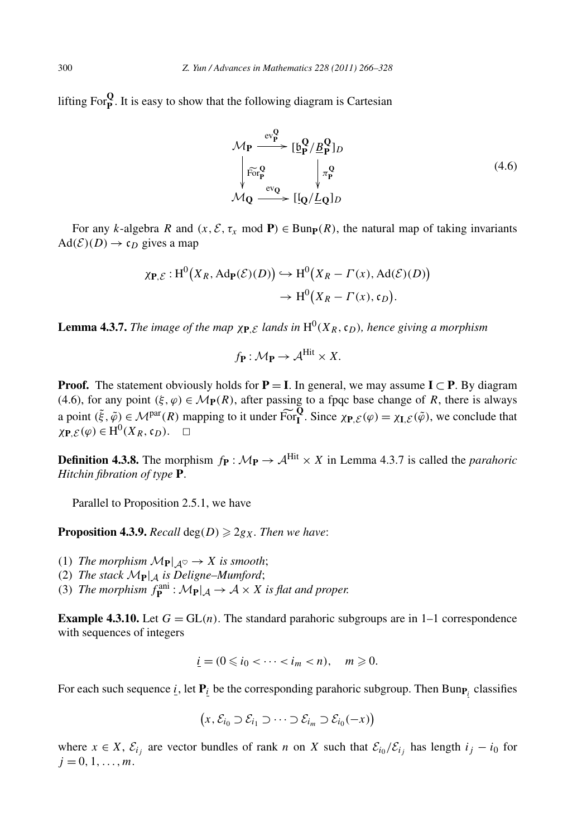lifting  $\text{For}_{\mathbf{P}}^{\mathbf{Q}}$ . It is easy to show that the following diagram is Cartesian

$$
\mathcal{M}_{\mathbf{P}} \xrightarrow{\text{ev}_{\mathbf{P}}^{\mathbf{Q}}} [\underline{\mathfrak{b}}_{\mathbf{P}}^{\mathbf{Q}} / \underline{B}_{\mathbf{P}}^{\mathbf{Q}}]_{D}
$$
\n
$$
\downarrow \widetilde{\text{For}_{\mathbf{P}}^{\mathbf{Q}}} \qquad \downarrow \pi_{\mathbf{P}}^{\mathbf{Q}} \qquad (4.6)
$$
\n
$$
\mathcal{M}_{\mathbf{Q}} \xrightarrow{\text{ev}_{\mathbf{Q}}} [[\mathbf{Q}/\underline{L}_{\mathbf{Q}}]_{D}
$$

For any *k*-algebra *R* and  $(x, \mathcal{E}, \tau_x \mod P) \in \text{Bun}_{\mathbf{P}}(R)$ , the natural map of taking invariants<br> $(\mathcal{E})(D) \to \mathfrak{c}_D$  gives a map<br> $\chi_{\mathbf{P}, \mathcal{E}} : \text{H}^0(X_R, \text{Ad}_{\mathbf{P}}(\mathcal{E})(D)) \hookrightarrow \text{H}^0(X_R - \Gamma(x), \text{Ad}(\mathcal{E})(D))$  $Ad(\mathcal{E})(D) \rightarrow c_D$  gives a map

gives a map  
\n
$$
\chi_{\mathbf{P},\mathcal{E}}: H^0(X_R, \text{Ad}_{\mathbf{P}}(\mathcal{E})(D)) \hookrightarrow H^0(X_R - \Gamma(x), \text{Ad}(\mathcal{E})(D))
$$
  
\n $\rightarrow H^0(X_R - \Gamma(x), \mathfrak{c}_D).$ 

**Lemma 4.3.7.** *The image of the map*  $\chi_{P,E}$  *lands in*  $H^0(X_R, c_D)$ *, hence giving a morphism* 

$$
f_{\mathbf{P}}: \mathcal{M}_{\mathbf{P}} \to \mathcal{A}^{\text{Hit}} \times X.
$$

**Proof.** The statement obviously holds for  $P = I$ . In general, we may assume  $I \subset P$ . By diagram (4.6), for any point  $(\xi, \varphi) \in M_P(R)$ , after passing to a fpqc base change of *R*, there is always **Proof.** The statement obviously holds for **P** = **I**. In general, we may assume **I**  $\subset$  **P**. By diagram (4.6), for any point  $(\xi, \varphi) \in M_{\mathbf{P}}(R)$ , after passing to a fpqc base change of *R*, there is always a point  $(\xi$  $\chi$ **P**, $\mathcal{E}(\varphi) \in H^0(X_R, \mathfrak{c}_D)$ .  $\Box$ 

**Definition 4.3.8.** The morphism  $f$ **P** :  $\mathcal{M}$ **P**  $\rightarrow$   $\mathcal{A}^{\text{Hit}} \times X$  in Lemma 4.3.7 is called the *parahoric Hitchin fibration of type* **P**.

Parallel to Proposition 2.5.1, we have

**Proposition 4.3.9.**  $Recall \deg(D) \geq 2g_X$ . Then we have:

- (1) *The morphism*  $M_{\bf{P}}|_{A^\heartsuit} \to X$  *is smooth*;
- (2) The stack  $M_{\mathbf{P}}|_{\mathcal{A}}$  is Deligne–Mumford;
- (3) *The morphism*  $f_{\mathbf{P}}^{\text{ani}}$  :  $\mathcal{M}_{\mathbf{P}}|_{\mathcal{A}} \to \mathcal{A} \times X$  *is flat and proper.*

**Example 4.3.10.** Let  $G = GL(n)$ . The standard parahoric subgroups are in 1–1 correspondence with sequences of integers

$$
i = (0 \leq i_0 < \cdots < i_m < n), \quad m \geq 0.
$$

For each such sequence *i*, let  $P_i$  be the corresponding parahoric subgroup. Then  $\text{Bun}_{P_i}$  classifies

$$
= (0 \leq t_0 < \dots < t_m < n), \quad m \geq 0
$$
\n
$$
\mathbf{P}_i \text{ be the corresponding parahoric su}
$$
\n
$$
\left(x, \mathcal{E}_{i_0} \supset \mathcal{E}_{i_1} \supset \dots \supset \mathcal{E}_{i_m} \supset \mathcal{E}_{i_0}(-x)\right)
$$

where  $x \in X$ ,  $\mathcal{E}_i$  are vector bundles of rank *n* on *X* such that  $\mathcal{E}_{i_0}/\mathcal{E}_{i_j}$  has length  $i_j - i_0$  for  $j = 0, 1, \ldots, m$ .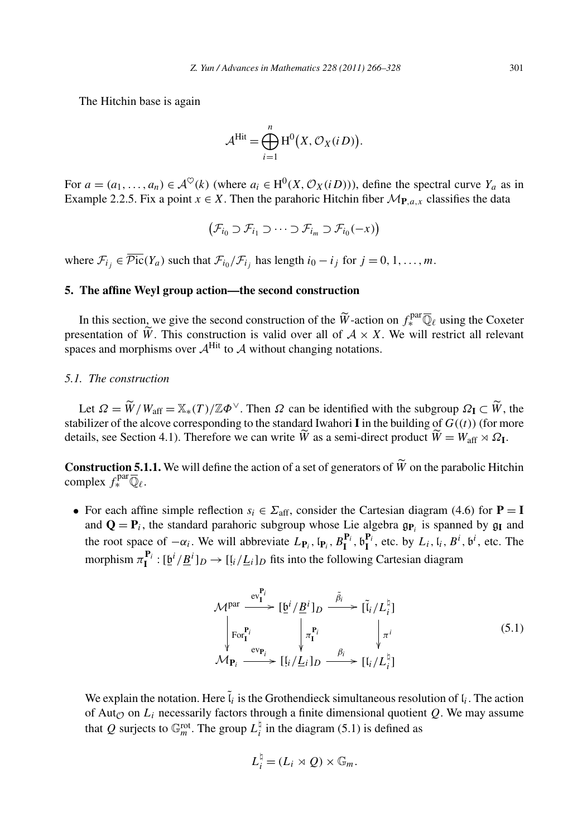The Hitchin base is again

$$
\mathcal{A}^{\text{Hit}} = \bigoplus_{i=1}^{n} \mathrm{H}^{0}\big(X, \mathcal{O}_{X}(i\,D)\big).
$$

For *a* = *(a*<sub>1</sub>*,...,a<sub>n</sub>*) ∈  $\mathcal{A}^{\heartsuit}(k)$  (where *a<sub>i</sub>* ∈ H<sup>0</sup>(*X, O<sub>X</sub>(iD))*), define the spectral curve *Y<sub>a</sub>* as in Example 2.2.5. Fix a point *x* ∈ *X*. Then the parahoric Hitchin fiber  $\mathcal{M}_{\mathbf{P},a,x}$  cla Example 2.2.5. Fix a point  $x \in X$ . Then the parahoric Hitchin fiber  $\mathcal{M}_{P,a,x}$  classifies the data

$$
(\mathcal{F}_{i_0} \supset \mathcal{F}_{i_1} \supset \cdots \supset \mathcal{F}_{i_m} \supset \mathcal{F}_{i_0}(-x))
$$

where  $\mathcal{F}_{i_j} \in \overline{\mathcal{P}ic}(Y_a)$  such that  $\mathcal{F}_{i_0}/\mathcal{F}_{i_j}$  has length  $i_0 - i_j$  for  $j = 0, 1, ..., m$ .

# **5. The affine Weyl group action—the second construction**

The affine Weyl group action—the second construction<br>In this section, we give the second construction of the  $\widetilde{W}$ -action on  $f_*^{par} \overline{\mathbb{Q}}_\ell$  using the Coxeter 5. The affine Weyl group action—the second construction<br>In this section, we give the second construction of the  $\widetilde{W}$ -action on  $f_*^{\text{par}}\overline{\mathbb{Q}}_\ell$  using the Coxeter<br>presentation of  $\widetilde{W}$ . This construction is v spaces and morphisms over  $A^{\text{Hit}}$  to A without changing notations.

# *5.1. The construction*

*CHE CONSTRECTION*<br>
Let  $Ω = \widetilde{W}/W_{\text{aff}} = \mathbb{X}_*(T)/\mathbb{Z} \Phi^{\vee}$ . Then  $Ω$  can be identified with the subgroup  $Ω$ **I** ⊂  $\widetilde{W}$ , the stabilizer of the alcove corresponding to the standard Iwahori **I** in the building of  $G((t))$  (for more Let  $\Omega = \widetilde{W}/W_{\text{aff}} = \mathbb{X}_*(T)/\mathbb{Z}\Phi^{\vee}$ . Then  $\Omega$  can be identified with the subgr stabilizer of the alcove corresponding to the standard Iwahori **I** in the building of details, see Section 4.1). Therefore we can w  $\widetilde{W} = W_{\rm aff} \rtimes \Omega_{\rm I}.$ stabilizer of the alcove corresponding to the standard Iwahori **I** in the building of  $G((t))$  (for more details, see Section 4.1). Therefore we can write  $\widetilde{W}$  as a semi-direct product  $\widetilde{W} = W_{\text{aff}} \rtimes \Omega$ **I**.<br>**Const** 

complex  $f_*^{\text{par}} \overline{\mathbb{Q}}_{\ell}$ .

• For each affine simple reflection  $s_i \in \Sigma_{\text{aff}}$ , consider the Cartesian diagram (4.6) for **P** = **I** and  $\mathbf{Q} = \mathbf{P}_i$ , the standard parahoric subgroup whose Lie algebra  $\mathfrak{g}_{\mathbf{P}_i}$  is spanned by  $\mathfrak{g}_{\mathbf{I}}$  and the root space of  $-\alpha_i$ . We will abbreviate  $L_{\mathbf{P}_i}$ ,  $[\mathbf{P}_i, B_{\mathbf{I}}^{\mathbf{P}_i}, \mathbf{B}_{\mathbf{I}}^{\mathbf{P}_i}]$ , etc. by  $L_i$ ,  $[i, B^i, \mathbf{b}^i]$ , etc. The morphism  $\pi_{\mathbf{I}}^{\mathbf{P}_i} : [\underline{\mathfrak{b}}^i / \underline{B}^i]_D \to [ \underline{\mathfrak{l}}_i / \underline{L}_i ]_D$  fits into the following Cartesian diagram

$$
\mathcal{M}^{\text{par}} \xrightarrow{\text{ev}_{\mathbf{I}}^{\mathbf{P}_i}} [\underline{\mathfrak{b}}^i / \underline{B}^i]_D \xrightarrow{\tilde{\beta}_i} [\tilde{\mathfrak{l}}_i / L_i^{\natural}]
$$
\n
$$
\downarrow \text{For}_{\mathbf{I}}^{\mathbf{P}_i} \qquad \downarrow \pi^{\mathbf{P}_i} \qquad \downarrow \pi^i
$$
\n
$$
\mathcal{M}_{\mathbf{P}_i} \xrightarrow{\text{ev}_{\mathbf{P}_i}} [\underline{\mathfrak{l}}_i / \underline{L}_i]_D \xrightarrow{\beta_i} [\underline{\mathfrak{l}}_i / L_i^{\natural}]
$$
\n
$$
(5.1)
$$

We explain the notation. Here  $\tilde{l}_i$  is the Grothendieck simultaneous resolution of  $l_i$ . The action of Aut<sub> $O$ </sub> on  $L_i$  necessarily factors through a finite dimensional quotient  $Q$ . We may assume that Q surjects to  $\mathbb{G}_m^{\text{rot}}$ . The group  $L_i^{\natural}$  in the diagram (5.1) is defined as

$$
L_i^{\natural} = (L_i \rtimes Q) \times \mathbb{G}_m.
$$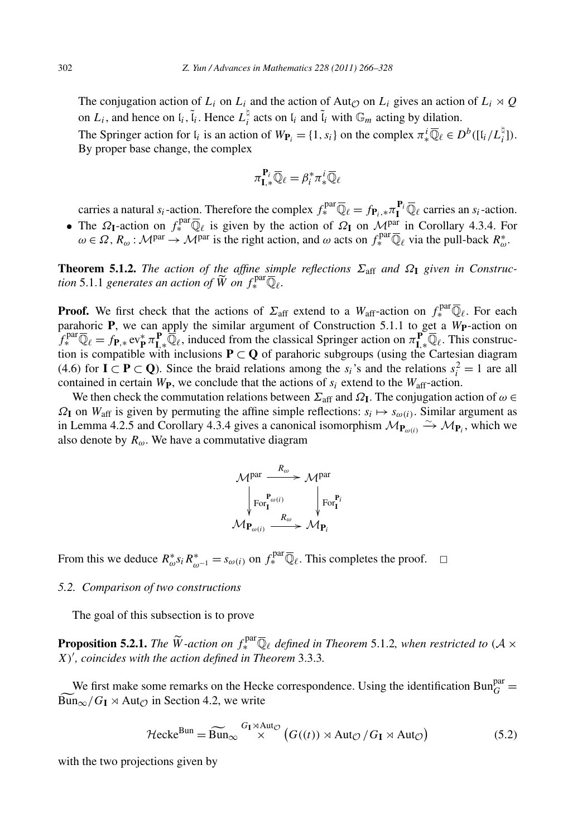The conjugation action of *L<sub>i</sub>* on *L<sub>i</sub>* and the action of Aut<sub>*Q*</sub> on *L<sub>i</sub>* gives an action of *L<sub>i</sub>*  $\times$  *Q* on  $L_i$ , and hence on  $\mathfrak{l}_i$ ,  $\tilde{\mathfrak{l}}_i$ . Hence  $L_i^{\dagger}$  acts on  $\mathfrak{l}_i$  and  $\tilde{\mathfrak{l}}_i$  with  $\mathbb{G}_m$  acting by dilation.

The Springer action for  $I_i$  is an action of  $W_{P_i} = \{1, s_i\}$  on the complex  $\pi_*^i \overline{\mathbb{Q}}_\ell \in D^b([I_i/L_i^{\natural}])$ . By proper base change, the complex

$$
\pi_{\mathbf{I},*}^{\mathbf{P}_i} \overline{\mathbb{Q}}_{\ell} = \beta_i^* \pi_*^i \overline{\mathbb{Q}}_{\ell}
$$

carries a natural *s<sub>i</sub>*-action. Therefore the complex  $f_*^{par} \overline{\mathbb{Q}}_\ell = f_{\mathbf{P}_i,*} \pi_{\mathbf{I}}^{\mathbf{P}_i} \overline{\mathbb{Q}}_\ell$  carries an *s<sub>i</sub>*-action.

• The *Ω***<sub><b>I**</sub>-action on  $f_*^{\text{par}}\overline{\mathbb{Q}}_\ell$  is given by the action of *Ω***I** on  $\mathcal{M}^{\text{par}}$  in Corollary 4.3.4. For

 $\omega \in \Omega$ ,  $R_{\omega}$ :  $\mathcal{M}^{par} \rightarrow \mathcal{M}^{par}$  is the right action, and  $\omega$  acts on  $f_*^{par} \overline{\mathbb{Q}}_\ell$  via the pull-back  $R_{\omega}^*$ .<br> **Theorem 5.1.2.** *The action of the affine simple reflections*  $\Sigma_{aff}$  *and*  $\Omega_I$  *given in* **Theorem 5.1.2.** *The action of the affine simple reflections*  $\Sigma_{\text{aff}}$  *and*  $\Omega_{\text{I}}$  *given in Construc-* $\widetilde{W}$  on  $f_*^{\text{par}} \overline{\mathbb{Q}}_{\ell}$ .

**Proof.** We first check that the actions of  $\Sigma_{\text{aff}}$  extend to a  $W_{\text{aff}}$ -action on  $f_*^{\text{par}}\overline{\mathbb{Q}}_\ell$ . For each parahoric **P**, we can apply the similar argument of Construction 5.1.1 to get a *W***P**-action on  $f_*^{\text{par}} \overline{\mathbb{Q}}_\ell = f_{\mathbf{P}, *} \text{ev}_{\mathbf{P}}^* \pi_{\mathbf{I}, *}^{\mathbf{P}} \overline{\mathbb{Q}}_\ell$ , induced from the classical Springer action on  $\pi_{\mathbf{I}, *}^{\mathbf{P}} \overline{\mathbb{Q}}_\ell$ . This construction is compatible with inclusions  $P \subset Q$  of parahoric subgroups (using the Cartesian diagram (4.6) for **I**  $\subset$  **P**  $\subset$  **Q**). Since the braid relations among the *s<sub>i</sub>*'s and the relations  $s_i^2 = 1$  are all contained in certain  $W_{\text{P}}$ , we conclude that the actions of  $s_i$  extend to the  $W_{\text{aff}}$ -action.

We then check the commutation relations between  $\Sigma_{\text{aff}}$  and  $\Omega$ **I**. The conjugation action of  $\omega \in$  $\Omega$ **I** on *W*<sub>aff</sub> is given by permuting the affine simple reflections:  $s_i \mapsto s_{\omega(i)}$ . Similar argument as in Lemma 4.2.5 and Corollary 4.3.4 gives a canonical isomorphism  $\mathcal{M}_{\mathbf{P}_{\omega(i)}} \xrightarrow{\sim} \mathcal{M}_{\mathbf{P}_i}$ , which we also denote by  $R_{\omega}$ . We have a commutative diagram



From this we deduce  $R^*_{\omega} s_i R^*_{\omega^{-1}} = s_{\omega(i)}$  on  $f^{\text{par}}_* \overline{\mathbb{Q}}_\ell$ . This completes the proof.  $\Box$ 

#### *5.2. Comparison of two constructions*

The goal of this subsection is to prove

**Proposition 5.2.1.** *The*  $\widetilde{W}$ -action on  $f_*^{\text{par}} \overline{\mathbb{Q}}_\ell$  defined in Theorem 5.1.2*, when restricted to*  $(A \times \mathbb{Q})$ *X) , coincides with the action defined in Theorem* 3.3.3*.*

We first make some remarks on the Hecke correspondence. Using the identification  $Bun_G^{par}$  $X'$ , *coincide*<br>We first m<br> $\frac{\text{We first m}}{\text{Bun}_{\infty}/G_{\text{I}}}$  $\text{Bun}_{\infty}/G_{\text{I}} \rtimes \text{Aut}_{\mathcal{O}}$  in Section 4.2, we write ome remarks on the Hecke correspondence. Using the iden<br>
in Section 4.2, we write<br>  $\mathcal{H}$ ecke<sup>Bun</sup> =  $\widetilde{\text{Bun}}_{\infty} \overset{G_1 \times \text{Aut}_{\mathcal{O}}}{\times} (G((t)) \rtimes \text{Aut}_{\mathcal{O}} / G_I \rtimes \text{Aut}_{\mathcal{O}})$ 

$$
\mathcal{H}\text{ecke}^{\text{Bun}} = \widetilde{\text{Bun}}_{\infty} \overset{G_{\text{I}} \times \text{Aut}_{\mathcal{O}}}{\times} \left( G((t)) \rtimes \text{Aut}_{\mathcal{O}} / G_{\text{I}} \rtimes \text{Aut}_{\mathcal{O}} \right) \tag{5.2}
$$

with the two projections given by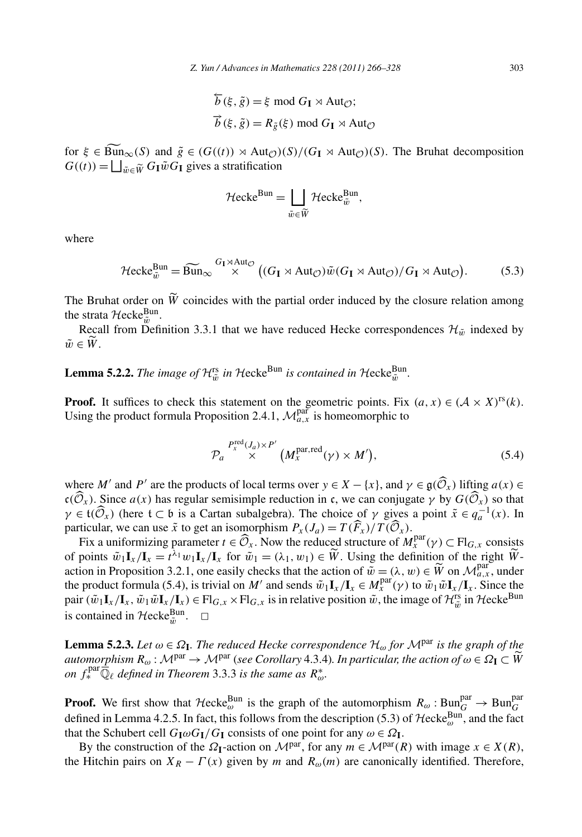$$
\overleftarrow{b}(\xi, \tilde{g}) = \xi \mod G_{\mathbf{I}} \rtimes \text{Aut}_{\mathcal{O}};
$$
  

$$
\overrightarrow{b}(\xi, \tilde{g}) = R_{\tilde{g}}(\xi) \mod G_{\mathbf{I}} \rtimes \text{Aut}_{\mathcal{O}}
$$

 $b(s, g) = \xi \mod G_I \rtimes \text{Aut}_{\mathcal{O}};$ <br>  $\vec{b}(\xi, \tilde{g}) = R_{\tilde{g}}(\xi) \mod G_I \rtimes \text{Aut}_{\mathcal{O}};$ <br>
for  $\xi \in \text{Bun}_{\infty}(S)$  and  $\tilde{g} \in (G((t)) \rtimes \text{Aut}_{\mathcal{O}})(S)/(G_I \rtimes \text{Aut}_{\mathcal{O}})(S)$ . The Bruhat decomposition  $\vec{b}(\xi, \tilde{g}) = R_{\tilde{g}}(\xi)$ <br>for  $\xi \in \widehat{\text{Bun}}_{\infty}(S)$  and  $\tilde{g} \in (G((t)) \rtimes \text{Aut}_{\mathcal{O}})$ <br> $G((t)) = \bigsqcup_{\tilde{w} \in \widetilde{W}} G_{\mathbf{I}} \tilde{w} G_{\mathbf{I}}$  gives a stratification )) × Aut<sub> $\mathcal{O}$ </sub> (*S*)/(<br>tratification<br>Hecke<sup>Bun</sup> =  $\Box$ 

$$
\mathcal{H}\mathrm{ecke}^{\mathrm{Bun}} = \bigsqcup_{\tilde{w}\in \widetilde{W}} \mathcal{H}\mathrm{ecke}_{\tilde{w}}^{\mathrm{Bun}},
$$

where

where  
\n
$$
\mathcal{H}ecke_{\tilde{w}}^{Bun} = \widetilde{Bun}_{\infty} \stackrel{G_{\mathbf{I}} \rtimes \text{Aut}_{\mathcal{O}}}{\times} ((G_{\mathbf{I}} \rtimes \text{Aut}_{\mathcal{O}})\tilde{w}(G_{\mathbf{I}} \rtimes \text{Aut}_{\mathcal{O}})/G_{\mathbf{I}} \rtimes \text{Aut}_{\mathcal{O}}).
$$
\n(5.3)  
\nThe Bruhat order on  $\tilde{W}$  coincides with the partial order induced by the closure relation among

the strata  $\mathcal{H}$ ecke $_{\tilde{\psi}}^{\text{Bun}}$ . The B<sub>1</sub><br>the stra<br>Rec<br> $\tilde{w} \in \widetilde{W}$ 

Recall from Definition 3.3.1 that we have reduced Hecke correspondences  $\mathcal{H}_{\tilde{w}}$  indexed by  $\tilde{w} \in \tilde{W}$ .

**Lemma 5.2.2.** *The image of*  $\mathcal{H}_{\tilde{w}}^{rs}$  *in*  $\mathcal{H}$ ecke<sup>Bun</sup> *is contained in*  $\mathcal{H}$ ecke $_{\tilde{w}}^{Bun}$ *.* 

**Proof.** It suffices to check this statement on the geometric points. Fix  $(a, x) \in (\mathcal{A} \times X)^{rs}(k)$ . Using the product formula Proposition 2.4.1,  $\mathcal{M}_{a,x}^{\text{par}}$  is homeomorphic to ment on<br>  $L$  2.4.1, .<br>  $J_a$ )×P'<br>
× (

$$
\mathcal{P}_a \stackrel{P_x^{\text{red}}(J_a) \times P'}{\times} (M_x^{\text{par}, \text{red}}(\gamma) \times M'), \tag{5.4}
$$
  
where *M'* and *P'* are the products of local terms over  $y \in X - \{x\}$ , and  $\gamma \in \mathfrak{g}(\widehat{\mathcal{O}}_x)$  lifting  $a(x) \in$ 

*P<sub>a</sub>*  $\chi$   $\chi$   $(M_x^{\text{par}, \text{red}}(\gamma) \times M')$ , (5.4)<br>where *M'* and *P'* are the products of local terms over  $y \in X - \{x\}$ , and  $\gamma \in \mathfrak{g}(\widehat{\mathcal{O}}_x)$  lifting  $a(x) \in$ <br> $c(\widehat{\mathcal{O}}_x)$ . Since  $a(x)$  has regular semisimple reduc *γ*  $\in M'$  and *P'* are the products of local terms over  $y \in X - \{x\}$ , and  $\gamma \in \mathfrak{g}(\widehat{\mathcal{O}}_X)$  lifting  $a(x) \in \mathfrak{c}(\widehat{\mathcal{O}}_X)$ . Since  $a(x)$  has regular semisimple reduction in *c*, we can conjugate  $\gamma$  by  $G(\widehat{\$ particular, we can use  $\tilde{x}$  to get an isomorphism  $P_x(J_a) = T(\widehat{F}_x)/T(\widehat{O}_x)$ .  $\overline{\phantom{0}}$  $\mathfrak{c}(\widehat{\mathcal{O}}_x)$ . Since  $a(x)$  has regular semisimple reduction in c, we can conjugate  $\gamma$  by  $G(\widehat{\mathcal{O}}_x)$  so that  $\gamma \in \mathfrak{t}(\widehat{\mathcal{O}}_x)$  (here  $\mathfrak{t} \subset \mathfrak{b}$  is a Cartan subalgebra). The choice of  $\gamma$  giv  $(\hat{\mathcal{O}}_x)$ . Since  $a(x)$  has regular semisimple reduction in c, we can conjugate  $\gamma$  by  $G(\hat{\mathcal{O}}_x)$  so that  $\in \mathfrak{t}(\hat{\mathcal{O}}_x)$  (here  $\mathfrak{t} \subset \mathfrak{b}$  is a Cartan subalgebra). The choice of  $\gamma$  gives a point  $\gamma \in \mathfrak{t}(\widehat{\mathcal{O}}_x)$  (here  $\mathfrak{t} \subset \mathfrak{b}$  is a Cartan subalgebra). The choice of  $\gamma$  gives a point  $\tilde{x} \in q_a^{-1}(x)$ . If particular, we can use  $\tilde{x}$  to get an isomorphism  $P_x(J_a) = T(\widehat{F}_x)/T(\widehat{\mathcal{O}}_x)$ .<br>Fix a

of points  $\tilde{w}_1 \mathbf{I}_x / \mathbf{I}_x = t^{\lambda_1} w_1 \mathbf{I}_x / \mathbf{I}_x$  for  $\tilde{w}_1 = (\lambda_1, w_1) \in \tilde{W}$ . Using the definition of the right  $\tilde{W}$ particular, we can use  $\tilde{x}$  to get an isomorphism  $P_x(J_a) = T(\hat{F}_x)/T(\hat{O}_x)$ .<br>Fix a uniformizing parameter  $t \in \hat{O}_x$ . Now the reduced structure of  $M_x^{\text{par}}(\gamma)$  of points  $\tilde{w}_1 \mathbf{I}_x/\mathbf{I}_x = t^{\lambda_1} w_1 \mathbf{I}_x/\mathbf{I}_x$  $\widetilde{W}$  on  $\mathcal{M}_{a,x}^{\text{par}}$ , under the product formula (5.4), is trivial on *M'* and sends  $\tilde{w}_1 \mathbf{I}_x / \mathbf{I}_x \in M_x^{\text{par}}(\gamma)$  to  $\tilde{w}_1 \tilde{w} \mathbf{I}_x / \mathbf{I}_x$ . Since the pair  $(\tilde{w}_1 \mathbf{I}_x / \mathbf{I}_x, \tilde{w}_1 \tilde{w} \mathbf{I}_x / \mathbf{I}_x) \in Fl_{G,x} \times Fl_{G,x}$  is in relative position  $\tilde{w}$ , the image of  $\mathcal{H}_{\tilde{w}}^{rs}$  in  $\mathcal{H}$ ecke<sup>Bun</sup> is contained in  $\mathcal{H}$ ecke $_{\tilde{w}}^{\text{Bun}}$ .  $\Box$ 

**Lemma 5.2.3.** *Let*  $\omega \in \Omega$ **I***. The reduced Hecke correspondence*  $\mathcal{H}_{\omega}$  *for*  $\mathcal{M}^{\text{par}}$  *is the graph of the a*<br>**Lemma 5.2.3.** *Let*  $\omega \in \Omega$ <sub>**1**</sub>. *The reduced Hecke correspondence*  $\mathcal{H}_{\omega}$  *for*  $\mathcal{M}^{\text{par}}$  *is the graph of the*<br>*automorphism*  $R_{\omega}: \mathcal{M}^{\text{par}} \to \mathcal{M}^{\text{par}}$  (*see Corollary* 4.3.4). *In particular, t on*  $f^{\text{par}}_{*} \overline{\mathbb{Q}}_{\ell}$  *defined in Theorem* 3.3.3 *is the same as*  $R_{\omega}^{*}$ .

**Proof.** We first show that  $\mathcal{H}$ ecke $_{\omega}^{\text{Bun}}$  is the graph of the automorphism  $R_{\omega}$ :  $\text{Bun}_{G}^{\text{par}} \to \text{Bun}_{G}^{\text{par}}$ defined in Lemma 4.2.5. In fact, this follows from the description (5.3) of  $\text{Hecke}_{\omega}^{\text{Bun}}$ , and the fact that the Schubert cell  $G_{I}\omega G_{I}/G_{I}$  consists of one point for any  $\omega \in \Omega_{I}$ .

By the construction of the  $\Omega$ **<sub>I</sub>**-action on  $\mathcal{M}^{par}$ , for any  $m \in \mathcal{M}^{par}(R)$  with image  $x \in X(R)$ , the Hitchin pairs on  $X_R - \Gamma(x)$  given by *m* and  $R_\omega(m)$  are canonically identified. Therefore,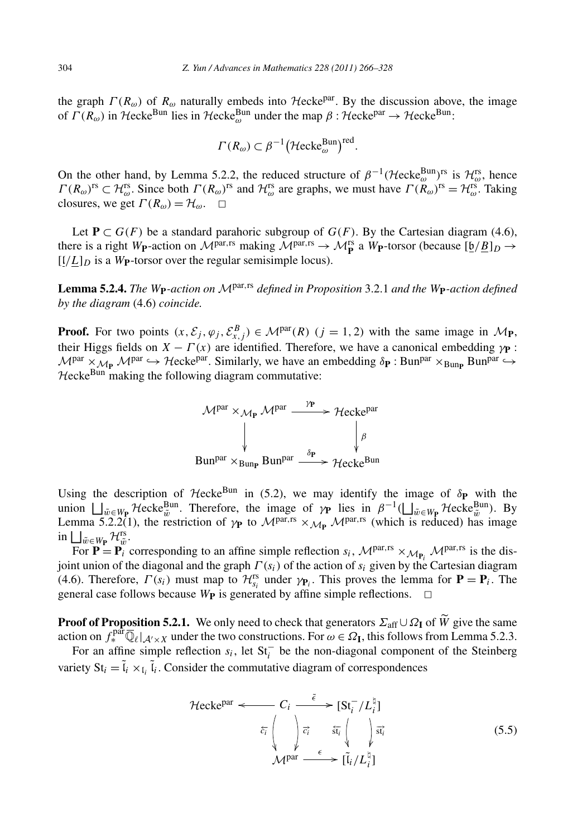the graph  $\Gamma(R_{\omega})$  of  $R_{\omega}$  naturally embeds into Hecke<sup>par</sup>. By the discussion above, the image of *Γ*( $R_{\omega}$ ) in Hecke<sup>Bun</sup> lies in Hecke<sup>Bun</sup> under the map β : Hecke<sup>par</sup> → Hecke<sup>Bun</sup>: *Γ* (*R<sub>ω</sub>*) embeds into *Hecke<sup>par</sup>*.<br> *Γ* (*R<sub>ω</sub>*)  $\subset \beta^{-1}(\text{Hecke}_{\omega}^{\text{Bun}})$ 

$$
\Gamma(R_{\omega}) \subset \beta^{-1} \big(\mathcal{H}\mathrm{ecke}_{\omega}^{\mathrm{Bun}}\big)^{\mathrm{red}}.
$$

On the other hand, by Lemma 5.2.2, the reduced structure of  $\beta^{-1}$  (Hecke<sup>Bun</sup>)<sup>rs</sup> is  $\mathcal{H}_{\infty}^{rs}$ , hence  $\Gamma(R_\omega)$ <sup>rs</sup>  $\subset \mathcal{H}_\omega^{\text{rs}}$ . Since both  $\Gamma(R_\omega)$ <sup>rs</sup> and  $\mathcal{H}_\omega^{\text{rs}}$  are graphs, we must have  $\Gamma(R_\omega)$ <sup>rs</sup>  $\cong \mathcal{H}_\omega^{\text{rs}}$ . Taking closures, we get  $\Gamma(R_{\omega}) = H_{\omega}$ .  $\Box$ 

Let  $P \subset G(F)$  be a standard parahoric subgroup of  $G(F)$ . By the Cartesian diagram (4.6), there is a right *W***P**-action on  $\mathcal{M}^{par,rs}$  making  $\mathcal{M}^{par,rs} \rightarrow \mathcal{M}^{rs}_{\mathbf{P}}$  a *W***P**-torsor (because  $[\underline{\mathfrak{b}}/\underline{B}]_D \rightarrow$  $\left[\frac{I}{L}\right]_D$  is a W<sub>P</sub>-torsor over the regular semisimple locus).

**Lemma 5.2.4.** *The <sup>W</sup>***P***-action on* <sup>M</sup>par*,*rs *defined in Proposition* 3.2.1 *and the <sup>W</sup>***P***-action defined by the diagram* (4.6) *coincide.*

**Proof.** For two points  $(x, \mathcal{E}_j, \varphi_j, \mathcal{E}_{x,j}^B) \in \mathcal{M}^{par}(R)$   $(j = 1, 2)$  with the same image in  $\mathcal{M}_{\mathbf{P}}$ , their Higgs fields on  $X - \Gamma(x)$  are identified. Therefore, we have a canonical embedding  $\gamma$ **P** :  $M^{\text{par}} \times_{M_P} M^{\text{par}} \hookrightarrow$  Hecke<sup>par</sup>. Similarly, we have an embedding  $\delta_P$ : Bun<sup>par</sup>  $\times_{Bun_P} Bun^{par} \hookrightarrow$  $H$ ecke $B$ <sup>un</sup> making the following diagram commutative:



Using the description of Hecke<sup>Bun</sup> in (5.2), we may identify the image of  $\delta$ **P** with the *w* Euniver Containing the description of Hecke<sup>Bun</sup> in (5.2), we may identify the image of δ**ρ** with the union  $\bigsqcup_{\tilde{w} \in W_{\mathbf{P}}}$  Hecke<sup>Bun</sup>. Therefore, the image of *γ***p** lies in  $\beta^{-1}(\bigsqcup_{\tilde{w} \in W_{\mathbf{P}}}$  He Using the description of *Hecke*<sup>Bun</sup> in (5.2), we may identify the image of  $\delta_{\mathbf{P}}$  with the union  $\bigsqcup_{\tilde{w}\in W_{\mathbf{P}}}$  *Hecke*<sup>Bun</sup>. Therefore, the image of  $\gamma_{\mathbf{P}}$  lies in  $\beta^{-1}(\bigsqcup_{\tilde{w}\in W_{\mathbf{P}}}$  *Hecke*  $\tilde{w} \in W_{\mathbf{P}} \mathcal{H}_{\tilde{w}}^{\text{rs}}$ .

For  $\mathbf{P} = \mathbf{P}_i^{\text{w}}$  corresponding to an affine simple reflection  $s_i$ ,  $\mathcal{M}^{\text{par,rs}} \times_{\mathcal{M}_{\mathbf{P}}}\mathcal{M}^{\text{par,rs}}$  is the disjoint union of the diagonal and the graph  $\Gamma(s_i)$  of the action of  $s_i$  given by the Cartesian diagram (4.6). Therefore,  $\Gamma(s_i)$  must map to  $\mathcal{H}_{s_i}^{rs}$  under  $\gamma_{P_i}$ . This proves the lemma for  $P = P_i$ . The general case follows because  $W_{\bf P}$  is generated by affine simple reflections.  $\Box$ **Proof of Proposition 5.2.1.** We only need to check that generators  $\Sigma_{\text{aff}} \cup \Omega_{\text{I}}$  of  $\widetilde{W}$  give the same **Proof of Proposition 5.2.1.** We only need to check that generators  $\Sigma_{\text{aff}} \cup \Omega_{\text{I}}$  of  $\widetilde{W}$  g

action on  $f_{*}^{\text{pair}}\overline{\mathbb{Q}}_{\ell}|_{\mathcal{A}'\times X}$  under the two constructions. For  $\omega \in \Omega_{\mathbf{I}}$ , this follows from Lemma 5.2.3.

For an affine simple reflection  $s_i$ , let  $St_i^-$  be the non-diagonal component of the Steinberg variety  $St_i = \tilde{l}_i \times_{I_i} \tilde{l}_i$ . Consider the commutative diagram of correspondences

$$
\mathcal{H}\text{ecke}^{\text{par}} \longleftarrow C_i \xrightarrow{\tilde{\epsilon}} [\text{St}_i^- / L_i^{\natural}]
$$
\n
$$
\tilde{c}_i \left( \bigvee_{\mathcal{M}^{\text{par}}} \tilde{c}_i \xrightarrow{\tilde{\epsilon}_i} \left( \bigvee_{\mathcal{M}^{\text{par}}} \tilde{c}_{\mathcal{M}}^{\natural} \right) \tilde{c}_{\mathcal{M}}^{\star} \right) \tag{5.5}
$$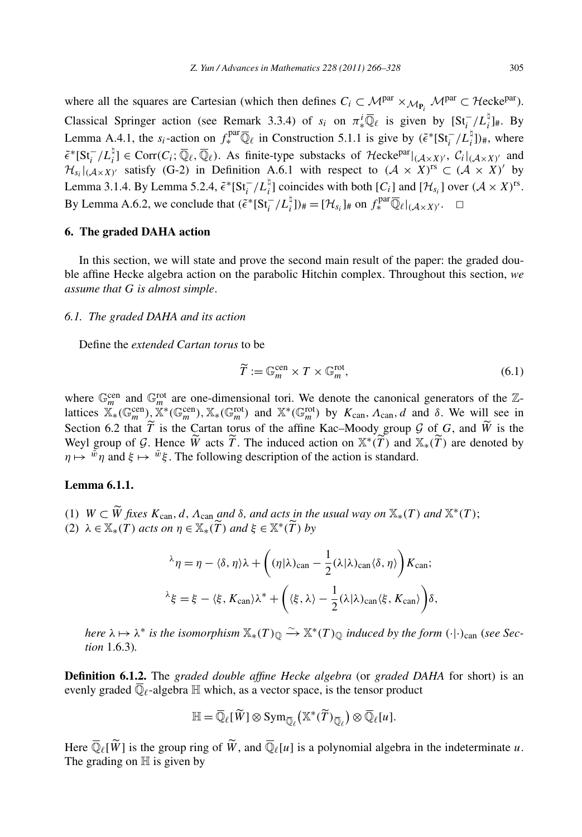where all the squares are Cartesian (which then defines  $C_i \subset \mathcal{M}^{par} \times_{\mathcal{M}_{\mathbf{P}}} \mathcal{M}^{par} \subset \mathcal{H}$ ecke<sup>par</sup>). Classical Springer action (see Remark 3.3.4) of  $s_i$  on  $\pi_*^i \overline{\mathbb{Q}}_\ell$  is given by  $\left[St_i^{-}/L_i^{\sharp}\right]_{\#}$ . By Lemma A.4.1, the  $s_i$ -action on  $f_*^{\text{par}} \overline{\mathbb{Q}}_\ell$  in Construction 5.1.1 is give by  $(\tilde{\epsilon}^* [\text{St}_i^- / L_i^{\natural}])_{\#}$ , where  $\tilde{\epsilon}^*[\text{St}^-_i/L_i^{\natural}] \in \text{Corr}(C_i; \overline{\mathbb{Q}}_\ell, \overline{\mathbb{Q}}_\ell)$ . As finite-type substacks of  $\mathcal{H}\text{ecke}^{\text{par}}|_{(\mathcal{A}\times X)'}$ ,  $C_i|_{(\mathcal{A}\times X)'}$  and  $\mathcal{H}_{s_i}|_{(A\times X)'}$  satisfy (G-2) in Definition A.6.1 with respect to  $(A \times X)^{rs} \subset (A \times X)'$  by Lemma 3.1.4. By Lemma 5.2.4,  $\tilde{\epsilon}$ <sup>\*</sup>[St<sub>i</sub><sup>-</sup>/L<sub>i</sub><sup>†</sup>] coincides with both [C<sub>i</sub>] and [H<sub>si</sub>] over  $(A \times X)^{rs}$ . By Lemma A.6.2, we conclude that  $(\tilde{\epsilon}^*[\text{St}_i^- / L_i^{\natural}])_{\#} = [\mathcal{H}_{s_i}]_{\#}$  on  $f_*^{\text{par}} \overline{\mathbb{Q}}_{\ell}|_{(\mathcal{A} \times X)'}$ .  $\Box$ 

#### **6. The graded DAHA action**

In this section, we will state and prove the second main result of the paper: the graded double affine Hecke algebra action on the parabolic Hitchin complex. Throughout this section, *we assume that G is almost simple*.

# *6.1. The graded DAHA and its action*

Define the *extended Cartan torus* to be

$$
\widetilde{T} := \mathbb{G}_m^{\text{cen}} \times T \times \mathbb{G}_m^{\text{rot}},\tag{6.1}
$$

where  $\mathbb{G}_m^{\text{cen}}$  and  $\mathbb{G}_m^{\text{rot}}$  are one-dimensional tori. We denote the canonical generators of the  $\mathbb{Z}$ lattices  $\mathbb{X}_{*}(\mathbb{G}_{m}^{\text{cen}}), \mathbb{X}_{*}^*(\mathbb{G}_{m}^{\text{rot}})$ ,  $\mathbb{X}_{*}(\mathbb{G}_{m}^{\text{rot}})$  and  $\mathbb{X}_{*}^*(\mathbb{G}_{m}^{\text{rot}})$  by  $K_{\text{can}}, \Lambda_{\text{can}}, d$  and  $\delta$ . We will see in Section 6.2 that *T* is the Cartan torus of the affine Kac–Moody group  $G$  of  $G$ , and *W* is the  $\mathbb{G}_m^{\text{rot}}$  are one-dimensional tori. We denote the canonical generators of  $\mathbb{R}^*(\mathbb{G}_m^{\text{ren}}), \mathbb{X}_*(\mathbb{G}_m^{\text{rot}})$  and  $\mathbb{X}^*(\mathbb{G}_m^{\text{rot}})$  by  $K_{\text{can}}, A_{\text{can}}, d$  and  $\delta$ . We will  $\widetilde{T}$  is the Cartan toru where  $\mathbb{G}_m^{\text{cen}}$  and  $\mathbb{G}_m^{\text{rot}}$  are one-dimensional tori. We denote the canonical generatives  $\mathbb{X}_*(\mathbb{G}_m^{\text{cen}}), \mathbb{X}^*(\mathbb{G}_m^{\text{ren}}), \mathbb{X}_*(\mathbb{G}_m^{\text{rot}})$  and  $\mathbb{X}^*(\mathbb{G}_m^{\text{rot}})$  by  $K_{\text{can}}$ ,  $\Lambda_{\text{$ W acts T. The induced action on  $\mathbb{X}^*(T)$  and  $\mathbb{X}_*(T)$  are denoted by  $\eta \mapsto \psi \eta$  and  $\xi \mapsto \psi \xi$ . The following description of the action is standard.

# **Lemma 6.1.1.**

*C cmma 6.1.1.*<br>
(1)  $W \subset \widetilde{W}$  fixes  $K_{\text{can}}$ , *d*,  $\Lambda_{\text{can}}$  and *δ*, and acts in the usual way on  $\mathbb{X}_*(T)$  and  $\mathbb{X}^*(T)$ ; **Lemma 6.1.1.**<br>
(1) *W* ⊂ *W̆ fixes K*<sub>can</sub>, *d*, *A*<sub>can</sub> *and δ*, *and acts in*</sup> (2) *λ* ∈  $\mathbb{X}_*(T)$  *acts on*  $η$  ∈  $\mathbb{X}_*(T)$  *and*  $ξ$  ∈  $\mathbb{X}^*(T)$ (2)  $\lambda \in \mathbb{X}_*(T)$  *acts on*  $\eta \in \mathbb{X}_*(\widetilde{T})$  *and*  $\xi \in \mathbb{X}^*(\widetilde{T})$  *by* J.

$$
\lambda \eta = \eta - \langle \delta, \eta \rangle \lambda + \left( (\eta | \lambda)_{\text{can}} - \frac{1}{2} (\lambda | \lambda)_{\text{can}} \langle \delta, \eta \rangle \right) K_{\text{can}};
$$
  

$$
\lambda \xi = \xi - \langle \xi, K_{\text{can}} \rangle \lambda^* + \left( \langle \xi, \lambda \rangle - \frac{1}{2} (\lambda | \lambda)_{\text{can}} \langle \xi, K_{\text{can}} \rangle \right) \delta,
$$

*here*  $\lambda \mapsto \lambda^*$  *is the isomorphism*  $\mathbb{X}_*(T)_{\mathbb{Q}} \stackrel{\sim}{\to} \mathbb{X}^*(T)_{\mathbb{Q}}$  *induced by the form*  $(\cdot | \cdot)_{\text{can}}$  (*see Section* 1.6.3)*.*

**Definition 6.1.2.** The *graded double affine Hecke algebra* (or *graded DAHA* for short) is an evenly graded  $\overline{\mathbb{Q}}_{\ell}$ -algebra  $\mathbb{H}$  which, as a vector space, is the tensor product  $\mathbb{H} = \overline{\mathbb{Q}}_{\ell}[\widetilde{W}] \ot$ evenly graded  $\overline{\mathbb{Q}}_{\ell}$ -algebra  $\mathbb{H}$  which, as a vector space, is the tensor product

$$
\mathbb{H}=\overline{\mathbb{Q}}_{\ell}[\widetilde{W}]\otimes\text{Sym}_{\overline{\mathbb{Q}}_{\ell}}\big(\mathbb{X}^*(\widetilde{T})_{\overline{\mathbb{Q}}_{\ell}}\big)\otimes\overline{\mathbb{Q}}_{\ell}[\mu].
$$

 $\mathbb{H} = \overline{\mathbb{Q}}_{\ell}[\widetilde{W}] \otimes \text{Sym}_{\overline{\mathbb{Q}}_{\ell}}(\mathbb{X}^*(\widetilde{T})_{\overline{\mathbb{Q}}_{\ell}}) \otimes \overline{\mathbb{Q}}_{\ell}[u].$ <br>Here  $\overline{\mathbb{Q}}_{\ell}[\widetilde{W}]$  is the group ring of  $\widetilde{W}$ , and  $\overline{\mathbb{Q}}_{\ell}[u]$  is a polynomial algebra in the indetermin The grading on  $H$  is given by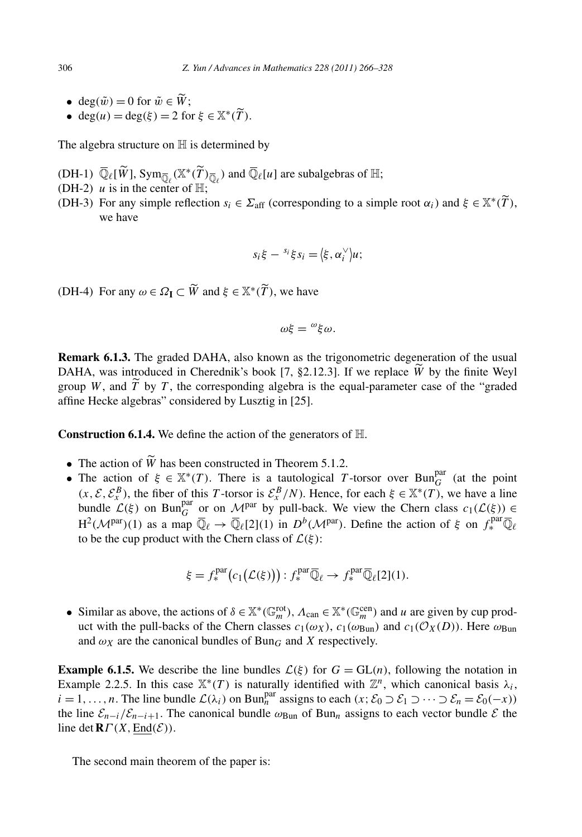- $e^{i\theta}$  are deg( $\tilde{w}$ ) = 0 for  $\tilde{w} \in \tilde{W}$ ;
- $e^{i\theta}$  deg( $\tilde{w}$ ) = 0 for  $\tilde{w} \in \widetilde{W}$ ;<br>  $e^{i\theta}$  deg( $u$ ) = deg( $\xi$ ) = 2 for  $\xi \in \mathbb{X}^*(\widetilde{T})$ .

The algebra structure on  $H$  is determined by

- The algebra structure on  $\mathbb H$  is determined by<br>
(DH-1)  $\overline{\mathbb Q}_\ell[\widetilde{W}]$ ,  $\text{Sym}_{\overline{\mathbb Q}_\ell}(\mathbb X^*(\widetilde{T})_{\overline{\mathbb Q}_\ell})$  and  $\overline{\mathbb Q}_\ell[u]$  are subalgebras of  $\mathbb H$ ;
- (DH-2)  $u$  is in the center of  $\mathbb{H}$ ;
- (DH-1)  $\overline{\mathbb{Q}}_{\ell}[\widetilde{W}]$ ,  $\text{Sym}_{\overline{\mathbb{Q}}_{\ell}}(\mathbb{X}^*(\widetilde{T})_{\overline{\mathbb{Q}}_{\ell}})$  and  $\overline{\mathbb{Q}}_{\ell}[u]$  are subalgebras of  $\mathbb{H}$ ;<br>
(DH-2) *u* is in the center of  $\mathbb{H}$ ;<br>
(DH-3) For any simple reflection  $s_i \in \Sigma_{\text{aff}}$ we have

$$
s_i \xi - s_i \xi s_i = \langle \xi, \alpha_i^{\vee} \rangle u;
$$

(DH-4) For any  $\omega \in \Omega_{\mathbf{I}} \subset \widetilde{W}$  and  $\xi \in \mathbb{X}^*(\widetilde{T})$ , we have

$$
\omega\xi = \omega \xi \omega.
$$

**Remark 6.1.3.** The graded DAHA, also known as the trigonometric degeneration of the usual  $\omega\xi = \omega \xi \omega$ .<br> **Remark 6.1.3.** The graded DAHA, also known as the trigonometric degeneration of the usual<br>
DAHA, was introduced in Cherednik's book [7, §2.12.3]. If we replace  $\widetilde{W}$  by the finite Weyl group *W*, and *T* by *T* , the corresponding algebra is the equal-parameter case of the "graded affine Hecke algebras" considered by Lusztig in [25].

**Construction 6.1.4.** We define the action of the generators of H. **onstruction 6.1.4.** We define the action of the generators o<br>
• The action of  $\widetilde{W}$  has been constructed in Theorem 5.1.2.

- 
- The action of  $\xi \in \mathbb{X}^*(T)$ . There is a tautological *T*-torsor over Bun<sup>par</sup> (at the point  $(x, \mathcal{E}, \mathcal{E}_x^B)$ , the fiber of this *T* -torsor is  $\mathcal{E}_x^B/N$ . Hence, for each  $\xi \in \mathbb{X}^*(T)$ , we have a line bundle  $\mathcal{L}(\xi)$  on Bun<sup>par</sup> or on  $\mathcal{M}^{par}$  by pull-back. We view the Chern class  $c_1(\mathcal{L}(\xi)) \in$ H<sup>2</sup>( $\mathcal{M}^{\text{par}}$ )(1) as a map  $\overline{\mathbb{Q}}_{\ell} \to \overline{\mathbb{Q}}_{\ell}[2](1)$  in  $D^{b}(\mathcal{M}^{\text{par}})$ . Define the action of  $\xi$  on  $f^{\text{par}}_{*} \overline{\mathbb{Q}}_{\ell}$ <br>to be the cup product with the Chern class of  $\mathcal{L}(\xi)$ :<br> $\xi = f^{\text{par}}_{*}(c$ to be the cup product with the Chern class of  $\mathcal{L}(\xi)$ :

$$
\xi = f_*^{\text{par}}(c_1(\mathcal{L}(\xi))) : f_*^{\text{par}} \overline{\mathbb{Q}}_{\ell} \to f_*^{\text{par}} \overline{\mathbb{Q}}_{\ell}[2](1).
$$

• Similar as above, the actions of  $\delta \in \mathbb{X}^*(\mathbb{G}_m^{\text{rot}})$ ,  $\Lambda_{\text{can}} \in \mathbb{X}^*(\mathbb{G}_m^{\text{cen}})$  and *u* are given by cup product with the pull-backs of the Chern classes  $c_1(\omega_X)$ ,  $c_1(\omega_{\text{Bun}})$  and  $c_1(\mathcal{O}_X(D))$ . Here  $\omega_{\text{Bun}}$ and  $\omega_X$  are the canonical bundles of Bun<sub>G</sub> and *X* respectively.

**Example 6.1.5.** We describe the line bundles  $\mathcal{L}(\xi)$  for  $G = GL(n)$ , following the notation in Example 2.2.5. In this case  $\mathbb{X}^*(T)$  is naturally identified with  $\mathbb{Z}^n$ , which canonical basis  $\lambda_i$ ,  $i = 1, \ldots, n$ . The line bundle  $\mathcal{L}(\lambda_i)$  on Bun<sup>par</sup> assigns to each  $(x; \mathcal{E}_0 \supset \mathcal{E}_1 \supset \cdots \supset \mathcal{E}_n = \mathcal{E}_0(-x))$ the line  $\mathcal{E}_{n-i}/\mathcal{E}_{n-i+1}$ . The canonical bundle  $\omega_{\text{Bun}}$  of Bun<sub>n</sub> assigns to each vector bundle  $\mathcal E$  the line det  $\mathbf{R}\Gamma(X,\underline{\text{End}}(\mathcal{E}))$ .

The second main theorem of the paper is: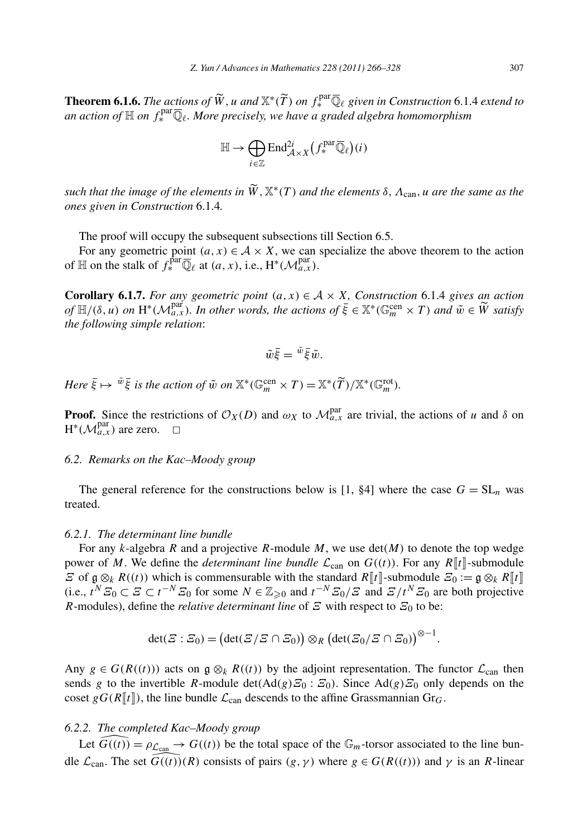*T. Yun / Advances in Mathematics 228 (2011) 266–328*<br> **Theorem 6.1.6.** *The actions of*  $\widetilde{W}$ , *u* and  $\mathbb{X}^*(\widetilde{T})$  *on*  $f_*^{\text{par}}\overline{\mathbb{Q}}_\ell$  given in Construction 6.1.4 *extend to* an action of  $\mathbb H$  on  $f^{\mathrm{par}}_*\overline{\mathbb Q}_\ell.$  More precisely, we have a graded algebra homomorphism  $\check{V}$ , *u* and ∑<br>precisely,<br> $\mathbb{H} \rightarrow \bigoplus$ 

$$
\mathbb{H} \to \bigoplus_{i \in \mathbb{Z}} \mathrm{End}^{2i}_{\mathcal{A} \times X} \big(f^{\mathrm{par}}_* \overline{\mathbb{Q}}_\ell\big)(i)
$$

 $\mathbb{H} \to \bigoplus_{i \in \mathbb{Z}} \text{End}_{\mathcal{A} \times X}^{2i}(f_{*}^{par}\overline{\mathbb{Q}}_{\ell})(i)$ <br>such that the image of the elements in  $\widetilde{W}, \mathbb{X}^{*}(T)$  and the elements  $\delta, \Lambda_{\text{can}}, u$  are the same as the *ones given in Construction* 6.1.4*.*

The proof will occupy the subsequent subsections till Section 6.5.

For any geometric point  $(a, x) \in A \times X$ , we can specialize the above theorem to the action of  $\mathbb{H}$  on the stalk of  $f^{\text{par}}_* \overline{\mathbb{Q}}_\ell$  at  $(a, x)$ , i.e.,  $H^*(\mathcal{M}_{a,x}^{\text{par}})$ .

**Corollary 6.1.7.** *For any geometric point*  $(a, x) \in A \times X$ *, Construction* 6.1.4 *gives an action of*  $\mathbb{H}$  *on the stalk of*  $f_*^{\text{par}} \overline{\mathbb{Q}}_\ell$  *at*  $(a, x)$ *, i.e.,*  $H^*(\mathcal{M}_{a,x}^{\text{par}})$ *.*<br>**Corollary 6.1.7.** *For any geometric point*  $(a, x) \in \mathcal{A} \times X$ *, Construction* 6.1.4 *gives an action of*  $\mathbb{H}/(\delta, u)$ *the following simple relation*:

$$
\tilde{w}\bar{\xi} = \tilde{w}\bar{\xi}\tilde{w}.
$$

 $\tilde{w}\bar{\xi} = \tilde{w}\bar{\xi}\tilde{w}.$ <br> *Here*  $\bar{\xi} \mapsto \tilde{w}\bar{\xi}$  is the action of  $\tilde{w}$  on  $\mathbb{X}^*(\mathbb{G}_m^{\text{cen}} \times T) = \mathbb{X}^*(\widetilde{T})/\mathbb{X}^*(\mathbb{G}_m^{\text{rot}}).$ 

**Proof.** Since the restrictions of  $\mathcal{O}_X(D)$  and  $\omega_X$  to  $\mathcal{M}_{a,x}^{\text{par}}$  are trivial, the actions of *u* and  $\delta$  on  $H^*(\mathcal{M}_{a,x}^{\text{par}})$  are zero.  $\Box$ 

# *6.2. Remarks on the Kac–Moody group*

The general reference for the constructions below is [1,  $\S$ 4] where the case  $G = SL_n$  was treated.

#### *6.2.1. The determinant line bundle*

For any *k*-algebra *R* and a projective *R*-module *M*, we use det*(M)* to denote the top wedge power of *M*. We define the *determinant line bundle*  $\mathcal{L}_{can}$  on  $G((t))$ . For any  $R[[t]]$ -submodule *Ξ* of g ⊗*k R*((*t*)) which is commensurable with the standard *R* $\llbracket t \rrbracket$ -submodule *Ξ*<sub>0</sub> := g ⊗*k R* $\llbracket t \rrbracket$ (i.e.,  $t^N \Sigma_0 \subset \Sigma \subset t^{-N} \Sigma_0$  for some  $N \in \mathbb{Z}_{\geq 0}$  and  $t^{-N} \Sigma_0 / \Sigma$  and  $\Xi / t^N \Sigma_0$  are both projective <br>*R*-modules), define the *relative determinant line* of  $\Xi$  with respect to  $\Xi_0$  to be:<br> $\det(\Xi : \Xi_0) = (\det(\Xi$ *R*-modules), define the *relative determinant line* of  $\tilde{z}$  with respect to  $\tilde{z}_0$  to be:

$$
\det(\varXi:\varXi_0)=\bigl(\det(\varXi/\varXi\cap\varXi_0)\bigr)\otimes_R\bigl(\det(\varXi_0/\varXi\cap\varXi_0)\bigr)^{\otimes-1}.
$$

Any  $g \in G(R((t)))$  acts on  $g \otimes_k R((t))$  by the adjoint representation. The functor  $\mathcal{L}_{can}$  then sends *g* to the invertible *R*-module det*(*Ad*(g)Ξ*<sup>0</sup> : *Ξ*0*)*. Since Ad*(g)Ξ*<sup>0</sup> only depends on the coset  $gG(R[\![t]\!])$ , the line bundle  $\mathcal{L}_{can}$  descends to the affine Grassmannian Gr<sub>G</sub>.

# *6.2.2. The completed Kac–Moody group*

Let  $\widehat{G}((t)) = \rho_{\mathcal{L}_{can}} \to G((t))$  be the total space of the  $\mathbb{G}_m$ -torsor associated to the line bundle  $\mathcal{L}_{can}$ . The set  $G((t))(R)$  consists of pairs  $(g, \gamma)$  where  $g \in G(R((t)))$  and  $\gamma$  is an *R*-linear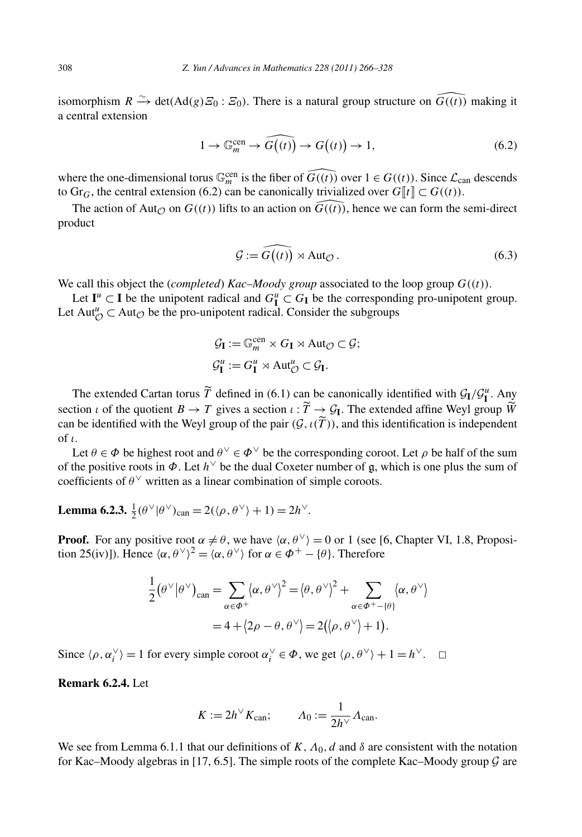isomorphism  $R \xrightarrow{\sim} \det(Ad(g) \mathcal{Z}_0 : \mathcal{Z}_0)$ . There is a natural group structure on  $\widehat{G((t))}$  making it<br>  $1 \to \mathbb{G}_m^{\text{cen}} \to \widehat{G((t))} \to G((t)) \to 1,$  (6.2) a central extension

$$
1 \to \mathbb{G}_m^{\text{cen}} \to \widehat{G}((t)) \to G((t)) \to 1,\tag{6.2}
$$

where the one-dimensional torus  $\mathbb{G}_m^{\text{cen}}$  is the fiber of  $\tilde{G}((t))$  over  $1 \in G((t))$ . Since  $\mathcal{L}_{\text{can}}$  descends to Gr<sub>G</sub>, the central extension (6.2) can be canonically trivialized over  $G$  [ $t$ ]  $\subset G((t))$ .

The action of Aut<sub> $\mathcal{O}$ </sub> on  $G((t))$  lifts to an action on  $\widehat{G((t))}$ , hence we can form the semi-direct duct<br>  $\mathcal{G} := \widehat{G((t))} \rtimes \text{Aut}_{\mathcal{O}}$ . (6.3) product

$$
\mathcal{G} := G((t)) \rtimes \text{Aut}_{\mathcal{O}}.
$$
 (6.3)

We call this object the *(completed) Kac–Moody group* associated to the loop group  $G((t))$ .

Let  $I^u \subset I$  be the unipotent radical and  $G^u \subset G_I$  be the corresponding pro-unipotent group. Let  $Aut^u_{\mathcal{O}} \subset Aut_{\mathcal{O}}$  be the pro-unipotent radical. Consider the subgroups

$$
\mathcal{G}_{\mathbf{I}} := \mathbb{G}_m^{\text{cen}} \times G_{\mathbf{I}} \rtimes \text{Aut}_{\mathcal{O}} \subset \mathcal{G};
$$
  

$$
\mathcal{G}_{\mathbf{I}}^u := G_{\mathbf{I}}^u \rtimes \text{Aut}_{\mathcal{O}}^u \subset \mathcal{G}_{\mathbf{I}}.
$$

The extended Cartan torus  $\widetilde{T}$  defined in (6.1) can be canonically identified with  $\mathcal{G}_I/\mathcal{G}_I^u$ . Any section *ι* of the quotient  $B \to T$  gives a section  $\iota : T \to \mathcal{G}_I$ . The extended affine Weyl group I  $\mathcal{G}_{I}$ .<br>be canonically identified with  $\mathcal{G}_{I}/\mathcal{G}_{I}^{u}$ . Any<br> $\rightarrow \infty$  *T*<sub>1</sub>. The extended affine Weyl group  $\widetilde{W}$ The extended Cartan torus  $\widetilde{T}$  defined in (6.1) can be can be identified with the Weyl group of the pair  $(\mathcal{G}, \iota(\widetilde{T}))$ can be identified with the Weyl group of the pair  $(\mathcal{G}, \iota(\widetilde{T}))$ , and this identification is independent of *ι*.

Let  $\theta \in \Phi$  be highest root and  $\theta^{\vee} \in \Phi^{\vee}$  be the corresponding coroot. Let  $\rho$  be half of the sum of the positive roots in *Φ*. Let *h*<sup>∨</sup> be the dual Coxeter number of g, which is one plus the sum of coefficients of  $\theta^{\vee}$  written as a linear combination of simple coroots.

**Lemma 6.2.3.**  $\frac{1}{2}(\theta^{\vee}|\theta^{\vee})_{\text{can}} = 2(\langle \rho, \theta^{\vee} \rangle + 1) = 2h^{\vee}$ .

**Proof.** For any positive root  $\alpha \neq \theta$ , we have  $\langle \alpha, \theta^{\vee} \rangle = 0$  or 1 (see [6, Chapter VI, 1.8, Proposition 25(iv)]). Hence  $\langle \alpha, \theta^{\vee} \rangle^2 = \langle \alpha, \theta^{\vee} \rangle$  for  $\alpha \in \Phi^+ - \{\theta\}$ . Therefore<br> $\frac{1}{2} (\theta^{\vee} | \theta^{\vee})_{\text$ tion 25(iv)]). Hence  $\langle \alpha, \theta^{\vee} \rangle^2 = \langle \alpha, \theta^{\vee} \rangle$  for  $\alpha \in \Phi^+ - \{\theta\}$ . Therefore

$$
\frac{1}{2}(\theta^{\vee}|\theta^{\vee})_{\text{can}} = \sum_{\alpha \in \Phi^{+}} \langle \alpha, \theta^{\vee} \rangle^{2} = \langle \theta, \theta^{\vee} \rangle^{2} + \sum_{\alpha \in \Phi^{+} - \{\theta\}} \langle \alpha, \theta^{\vee} \rangle
$$

$$
= 4 + \langle 2\rho - \theta, \theta^{\vee} \rangle = 2(\langle \rho, \theta^{\vee} \rangle + 1).
$$

Since  $\langle \rho, \alpha_i^{\vee} \rangle = 1$  for every simple coroot  $\alpha_i^{\vee} \in \Phi$ , we get  $\langle \rho, \theta^{\vee} \rangle + 1 = h^{\vee}$ .  $\Box$ 

**Remark 6.2.4.** Let

$$
K := 2h^{\vee} K_{\text{can}}; \qquad \Lambda_0 := \frac{1}{2h^{\vee}} \Lambda_{\text{can}}.
$$

We see from Lemma 6.1.1 that our definitions of  $K, \Lambda_0, d$  and  $\delta$  are consistent with the notation for Kac–Moody algebras in [17, 6.5]. The simple roots of the complete Kac–Moody group  $\mathcal G$  are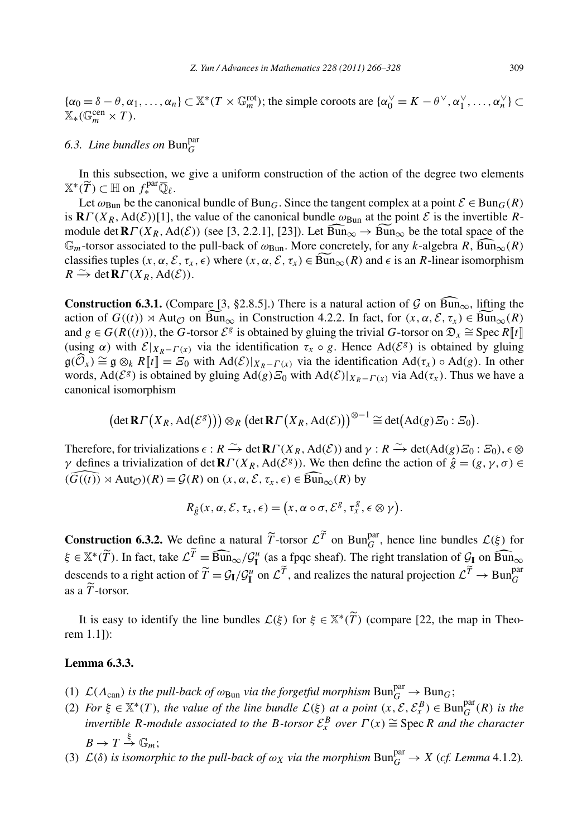${\alpha_0 = \delta - \theta, \alpha_1, \ldots, \alpha_n} \subset \mathbb{X}^*(T \times \mathbb{G}_m^{\text{rot}})$ ; the simple coroots are  ${\alpha_0^{\vee} = K - \theta^{\vee}, \alpha_1^{\vee}, \ldots, \alpha_n^{\vee}} \subset T$  $\mathbb{X}_*(\mathbb{G}_m^{\text{cen}} \times T).$ 

*6.3. Line bundles on* Bun<sup>par</sup> *G*<br>In this subsection, we give  $\mathbb{X}^*(\widetilde{T}) \subset \mathbb{H}$  on  $f_*^{\text{par}} \overline{\mathbb{Q}}_\ell$ . In this subsection, we give a uniform construction of the action of the degree two elements  $\widetilde{T}$ )  $\subset \mathbb{H}$  on  $f_*^{\text{par}} \overline{\mathbb{Q}}_{\ell}$ .

Let  $\omega_{\text{Bun}}$  be the canonical bundle of Bun<sub>G</sub>. Since the tangent complex at a point  $\mathcal{E} \in \text{Bun}_G(R)$ is  $\mathbf{R} \Gamma(X_R, \text{Ad}(\mathcal{E}))$ [1], the value of the canonical bundle  $\omega_{\text{Bun}}$  at the point  $\mathcal{E}$  is the invertible *R*- $\mathbb{X}^*(\widetilde{T}) \subset \mathbb{H}$  on  $f_*^{\text{par}} \overline{\mathbb{Q}}_\ell$ .<br>Let  $\omega_{\text{Bun}}$  be the canonical bundle of Bun<sub>*G*</sub>. Since the tangent complex at a point  $\mathcal{E} \in \text{Bun}_G(R)$ <br>is **R***Γ*(*X<sub>R</sub>*, Ad(*E*))[1], the value of the canonical Let  $\omega_{\text{Bun}}$  be the canonical bundle of  $\text{Bun}_G$ . Since the tangent complex at a point  $\mathcal{E} \in \text{Bun}_G(R)$ <br>is  $\mathbb{R}\Gamma(X_R, \text{Ad}(\mathcal{E}))[1]$ , the value of the canonical bundle  $\omega_{\text{Bun}}$  at the point  $\mathcal{E}$  is the inve is  $\mathbf{R}\Gamma(X_R, \text{Ad}(\mathcal{E}))$ [1], the value of the canonical bundle  $\omega_{\text{Bun}}$  at the point  $\mathcal E$  is the invertible  $R$ -<br>module det  $\mathbf{R}\Gamma(X_R, \text{Ad}(\mathcal E))$  (see [3, 2.2.1], [23]). Let  $\widehat{\text{Bun}}_{\infty} \to \widehat{\text{Bun}}_{\infty}$  be the  $R \xrightarrow{\sim} \det \mathbf{R} \Gamma(X_R, \text{Ad}(\mathcal{E}))$ . classifies tuples  $(x, \alpha, \mathcal{E}, \tau_x, \epsilon)$  where  $(x, \alpha, \mathcal{E}, \tau_x) \in \widehat{Bun}_{\infty}(R)$  and  $\epsilon$  is an *R*-linear isomorphism  $R \xrightarrow{\sim} \det R\Gamma(X_R, \text{Ad}(\mathcal{E}))$ .<br>**Construction 6.3.1.** (Compare [3, §2.8.5].) There is a natural action of G

action of  $G((t)) \rtimes \text{Aut}_{\mathcal{O}}$  on  $\text{Bun}_{\infty}$  in Construction 4.2.2. In fact, for  $(x, \alpha, \mathcal{E}, \tau_x) \in \text{Bun}_{\infty}(R)$ **Construction 6.3.1.** (Compare [3, §2.8.5].) There is a natural action of  $G$  on  $\overline{Bun}_{\infty}$ , lifting the and  $g \in G(R((t)))$ , the *G*-torsor  $\mathcal{E}^g$  is obtained by gluing the trivial *G*-torsor on  $\mathfrak{D}_x \cong \text{Spec } R[[t]]$ (using  $\alpha$ ) with  $\mathcal{E}|_{X_R - \Gamma(x)}$  via the identification  $\tau_x \circ g$ . Hence Ad( $\mathcal{E}^g$ ) is obtained by gluing action of  $G((t)) \rtimes \text{Aut}_{\mathcal{O}}$  on  $\widetilde{\text{Bun}}_{\infty}$  in Construction 4.2.2. In fact, for  $(x, \alpha, \mathcal{E}, \tau_x) \in \widetilde{\text{Bun}}_{\infty}(R)$ <br>and  $g \in G(R((t)))$ , the *G*-torsor  $\mathcal{E}^g$  is obtained by gluing the trivial *G*-torsor on  $\mathfrak{$  $\mathfrak{g}(\mathcal{O}_x) = \mathfrak{g} \otimes_k \mathsf{R}[\![\![\![\![\![\!]\!]\!]= \mathbb{Z}_0$  with  $\text{Aut}(\mathcal{O})[X_R - \Gamma(x)]$  via the identification  $\text{Aut}(X_x) \circ \text{Aut}(g)$ . In other<br>words,  $\text{Ad}(\mathcal{E}^g)$  is obtained by gluing  $\text{Ad}(g) \mathbb{Z}_0$  with  $\text{Ad}(\mathcal{E})|$ canonical isomorphism  $\mathcal{H} \otimes_k \mathbb{R}$   $\mathbb{F}$  =  $\mathcal{L}$  with  $\text{Au}(C)/X_R - \Gamma(x)$  via the identification  $\text{Au}(U_x) \circ \text{Au}(g)$ 

$$
(\det \mathbf{R} \Gamma(X_R, \mathrm{Ad}(\mathcal{E}^g))) \otimes_R (\det \mathbf{R} \Gamma(X_R, \mathrm{Ad}(\mathcal{E})))^{\otimes -1} \cong \det(\mathrm{Ad}(g) \mathcal{E}_0 : \mathcal{E}_0).
$$

Therefore, for trivializations  $\epsilon : R \xrightarrow{\sim} \det \mathbf{R} \Gamma(X_R, \text{Ad}(\mathcal{E}))$  and  $\gamma : R \xrightarrow{\sim} \det(\text{Ad}(g) \mathcal{E}_0 : \mathcal{E}_0), \epsilon \otimes$ *γ* defines a trivialization of det  $\mathbf{R}\Gamma(X_R, \text{Ad}(\mathcal{E}^g))$ . We then define the action of  $\hat{g} = (g, \gamma, \sigma) \in$ Therefore, for trivializations  $\epsilon : R \xrightarrow{\sim} \det \mathbf{R} \Gamma(X_R, \text{Ad}(\mathcal{E}))$  and  $\gamma$  defines a trivialization of det  $\mathbf{R} \Gamma(X_R, \text{Ad}(\mathcal{E}^g))$ . We then det  $\widehat{G((t))} \rtimes \text{Aut}_{\mathcal{O}}(R) = \mathcal{G}(R)$  on  $(x, \alpha, \mathcal{E}, \tau_x, \epsilon) \in \widehat{\text{Bun}}$ bis  $\epsilon : R \to \text{det } \mathbf{R}$ <br> *Rg*(*x, a, g, g, t<sub>x</sub>,*  $\epsilon$ *)<br>*  $R_{\hat{g}}(x, \alpha, \mathcal{E}, \tau_x, \epsilon) = ($ 

$$
R_{\hat{g}}(x,\alpha,\mathcal{E},\tau_x,\epsilon)=(x,\alpha\circ\sigma,\mathcal{E}^g,\tau_x^g,\epsilon\otimes\gamma).
$$

**Construction 6.3.2.** We define a natural  $\widetilde{T}$ -torsor  $\mathcal{L}^{\widetilde{T}}$  on Bun<sub>G</sub><sup>n</sup>, hence line bundles  $\mathcal{L}(\xi)$  for *K<sub>ĝ</sub>*(*x*,  $\alpha$ , *ξ*,  $\tau_x$ ,  $\epsilon$ ) = (*x*,  $\alpha \circ \sigma$ ,  $\epsilon^{\circ}$ ,  $\tau_x^{\gamma}$ ,  $\epsilon \otimes \gamma$ ).<br> **Construction 6.3.2.** We define a natural  $\tilde{T}$ -torsor  $\mathcal{L}^{\tilde{T}}$  on Bun<sup>par</sup>, hence line bundles  $\mathcal{L}(\xi)$  for  $\xi \in \mathbb{X}$ descends to a right action of  $\widetilde{T} = \mathcal{G}_{I}/\mathcal{G}_{I}^{u}$  on  $\mathcal{L}^{\widetilde{T}}$ , and realizes the natural projection  $\mathcal{L}^{\widetilde{T}} \to \text{Bun}_{G}^{\text{par}}$ <br>as a  $\widetilde{T}$ -torsor.<br>It is easy to identify the line bundles  $\mathcal{L}(\xi)$  **struction 6.3.2.** We define a natural  $\widetilde{T}$ -torsor  $\mathcal{L}^{\widetilde{T}}$  on Bun<sup>par</sup>, hence line bundle as a *T* -torsor.

It is easy to identify the line bundles  $\mathcal{L}(\xi)$  for  $\xi \in \mathbb{X}^*(\widetilde{T})$  (compare [22, the map in Theorem 1.1]):

# **Lemma 6.3.3.**

(1)  $\mathcal{L}(\Lambda_{\text{can}})$  *is the pull-back of*  $\omega_{\text{Bun}}$  *via the forgetful morphism*  $\text{Bun}_{G}^{par} \to \text{Bun}_{G}$ ;

-

- (2) *For*  $\xi \in \mathbb{X}^*(T)$ *, the value of the line bundle*  $\mathcal{L}(\xi)$  *at a point*  $(x, \mathcal{E}, \mathcal{E}_x^B) \in \text{Bun}_G^{\text{par}}(R)$  *is the invertible R-module associated to the B-torsor*  $\mathcal{E}_x^B$  *over*  $\Gamma(x) \cong$  Spec*R and the character*  $B \to T \stackrel{\xi}{\to} \mathbb{G}_m;$
- (3)  $\mathcal{L}(\delta)$  *is isomorphic to the pull-back of*  $\omega_X$  *via the morphism*  $\text{Bun}_G^{\text{par}} \to X$  (*cf. Lemma* 4.1.2)*.*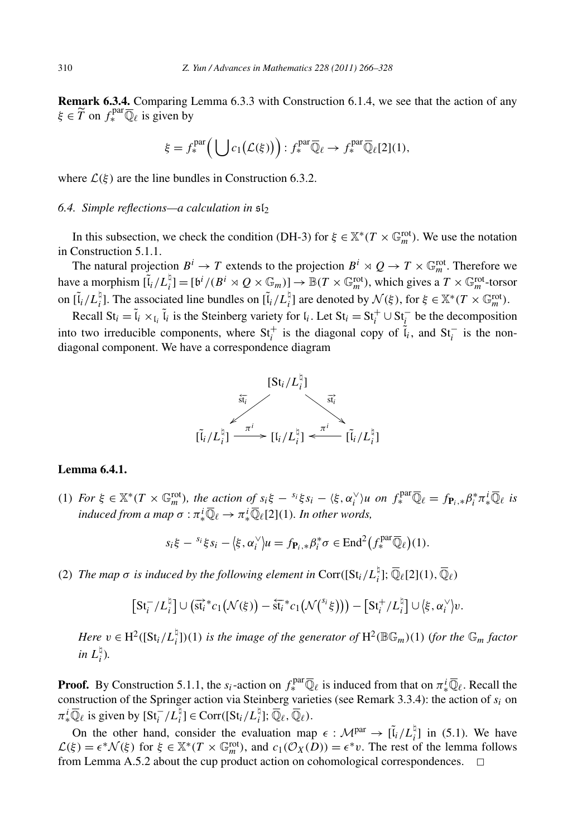**Remark 6.3.4.** Comparing Lemma 6.3.3 with Construction 6.1.4, we see that the action of any  $\xi \in \widetilde{T}$  on  $f_*^{\text{par}} \overline{\mathbb{Q}}_\ell$  is given by nma 6.3.3 with<br> $\left(\bigcup c_1(\mathcal{L}(\xi))\right)$ 

$$
\xi = f_*^{\text{par}}\Big(\bigcup c_1(\mathcal{L}(\xi))\Big) : f_*^{\text{par}}\overline{\mathbb{Q}}_\ell \to f_*^{\text{par}}\overline{\mathbb{Q}}_\ell[2](1),
$$

where  $\mathcal{L}(\xi)$  are the line bundles in Construction 6.3.2.

# *6.4. Simple reflections—a calculation in* sl<sup>2</sup>

In this subsection, we check the condition (DH-3) for  $\xi \in \mathbb{X}^*(T \times \mathbb{G}_m^{\text{rot}})$ . We use the notation in Construction 5.1.1.

The natural projection  $B^i \to T$  extends to the projection  $B^i \rtimes Q \to T \times \mathbb{G}_m^{\text{rot}}$ . Therefore we have a morphism  $[\tilde{l}_i/L_i^{\dagger}] = [\mathfrak{b}^i/(B^i \times Q \times \mathbb{G}_m)] \to \mathbb{B}(T \times \mathbb{G}_m^{\text{rot}})$ , which gives a  $T \times \mathbb{G}_m^{\text{rot}}$ -torsor on  $[\tilde{l}_i/L_i^{\natural}]$ . The associated line bundles on  $[\tilde{l}_i/L_i^{\natural}]$  are denoted by  $\mathcal{N}(\xi)$ , for  $\xi \in \mathbb{X}^*(T \times \mathbb{G}_m^{\text{rot}})$ .

Recall  $St_i = \tilde{l}_i \times_{I_i} \tilde{l}_i$  is the Steinberg variety for  $l_i$ . Let  $St_i = St_i^+ \cup St_i^-$  be the decomposition into two irreducible components, where  $St_i^+$  is the diagonal copy of  $\tilde{l}_i$ , and  $St_i^-$  is the nondiagonal component. We have a correspondence diagram



# **Lemma 6.4.1.**

(1) For  $\xi \in \mathbb{X}^*(T \times \mathbb{G}_m^{\text{rot}})$ , the action of  $s_i \xi - s_i \xi s_i - \langle \xi, \alpha_i^{\vee} \rangle u$  on  $f_*^{\text{par}} \overline{\mathbb{Q}}_\ell = f_{\mathbf{P}_i,*} \beta_i^* \pi_*^i \overline{\mathbb{Q}}_\ell$  is<br>induced from a map  $\sigma : \pi_*^i \overline{\mathbb{Q}}_\ell \to \pi_*^i \overline{\mathbb{Q}}_\ell[2](1)$ . In other *induced from a map*  $\sigma : \pi_*^i \overline{\mathbb{Q}}_\ell \to \pi_*^i \overline{\mathbb{Q}}_\ell[2](1)$ *. In other words,* 

$$
s_i \xi - {^{s_i} \xi s_i} - \langle \xi, \alpha_i^{\vee} \rangle u = f_{\mathbf{P}_i, *} \beta_i^* \sigma \in \text{End}^2(f_*^{\text{par}} \overline{\mathbb{Q}}_\ell)(1).
$$

(2) *The map*  $\sigma$  *is induced by the following element in* Corr( $[St_i/L_i^{\natural}]$ ;  $\overline{\mathbb{Q}}_{\ell}[2](1)$ ,  $\overline{\mathbb{Q}}_{\ell}$ )

is induced by the following element in 
$$
\text{Corr}([St_i/L_i^{\natural}]; \overline{\mathbb{Q}}_{\ell}[2](1), \overline{\mathbb{Q}}_{\ell})
$$
  
\n $[St_i^-/L_i^{\natural}] \cup (\overline{st}_i^* c_1(\mathcal{N}(\xi)) - \overline{st}_i^* c_1(\mathcal{N}^{s_i} \xi))) - [St_i^+/L_i^{\natural}] \cup \langle \xi, \alpha_i^{\vee} \rangle v.$ 

*Here*  $v \in H^2([St_i/L_i^{\natural}])$ (1) *is the image of the generator of*  $H^2(\mathbb{BG}_m)(1)$  (*for the*  $\mathbb{G}_m$  *factor* in  $L_i^{\natural}$ ).

**Proof.** By Construction 5.1.1, the  $s_i$ -action on  $f_*^{par} \overline{\mathbb{Q}}_\ell$  is induced from that on  $\pi_*^i \overline{\mathbb{Q}}_\ell$ . Recall the construction of the Springer action via Steinberg varieties (see Remark 3.3.4): the action of *si* on  $\pi_*^i \overline{\mathbb{Q}}_\ell$  is given by  $[\text{St}_i^- / L_i^{\natural}] \in \text{Corr}([\text{St}_i / L_i^{\natural}] ; \overline{\mathbb{Q}}_\ell, \overline{\mathbb{Q}}_\ell)$ .

On the other hand, consider the evaluation map  $\epsilon : \mathcal{M}^{par} \to [\tilde{i}_i/L_i^{\dagger}]$  in (5.1). We have  $\mathcal{L}(\xi) = \epsilon^* \mathcal{N}(\xi)$  for  $\xi \in \mathbb{X}^*(T \times \mathbb{G}_m^{\text{rot}})$ , and  $c_1(\mathcal{O}_X(D)) = \epsilon^* v$ . The rest of the lemma follows from Lemma A.5.2 about the cup product action on cohomological correspondences.  $\Box$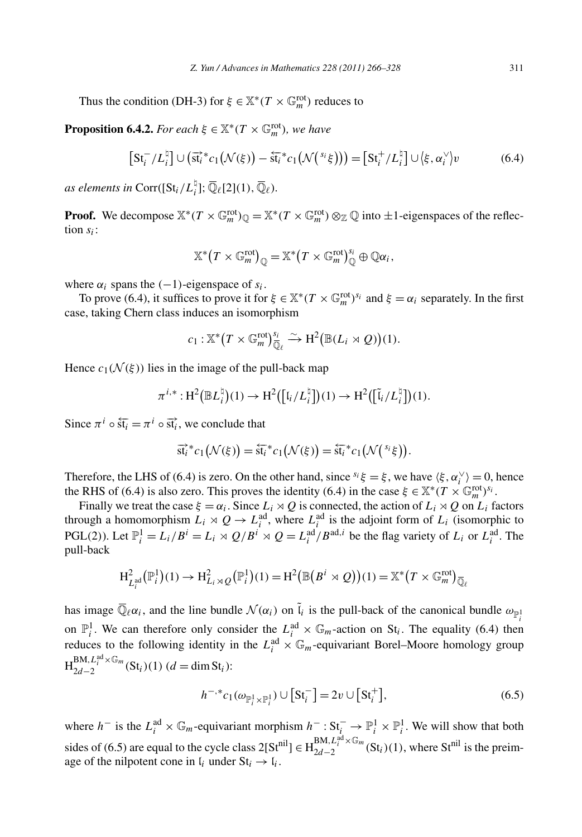Thus the condition (DH-3) for  $\xi \in \mathbb{X}^*(T \times \mathbb{G}_m^{\text{rot}})$  reduces to

**Proposition 6.4.2.** *For each*  $\xi \in \mathbb{X}^*(T \times \mathbb{G}_m^{\text{rot}})$ *, we have* 

$$
\begin{aligned}\n\text{onation (DH-3) for } \xi \in \mathbb{X}^*(I \times \mathbb{G}_m^{\text{rot}}) \text{ reduces to} \\
\text{5.4.2. For each } \xi \in \mathbb{X}^*(T \times \mathbb{G}_m^{\text{rot}}), \text{ we have} \\
\left[\text{St}_i^- / L_i^{\natural}\right] \cup \left(\overrightarrow{\text{st}_i}^* c_1 \left(\mathcal{N}(\xi)\right) - \overleftarrow{\text{st}_i}^* c_1 \left(\mathcal{N}^{\setminus s}(\xi)\right)\right) &= \left[\text{St}_i^+ / L_i^{\natural}\right] \cup \left\langle \xi, \alpha_i^{\vee} \right\rangle v\n\end{aligned}\n\tag{6.4}
$$

*as elements in* Corr( $\left[St_i/L_i^{\dagger}\right]; \overline{\mathbb{Q}}_{\ell}[2](1), \overline{\mathbb{Q}}_{\ell}$ ).

**Proof.** We decompose  $\mathbb{X}^*(T \times \mathbb{G}_m^{\text{rot}})_{\mathbb{Q}} = \mathbb{X}^*(T \times \mathbb{G}_m^{\text{rot}}) \otimes_{\mathbb{Z}} \mathbb{Q}$  into  $\pm 1$ -eigenspaces of the reflection *si*:  $(T \times \mathbb{G}_m^{\text{rot}})_{\mathbb{Q}} = \mathbb{X}^*(T \times \mathbb{G}_m^{\text{rot}}) \otimes_{\mathbb{Z}}$ <br> $\mathbb{X}^*(T \times \mathbb{G}_m^{\text{rot}})_{\mathbb{Q}} = \mathbb{X}^*(T \times \mathbb{G}_m^{\text{rot}})$ 

$$
\mathbb{X}^*\big(T\times \mathbb{G}_m^{\text{rot}}\big)_{\mathbb{Q}}=\mathbb{X}^*\big(T\times \mathbb{G}_m^{\text{rot}}\big)_{\mathbb{Q}}^{S_i}\oplus \mathbb{Q}\alpha_i,
$$

where  $\alpha_i$  spans the  $(-1)$ -eigenspace of  $s_i$ .

To prove (6.4), it suffices to prove it for  $\xi \in \mathbb{X}^*(T \times \mathbb{G}_m^{\text{rot}})^{s_i}$  and  $\xi = \alpha_i$  separately. In the first case, taking Chern class induces an isomorphism Exercise of *s<sub>i</sub>*.<br> *c*<sub>1</sub> : X<sup>∗</sup>(*T* ×  $\mathbb{G}_m^{\text{rot}}$ )<sup>*s<sub>i</sub>*</sup> and<br> *c*<sub>1</sub> : X<sup>\*</sup>(*T* ×  $\mathbb{G}_m^{\text{rot}}$ )<sup>*s<sub>i</sub>*</sup>  $\rightarrow$  H<sup>2</sup>( $\mathbb{B}(L_i \rtimes Q)$ )

$$
c_1: \mathbb{X}^*\big(T \times \mathbb{G}_m^{\text{rot}}\big)_{\overline{\mathbb{Q}}_\ell}^{\mathfrak{c}_i} \xrightarrow{\sim} \mathrm{H}^2\big(\mathbb{B}(L_i \rtimes Q)\big)(1).
$$

Hence  $c_1(\mathcal{N}(\xi))$  lies in the image of the pull-back map

$$
c_1: \mathbb{A} \cdot (I \times \mathbb{G}_m^*)_{\overline{\mathbb{Q}}_\ell} \to \mathrm{H}^2(\mathbb{B}(L_i \rtimes Q))(1).
$$
  
as in the image of the pull-back map  

$$
\pi^{i,*}: \mathrm{H}^2(\mathbb{B}L_i^{\natural})(1) \to \mathrm{H}^2([\mathfrak{l}_i/L_i^{\natural}])(1) \to \mathrm{H}^2([\mathfrak{l}_i/L_i^{\natural}])(1).
$$

$$
\circ \overrightarrow{\mathrm{st}}_i, \text{ we conclude that}
$$

$$
\overrightarrow{\mathrm{st}}_i^* c_1(\mathcal{N}(\xi)) = \overleftarrow{\mathrm{st}}_i^* c_1(\mathcal{N}(\xi)) = \overleftarrow{\mathrm{st}}_i^* c_1(\mathcal{N}(\xi)).
$$

Since  $\pi^{i} \circ \overline{\text{st}_{i}} = \pi^{i} \circ \overline{\text{st}_{i}}$ , we conclude that

$$
\overrightarrow{\mathrm{st}_i}^*c_1(\mathcal{N}(\xi)) = \overleftarrow{\mathrm{st}_i}^*c_1(\mathcal{N}(\xi)) = \overleftarrow{\mathrm{st}_i}^*c_1(\mathcal{N}(\overrightarrow{s_i}\xi)).
$$

Therefore, the LHS of (6.4) is zero. On the other hand, since  $s_i \xi = \xi$ , we have  $\langle \xi, \alpha_i^{\vee} \rangle = 0$ , hence the RHS of (6.4) is also zero. This proves the identity (6.4) in the case  $\xi \in \mathbb{X}^*(T \times \mathbb{G}_m^{\text{rot}})^{s_i}$ .

Finally we treat the case  $\xi = \alpha_i$ . Since  $L_i \rtimes Q$  is connected, the action of  $L_i \rtimes Q$  on  $L_i$  factors through a homomorphism  $L_i \rtimes Q \to L_i^{\text{ad}}$ , where  $L_i^{\text{ad}}$  is the adjoint form of  $L_i$  (isomorphic to PGL(2)). Let  $\mathbb{P}_i^1 = L_i/B^i = L_i \rtimes Q/B^i \rtimes Q = L_i^{\text{ad}}/B^{\text{ad},i}$  be the flag variety of  $L_i$  or  $L_i^{\text{ad}}$ . The pull-back  $L_i^{\text{ca}}$ , where  $L_i^{\text{ra}}$  is the adjoint for<br>  $l^i \rtimes Q = L_i^{\text{ad}}/B^{\text{ad},i}$  be the flag v<br>  $(1) = H^2(\mathbb{B}(B^i \rtimes Q))(1) = \mathbb{X}^*(A)$ 

$$
H^2_{L_i^{ad}}(\mathbb{P}_i^1)(1) \to H^2_{L_i \rtimes Q}(\mathbb{P}_i^1)(1) = H^2(\mathbb{B}(B^i \rtimes Q))(1) = \mathbb{X}^*(T \times \mathbb{G}_m^{\text{rot}})_{\overline{\mathbb{Q}}_\ell}
$$

has image  $\overline{\mathbb{Q}}_{\ell}\alpha_i$ , and the line bundle  $\mathcal{N}(\alpha_i)$  on  $\tilde{l}_i$  is the pull-back of the canonical bundle  $\omega_{\mathbb{P}^1}$ on  $\mathbb{P}^1_i$ . We can therefore only consider the  $L_i^{ad} \times \mathbb{G}_m$ -action on St<sub>i</sub>. The equality (6.4) then reduces to the following identity in the  $L_i^{ad} \times \mathbb{G}_m$ -equivariant Borel–Moore homology group<br>  $H_{2d-2}^{BM, L_i^{ad} \times \mathbb{G}_m}(\text{St}_i)(1)$  ( $d = \dim \text{St}_i$ ):<br>  $h^{-, *} c_1(\omega_{\mathbb{P}^1 \times \mathbb{P}^1}) \cup [\text{St}_i^-] = 2v \cup [\text{St}_i^+]$ , (6.5)  $H_{2d-2}^{\text{BM},L_i^{\text{ad}} \times \mathbb{G}_m}(\text{St}_i)(1)$  (*d* = dim St<sub>*i*</sub>):

$$
h^{-,*}c_1(\omega_{\mathbb{P}^1_i \times \mathbb{P}^1_i}) \cup [St_i^-] = 2v \cup [St_i^+],
$$
\n(6.5)

where  $h^-$  is the  $L_i^{ad} \times \mathbb{G}_m$ -equivariant morphism  $h^- : St^-_i \to \mathbb{P}^1_i \times \mathbb{P}^1_i$ . We will show that both sides of (6.5) are equal to the cycle class  $2[St^{nil}] \in H_{2d-2}^{BM, L_i^{ad} \times \mathbb{G}_m} (St_i)(1)$ , where  $St^{nil}$  is the preimage of the nilpotent cone in  $l_i$  under  $St_i \rightarrow l_i$ .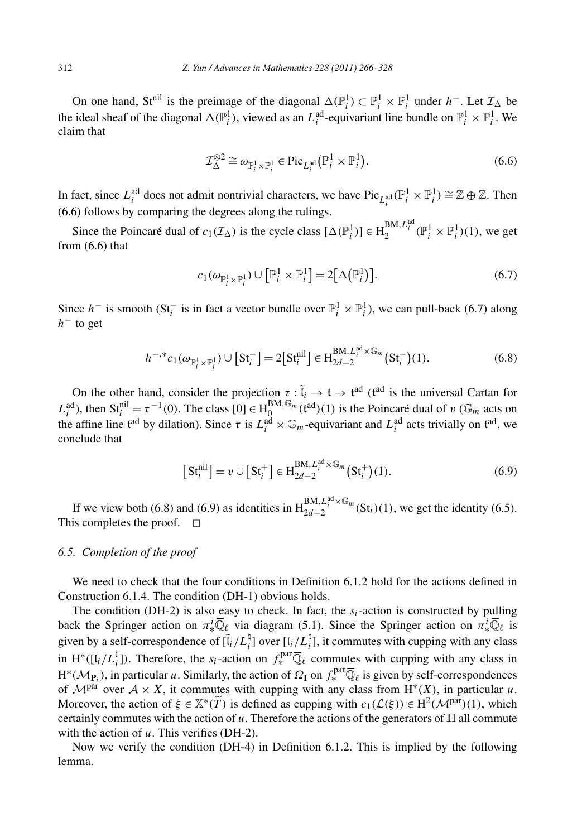On one hand, St<sup>nil</sup> is the preimage of the diagonal  $\Delta(\mathbb{P}_i^1) \subset \mathbb{P}_i^1 \times \mathbb{P}_i^1$  under  $h^-$ . Let  $\mathcal{I}_{\Delta}$  be the ideal sheaf of the diagonal  $\Delta(\mathbb{P}_i^1)$ , viewed as an  $L_i^{\text{ad}}$ -equivariant line bundle on  $\mathbb{P}_i^1 \times \mathbb{P}_i^1$ . We claim that  $\mathbf{H} \rightarrow (\mathbf{H} \mathbf{H})$ 

$$
\mathcal{I}_{\Delta}^{\otimes 2} \cong \omega_{\mathbb{P}_i^1 \times \mathbb{P}_i^1} \in \text{Pic}_{L_i^{\text{ad}}}(\mathbb{P}_i^1 \times \mathbb{P}_i^1). \tag{6.6}
$$

In fact, since  $L_i^{\text{ad}}$  does not admit nontrivial characters, we have  $\text{Pic}_{L_i^{\text{ad}}}(\mathbb{P}_i^1 \times \mathbb{P}_i^1) \cong \mathbb{Z} \oplus \mathbb{Z}$ . Then (6.6) follows by comparing the degrees along the rulings.

Since the Poincaré dual of  $c_1(\mathcal{I}_\Delta)$  is the cycle class  $[\Delta(\mathbb{P}_i^1)] \in H_2^{BM, L_i^{ad}}(\mathbb{P}_i^1 \times \mathbb{P}_i^1)(1)$ , we get from (6.6) that the cycle class  $[\Delta(\mathbb{P}_i^1)] \in$ <br>*)* ∪  $[\mathbb{P}_i^1 \times \mathbb{P}_i^1] = 2[\Delta(\mathbb{P}_i^1)]$ 

$$
c_1(\omega_{\mathbb{P}_i^1 \times \mathbb{P}_i^1}) \cup [\mathbb{P}_i^1 \times \mathbb{P}_i^1] = 2[\Delta(\mathbb{P}_i^1)].
$$
\n(6.7)

Since *h*<sup>−</sup> is smooth (St<sub>i</sub><sup>−</sup> is in fact a vector bundle over  $\mathbb{P}_i^1 \times \mathbb{P}_i^1$ ), we can pull-back (6.7) along  $h^-$  to get<br>  $h^{-, *}c_1(\omega_{\mathbb{P}^1 \times \mathbb{P}^1}) \cup [St_i^-] = 2[St_i^{\text{nil}}] \in H_{2d-2}^{\text{BM}, L_i^{\text{ad}} \times \mathbb{G}_m} (St_i^-)($ *h*<sup>−</sup> to get

$$
h^{-,*}c_1(\omega_{\mathbb{P}_i^1 \times \mathbb{P}_i^1}) \cup [St_i^-] = 2[St_i^{\text{nil}}] \in H_{2d-2}^{\text{BM}, L_i^{\text{ad}} \times \mathbb{G}_m}(\text{St}_i^-)(1). \tag{6.8}
$$

On the other hand, consider the projection  $\tau : \tilde{l}_i \to \mathfrak{t} \to \mathfrak{t}^{ad}$  ( $\mathfrak{t}^{ad}$  is the universal Cartan for  $L_i^{ad}$ , then  $St_i^{nil} = \tau^{-1}(0)$ . The class  $[0] \in H_0^{BM, \mathbb{G}_m}(\mathfrak{t}^{ad})(1)$  is the Poincaré dual of *v* ( $\mathbb{G}_m$  acts on the affine line t<sup>ad</sup> by dilation). Since  $\tau$  is  $L_i^{ad} \times \mathbb{G}_m$ -equivariant and  $L_i^{ad}$  acts trivially on t<sup>ad</sup>, we conclude that<br>  $[St_i^{nil}] = v \cup [St_i^+] \in H_{2d-2}^{BM, L_i^{ad} \times \mathbb{G}_m} (St_i^+)(1).$  (6.9) conclude that

$$
[St_i^{\text{nil}}] = v \cup [St_i^+] \in H_{2d-2}^{\text{BM}, L_i^{\text{ad}} \times \mathbb{G}_m} (St_i^+)(1). \tag{6.9}
$$

If we view both (6.8) and (6.9) as identities in  $H_{2d-2}^{BM,L_i^{ad}\times\mathbb{G}_m}(St_i)(1)$ , we get the identity (6.5). This completes the proof.  $\Box$ 

# *6.5. Completion of the proof*

We need to check that the four conditions in Definition 6.1.2 hold for the actions defined in Construction 6.1.4. The condition (DH-1) obvious holds.

The condition (DH-2) is also easy to check. In fact, the  $s_i$ -action is constructed by pulling back the Springer action on  $\pi^i_*\overline{\mathbb{Q}}_\ell$  via diagram (5.1). Since the Springer action on  $\pi^i_*\overline{\mathbb{Q}}_\ell$  is given by a self-correspondence of  $[\tilde{l}_i/L_i^{\dagger}]$  over  $[l_i/L_i^{\dagger}]$ , it commutes with cupping with any class in H<sup>∗</sup>([l<sub>*i*</sub>/L<sub>*i*</sub><sup>1</sup>]). Therefore, the *s<sub>i</sub>*-action on  $f_*^{\text{par}}\overline{\mathbb{Q}}_\ell$  commutes with cupping with any class in  $H^*(\mathcal{M}_{\mathbf{P}_i})$ , in particular *u*. Similarly, the action of  $\Omega_{\mathbf{I}}$  on  $f_*^{\text{par}}\overline{\mathbb{Q}}_\ell$  is given by self-correspondences of  $\mathcal{M}^{par}$  over  $\mathcal{A} \times X$ , it commutes with cupping with any class from  $H^*(X)$ , in particular *u*. in H<sup>\*</sup>([ $l_i/L_i^{\dagger}$ ]). Therefore, the  $s_i$ -a<br>H<sup>\*</sup>( $\mathcal{M}_{\mathbf{P}_i}$ ), in particular *u*. Similarly<br>of  $\mathcal{M}^{\text{par}}$  over  $\mathcal{A} \times X$ , it commute<br>Moreover, the action of  $\xi \in \mathbb{X}^*(\widetilde{T})$ Horeover, the action of  $\xi \in \mathbb{X}^*(\widetilde{T})$  is defined as cupping with  $c_1(\mathcal{L}(\xi)) \in H^2(\mathcal{M}^{par})(1)$ , which certainly commutes with the action of  $u$ . Therefore the actions of the generators of  $\mathbb H$  all commute with the action of *u*. This verifies (DH-2).

Now we verify the condition (DH-4) in Definition 6.1.2. This is implied by the following lemma.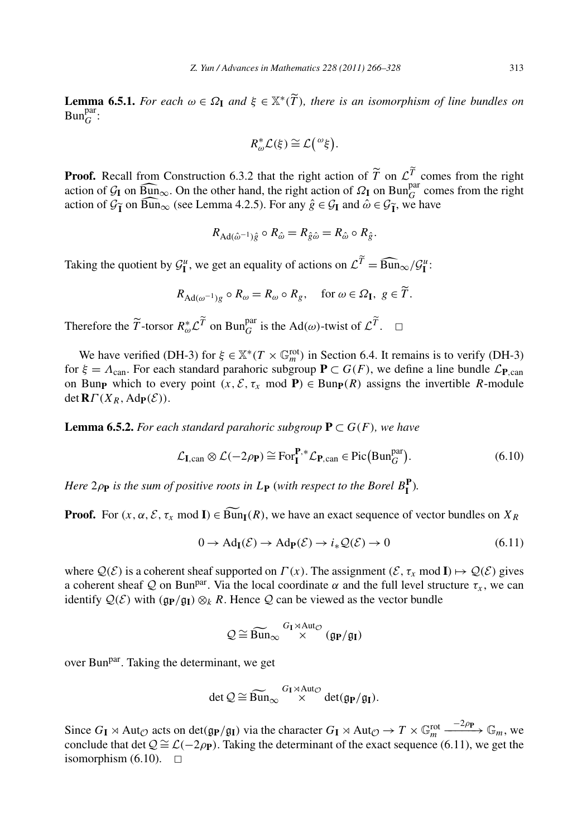**Lemma 6.5.1.** *For each*  $\omega \in \Omega_1$  *and*  $\xi \in \mathbb{X}^*(\widetilde{T})$ *, there is an isomorphism of line bundles on*<br>**Lemma 6.5.1.** *For each*  $\omega \in \Omega_1$  *and*  $\xi \in \mathbb{X}^*(\widetilde{T})$ *, there is an isomorphism of line bundles on*  $\text{Bun}_{G}^{\text{par}}$ :

$$
R_{\omega}^* \mathcal{L}(\xi) \cong \mathcal{L}({}^{\omega}\xi).
$$

**Proof.** Recall from Construction 6.3.2 that the right action of  $\tilde{T}$  on  $\mathcal{L}^T$  comes from the right **Proof.** Recall from Construction 6.3.2 that the right action of  $\widetilde{T}$  on  $\mathcal{L}\widetilde{T}$  action of  $\mathcal{G}_{\mathbf{I}}$  on  $\widehat{\text{Bun}}_{\infty}$ . On the other hand, the right action of  $\mathcal{Q}_{\mathbf{I}}$  on  $\text{Bun}_{\mathcal{G}}^{\text{para}}$  $G$  comes from the right **Proof.** Recald<br>action of  $\mathcal{G}_{\mathbf{I}}$ <br>action of  $\mathcal{G}_{\mathbf{I}}$ **I** call from Construction 6.3.2 that the right action of  $\widetilde{T}$  on  $\widehat{B}_{\text{un}\infty}$ . On the other hand, the right action of  $\Omega_{\text{I}}$  on B<br>**i** on  $\widehat{B}_{\text{un}\infty}$  (see Lemma 4.2.5). For any  $\hat{g} \in \mathcal{G}_{\text{I}}$  and  $\$ action of  $\mathcal{G}_{\tilde{\mathbf{I}}}$  on  $\widehat{\mathbf{Bun}}_{\infty}$  (see Lemma 4.2.5). For any  $\hat{g} \in \mathcal{G}_{\mathbf{I}}$  and  $\hat{\omega} \in \mathcal{G}_{\tilde{\mathbf{I}}}$ , we have

$$
R_{\mathrm{Ad}(\hat{\omega}^{-1})\hat{g}} \circ R_{\hat{\omega}} = R_{\hat{g}\hat{\omega}} = R_{\hat{\omega}} \circ R_{\hat{g}}.
$$

 $R_{\text{Ad}(\hat{\omega}^{-1})\hat{g}} \circ R_{\hat{\omega}} = R_{\hat{g}\hat{\omega}} = R_{\hat{\omega}} \circ R_{\hat{g}}.$ <br>Taking the quotient by  $\mathcal{G}_{\mathbf{I}}^u$ , we get an equality of actions on  $\mathcal{L}^{\tilde{T}} = \widehat{\text{Bun}}_{\infty} / \mathcal{G}_{\mathbf{I}}^u$ :  $\mathcal{G}_{\mathbf{I}}^{\mu}$ , we get an equality of actions on  $\mathcal{L}^{\widetilde{T}} = \widehat{\text{Bun}}_{\infty}$ ,<br>  $R_{\text{Ad}(\omega^{-1})g} \circ R_{\omega} = R_{\omega} \circ R_g$ , for  $\omega \in \Omega_{\mathbf{I}}, g \in \widetilde{T}$ .

$$
R_{\mathrm{Ad}(\omega^{-1})g} \circ R_{\omega} = R_{\omega} \circ R_g, \quad \text{for } \omega \in \Omega_{\mathbf{I}}, g \in \widetilde{T}.
$$

Therefore the  $\widetilde{T}$ -torsor  $R_{\omega}^* L \widetilde{T}$  on Bun $_G^{\text{par}}$  is the Ad( $\omega$ )-twist of  $L \widetilde{T}$ .  $\Box$ 

We have verified (DH-3) for  $\xi \in \mathbb{X}^*(T \times \mathbb{G}_m^{\text{rot}})$  in Section 6.4. It remains is to verify (DH-3) for  $\xi = \Lambda_{\text{can}}$ . For each standard parahoric subgroup  $P \subset G(F)$ , we define a line bundle  $\mathcal{L}_{P,\text{can}}$ on Bunp which to every point  $(x, \mathcal{E}, \tau_x \mod P) \in \text{Bunp}(R)$  assigns the invertible *R*-module  $det$ **R***Γ*(*X<sub>R</sub>*, Ad**p**(*E*)).

**Lemma 6.5.2.** *For each standard parahoric subgroup* **P** ⊂ *G(F), we have*

$$
u \text{ standard parahoric subgroup } \mathbf{P} \subset G(F), \text{ we have}
$$
\n
$$
\mathcal{L}_{\mathbf{I},\text{can}} \otimes \mathcal{L}(-2\rho_{\mathbf{P}}) \cong \text{For}_{\mathbf{I}}^{\mathbf{P},*} \mathcal{L}_{\mathbf{P},\text{can}} \in \text{Pic}\big(\text{Bun}_{G}^{\text{par}}\big). \tag{6.10}
$$

*Here*  $2\rho_{\textbf{P}}$  *is the sum of positive roots in*  $L_{\textbf{P}}$  (*with respect to the Borel*  $B_{\textbf{I}}^{\textbf{P}}$ ).

**Proof.** For  $(x, \alpha, \mathcal{E}, \tau_x \mod I) \in \widetilde{Bun}_I(R)$ , we have an exact sequence of vector bundles on  $X_R$ 

$$
0 \to \text{Ad}_{\mathbf{I}}(\mathcal{E}) \to \text{Ad}_{\mathbf{P}}(\mathcal{E}) \to i_* \mathcal{Q}(\mathcal{E}) \to 0 \tag{6.11}
$$

where  $Q(\mathcal{E})$  is a coherent sheaf supported on  $\Gamma(x)$ . The assignment  $(\mathcal{E}, \tau_x \mod I) \mapsto Q(\mathcal{E})$  gives a coherent sheaf Q on Bun<sup>par</sup>. Via the local coordinate  $\alpha$  and the full level structure  $\tau_x$ , we can identify  $Q(\mathcal{E})$  with  $(\mathfrak{g}_{\mathbf{P}}/\mathfrak{g}_{\mathbf{I}}) \otimes_k R$ . Hence Q can be viewed as the vector bundle a the local of<br>Hence Q corrected  $Q \cong \widetilde{\text{Bun}}_{\infty}$ 

$$
\mathcal{Q}\cong \widetilde{\mathrm{Bun}}_{\infty} \stackrel{G_{\mathrm{I}}\rtimes \mathrm{Aut}_{\mathcal{O}}}{\times} (\mathfrak{g}_{\mathrm{P}}/\mathfrak{g}_{\mathrm{I}})
$$

over Bun<sup>par</sup>. Taking the determinant, we get<br>det  $Q \cong \widetilde{\text{Bun}}_{\infty}$ 

$$
\det \mathcal{Q} \cong \widetilde{\operatorname{Bun}}_{\infty} \overset{G_{\mathrm{I}} \rtimes \operatorname{Aut}_{\mathcal{O}}}{\times} \operatorname{det}(\mathfrak{g}_{\mathrm{P}}/\mathfrak{g}_{\mathrm{I}}).
$$

Since  $G_{I} \rtimes \text{Aut}_{\mathcal{O}}$  acts on det $(\mathfrak{g}_{P}/\mathfrak{g}_{I})$  via the character  $G_{I} \rtimes \text{Aut}_{\mathcal{O}} \to T \times \mathbb{G}_{m}^{\text{rot}} \xrightarrow{-2\rho_{P}} \mathbb{G}_{m}$ , we conclude that det  $Q \cong \mathcal{L}(-2\rho_{\mathbf{P}})$ . Taking the determinant of the exact sequence (6.11), we get the isomorphism  $(6.10)$ .  $\square$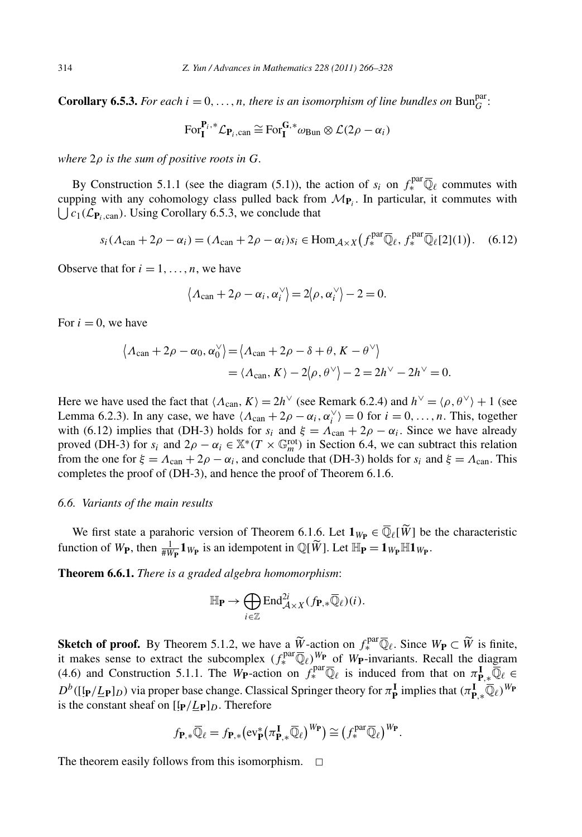**Corollary 6.5.3.** *For each*  $i = 0, \ldots, n$ *, there is an isomorphism of line bundles on* Bun $_G^{\text{par}}$ :

$$
\text{For}_{\mathbf{I}}^{\mathbf{P}_i,*}\mathcal{L}_{\mathbf{P}_i,\text{can}} \cong \text{For}_{\mathbf{I}}^{\mathbf{G},*}\omega_{\text{Bun}} \otimes \mathcal{L}(2\rho - \alpha_i)
$$

*where* 2*ρ is the sum of positive roots in G.*

By Construction 5.1.1 (see the diagram (5.1)), the action of  $s_i$  on  $f_*^{\text{par}}\overline{\mathbb{Q}}_\ell$  commutes with where  $2\rho$  is the sum of positive roots in G.<br>By Construction 5.1.1 (see the diagram (5.1)), the action<br>cupping with any cohomology class pulled back from  $\mathcal{M}_{\mathbf{P}_i}$ cupping with any cohomology class pulled back from  $M_{P_i}$ . In particular, it commutes with  $C_1(\mathcal{L}_{\mathbf{P}_i, \text{can}})$ . Using Corollary 6.5.3, we conclude that of  $s_i$  on  $f_*^{\text{pca}} \mathbb{Q}_\ell$  comm

$$
s_i(\Lambda_{\text{can}} + 2\rho - \alpha_i) = (\Lambda_{\text{can}} + 2\rho - \alpha_i)s_i \in \text{Hom}_{\mathcal{A} \times X}(f_*^{\text{par}} \overline{\mathbb{Q}}_\ell, f_*^{\text{par}} \overline{\mathbb{Q}}_\ell[2](1)). \quad (6.12)
$$

Observe that for  $i = 1, \ldots, n$ , we have

$$
\langle \Lambda_{\text{can}} + 2\rho - \alpha_i, \alpha_i^{\vee} \rangle = 2 \langle \rho, \alpha_i^{\vee} \rangle - 2 = 0.
$$
  

$$
\alpha_0, \alpha_0^{\vee} \rangle = \langle \Lambda_{\text{can}} + 2\rho - \delta + \theta, K - \theta^{\vee} \rangle
$$

For  $i = 0$ , we have

$$
\langle \Lambda_{\text{can}} + 2\rho - \alpha_i, \alpha_i^{\vee} \rangle = 2\langle \rho, \alpha_i^{\vee} \rangle - 2 = 0.
$$
  
have  

$$
\langle \Lambda_{\text{can}} + 2\rho - \alpha_0, \alpha_0^{\vee} \rangle = \langle \Lambda_{\text{can}} + 2\rho - \delta + \theta, K - \theta^{\vee} \rangle
$$

$$
= \langle \Lambda_{\text{can}}, K \rangle - 2\langle \rho, \theta^{\vee} \rangle - 2 = 2h^{\vee} - 2h^{\vee} = 0.
$$

Here we have used the fact that  $\langle \Lambda_{\text{can}}, K \rangle = 2h^{\vee}$  (see Remark 6.2.4) and  $h^{\vee} = \langle \rho, \theta^{\vee} \rangle + 1$  (see Lemma 6.2.3). In any case, we have  $\langle \Lambda_{\text{can}} + 2\rho - \alpha_i, \alpha_i^{\vee} \rangle = 0$  for  $i = 0, ..., n$ . This, together with (6.12) implies that (DH-3) holds for  $s_i$  and  $\xi = \Lambda_{\text{can}} + 2\rho - \alpha_i$ . Since we have already proved (DH-3) for  $s_i$  and  $2\rho - \alpha_i \in \mathbb{X}^*(T \times \mathbb{G}_m^{\text{rot}})$  in Section 6.4, we can subtract this relation from the one for  $\xi = A_{\text{can}} + 2\rho - \alpha_i$ , and conclude that (DH-3) holds for  $s_i$  and  $\xi = A_{\text{can}}$ . This completes the proof of (DH-3), and hence the proof of Theorem 6.1.6.

#### *6.6. Variants of the main results*

We first state a parahoric version of Theorem 6.1.6. Let  $\mathbf{1}_{W_P} \in \overline{\mathbb{Q}}_{\ell}[\widetilde{W}]$  be the characteristic  $W_P$  for  $\overline{\mathbb{Q}}_{\ell}$ 6.6. Variants of the main results<br>We first state a parahoric version of Theorem 6.1.6. Let  $\mathbf{1}_{W_P} \in \overline{\mathbb{Q}}_{\ell}[\widetilde{W}]$  be<br>function of  $W_P$ , then  $\frac{1}{\#W_P} \mathbf{1}_{W_P}$  is an idempotent in  $\mathbb{Q}[\widetilde{W}]$ . Let  $\mathbb{H}_$ 

**Theorem 6.6.1.** *There is a graded algebra homomorphism*:

$$
\mathbb{H}_{\mathbf{P}} \to \bigoplus_{i \in \mathbb{Z}} \text{End}_{\mathcal{A} \times X}^{2i} (f_{\mathbf{P}, *}\overline{\mathbb{Q}}_{\ell})(i).
$$

 $\mathbb{H}_{\mathbf{P}} \to \bigoplus_{i \in \mathbb{Z}} \text{End}_{\mathcal{A} \times X}^{2i}(f_{\mathbf{P}, *} \overline{\mathbb{Q}}_{\ell})(i).$ <br>
Sketch of proof. By Theorem 5.1.2, we have a  $\widetilde{W}$ -action on  $f_*^{\text{par}} \overline{\mathbb{Q}}_{\ell}$ . Since  $W_{\mathbf{P}} \subset \widetilde{W}$  is finite, it makes sense to extract the subcomplex  $(f_*^{\text{par}}\overline{\mathbb{Q}}_\ell)^{W_P}$  of  $W_P$ -invariants. Recall the diagram (4.6) and Construction 5.1.1. The *W***P**-action on  $f_*^{\text{par}} \overline{\mathbb{Q}}_\ell$  is induced from that on  $\pi_{\mathbf{P},\ast}^{\mathbf{I}} \overline{\mathbb{Q}}_\ell \in$ *D<sup><i>b*</sup>([[**p**/<u>*L***P**</del>]*D*) via proper base change. Classical Springer theory for *π***I** implies that  $(π$ **I**<sub>P</sub><sup>*\**Q*e*</sub>)<sup>*W*</sup>**P** is the constant sheaf on  $[lp/Lp]_D$ . Therefore<br>  $f_{P,*}\overline{Q}_\ell = f_{P,*}(ev_P^*(πP_F*)\widetilde{Q}_\ell)^{W$ is the constant sheaf on  $[\mathbf{p}/\mathbf{L_P}]_D$ . Therefore

$$
f_{\mathbf{P},*}\overline{\mathbb{Q}}_{\ell} = f_{\mathbf{P},*}(\text{ev}_{\mathbf{P}}^* (\pi_{\mathbf{P},*}^{\mathbf{I}} \overline{\mathbb{Q}}_{\ell})^{W_{\mathbf{P}}}) \cong (f_*^{\text{par}} \overline{\mathbb{Q}}_{\ell})^{W_{\mathbf{P}}}.
$$

The theorem easily follows from this isomorphism.  $\Box$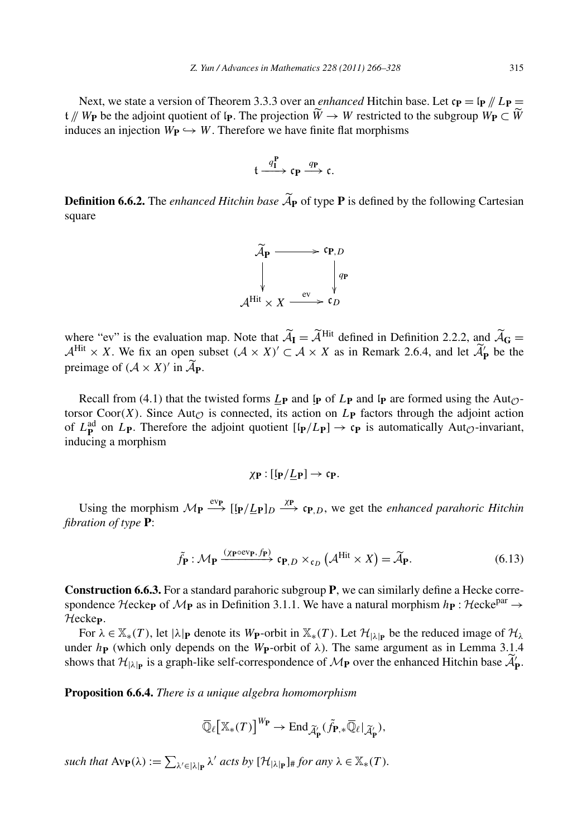Next, we state a version of Theorem 3.3.3 over an *enhanced* Hitchin base. Let  $c_{\bf P} = \ln \frac{p}{L}$   $\sum_{n=1}^{\infty}$ 2. *Yun / Advances in Mathematics* 228 (2011) 266–328<br>Next, we state a version of Theorem 3.3.3 over an *enhanced* Hitchin base. Let  $c_{\bf P} = [p \nmid / L_{\bf P}$ <br> $t \nmid W_{\bf P}$  be the adjoint quotient of  $I_{\bf P}$ . The projection *w w COUD 266−328* 315<br> *enhanced* Hitchin base. Let  $c_{\mathbf{P}} = [p \nmid p] \mathbf{L}_{\mathbf{P}} = \widetilde{W} \rightarrow W$  restricted to the subgroup  $W_{\mathbf{P}} \subset \widetilde{W}$ induces an injection  $W_{\mathbf{P}} \hookrightarrow W$ . Therefore we have finite flat morphisms

$$
\mathfrak{t}\xrightarrow{q_{\mathbf{I}}^{\mathbf{P}}}\mathfrak{c}_{\mathbf{P}}\xrightarrow{q_{\mathbf{P}}}\mathfrak{c}.
$$

 $t \xrightarrow{q_1^P} c_P \xrightarrow{q_P} c.$ <br> **Definition 6.6.2.** The *enhanced Hitchin base*  $\widetilde{A}_P$  of type **P** is defined by the following Cartesian square



 $\mathcal{A}^{\text{Hit}} \times X \xrightarrow{\text{ev}} \mathfrak{c}_D$ <br>where "ev" is the evaluation map. Note that  $\widetilde{A}_I = \widetilde{A}^{\text{Hit}}$  defined in Definition 2.2.2, and  $\widetilde{A}_G =$ where "ev" is the evaluation map. Note that  $\widetilde{A}_{I} = \widetilde{A}^{Hit}$  defined in Definition 2.2.2, an  $A^{Hit} \times X$ . We fix an open subset  $(A \times X)' \subset A \times X$  as in Remark 2.6.4, and let  $\widetilde{A}_{I}$  $\mathbf{P}_{\mathbf{P}}^{\prime}$  be the where "ev" is the evaluatio  $A^{\text{Hit}} \times X$ . We fix an open preimage of  $(A \times X)'$  in  $\widetilde{A_1}$ preimage of  $(A \times X)'$  in  $\widetilde{A}_{P}$ .

Recall from (4.1) that the twisted forms  $L_{\bf{P}}$  and  $\bf{I}_{\bf{P}}$  and  $\bf{I}_{\bf{P}}$  are formed using the Aut<sub>O</sub>torsor Coor $(X)$ . Since Aut<sub> $\mathcal{O}$ </sub> is connected, its action on  $L_{\mathbf{P}}$  factors through the adjoint action of  $L_{\mathbf{P}}^{\text{ad}}$  on  $L_{\mathbf{P}}$ . Therefore the adjoint quotient  $\left[\mathbf{I}_{\mathbf{P}}/L_{\mathbf{P}}\right] \to \mathbf{c}_{\mathbf{P}}$  is automatically Aut<sub> $\mathcal{O}$ -invariant,</sub> inducing a morphism

$$
\chi_{\mathbf{P}} : [\mathfrak{l}_{\mathbf{P}} / \underline{L}_{\mathbf{P}}] \to \mathfrak{c}_{\mathbf{P}}.
$$

Using the morphism  $M_{\mathbf{P}} \xrightarrow{\text{ev}_{\mathbf{P}}} [\mathbf{I}_{\mathbf{P}}/\underline{L}_{\mathbf{P}}]_D \xrightarrow{\text{X}_{\mathbf{P}}} \mathbf{c}_{\mathbf{P},D}$ , we get the *enhanced parahoric Hitchin*<br>  $\tilde{f}_{\mathbf{P}} : M_{\mathbf{P}} \xrightarrow{(\chi_{\mathbf{P}} \circ \text{ev}_{\mathbf{P}}, f_{\mathbf{P}})} \mathbf{c}_{\mathbf{P},D} \times_{\mathbf{c}_D$ *fibration of type* **P**:

$$
\tilde{f}_{\mathbf{P}} : \mathcal{M}_{\mathbf{P}} \xrightarrow{(\chi_{\mathbf{P}} \circ \text{ev}_{\mathbf{P}}, f_{\mathbf{P}})} \mathfrak{c}_{\mathbf{P}, D} \times_{\mathfrak{c}_D} (\mathcal{A}^{\text{Hit}} \times X) = \widetilde{\mathcal{A}}_{\mathbf{P}}.
$$
\n(6.13)

**Construction 6.6.3.** For a standard parahoric subgroup **P**, we can similarly define a Hecke correspondence Hecke<sub>P</sub> of  $M_P$  as in Definition 3.1.1. We have a natural morphism  $h_P$  : Hecke<sup>par</sup>  $\rightarrow$ Hecke**P**.

For  $\lambda \in \mathbb{X}_*(T)$ , let  $|\lambda|_P$  denote its W<sub>P</sub>-orbit in  $\mathbb{X}_*(T)$ . Let  $\mathcal{H}_{|\lambda|_P}$  be the reduced image of  $\mathcal{H}_{\lambda}$ under  $h$ **P** (which only depends on the *W***P**-orbit of  $\lambda$ ). The same argument as in Lemma 3.1.4 Find Heckep.<br>For  $\lambda \in \mathbb{X}_*(T)$ , let  $|\lambda|_P$  denote its  $W_P$ -orbit in  $\mathbb{X}_*(T)$ . Let  $\mathcal{H}_{|\lambda|_P}$  be the reduced image of  $\mathcal{H}$ <br>under  $h_P$  (which only depends on the  $W_P$ -orbit of  $\lambda$ ). The same argument as in Le self-correspondence of  $\mathcal{M}_{\mathbf{P}}$  over the enhanced Hitchin base  $\widetilde{\mathcal{A}}'_{\mathbf{P}}$ .

**Proposition 6.6.4.** *There is a unique algebra homomorphism*

$$
\begin{aligned}\n&\text{unique algebra homomorphism} \\
&\overline{\mathbb{Q}}_{\ell} \big[ \mathbb{X}_{*}(T) \big]^{W_{\mathbf{P}}} \to \text{End}_{\widetilde{\mathcal{A}}_{\mathbf{P}}^{\prime}}(\widetilde{f}_{\mathbf{P},*} \overline{\mathbb{Q}}_{\ell} | \widetilde{\mathcal{A}}_{\mathbf{P}}^{\prime}),\n\end{aligned}
$$

 $\overline{\mathbb{Q}}_{\ell} \left[ \mathbb{X}_{*}(T) \right]^{W_{\mathbf{P}}} \to \text{End}_{\widetilde{\mathcal{A}}_{\mathbf{P}}^{\prime}}(\widetilde{f}_{\mathbf{P},*} \overline{\mathbb{Q}}_{\ell}|_{\widetilde{\mathcal{A}}_{\mathbf{P}}^{\prime}}),$ <br>such that  $\text{Av}_{\mathbf{P}}(\lambda) := \sum_{\lambda' \in |\lambda|_{\mathbf{P}}} \lambda'$  acts by  $[\mathcal{H}_{|\lambda|_{\mathbf{P}}}]_{\#}$  for any  $\lambda \in \mathbb{X}_{*$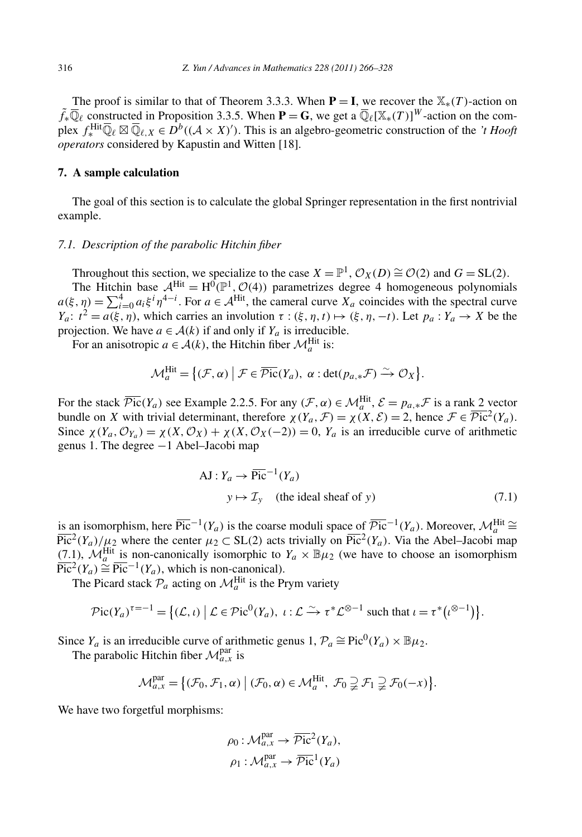The proof is similar to that of Theorem 3.3.3. When  $P = I$ , we recover the  $\mathbb{X}_*(T)$ -action on  $\tilde{f}$ <sup>\*</sup> $\overline{\mathbb{Q}}_{\ell}$  constructed in Proposition 3.3.5. When **P** = **G**, we get a  $\overline{\mathbb{Q}}_{\ell}[\mathbb{X}_{*}(T)]^{W}$ -action on the complex  $f_*^{\text{Hit}}\overline{\mathbb{Q}}_\ell \boxtimes \overline{\mathbb{Q}}_{\ell,X} \in D^b((\mathcal{A} \times X)')$ . This is an algebro-geometric construction of the *'t Hooft operators* considered by Kapustin and Witten [18].

#### **7. A sample calculation**

The goal of this section is to calculate the global Springer representation in the first nontrivial example.

# *7.1. Description of the parabolic Hitchin fiber*

Throughout this section, we specialize to the case  $X = \mathbb{P}^1$ ,  $\mathcal{O}_X(D) \cong \mathcal{O}(2)$  and  $G = SL(2)$ .

The Hitchin base  $A<sup>Hit</sup> = H<sup>0</sup>(\mathbb{P}<sup>1</sup>, \mathcal{O}(4))$  parametrizes degree 4 homogeneous polynomials *a(ξ,η)* <sup>=</sup> <sup>4</sup> *<sup>i</sup>*=<sup>0</sup> *aiξ <sup>i</sup> η*4−*<sup>i</sup>* . For *<sup>a</sup>* <sup>∈</sup> <sup>A</sup>Hit, the cameral curve *Xa* coincides with the spectral curve *Ya*:  $t^2 = a(\xi, \eta)$ , which carries an involution  $\tau : (\xi, \eta, t) \mapsto (\xi, \eta, -t)$ . Let  $p_a : Y_a \to X$  be the projection. We have  $a \in \mathcal{A}(k)$  if and only if  $Y_a$  is irreducible. *a* =  $\mathcal{A}(k)$  if and  $a \in \mathcal{A}(k)$ , the **F**<br>*a*  $\in \mathcal{A}(k)$ , the **F**<br> $\lim_{a \to a} \mathcal{A} = \{ (\mathcal{F}, \alpha) \mid \alpha \in \mathcal{A} \}$ 

For an anisotropic  $a \in \mathcal{A}(k)$ , the Hitchin fiber  $\mathcal{M}_a^{\text{Hit}}$  is:

$$
\mathcal{M}_a^{\text{Hit}} = \{ (\mathcal{F}, \alpha) \mid \mathcal{F} \in \overline{\mathcal{P}ic}(Y_a), \ \alpha : \det(p_{a,*}\mathcal{F}) \xrightarrow{\sim} \mathcal{O}_X \}.
$$

For the stack  $\overline{\mathcal{P}ic}(Y_a)$  see Example 2.2.5. For any  $(\mathcal{F}, \alpha) \in \mathcal{M}_a^{\text{Hit}}$ ,  $\mathcal{E} = p_{a,*} \mathcal{F}$  is a rank 2 vector bundle on *X* with trivial determinant, therefore  $\chi(Y_a, \mathcal{F}) = \chi(X, \mathcal{E}) = 2$ , hence  $\mathcal{F} \in \overline{\mathcal{P}ic}^2(Y_a)$ . Since  $\chi(Y_a, \mathcal{O}_{Y_a}) = \chi(X, \mathcal{O}_X) + \chi(X, \mathcal{O}_X(-2)) = 0$ ,  $Y_a$  is an irreducible curve of arithmetic genus 1. The degree −1 Abel–Jacobi map

$$
AJ: Y_a \to \overline{\text{Pic}}^{-1}(Y_a)
$$
  
  $y \mapsto \mathcal{I}_y$  (the ideal sheaf of y) \t(7.1)

is an isomorphism, here  $\overline{\text{Pic}}^{-1}(Y_a)$  is the coarse moduli space of  $\overline{\mathcal{P}ic}^{-1}(Y_a)$ . Moreover,  $\mathcal{M}_a^{\text{Hit}} \cong$  $\overline{\text{Pic}^2}(Y_a)/\mu_2$  where the center  $\mu_2 \subset SL(2)$  acts trivially on  $\overline{\text{Pic}^2}(Y_a)$ . Via the Abel–Jacobi map (7.1),  $\mathcal{M}_a^{\text{Hit}}$  is non-canonically isomorphic to *Y<sub>a</sub>* ×  $\mathbb{B}\mu_2$  (we have to choose an isomorphism<br>  $\text{Pic}^2(Y_a) \cong \text{Pic}^{-1}(Y_a)$ , which is non-canonical).<br>
The Picard stack  $\mathcal{P}_a$  acting on  $\mathcal{M}_a^{\text{Hit}}$   $\overline{\text{Pic}}^2(Y_a) \cong \overline{\text{Pic}}^{-1}(Y_a)$ , which is non-canonical).<br> *The Picard stack*  $\mathcal{P}_a$  acting on  $\mathcal{M}_a^{\text{Hit}}$  is the P:<br>  $\mathcal{P}ic(Y_a)^{\tau=-1} = \{(\mathcal{L}, \iota) \mid \mathcal{L} \in \mathcal{P}ic^0(Y_a), \iota\}$ 

The Picard stack  $P_a$  acting on  $\mathcal{M}_a^{\text{Hit}}$  is the Prym variety

$$
\mathcal{P}\mathrm{ic}(Y_a)^{\tau=-1} = \left\{ (\mathcal{L}, \iota) \; \middle| \; \mathcal{L} \in \mathcal{P}\mathrm{ic}^0(Y_a), \; \iota : \mathcal{L} \xrightarrow{\sim} \tau^* \mathcal{L}^{\otimes -1} \text{ such that } \iota = \tau^* (\iota^{\otimes -1}) \right\}.
$$

The parabolic Hitchin fiber  $\mathcal{M}_{a,x}^{\text{par}}$  is

Since 
$$
Y_a
$$
 is an irreducible curve of arithmetic genus 1,  $\mathcal{P}_a \cong \text{Pic}^0(Y_a) \times \mathbb{B}\mu_2$ .  
The parabolic Hitchin fiber  $\mathcal{M}_{a,x}^{\text{par}}$  is  

$$
\mathcal{M}_{a,x}^{\text{par}} = \{ (\mathcal{F}_0, \mathcal{F}_1, \alpha) \mid (\mathcal{F}_0, \alpha) \in \mathcal{M}_a^{\text{Hit}}, \ \mathcal{F}_0 \supsetneq \mathcal{F}_1 \supsetneq \mathcal{F}_0(-x) \}.
$$

We have two forgetful morphisms:

$$
\rho_0: \mathcal{M}_{a,x}^{\text{par}} \to \overline{\mathcal{P}ic}^2(Y_a),
$$

$$
\rho_1: \mathcal{M}_{a,x}^{\text{par}} \to \overline{\mathcal{P}ic}^1(Y_a)
$$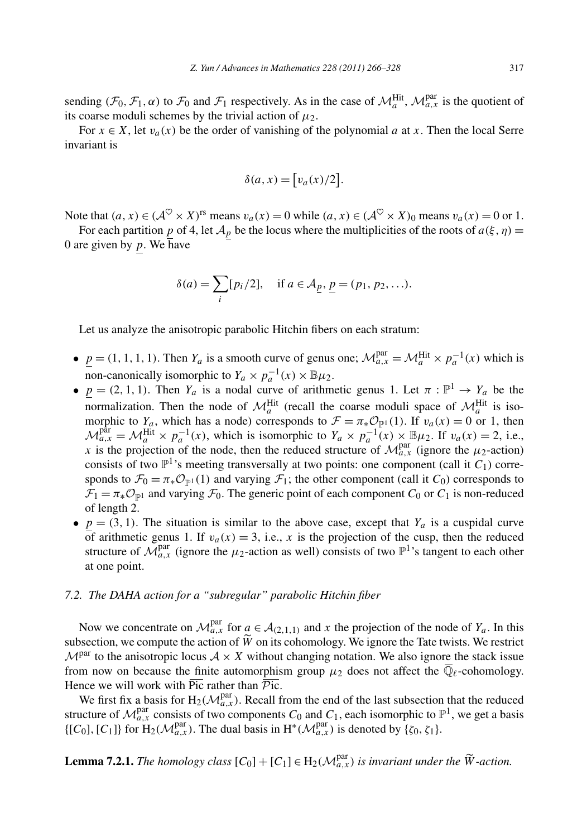sending  $(\mathcal{F}_0, \mathcal{F}_1, \alpha)$  to  $\mathcal{F}_0$  and  $\mathcal{F}_1$  respectively. As in the case of  $\mathcal{M}_a^{\text{Hit}}$ ,  $\mathcal{M}_{a,x}^{\text{par}}$  is the quotient of its coarse moduli schemes by the trivial action of  $\mu_2$ .

For *x* ∈ *X*, let *v<sub>a</sub>*(*x*) be the order of vanishing of the polynomial *a* at *x*. Then the local Serre ariant is<br>  $\delta(a, x) = [v_a(x)/2].$ invariant is

$$
\delta(a, x) = [v_a(x)/2].
$$

Note that  $(a, x) \in (\mathcal{A}^{\heartsuit} \times X)^{rs}$  means  $v_a(x) = 0$  while  $(a, x) \in (\mathcal{A}^{\heartsuit} \times X)_0$  means  $v_a(x) = 0$  or 1.

For each partition *p* of 4, let  $A_p$  be the locus where the multiplicities of the roots of  $a(\xi, \eta)$  = <br>re given by *p*. We have<br> $\delta(a) = \sum [p_i/2]$ , if  $a \in A_p$ ,  $p = (p_1, p_2, ...)$ . 0 are given by *p*. We have

$$
\delta(a) = \sum_{i} [p_i/2], \text{ if } a \in A_{\underline{p}}, \underline{p} = (p_1, p_2, \ldots).
$$

Let us analyze the anisotropic parabolic Hitchin fibers on each stratum:

- $\underline{p} = (1, 1, 1, 1)$ . Then  $Y_a$  is a smooth curve of genus one;  $\mathcal{M}_{a,x}^{\text{par}} = \mathcal{M}_a^{\text{Hit}} \times p_a^{-1}(x)$  which is non-canonically isomorphic to  $Y_a \times p_a^{-1}(x) \times \mathbb{B}\mu_2$ .
- $p = (2, 1, 1)$ . Then  $Y_a$  is a nodal curve of arithmetic genus 1. Let  $\pi : \mathbb{P}^1 \to Y_a$  be the normalization. Then the node of  $\mathcal{M}_a^{\text{Hit}}$  (recall the coarse moduli space of  $\mathcal{M}_a^{\text{Hit}}$  is isomorphic to  $Y_a$ , which has a node) corresponds to  $\mathcal{F} = \pi_* \mathcal{O}_{\mathbb{P}^1}(1)$ . If  $v_a(x) = 0$  or 1, then  $\mathcal{M}_{a,x}^{\text{par}} = \mathcal{M}_a^{\text{Hit}} \times p_a^{-1}(x)$ , which is isomorphic to  $Y_a \times p_a^{-1}(x) \times \mathbb{B}\mu_2$ . If  $v_a(x) = 2$ , i.e., *x* is the projection of the node, then the reduced structure of  $\mathcal{M}_{a,x}^{par}$  (ignore the  $\mu_2$ -action) consists of two  $\mathbb{P}^1$ 's meeting transversally at two points: one component (call it  $C_1$ ) corresponds to  $\mathcal{F}_0 = \pi_* \mathcal{O}_{\mathbb{P}^1}(1)$  and varying  $\mathcal{F}_1$ ; the other component (call it  $C_0$ ) corresponds to  $\mathcal{F}_1 = \pi_* \mathcal{O}_{\mathbb{P}^1}$  and varying  $\mathcal{F}_0$ . The generic point of each component  $C_0$  or  $C_1$  is non-reduced of length 2.
- $p = (3, 1)$ . The situation is similar to the above case, except that  $Y_a$  is a cuspidal curve of arithmetic genus 1. If  $v_a(x) = 3$ , i.e., x is the projection of the cusp, then the reduced structure of  $\mathcal{M}_{a,x}^{\text{par}}$  (ignore the  $\mu_2$ -action as well) consists of two  $\mathbb{P}^1$ 's tangent to each other at one point.

#### *7.2. The DAHA action for a "subregular" parabolic Hitchin fiber*

Now we concentrate on  $\mathcal{M}_{a,x}^{\text{par}}$  for  $a \in \mathcal{A}_{(2,1,1)}$  and *x* the projection of the node of  $Y_a$ . In this 7.2. The DAHA action for a "subregula"<br>Now we concentrate on  $\mathcal{M}_{a,x}^{\text{par}}$  for a subsection, we compute the action of  $\widetilde{W}$ subsection, we compute the action of  $\tilde{W}$  on its cohomology. We ignore the Tate twists. We restrict  $\mathcal{M}^{\text{par}}$  to the anisotropic locus  $\mathcal{A} \times X$  without changing notation. We also ignore the stack issue from now on because the finite automorphism group  $\mu_2$  does not affect the  $\overline{\mathbb{Q}}_\ell$ -cohomology. Hence we will work with  $\overline{Pic}$  rather than  $\overline{Pic}$ .

We first fix a basis for  $H_2(M_{a,x}^{\text{par}})$ . Recall from the end of the last subsection that the reduced structure of  $\mathcal{M}_{a,x}^{\text{par}}$  consists of two components  $C_0$  and  $C_1$ , each isomorphic to  $\mathbb{P}^1$ , we get a basis  $\{[C_0], [C_1]\}$  for  $H_2(\mathcal{M}_{a,x}^{\text{par}})$ . The dual basis in  $H^*(\mathcal{M}_{a,x}^{\text{par}})$  is denoted by  $\{\zeta_0, \zeta_1\}$ . **Lemma 7.2.1.** *The homology class*  $[C_0] + [C_1] \in H_2(\mathcal{M}_{a,x}^{\text{par}})$  *is denoted by*  $\{\zeta_0, \zeta_1\}$ .<br> **Lemma 7.2.1.** *The homology class*  $[C_0] + [C_1] \in H_2(\mathcal{M}_{a,x}^{\text{par}})$  *is invariant under the*  $\widetilde{W}$ -action.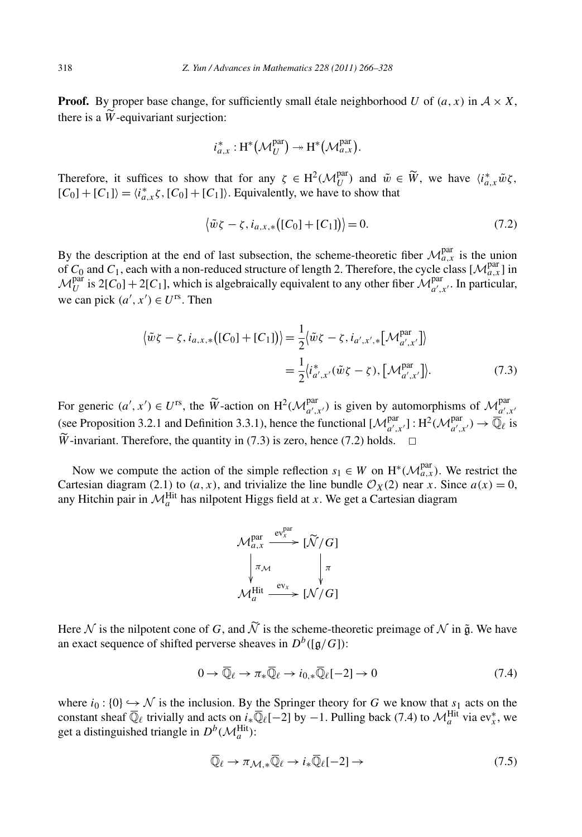**Proof.** By proper base change, for sufficiently small étale neighborhood *U* of  $(a, x)$  in  $A \times X$ , 318<br>**Proof.** By  $\mu$  there is a  $\widetilde{W}$ there is a  $\widetilde{W}$ -equivariant surjection: *a*,*x* :  $H^*(\mathcal{M}_U^{\text{par}}) \rightarrow H^*(\mathcal{M}_{a,x}^{\text{par}})$ 

$$
i_{a,x}^*: H^*(\mathcal{M}_U^{\text{par}}) \to H^*(\mathcal{M}_{a,x}^{\text{par}}).
$$

 $i_{a,x}^* : H^*(\mathcal{M}_U^{\text{par}}) \to H^*(\mathcal{M}_{a,x}^{\text{par}}).$ <br>Therefore, it suffices to show that for any  $\zeta \in H^2(\mathcal{M}_U^{\text{par}})$  and  $\tilde{w} \in \tilde{W}$ , we have  $\langle i_{a,x}^* \tilde{w} \zeta,$  $[C_0] + [C_1]$  =  $\langle i_{a,x}^* \zeta, [C_0] + [C_1] \rangle$ . Equivalently, we have to show that

$$
\langle \tilde{w}\zeta - \zeta, i_{a,x,*}([C_0] + [C_1]) \rangle = 0.
$$
\n(7.2)

By the description at the end of last subsection, the scheme-theoretic fiber  $\mathcal{M}_{a,x}^{par}$  is the union of  $C_0$  and  $C_1$ , each with a non-reduced structure of length 2. Therefore, the cycle class  $[\mathcal{M}^{par}_{a,x}]$  in  $M_U^{\text{par}}$  is 2[*C*<sub>0</sub>] + 2[*C*<sub>1</sub>], which is algebraically equivalent to any other fiber  $M_{a',x'}^{\text{par}}$ . In particular, we can pick  $(a', x') \in U^{rs}$ . Then

$$
\langle \tilde{w}\zeta - \zeta, i_{a,x,*}([C_0] + [C_1]) \rangle = \frac{1}{2} \langle \tilde{w}\zeta - \zeta, i_{a',x',*}[\mathcal{M}_{a',x'}^{par}] \rangle
$$
  
=  $\frac{1}{2} \langle i_{a',x'}^* (\tilde{w}\zeta - \zeta), [\mathcal{M}_{a',x'}^{par}] \rangle.$  (7.3)

 $=\frac{1}{2}\langle i_{a',x'}^*(\tilde{w}\zeta-\zeta), [\mathcal{M}_{a',x'}^{par}]\rangle.$  (7.3)<br>For generic  $(a', x') \in U^{rs}$ , the  $\tilde{W}$ -action on  $H^2(\mathcal{M}_{a',x'}^{par})$  is given by automorphisms of  $\mathcal{M}_{a',x'}^{par}$ <br>(see Proposition 3.2.1 and Definition 3.3.1), hence the *F*c<br>(se<br> $\widetilde{W}$  $\widetilde{W}$ -invariant. Therefore, the quantity in (7.3) is zero, hence (7.2) holds.  $\Box$ 

Now we compute the action of the simple reflection  $s_1 \in W$  on  $H^*(\mathcal{M}_{a,x}^{\text{par}})$ . We restrict the Cartesian diagram (2.1) to  $(a, x)$ , and trivialize the line bundle  $\mathcal{O}_X(2)$  near *x*. Since  $a(x) = 0$ , any Hitchin pair in  $\mathcal{M}_a^{\text{Hit}}$  has nilpotent Higgs field at *x*. We get a Cartesian diagram



 $\mathcal{M}_a^{\text{Hit}} \xrightarrow{\text{ev}_x} [\mathcal{N}/G]$ <br>Here  $\mathcal N$  is the nilpotent cone of *G*, and  $\widetilde{\mathcal N}$  is the scheme-theoretic preimage of  $\mathcal N$  in  $\tilde{\mathfrak g}$ . We have an exact sequence of shifted perverse sheaves in  $D^b([g/G])$ :

$$
0 \to \overline{\mathbb{Q}}_{\ell} \to \pi_* \overline{\mathbb{Q}}_{\ell} \to i_{0,*} \overline{\mathbb{Q}}_{\ell}[-2] \to 0 \tag{7.4}
$$

where  $i_0$ : {0}  $\hookrightarrow$  N is the inclusion. By the Springer theory for G we know that  $s_1$  acts on the constant sheaf  $\overline{\mathbb{Q}}_{\ell}$  trivially and acts on *i*<sub>*i*</sub> $\overline{\mathbb{Q}}_{\ell}[-2]$  by  $-1$ . Pulling back (7.4) to  $\mathcal{M}_a^{\text{Hit}}$  via ev<sub>*x*</sub>, we get a distinguished triangle in  $D^b(\mathcal{M}_a^{\text{Hit}})$ :

$$
\overline{\mathbb{Q}}_{\ell} \to \pi_{\mathcal{M}, *}\overline{\mathbb{Q}}_{\ell} \to i_*\overline{\mathbb{Q}}_{\ell}[-2] \to \tag{7.5}
$$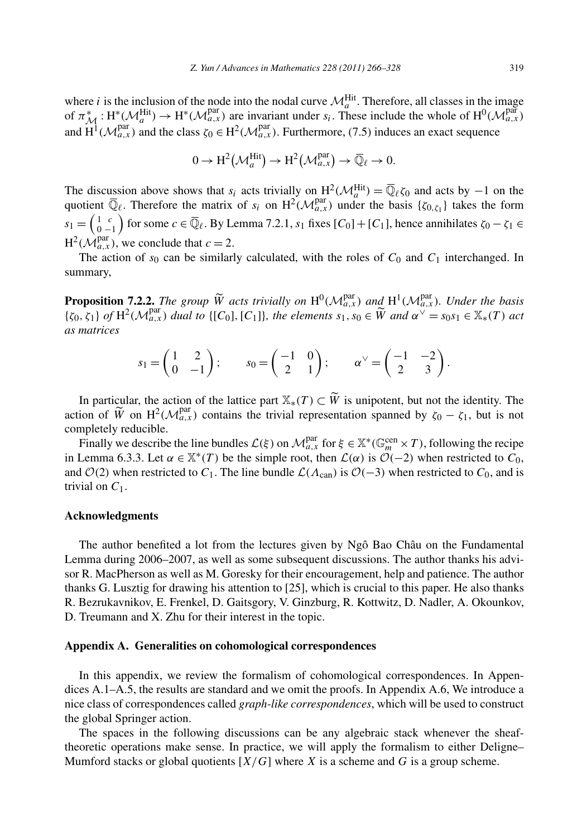where *i* is the inclusion of the node into the nodal curve  $\mathcal{M}_{\text{I}}^{\text{Hit}}$ . Therefore, all classes in the image of  $\pi_{\mathcal{M}}^{*} : H^{*}(\mathcal{M}_{a}^{\text{Hit}}) \to H^{*}(\mathcal{M}_{a,x}^{\text{par}})$  are invariant under  $s_{i}$ . These include the whole of  $H^{0}(\mathcal{M}_{a,x}^{\text{par}})$ and  $H^1(\mathcal{M}_{a,x}^{\text{par}})$  and the class  $\zeta_0 \in H^2(\mathcal{M}_{a,x}^{\text{par}})$ . Furthermore, (7.5) induces an exact sequence  $\mathcal{M}_{a,x}^{\text{par}}$  are invariant under  $s_i$ .<br>
ss  $\zeta_0 \in H^2(\mathcal{M}_{a,x}^{\text{par}})$ . Furthermor<br>  $0 \to H^2(\mathcal{M}_a^{\text{hit}}) \to H^2(\mathcal{M}_{a,x}^{\text{par}})$ 

$$
0 \to \mathrm{H}^2(\mathcal{M}_a^{\mathrm{Hit}}) \to \mathrm{H}^2(\mathcal{M}_{a,x}^{\mathrm{par}}) \to \overline{\mathbb{Q}}_{\ell} \to 0.
$$

The discussion above shows that  $s_i$  acts trivially on  $H^2(\mathcal{M}_a^{\text{Hit}}) = \overline{\mathbb{Q}}_\ell \zeta_0$  and acts by −1 on the quotient  $\overline{\mathbb{Q}}_{\ell}$ . Therefore the matrix of  $s_i$  on  $H^2(\mathcal{M}_{a,x}^{\text{par}})$  under the basis  $\{\zeta_{0,\zeta_1}\}$  takes the form  $s_1 = \begin{pmatrix} 1 & c \\ 0 & -1 \end{pmatrix}$ for some  $c \in \overline{\mathbb{Q}}_{\ell}$ . By Lemma 7.2.1,  $s_1$  fixes  $[C_0] + [C_1]$ , hence annihilates  $\zeta_0 - \zeta_1 \in$  $H^2(\mathcal{M}_{a,x}^{\text{par}})$ , we conclude that  $c = 2$ .

The action of  $s_0$  can be similarly calculated, with the roles of  $C_0$  and  $C_1$  interchanged. In summary, The action of  $s_0$  can be similarly calculated, with the roles of  $C_0$  and  $C_1$  interchanged. In<br>summary,<br>**Proposition 7.2.2.** *The group*  $\widetilde{W}$  acts trivially on  $H^0(\mathcal{M}_{a,x}^{par})$  and  $H^1(\mathcal{M}_{a,x}^{par})$ . Under the

summary,<br>**Proposition 7.2.2.** The group  $\widetilde{W}$  acts trivially on  $H^0(\mathcal{M}_{a,x}^{\text{par}})$  and  $H^1(\mathcal{M}_{a,x}^{\text{par}})$ . Under the basis  $\{\zeta_0, \zeta_1\}$  of  $H^2(\mathcal{M}_{a,x}^{\text{par}})$  dual to  $\{[C_0], [C_1]\}$ , the elements  $s_1, s_0$ *as matrices* The group W acts trivially on  $H^0(\mathcal{M}_{\alpha,x}^{\text{max}})$  and  $H^1(\mathcal{M}_{\alpha,x}^{\text{max}})$ .<br>
(a) dual to {[C<sub>0</sub>], [C<sub>1</sub>]}, the elements  $s_1, s_0 \in \widetilde{W}$  and  $\alpha^{\vee} = s$ <br>  $\begin{pmatrix} 1 & 2 \\ 0 & -1 \end{pmatrix}$ ;  $s_0 = \begin{pmatrix} -1 & 0 \\ 2 & 1 \end{pmatrix}$ ;  $\$ 

$$
s_1 = \begin{pmatrix} 1 & 2 \\ 0 & -1 \end{pmatrix}; \qquad s_0 = \begin{pmatrix} -1 & 0 \\ 2 & 1 \end{pmatrix}; \qquad \alpha^{\vee} = \begin{pmatrix} -1 & -2 \\ 2 & 3 \end{pmatrix}.
$$
  
In particular, the action of the lattice part  $\mathbb{X}_*(T) \subset \widetilde{W}$  is unipotent, but not the identity. The

 $31 - \left(0 -1\right)$ ,  $30 - \left(2 - 1\right)$ ,  $\alpha - \left(2 - 3\right)$ .<br>In particular, the action of the lattice part  $\mathbb{X}_*(T) \subset \widetilde{W}$  is unipotent, but not the identity. The action of  $\widetilde{W}$  on  $\mathrm{H}^2(\mathcal{M}_{a,x}^{\text{par}})$  contains the tr completely reducible.

Finally we describe the line bundles  $\mathcal{L}(\xi)$  on  $\mathcal{M}_{a,x}^{\text{par}}$  for  $\xi \in \mathbb{X}^*(\mathbb{G}_m^{\text{cen}} \times T)$ , following the recipe in Lemma 6.3.3. Let  $\alpha \in \mathbb{X}^*(T)$  be the simple root, then  $\mathcal{L}(\alpha)$  is  $\mathcal{O}(-2)$  when restricted to  $C_0$ , and  $O(2)$  when restricted to  $C_1$ . The line bundle  $\mathcal{L}(A_{\text{can}})$  is  $O(-3)$  when restricted to  $C_0$ , and is trivial on  $C_1$ .

#### **Acknowledgments**

The author benefited a lot from the lectures given by Ngô Bao Châu on the Fundamental Lemma during 2006–2007, as well as some subsequent discussions. The author thanks his advisor R. MacPherson as well as M. Goresky for their encouragement, help and patience. The author thanks G. Lusztig for drawing his attention to [25], which is crucial to this paper. He also thanks R. Bezrukavnikov, E. Frenkel, D. Gaitsgory, V. Ginzburg, R. Kottwitz, D. Nadler, A. Okounkov, D. Treumann and X. Zhu for their interest in the topic.

#### **Appendix A. Generalities on cohomological correspondences**

In this appendix, we review the formalism of cohomological correspondences. In Appendices A.1–A.5, the results are standard and we omit the proofs. In Appendix A.6, We introduce a nice class of correspondences called *graph-like correspondences*, which will be used to construct the global Springer action.

The spaces in the following discussions can be any algebraic stack whenever the sheaftheoretic operations make sense. In practice, we will apply the formalism to either Deligne– Mumford stacks or global quotients  $[X/G]$  where *X* is a scheme and *G* is a group scheme.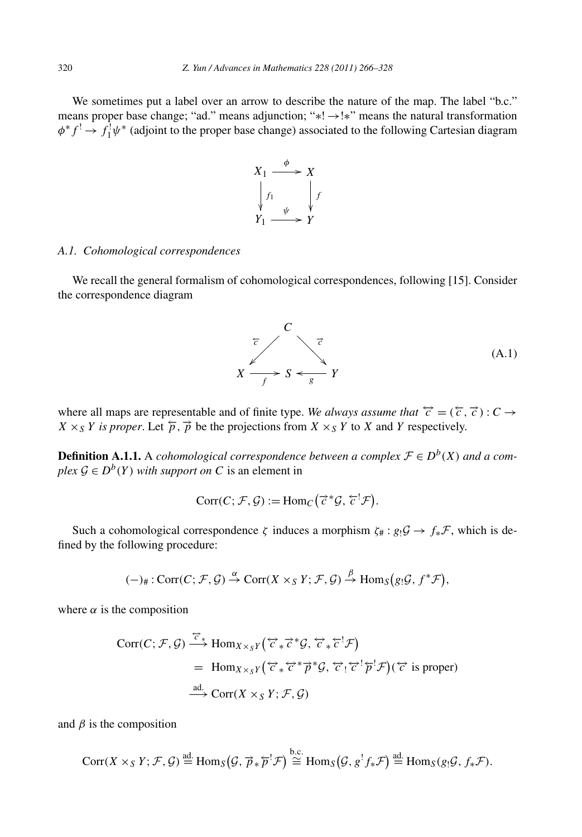We sometimes put a label over an arrow to describe the nature of the map. The label "b.c." means proper base change; "ad." means adjunction; "∗! →!∗" means the natural transformation *φ*<sup>∗</sup>*f* ! → *f*<sub>1</sub><sup>*y*</sup> \* (adjoint to the proper base change) associated to the following Cartesian diagram



# *A.1. Cohomological correspondences*

We recall the general formalism of cohomological correspondences, following [15]. Consider the correspondence diagram



where all maps are representable and of finite type. *We always assume that*  $\hat{c} = (\hat{c}, \hat{c}) : C \rightarrow$  $X \times_S Y$  *is proper.* Let  $\overline{p}$ ,  $\overrightarrow{p}$  be the projections from  $X \times_S Y$  to *X* and *Y* respectively.

**Definition A.1.1.** A *cohomological correspondence between a complex*  $\mathcal{F} \in D^b(X)$  *and a complex*  $\mathcal{G} \in D^b(Y)$  *with support on C* is an element in<br>
Corr(*C*;  $\mathcal{F}, \mathcal{G}$ ) := Hom<sub>*C*</sub>( $\vec{c}^* \mathcal{G}, \vec{c}^T \math$ *plex*  $\mathcal{G} \in D^b(Y)$  *with support on C* is an element in

$$
Corr(C; \mathcal{F}, \mathcal{G}) := \text{Hom}_C(\vec{c}^* \mathcal{G}, \vec{c}^! \mathcal{F}).
$$

Such a cohomological correspondence *ζ* induces a morphism  $\zeta_{\#} : g_! \mathcal{G} \to f_* \mathcal{F}$ , which is deed by the following procedure:<br>  $(-)_{\#} : \text{Corr}(C; \mathcal{F}, \mathcal{G}) \xrightarrow{\alpha} \text{Corr}(X \times_S Y; \mathcal{F}, \mathcal{G}) \xrightarrow{\beta} \text{Hom}_S(g_! \mathcal{G}, f^* \mathcal{F}),$ fined by the following procedure:

$$
(-)_{\#}: \text{Corr}(C; \mathcal{F}, \mathcal{G}) \stackrel{\alpha}{\rightarrow} \text{Corr}(X \times_S Y; \mathcal{F}, \mathcal{G}) \stackrel{\beta}{\rightarrow} \text{Hom}_S(g_! \mathcal{G}, f^* \mathcal{F}),
$$

where  $\alpha$  is the composition

the composition  
\n
$$
\text{Corr}(C; \mathcal{F}, \mathcal{G}) \xrightarrow{\overleftrightarrow{C}_{*}} \text{Hom}_{X \times_{S} Y}(\overleftrightarrow{c}_{*} \overrightarrow{c}^{*} \mathcal{G}, \overleftrightarrow{c}_{*} \overleftarrow{c}^{!} \mathcal{F})
$$
\n
$$
= \text{Hom}_{X \times_{S} Y}(\overleftrightarrow{c}_{*} \overleftrightarrow{c}^{*} \overrightarrow{p}^{*} \mathcal{G}, \overleftrightarrow{c}_{!} \overleftrightarrow{c}^{!} \overleftarrow{p}^{!} \mathcal{F})(\overrightarrow{c} \text{ is proper})
$$
\n
$$
\xrightarrow{\text{ad.}} \text{Corr}(X \times_{S} Y; \mathcal{F}, \mathcal{G})
$$

and  $\beta$  is the composition

<sup>3</sup> is the composition  
\n
$$
Corr(X \times_S Y; \mathcal{F}, \mathcal{G}) \stackrel{\text{ad.}}{=} \text{Hom}_S(\mathcal{G}, \overrightarrow{p}_* \overleftarrow{p}^! \mathcal{F}) \stackrel{\text{b.c.}}{=} \text{Hom}_S(\mathcal{G}, g^! f_* \mathcal{F}) \stackrel{\text{ad.}}{=} \text{Hom}_S(g_! \mathcal{G}, f_* \mathcal{F}).
$$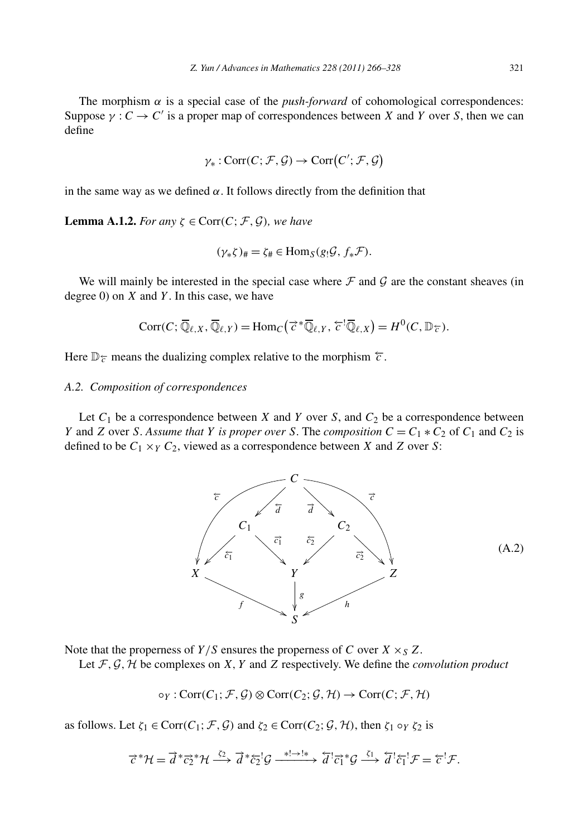The morphism  $\alpha$  is a special case of the *push-forward* of cohomological correspondences: Suppose  $\gamma : C \to C'$  is a proper map of correspondences between *X* and *Y* over *S*, then we can define<br>define<br> $\gamma_* : \text{Corr}(C; \mathcal{F}, \mathcal{G}) \to \text{Corr}(C'; \mathcal{F}, \mathcal{G})$ define

$$
\gamma_*: \text{Corr}(C; \mathcal{F}, \mathcal{G}) \to \text{Corr}(C'; \mathcal{F}, \mathcal{G})
$$

in the same way as we defined  $\alpha$ . It follows directly from the definition that

**Lemma A.1.2.** *For any*  $\zeta \in \text{Corr}(C; \mathcal{F}, \mathcal{G})$ *, we have* 

$$
(\gamma_*\zeta)_\# = \zeta_\# \in \text{Hom}_S(g_!\mathcal{G}, f_*\mathcal{F}).
$$

We will mainly be interested in the special case where  $\mathcal F$  and  $\mathcal G$  are the constant sheaves (in gree 0) on  $X$  and  $Y$ . In this case, we have<br>  $Corr(C; \overline{\mathbb{Q}}_{\ell,X}, \overline{\mathbb{Q}}_{\ell,Y}) = Hom_C(\overrightarrow{c}^* \overline{\mathbb{Q}}_{\ell,Y}, \overleftarrow{c}^! \overline{\math$ degree 0) on *X* and *Y* . In this case, we have

$$
Corr(C; \overline{\mathbb{Q}}_{\ell,X}, \overline{\mathbb{Q}}_{\ell,Y}) = \text{Hom}_C(\overrightarrow{c}^* \overline{\mathbb{Q}}_{\ell,Y}, \overleftarrow{c}^! \overline{\mathbb{Q}}_{\ell,X}) = H^0(C, \mathbb{D}_{\overleftarrow{c}}).
$$

Here  $\mathbb{D}_{\tau}$  means the dualizing complex relative to the morphism  $\tau$ .

# *A.2. Composition of correspondences*

Let  $C_1$  be a correspondence between *X* and *Y* over *S*, and  $C_2$  be a correspondence between *Y* and *Z* over *S*. *Assume that Y is proper over S*. The *composition*  $C = C_1 * C_2$  of  $C_1$  and  $C_2$  is defined to be  $C_1 \times_Y C_2$ , viewed as a correspondence between *X* and *Z* over *S*:



Note that the properness of  $Y/S$  ensures the properness of *C* over  $X \times_S Z$ .

Let  $F$ ,  $G$ ,  $H$  be complexes on  $X$ ,  $Y$  and  $Z$  respectively. We define the *convolution product* 

$$
\circ_Y : \text{Corr}(C_1; \mathcal{F}, \mathcal{G}) \otimes \text{Corr}(C_2; \mathcal{G}, \mathcal{H}) \to \text{Corr}(C; \mathcal{F}, \mathcal{H})
$$

as follows. Let  $\zeta_1 \in \text{Corr}(C_1; \mathcal{F}, \mathcal{G})$  and  $\zeta_2 \in \text{Corr}(C_2; \mathcal{G}, \mathcal{H})$ , then  $\zeta_1 \circ_Y \zeta_2$  is

$$
\vec{\tau}^* \mathcal{H} = \vec{d}^* \vec{c}^* \mathcal{H} \xrightarrow{\zeta_2} \vec{d}^* \vec{c}^{\, \prime}_2 \mathcal{G} \xrightarrow{\ast \vdash \rightarrow \vdash \ast} \vec{d}^{\, \prime} \vec{c}^{\, \prime}_1 \mathcal{G} \xrightarrow{\zeta_1} \vec{d}^{\, \prime} \vec{c}^{\, \prime}_1 \mathcal{F} = \vec{\tau}^{\, \prime} \mathcal{F}.
$$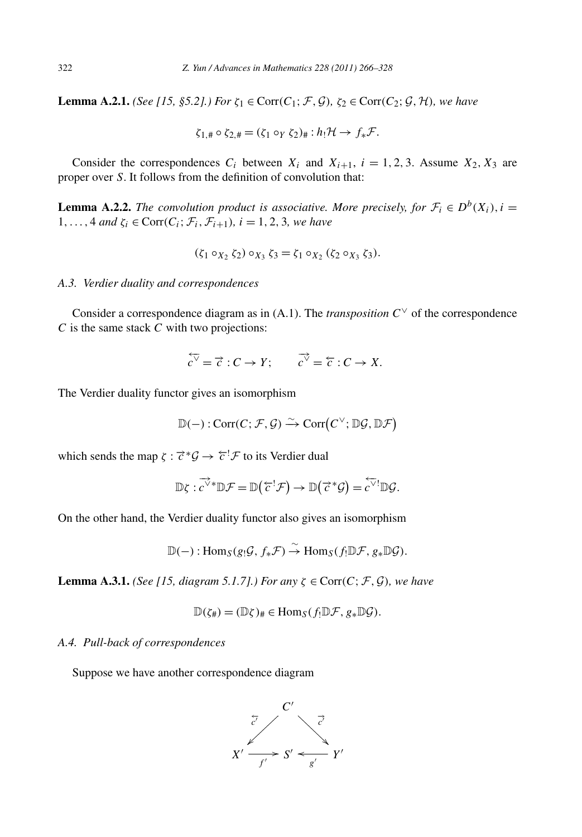**Lemma A.2.1.** *(See [15, §5.2].) For*  $\zeta_1 \in \text{Corr}(C_1; \mathcal{F}, \mathcal{G})$ *,*  $\zeta_2 \in \text{Corr}(C_2; \mathcal{G}, \mathcal{H})$ *, we have* 

$$
\zeta_{1,\#}\circ \zeta_{2,\#}=(\zeta_1\circ_Y\zeta_2)_\# : h_!\mathcal{H}\to f_*\mathcal{F}.
$$

Consider the correspondences  $C_i$  between  $X_i$  and  $X_{i+1}$ ,  $i = 1, 2, 3$ . Assume  $X_2, X_3$  are proper over *S*. It follows from the definition of convolution that:

**Lemma A.2.2.** *The convolution product is associative. More precisely, for*  $\mathcal{F}_i \in D^b(X_i)$ ,  $i =$ 1,..., 4 *and*  $\zeta_i \in \text{Corr}(C_i; \mathcal{F}_i, \mathcal{F}_{i+1}), i = 1, 2, 3$ *, we have* 

$$
(\zeta_1 \circ_{X_2} \zeta_2) \circ_{X_3} \zeta_3 = \zeta_1 \circ_{X_2} (\zeta_2 \circ_{X_3} \zeta_3).
$$

# *A.3. Verdier duality and correspondences*

Consider a correspondence diagram as in (A.1). The *transposition*  $C^{\vee}$  of the correspondence *C* is the same stack *C* with two projections:

$$
\overleftarrow{c}^{\triangledown} = \overrightarrow{c} : C \to Y; \qquad \overrightarrow{c}^{\diamond} = \overleftarrow{c} : C \to X.
$$

The Verdier duality functor gives an isomorphism

or gives an isomorphism  
\n
$$
\mathbb{D}(-): \text{Corr}(C; \mathcal{F}, \mathcal{G}) \xrightarrow{\sim} \text{Corr}(C^{\vee}; \mathbb{D}\mathcal{G}, \mathbb{D}\mathcal{F})
$$

which sends the map  $\zeta : \vec{c}^* \mathcal{G} \to \vec{c}^! \mathcal{F}$  to its Verdier dual

$$
\vec{\tau}^* \mathcal{G} \to \vec{\tau}^! \mathcal{F} \text{ to its Verdier dual}
$$
  

$$
\mathbb{D}\zeta : \vec{c}^{\forall *}\mathbb{D}\mathcal{F} = \mathbb{D}(\vec{\tau}^! \mathcal{F}) \to \mathbb{D}(\vec{\tau}^* \mathcal{G}) = \vec{c}^{\forall !}\mathbb{D}\mathcal{G}.
$$

On the other hand, the Verdier duality functor also gives an isomorphism

$$
\mathbb{D}(-): \mathrm{Hom}_S(g_!{\mathcal G}, f_*{\mathcal F}) \stackrel{\sim}{\to} \mathrm{Hom}_S(f_!{\mathbb D}{\mathcal F}, g_*{\mathbb D}{\mathcal G}).
$$

**Lemma A.3.1.** *(See [15, diagram 5.1.7].) For any*  $\zeta \in \text{Corr}(C; \mathcal{F}, \mathcal{G})$ *, we have* 

$$
\mathbb{D}(\zeta_{\#})=(\mathbb{D}\zeta)_{\#}\in\mathrm{Hom}_{S}(f_{!}\mathbb{D}\mathcal{F},g_{*}\mathbb{D}\mathcal{G}).
$$

#### *A.4. Pull-back of correspondences*

Suppose we have another correspondence diagram

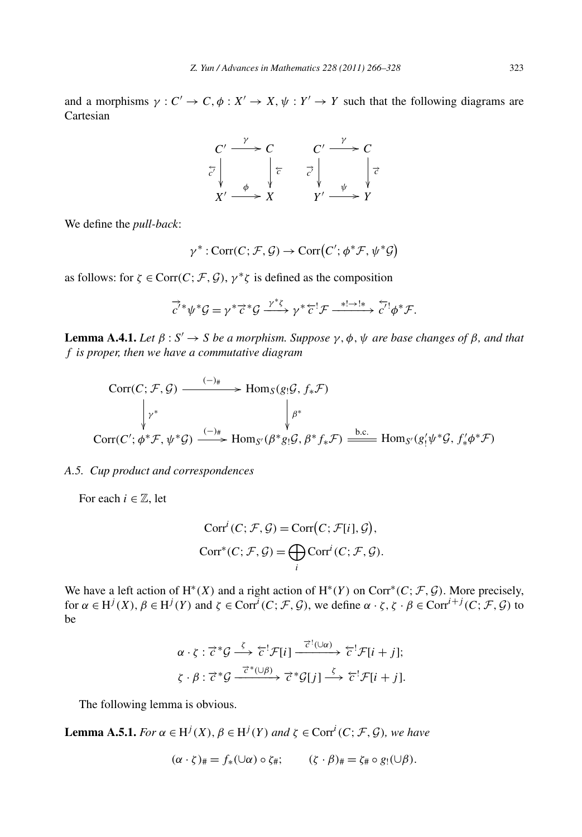and a morphisms  $\gamma : C' \to C, \phi : X' \to X, \psi : Y' \to Y$  such that the following diagrams are Cartesian

$$
\begin{array}{ccc}\nC' & \xrightarrow{\gamma} & C & C' & \xrightarrow{\gamma} & C \\
\overline{c'} & & \xrightarrow{\phi} & \overline{c} & & \overline{c'} & \overline{c'} & \overline{c'} \\
X' & \xrightarrow{\phi} & X & & Y' & \xrightarrow{\psi} & Y \\
\end{array}
$$

We define the *pull-back*:

$$
X' \longrightarrow X \qquad Y' \longrightarrow Y
$$
  

$$
\gamma^* : \text{Corr}(C; \mathcal{F}, \mathcal{G}) \to \text{Corr}(C'; \phi^* \mathcal{F}, \psi^* \mathcal{G})
$$

as follows: for  $\zeta \in \text{Corr}(C; \mathcal{F}, \mathcal{G})$ ,  $\gamma^* \zeta$  is defined as the composition

$$
\overrightarrow{c}^{\prime *}\psi^*\mathcal{G} = \gamma^*\overrightarrow{c}^*\mathcal{G} \xrightarrow{\gamma^*\zeta} \gamma^*\overleftarrow{c}^!\mathcal{F} \xrightarrow{\ast! \rightarrow !*} \overleftarrow{c'}^!\phi^*\mathcal{F}.
$$

**Lemma A.4.1.** *Let*  $\beta$  :  $S' \rightarrow S$  *be a morphism. Suppose*  $\gamma$ *,*  $\phi$ *,*  $\psi$  *are base changes of*  $\beta$ *, and that f is proper, then we have a commutative diagram*

$$
\text{Corr}(C; \mathcal{F}, \mathcal{G}) \xrightarrow{(-)*} \text{Hom}_{S}(g_{!}\mathcal{G}, f_{*}\mathcal{F})
$$
\n
$$
\downarrow \gamma^{*} \qquad \qquad \downarrow \beta^{*}
$$
\n
$$
\text{Corr}(C'; \phi^{*}\mathcal{F}, \psi^{*}\mathcal{G}) \xrightarrow{(-)*} \text{Hom}_{S'}(\beta^{*}g_{!}\mathcal{G}, \beta^{*}f_{*}\mathcal{F}) \xrightarrow{\text{b.c.}} \text{Hom}_{S'}(g'_{!}\psi^{*}\mathcal{G}, f'_{*}\phi^{*}\mathcal{F})
$$

# *A.5. Cup product and correspondences*

For each  $i \in \mathbb{Z}$ , let

$$
Sponaences
$$
  
Corr<sup>*i*</sup>(*C*; *F*, *G*) = Corr(*C*; *F*[*i*], *G*),  
Corr<sup>\*</sup>(*C*; *F*, *G*) = 
$$
\bigoplus_{i} \text{Corr}^{i}(C; \mathcal{F}, \mathcal{G}).
$$

We have a left action of  $H^*(X)$  and a right action of  $H^*(Y)$  on Corr<sup>\*</sup> $(C; \mathcal{F}, \mathcal{G})$ . More precisely, for  $\alpha \in H^j(X)$ ,  $\beta \in H^j(Y)$  and  $\zeta \in \text{Corr}^i(C; \mathcal{F}, \mathcal{G})$ , we define  $\alpha \cdot \zeta$ ,  $\zeta \cdot \beta \in \text{Corr}^{i+j}(C; \mathcal{F}, \mathcal{G})$  to be

$$
\alpha \cdot \zeta : \vec{\zeta}^* \mathcal{G} \stackrel{\zeta}{\longrightarrow} \vec{\zeta}^! \mathcal{F}[i] \stackrel{\vec{\zeta}^!(\cup \alpha)}{\longrightarrow} \vec{\zeta}^! \mathcal{F}[i+j];
$$
  

$$
\zeta \cdot \beta : \vec{\zeta}^* \mathcal{G} \stackrel{\vec{\zeta}^*(\cup \beta)}{\longrightarrow} \vec{\zeta}^* \mathcal{G}[j] \stackrel{\zeta}{\longrightarrow} \vec{\zeta}^! \mathcal{F}[i+j].
$$

The following lemma is obvious.

**Lemma A.5.1.** *For*  $\alpha \in H^j(X)$ *,*  $\beta \in H^j(Y)$  *and*  $\zeta \in \text{Corr}^i(C; \mathcal{F}, \mathcal{G})$ *, we have* 

$$
(\alpha \cdot \zeta)_\# = f_*(\cup \alpha) \circ \zeta_\#; \qquad (\zeta \cdot \beta)_\# = \zeta_\# \circ g_!(\cup \beta).
$$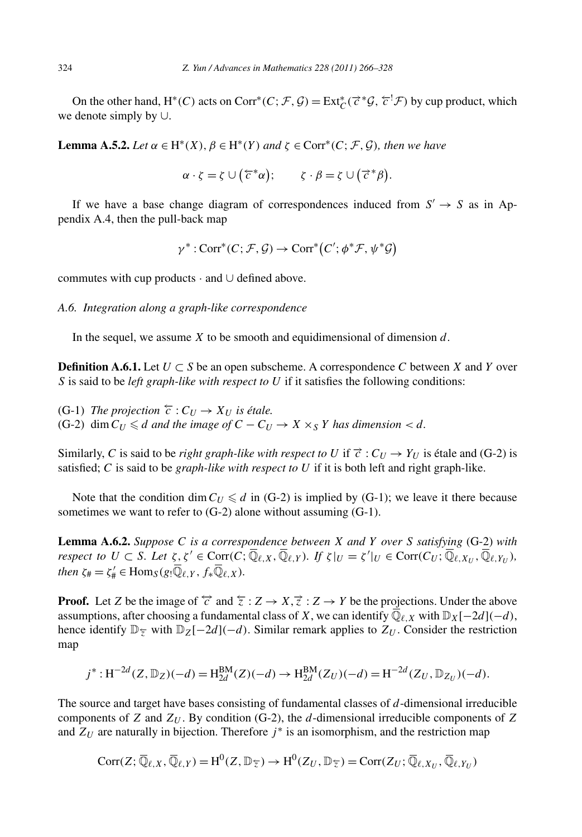On the other hand,  $H^*(C)$  acts on Corr<sup>\*</sup> $(C; \mathcal{F}, \mathcal{G}) = \text{Ext}^*_{C}(\vec{c}^*\mathcal{G}, \vec{c}^!\mathcal{F})$  by cup product, which we denote simply by ∪.

**Lemma A.5.2.** *Let*  $\alpha \in H^*(X)$ ,  $\beta \in H^*(Y)$  *and*  $\zeta \in \text{Corr}^*(C; \mathcal{F}, \mathcal{G})$ *, then we have* 

*α* · *ζ* = *ζ* ∪ ( $\overline{c}$  \**α* · *ζ* = *ζ* ∪ ( $\overline{c}$  \**α*  $\alpha d \zeta \in \text{Corr}^*(C; \mathcal{F}, \mathcal{G}),$ <br>  $\zeta \cdot \beta = \zeta \cup (\vec{c}^*\beta)$ *.*

If we have a base change diagram of correspondences induced from *S*<sup>*'*</sup> → *S* as in Ap-<br> *γ*<sup>\*</sup> : Corr<sup>\*</sup>(*C*; *F*, *G*) → Corr<sup>\*</sup>(*C'*;  $\phi^*$ *F*,  $\psi^*$ *G*) pendix A.4, then the pull-back map

$$
\gamma^* : \text{Corr}^*(C; \mathcal{F}, \mathcal{G}) \to \text{Corr}^*(C'; \phi^* \mathcal{F}, \psi^* \mathcal{G})
$$

commutes with cup products · and ∪ defined above.

#### *A.6. Integration along a graph-like correspondence*

In the sequel, we assume *X* to be smooth and equidimensional of dimension *d*.

**Definition A.6.1.** Let  $U \subset S$  be an open subscheme. A correspondence C between X and Y over *S* is said to be *left graph-like with respect to U* if it satisfies the following conditions:

(G-1) *The projection*  $\overleftarrow{c}$  :  $C_U$  →  $X_U$  *is étale.* (G-2) dim  $C_U \le d$  *and the image of*  $C - C_U \rightarrow X \times_S Y$  *has dimension*  $d$ *.* 

Similarly, *C* is said to be *right graph-like with respect to U* if  $\vec{c}$  :  $C_U \rightarrow Y_U$  is étale and (G-2) is satisfied; *C* is said to be *graph-like with respect to U* if it is both left and right graph-like.

Note that the condition dim  $C_U \le d$  in (G-2) is implied by (G-1); we leave it there because sometimes we want to refer to  $(G-2)$  alone without assuming  $(G-1)$ .

**Lemma A.6.2.** *Suppose C is a correspondence between X and Y over S satisfying* (G-2) *with respect to*  $U \subset S$ *. Let*  $\zeta, \zeta' \in \text{Corr}(C; \overline{\mathbb{Q}}_{\ell,X}, \overline{\mathbb{Q}}_{\ell,Y})$ . If  $\zeta|_U = \zeta'|_U \in \text{Corr}(C_U; \overline{\mathbb{Q}}_{\ell,X_U}, \overline{\mathbb{Q}}_{\ell,Y_U})$ , *then*  $\zeta_{\#} = \zeta_{\#}' \in \text{Hom}_{S}(g_{!}\overline{\mathbb{Q}}_{\ell,Y}, f_{*}\overline{\mathbb{Q}}_{\ell,X}).$ 

**Proof.** Let *Z* be the image of  $\overleftrightarrow{c}$  and  $\overleftarrow{z}$  :  $Z \rightarrow X, \overrightarrow{z}$  :  $Z \rightarrow Y$  be the projections. Under the above assumptions, after choosing a fundamental class of *X*, we can identify  $\overline{\mathbb{Q}}_{\ell,X}$  with  $\mathbb{D}_X[-2d](-d)$ , hence identify  $\mathbb{D}_{\overline{z}}$  with  $\mathbb{D}_Z[-2d](-d)$ . Similar remark applies to  $Z_U$ . Consider the restriction map

$$
j^*: H^{-2d}(Z, \mathbb{D}_Z)(-d) = H_{2d}^{BM}(Z)(-d) \to H_{2d}^{BM}(Z_U)(-d) = H^{-2d}(Z_U, \mathbb{D}_{Z_U})(-d).
$$

The source and target have bases consisting of fundamental classes of *d*-dimensional irreducible components of *Z* and *ZU* . By condition (G-2), the *d*-dimensional irreducible components of *Z* and  $Z_U$  are naturally in bijection. Therefore  $j^*$  is an isomorphism, and the restriction map

$$
Corr(Z; \overline{\mathbb{Q}}_{\ell,X}, \overline{\mathbb{Q}}_{\ell,Y}) = H^0(Z, \mathbb{D}_{\overline{z}}) \to H^0(Z_U, \mathbb{D}_{\overline{z}}) = Corr(Z_U; \overline{\mathbb{Q}}_{\ell,X_U}, \overline{\mathbb{Q}}_{\ell,Y_U})
$$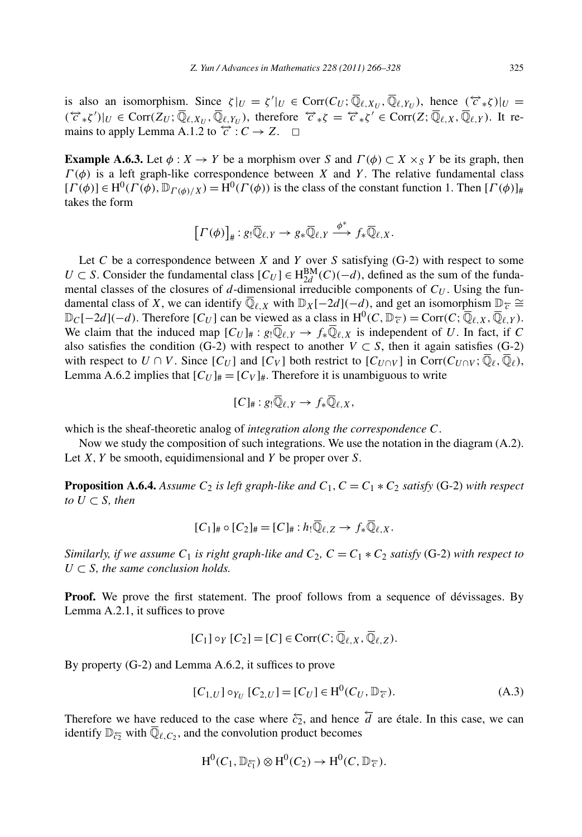is also an isomorphism. Since  $\zeta|_U = \zeta'|_U \in \text{Corr}(C_U; \overline{\mathbb{Q}}_{\ell,X_U}, \overline{\mathbb{Q}}_{\ell,Y_U}),$  hence  $(\overleftrightarrow{\zeta}, \zeta)|_U =$  $(\forall \epsilon, \xi')|_{U} \in \text{Corr}(Z_{U}; \overline{\mathbb{Q}}_{\ell,X_{U}}, \overline{\mathbb{Q}}_{\ell,Y_{U}})$ , therefore  $\forall \epsilon, \xi' \in \text{Corr}(Z; \overline{\mathbb{Q}}_{\ell,X}, \overline{\mathbb{Q}}_{\ell,Y})$ . It remains to apply Lemma A.1.2 to  $\overleftrightarrow{c}$  :  $C \rightarrow Z$ .  $\Box$ 

**Example A.6.3.** Let  $\phi: X \to Y$  be a morphism over *S* and  $\Gamma(\phi) \subset X \times_Y Y$  be its graph, then  $\Gamma(\phi)$  is a left graph-like correspondence between *X* and *Y*. The relative fundamental class  $[\Gamma(\phi)] \in H^0(\Gamma(\phi), \mathbb{D}_{\Gamma(\phi)/X}) = H^0(\Gamma(\phi))$  is the class of the constant function 1. Then  $[\Gamma(\phi)]_{\#}$  takes the form<br>  $[\Gamma(\phi)]_{\#}: g_! \overline{\mathbb{Q}}_{\ell,Y} \to g_* \overline{\mathbb{Q}}_{\ell,Y} \xrightarrow{\phi^*} f_* \overline{\mathbb{Q}}_{\ell,X}$ . takes the form

$$
\left[I(\phi)\right]_{\#}: g_! \overline{\mathbb{Q}}_{\ell,Y} \to g_* \overline{\mathbb{Q}}_{\ell,Y} \stackrel{\phi^*}{\longrightarrow} f_* \overline{\mathbb{Q}}_{\ell,X}.
$$

Let *C* be a correspondence between *X* and *Y* over *S* satisfying (G-2) with respect to some *U* ⊂ *S*. Consider the fundamental class  $[C_U]$  ∈ H<sup>BM</sup> $(C)(-d)$ , defined as the sum of the fundamental classes of the closures of *d*-dimensional irreducible components of  $C_U$ . Using the fundamental class of *X*, we can identify  $\overline{\mathbb{Q}}_{\ell,X}$  with  $\mathbb{D}_X[-2d](-d)$ , and get an isomorphism  $\mathbb{D}_{\overline{\ell}} \cong$  $\mathbb{D}_C[-2d](-d)$ . Therefore  $[C_U]$  can be viewed as a class in H<sup>0</sup>( $C, \mathbb{D}_{\mathcal{F}}$ ) = Corr $(C, \overline{\mathbb{Q}}_{\ell,X}, \overline{\mathbb{Q}}_{\ell,Y})$ . We claim that the induced map  $[C_U]_{\#}: g_! \overline{\mathbb{Q}}_{\ell,Y} \to f_* \overline{\mathbb{Q}}_{\ell,X}$  is independent of *U*. In fact, if *C* also satisfies the condition (G-2) with respect to another  $V \subset S$ , then it again satisfies (G-2) with respect to  $U \cap V$ . Since  $[C_U]$  and  $[C_V]$  both restrict to  $[C_{U \cap V}]$  in Corr $(C_{U \cap V}, \overline{\mathbb{Q}}_\ell, \overline{\mathbb{Q}}_\ell)$ , Lemma A.6.2 implies that  $[C_U]_{\#} = [C_V]_{\#}$ . Therefore it is unambiguous to write

$$
[C]_{\#}:g_!\overline{\mathbb{Q}}_{\ell,Y}\to f_*\overline{\mathbb{Q}}_{\ell,X},
$$

which is the sheaf-theoretic analog of *integration along the correspondence C*.

Now we study the composition of such integrations. We use the notation in the diagram (A.2). Let *X,Y* be smooth, equidimensional and *Y* be proper over *S*.

**Proposition A.6.4.** *Assume*  $C_2$  *is left graph-like and*  $C_1$ ,  $C = C_1 * C_2$  *satisfy* (G-2) *with respect to*  $U$  ⊂ *S, then* 

$$
[C_1]_{\#}\circ [C_2]_{\#}=[C]_{\#}:h_!\overline{\mathbb{Q}}_{\ell,Z}\to f_*\overline{\mathbb{Q}}_{\ell,X}.
$$

*Similarly, if we assume*  $C_1$  *is right graph-like and*  $C_2$ ,  $C = C_1 * C_2$  *satisfy* (G-2) *with respect to*  $U \subset S$ *, the same conclusion holds.* 

**Proof.** We prove the first statement. The proof follows from a sequence of dévissages. By Lemma A.2.1, it suffices to prove

$$
[C_1] \circ_Y [C_2] = [C] \in \text{Corr}(C; \overline{\mathbb{Q}}_{\ell,X}, \overline{\mathbb{Q}}_{\ell,Z}).
$$

By property (G-2) and Lemma A.6.2, it suffices to prove

$$
[C_{1,U}] \circ_{Y_U} [C_{2,U}] = [C_U] \in H^0(C_U, \mathbb{D}_{\mathcal{F}}).
$$
 (A.3)

Therefore we have reduced to the case where  $\overleftarrow{c_2}$ , and hence  $\overleftarrow{d}$  are étale. In this case, we can identify  $\mathbb{D}_{\xi}$ <sup>5</sup> with  $\overline{\mathbb{Q}}_{\ell,C_2}$ , and the convolution product becomes

$$
H^0(C_1, \mathbb{D}_{\tilde{c}_1}) \otimes H^0(C_2) \to H^0(C, \mathbb{D}_{\tilde{c}}).
$$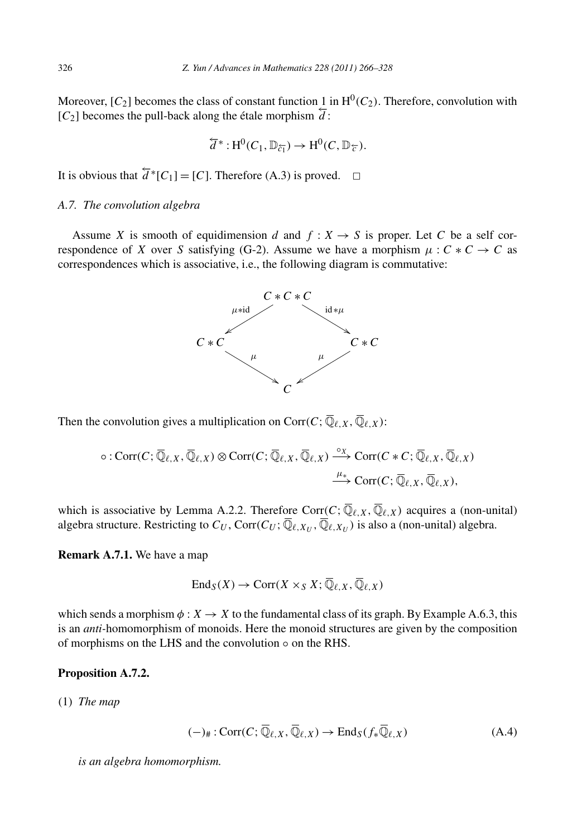Moreover,  $[C_2]$  becomes the class of constant function 1 in  $H^0(C_2)$ . Therefore, convolution with  $[C_2]$  becomes the pull-back along the étale morphism  $\overline{d}$ :

$$
\overleftarrow{d}^*: {\mathrm{H}}^0(C_1, \mathbb D_{\overleftarrow{c_1}}) \to {\mathrm{H}}^0(C, \mathbb D_{\overleftarrow{c}}).
$$

It is obvious that  $\overleftarrow{d}$  \*[ $C_1$ ] = [*C*]. Therefore (A.3) is proved.  $□$ 

# *A.7. The convolution algebra*

Assume *X* is smooth of equidimension *d* and  $f: X \rightarrow S$  is proper. Let *C* be a self correspondence of *X* over *S* satisfying (G-2). Assume we have a morphism  $\mu : C \times C \rightarrow C$  as correspondences which is associative, i.e., the following diagram is commutative:



Then the convolution gives a multiplication on Corr $(C; \overline{Q}_{\ell,X}, \overline{Q}_{\ell,X})$ :

$$
\circ : \text{Corr}(C; \overline{\mathbb{Q}}_{\ell,X}, \overline{\mathbb{Q}}_{\ell,X}) \otimes \text{Corr}(C; \overline{\mathbb{Q}}_{\ell,X}, \overline{\mathbb{Q}}_{\ell,X}) \stackrel{\circ_X}{\longrightarrow} \text{Corr}(C * C; \overline{\mathbb{Q}}_{\ell,X}, \overline{\mathbb{Q}}_{\ell,X})
$$

$$
\stackrel{\mu_*}{\longrightarrow} \text{Corr}(C; \overline{\mathbb{Q}}_{\ell,X}, \overline{\mathbb{Q}}_{\ell,X}),
$$

which is associative by Lemma A.2.2. Therefore Corr $(C; \overline{\mathbb{Q}}_{\ell,X}, \overline{\mathbb{Q}}_{\ell,X})$  acquires a (non-unital) algebra structure. Restricting to  $C_U$ , Corr $(C_U; \overline{\mathbb{Q}}_{\ell,X_U}, \overline{\mathbb{Q}}_{\ell,X_U})$  is also a (non-unital) algebra.

**Remark A.7.1.** We have a map

$$
\mathrm{End}_S(X) \to \mathrm{Corr}(X \times_S X; \overline{\mathbb{Q}}_{\ell,X}, \overline{\mathbb{Q}}_{\ell,X})
$$

which sends a morphism  $\phi: X \to X$  to the fundamental class of its graph. By Example A.6.3, this is an *anti-*homomorphism of monoids. Here the monoid structures are given by the composition of morphisms on the LHS and the convolution  $\circ$  on the RHS.

# **Proposition A.7.2.**

(1) *The map*

$$
(-)_{\#}:Corr(C; \overline{\mathbb{Q}}_{\ell,X}, \overline{\mathbb{Q}}_{\ell,X}) \to \text{End}_{S}(f_{*}\overline{\mathbb{Q}}_{\ell,X})
$$
(A.4)

*is an algebra homomorphism.*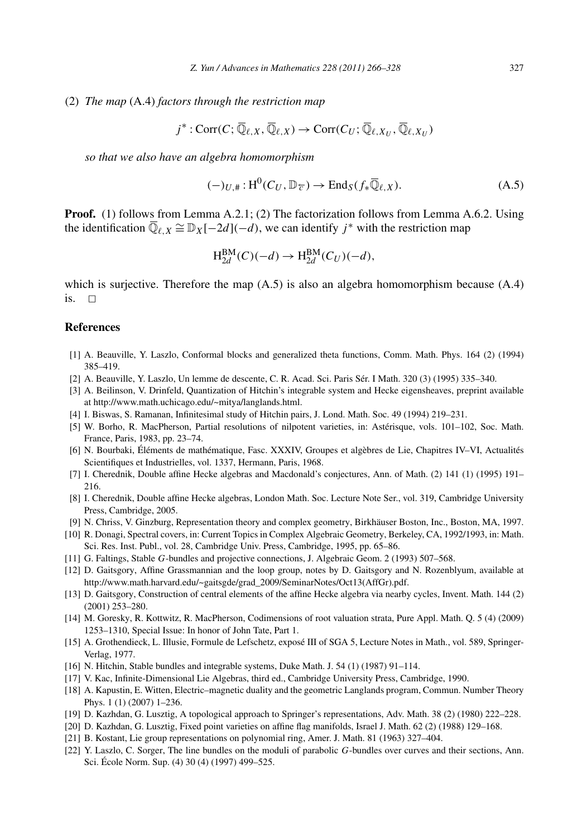#### (2) *The map* (A.4) *factors through the restriction map*

$$
j^* : \text{Corr}(C; \overline{\mathbb{Q}}_{\ell,X}, \overline{\mathbb{Q}}_{\ell,X}) \to \text{Corr}(C_U; \overline{\mathbb{Q}}_{\ell,X_U}, \overline{\mathbb{Q}}_{\ell,X_U})
$$

*so that we also have an algebra homomorphism*

$$
(-)_{U,\#}: \mathrm{H}^{0}(C_{U}, \mathbb{D}_{\overline{\mathcal{C}}}) \to \mathrm{End}_{S}(f_{*}\overline{\mathbb{Q}}_{\ell,X}). \tag{A.5}
$$

**Proof.** (1) follows from Lemma A.2.1; (2) The factorization follows from Lemma A.6.2. Using the identification  $\overline{\mathbb{Q}}_{\ell,X} \cong \mathbb{D}_X[-2d](-d)$ , we can identify *j*<sup>\*</sup> with the restriction map

$$
H_{2d}^{BM}(C)(-d) \to H_{2d}^{BM}(C_U)(-d),
$$

which is surjective. Therefore the map  $(A.5)$  is also an algebra homomorphism because  $(A.4)$ is.  $\Box$ 

# **References**

- [1] A. Beauville, Y. Laszlo, Conformal blocks and generalized theta functions, Comm. Math. Phys. 164 (2) (1994) 385–419.
- [2] A. Beauville, Y. Laszlo, Un lemme de descente, C. R. Acad. Sci. Paris Sér. I Math. 320 (3) (1995) 335–340.
- [3] A. Beilinson, V. Drinfeld, Quantization of Hitchin's integrable system and Hecke eigensheaves, preprint available at http://www.math.uchicago.edu/~mitya/langlands.html.
- [4] I. Biswas, S. Ramanan, Infinitesimal study of Hitchin pairs, J. Lond. Math. Soc. 49 (1994) 219–231.
- [5] W. Borho, R. MacPherson, Partial resolutions of nilpotent varieties, in: Astérisque, vols. 101–102, Soc. Math. France, Paris, 1983, pp. 23–74.
- [6] N. Bourbaki, Éléments de mathématique, Fasc. XXXIV, Groupes et algèbres de Lie, Chapitres IV–VI, Actualités Scientifiques et Industrielles, vol. 1337, Hermann, Paris, 1968.
- [7] I. Cherednik, Double affine Hecke algebras and Macdonald's conjectures, Ann. of Math. (2) 141 (1) (1995) 191– 216.
- [8] I. Cherednik, Double affine Hecke algebras, London Math. Soc. Lecture Note Ser., vol. 319, Cambridge University Press, Cambridge, 2005.
- [9] N. Chriss, V. Ginzburg, Representation theory and complex geometry, Birkhäuser Boston, Inc., Boston, MA, 1997.
- [10] R. Donagi, Spectral covers, in: Current Topics in Complex Algebraic Geometry, Berkeley, CA, 1992/1993, in: Math. Sci. Res. Inst. Publ., vol. 28, Cambridge Univ. Press, Cambridge, 1995, pp. 65–86.
- [11] G. Faltings, Stable *G*-bundles and projective connections, J. Algebraic Geom. 2 (1993) 507–568.
- [12] D. Gaitsgory, Affine Grassmannian and the loop group, notes by D. Gaitsgory and N. Rozenblyum, available at http://www.math.harvard.edu/~gaitsgde/grad\_2009/SeminarNotes/Oct13(AffGr).pdf.
- [13] D. Gaitsgory, Construction of central elements of the affine Hecke algebra via nearby cycles, Invent. Math. 144 (2) (2001) 253–280.
- [14] M. Goresky, R. Kottwitz, R. MacPherson, Codimensions of root valuation strata, Pure Appl. Math. Q. 5 (4) (2009) 1253–1310, Special Issue: In honor of John Tate, Part 1.
- [15] A. Grothendieck, L. Illusie, Formule de Lefschetz, exposé III of SGA 5, Lecture Notes in Math., vol. 589, Springer-Verlag, 1977.
- [16] N. Hitchin, Stable bundles and integrable systems, Duke Math. J. 54 (1) (1987) 91-114.
- [17] V. Kac, Infinite-Dimensional Lie Algebras, third ed., Cambridge University Press, Cambridge, 1990.
- [18] A. Kapustin, E. Witten, Electric–magnetic duality and the geometric Langlands program, Commun. Number Theory Phys. 1 (1) (2007) 1–236.
- [19] D. Kazhdan, G. Lusztig, A topological approach to Springer's representations, Adv. Math. 38 (2) (1980) 222–228.
- [20] D. Kazhdan, G. Lusztig, Fixed point varieties on affine flag manifolds, Israel J. Math. 62 (2) (1988) 129–168.
- [21] B. Kostant, Lie group representations on polynomial ring, Amer. J. Math. 81 (1963) 327–404.
- [22] Y. Laszlo, C. Sorger, The line bundles on the moduli of parabolic *G*-bundles over curves and their sections, Ann. Sci. École Norm. Sup. (4) 30 (4) (1997) 499–525.